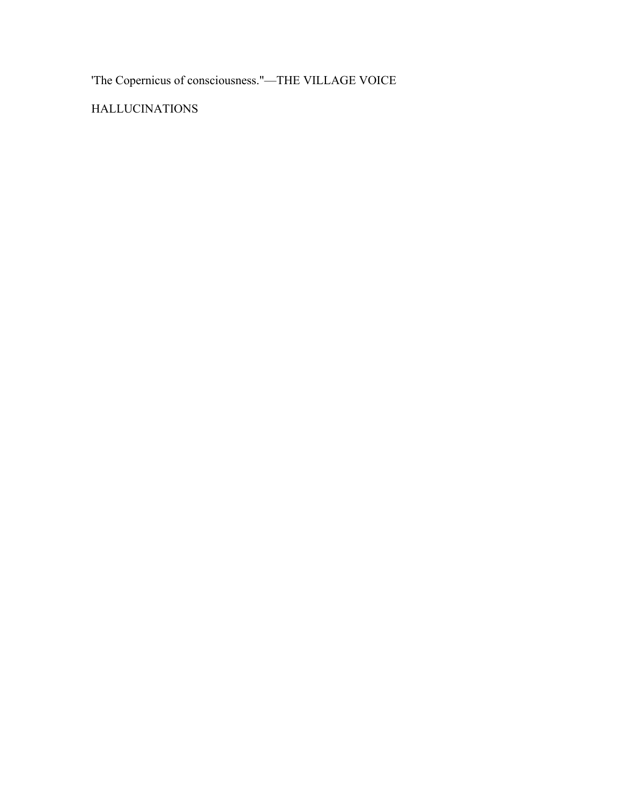'The Copernicus of consciousness."—THE VILLAGE VOICE

HALLUCINATIONS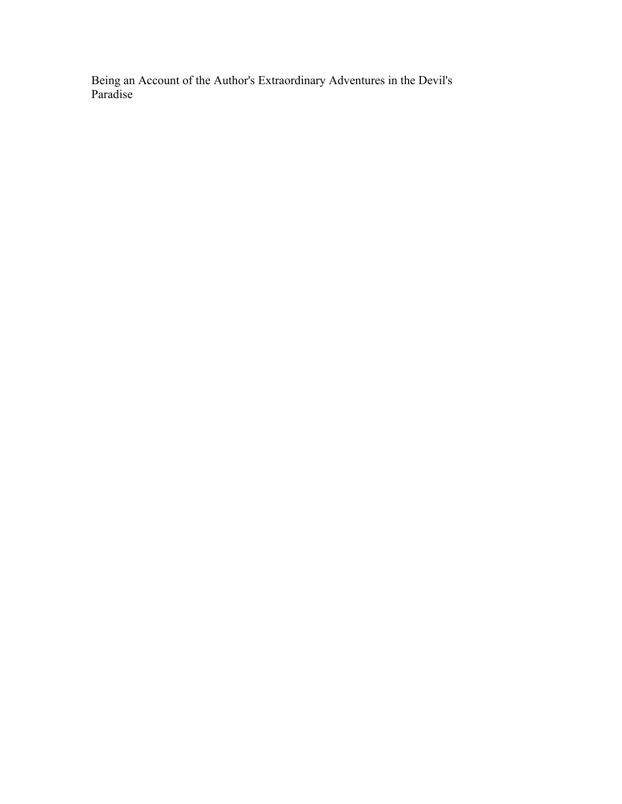Being an Account of the Author's Extraordinary Adventures in the Devil's Paradise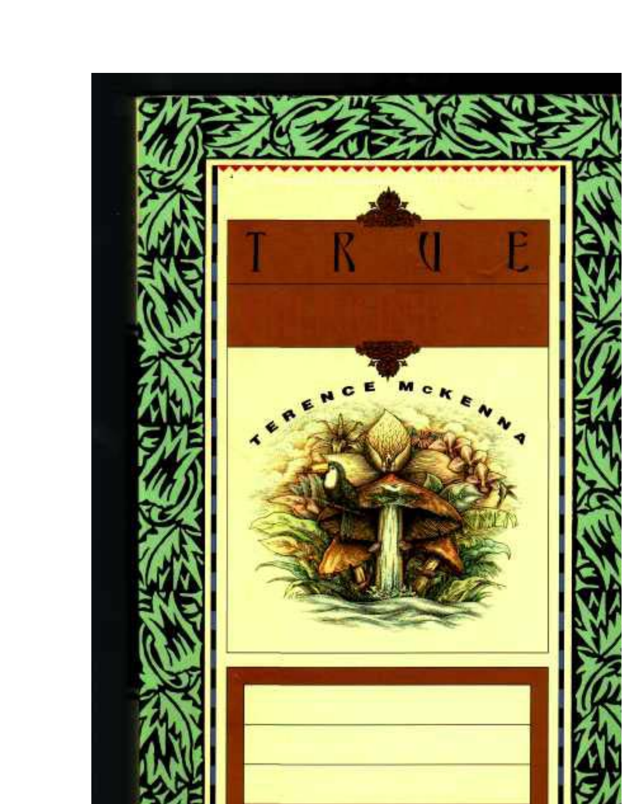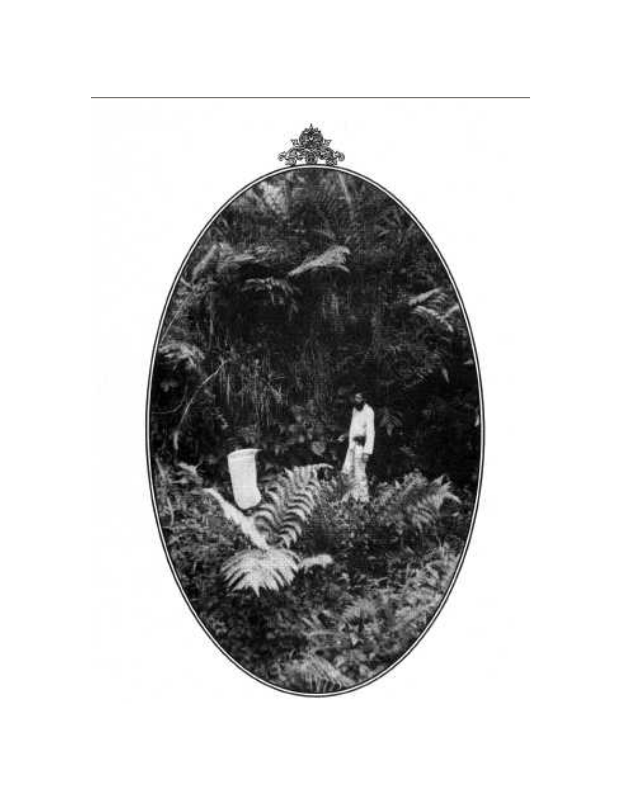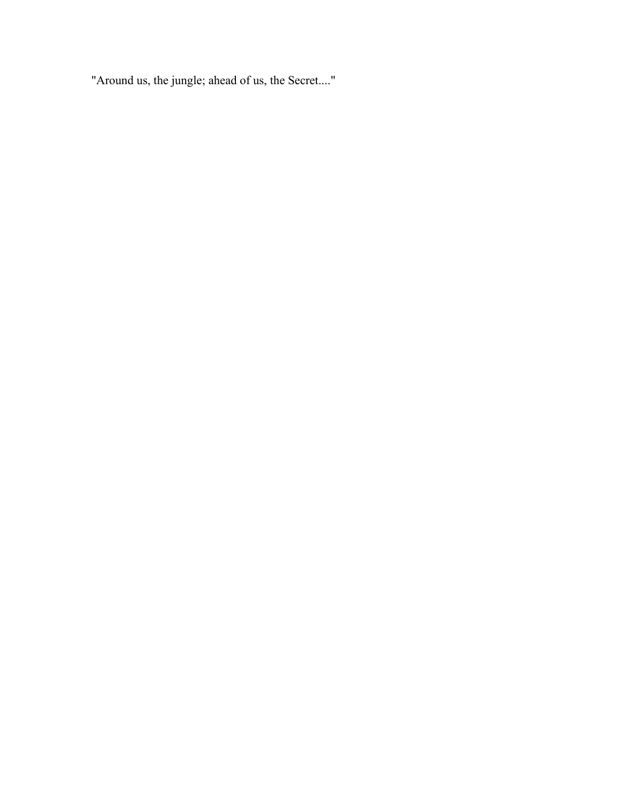"Around us, the jungle; ahead of us, the Secret...."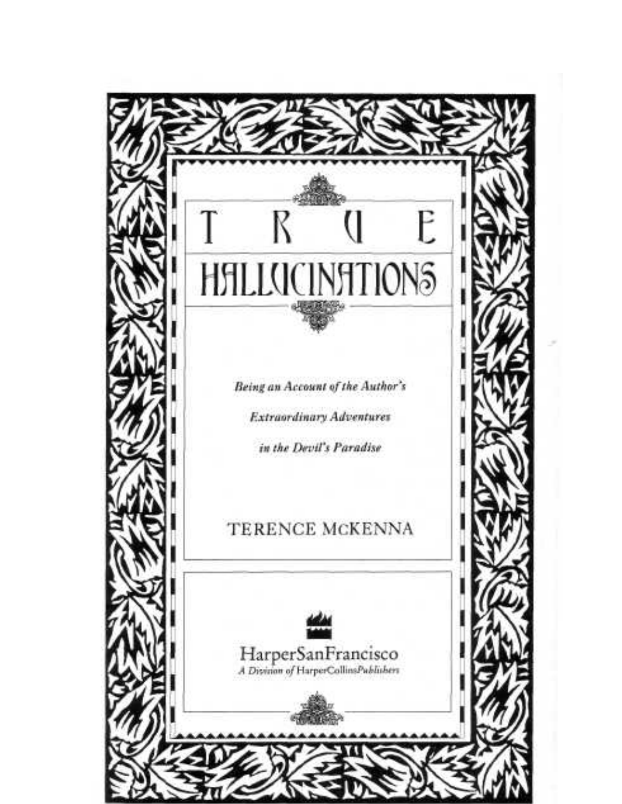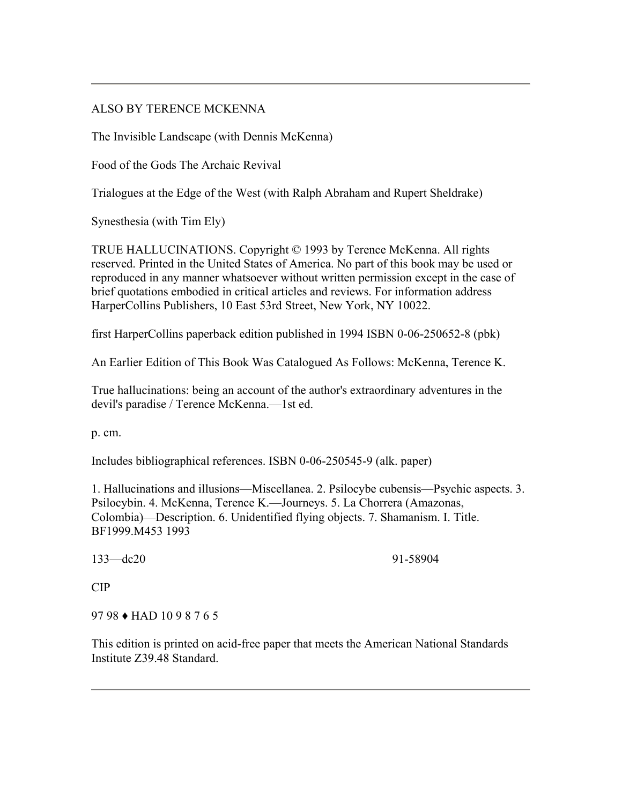# ALSO BY TERENCE MCKENNA

The Invisible Landscape (with Dennis McKenna)

Food of the Gods The Archaic Revival

Trialogues at the Edge of the West (with Ralph Abraham and Rupert Sheldrake)

Synesthesia (with Tim Ely)

TRUE HALLUCINATIONS. Copyright © 1993 by Terence McKenna. All rights reserved. Printed in the United States of America. No part of this book may be used or reproduced in any manner whatsoever without written permission except in the case of brief quotations embodied in critical articles and reviews. For information address HarperCollins Publishers, 10 East 53rd Street, New York, NY 10022.

first HarperCollins paperback edition published in 1994 ISBN 0-06-250652-8 (pbk)

An Earlier Edition of This Book Was Catalogued As Follows: McKenna, Terence K.

True hallucinations: being an account of the author's extraordinary adventures in the devil's paradise / Terence McKenna.—1st ed.

p. cm.

Includes bibliographical references. ISBN 0-06-250545-9 (alk. paper)

1. Hallucinations and illusions—Miscellanea. 2. Psilocybe cubensis—Psychic aspects. 3. Psilocybin. 4. McKenna, Terence K.—Journeys. 5. La Chorrera (Amazonas, Colombia)—Description. 6. Unidentified flying objects. 7. Shamanism. I. Title. BF1999.M453 1993

133—dc20 91-58904

CIP

97 98 ♦ HAD 10 9 8 7 6 5

This edition is printed on acid-free paper that meets the American National Standards Institute Z39.48 Standard.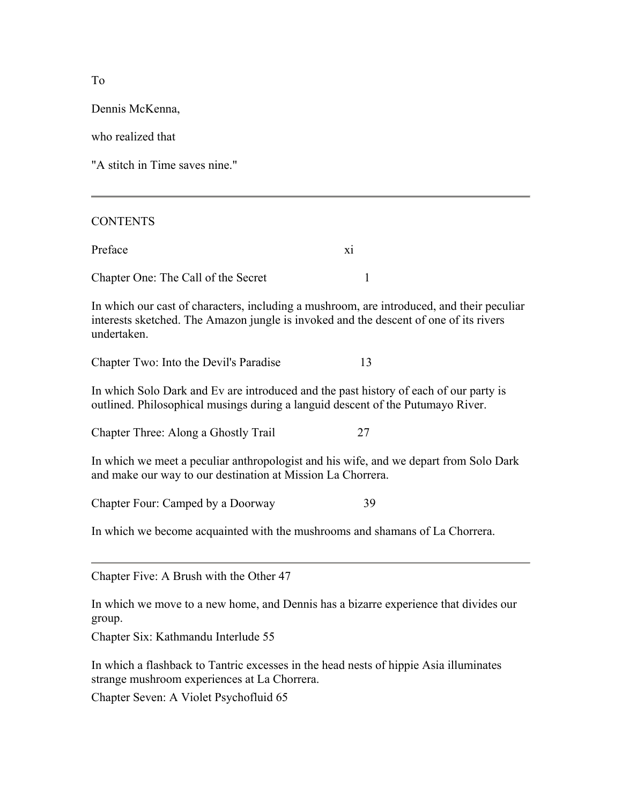To

Dennis McKenna,

who realized that

"A stitch in Time saves nine."

#### **CONTENTS**

| Preface                             |  |
|-------------------------------------|--|
| Chapter One: The Call of the Secret |  |

In which our cast of characters, including a mushroom, are introduced, and their peculiar interests sketched. The Amazon jungle is invoked and the descent of one of its rivers undertaken.

Chapter Two: Into the Devil's Paradise 13

In which Solo Dark and Ev are introduced and the past history of each of our party is outlined. Philosophical musings during a languid descent of the Putumayo River.

Chapter Three: Along a Ghostly Trail 27

In which we meet a peculiar anthropologist and his wife, and we depart from Solo Dark and make our way to our destination at Mission La Chorrera.

Chapter Four: Camped by a Doorway 39

In which we become acquainted with the mushrooms and shamans of La Chorrera.

Chapter Five: A Brush with the Other 47

In which we move to a new home, and Dennis has a bizarre experience that divides our group.

Chapter Six: Kathmandu Interlude 55

In which a flashback to Tantric excesses in the head nests of hippie Asia illuminates strange mushroom experiences at La Chorrera.

Chapter Seven: A Violet Psychofluid 65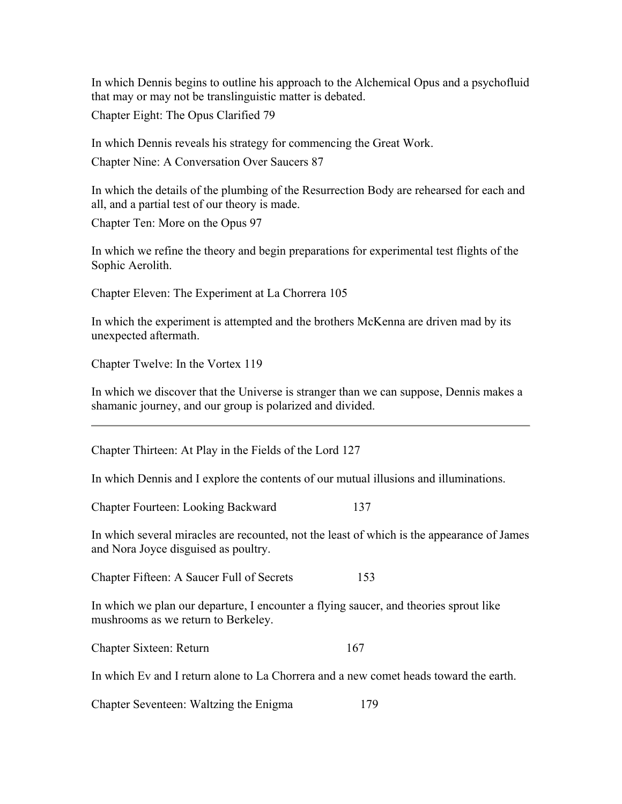In which Dennis begins to outline his approach to the Alchemical Opus and a psychofluid that may or may not be translinguistic matter is debated.

Chapter Eight: The Opus Clarified 79

In which Dennis reveals his strategy for commencing the Great Work.

Chapter Nine: A Conversation Over Saucers 87

In which the details of the plumbing of the Resurrection Body are rehearsed for each and all, and a partial test of our theory is made.

Chapter Ten: More on the Opus 97

In which we refine the theory and begin preparations for experimental test flights of the Sophic Aerolith.

Chapter Eleven: The Experiment at La Chorrera 105

In which the experiment is attempted and the brothers McKenna are driven mad by its unexpected aftermath.

Chapter Twelve: In the Vortex 119

In which we discover that the Universe is stranger than we can suppose, Dennis makes a shamanic journey, and our group is polarized and divided.

Chapter Thirteen: At Play in the Fields of the Lord 127

In which Dennis and I explore the contents of our mutual illusions and illuminations.

Chapter Fourteen: Looking Backward 137

In which several miracles are recounted, not the least of which is the appearance of James and Nora Joyce disguised as poultry.

Chapter Fifteen: A Saucer Full of Secrets 153

In which we plan our departure, I encounter a flying saucer, and theories sprout like mushrooms as we return to Berkeley.

Chapter Sixteen: Return 167

In which Ev and I return alone to La Chorrera and a new comet heads toward the earth.

Chapter Seventeen: Waltzing the Enigma 179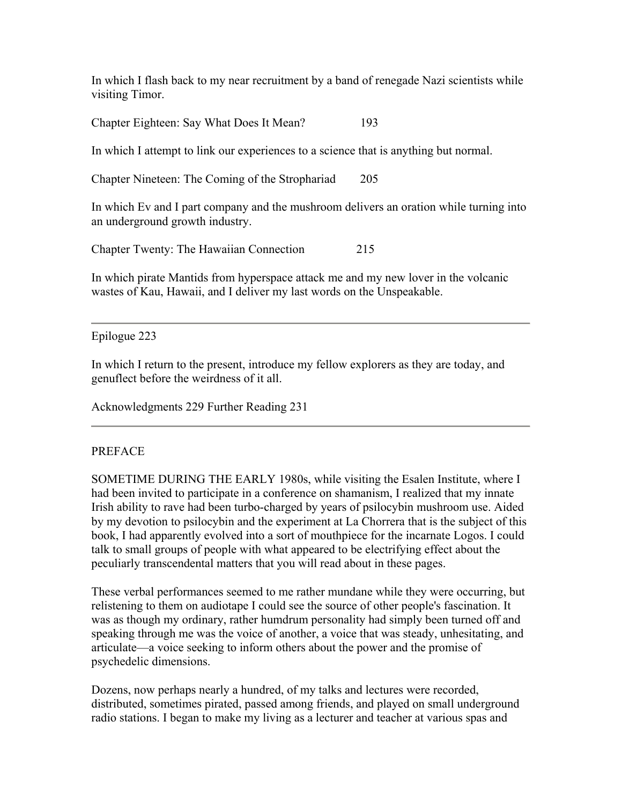In which I flash back to my near recruitment by a band of renegade Nazi scientists while visiting Timor.

Chapter Eighteen: Say What Does It Mean? 193

In which I attempt to link our experiences to a science that is anything but normal.

Chapter Nineteen: The Coming of the Strophariad 205

In which Ev and I part company and the mushroom delivers an oration while turning into an underground growth industry.

Chapter Twenty: The Hawaiian Connection 215

In which pirate Mantids from hyperspace attack me and my new lover in the volcanic wastes of Kau, Hawaii, and I deliver my last words on the Unspeakable.

Epilogue 223

In which I return to the present, introduce my fellow explorers as they are today, and genuflect before the weirdness of it all.

Acknowledgments 229 Further Reading 231

#### PREFACE

SOMETIME DURING THE EARLY 1980s, while visiting the Esalen Institute, where I had been invited to participate in a conference on shamanism, I realized that my innate Irish ability to rave had been turbo-charged by years of psilocybin mushroom use. Aided by my devotion to psilocybin and the experiment at La Chorrera that is the subject of this book, I had apparently evolved into a sort of mouthpiece for the incarnate Logos. I could talk to small groups of people with what appeared to be electrifying effect about the peculiarly transcendental matters that you will read about in these pages.

These verbal performances seemed to me rather mundane while they were occurring, but relistening to them on audiotape I could see the source of other people's fascination. It was as though my ordinary, rather humdrum personality had simply been turned off and speaking through me was the voice of another, a voice that was steady, unhesitating, and articulate—a voice seeking to inform others about the power and the promise of psychedelic dimensions.

Dozens, now perhaps nearly a hundred, of my talks and lectures were recorded, distributed, sometimes pirated, passed among friends, and played on small underground radio stations. I began to make my living as a lecturer and teacher at various spas and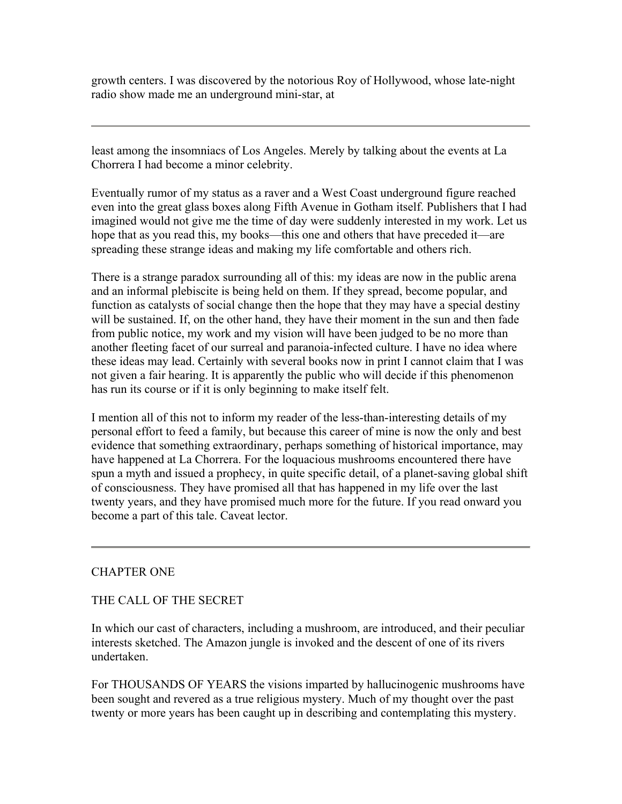growth centers. I was discovered by the notorious Roy of Hollywood, whose late-night radio show made me an underground mini-star, at

least among the insomniacs of Los Angeles. Merely by talking about the events at La Chorrera I had become a minor celebrity.

Eventually rumor of my status as a raver and a West Coast underground figure reached even into the great glass boxes along Fifth Avenue in Gotham itself. Publishers that I had imagined would not give me the time of day were suddenly interested in my work. Let us hope that as you read this, my books—this one and others that have preceded it—are spreading these strange ideas and making my life comfortable and others rich.

There is a strange paradox surrounding all of this: my ideas are now in the public arena and an informal plebiscite is being held on them. If they spread, become popular, and function as catalysts of social change then the hope that they may have a special destiny will be sustained. If, on the other hand, they have their moment in the sun and then fade from public notice, my work and my vision will have been judged to be no more than another fleeting facet of our surreal and paranoia-infected culture. I have no idea where these ideas may lead. Certainly with several books now in print I cannot claim that I was not given a fair hearing. It is apparently the public who will decide if this phenomenon has run its course or if it is only beginning to make itself felt.

I mention all of this not to inform my reader of the less-than-interesting details of my personal effort to feed a family, but because this career of mine is now the only and best evidence that something extraordinary, perhaps something of historical importance, may have happened at La Chorrera. For the loquacious mushrooms encountered there have spun a myth and issued a prophecy, in quite specific detail, of a planet-saving global shift of consciousness. They have promised all that has happened in my life over the last twenty years, and they have promised much more for the future. If you read onward you become a part of this tale. Caveat lector.

#### CHAPTER ONE

#### THE CALL OF THE SECRET

In which our cast of characters, including a mushroom, are introduced, and their peculiar interests sketched. The Amazon jungle is invoked and the descent of one of its rivers undertaken.

For THOUSANDS OF YEARS the visions imparted by hallucinogenic mushrooms have been sought and revered as a true religious mystery. Much of my thought over the past twenty or more years has been caught up in describing and contemplating this mystery.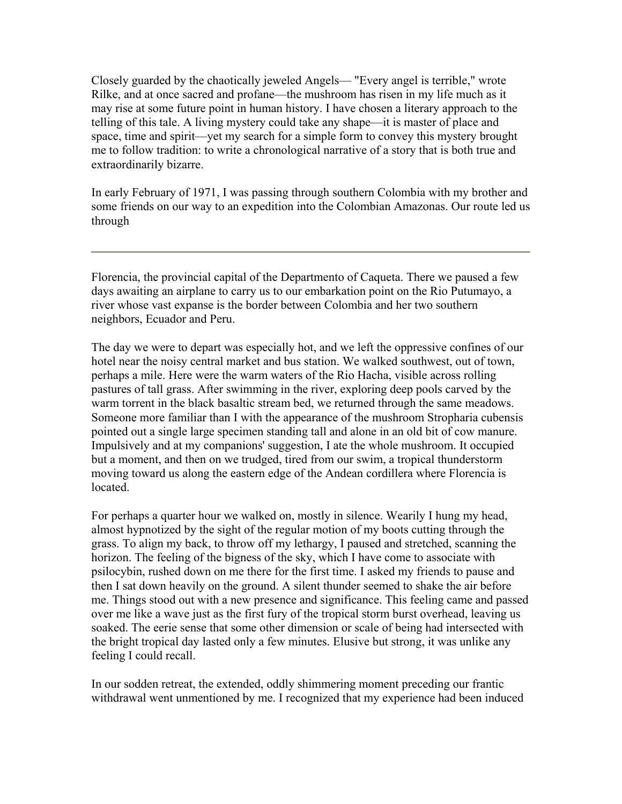Closely guarded by the chaotically jeweled Angels— "Every angel is terrible," wrote Rilke, and at once sacred and profane—the mushroom has risen in my life much as it may rise at some future point in human history. I have chosen a literary approach to the telling of this tale. A living mystery could take any shape—it is master of place and space, time and spirit—yet my search for a simple form to convey this mystery brought me to follow tradition: to write a chronological narrative of a story that is both true and extraordinarily bizarre.

In early February of 1971, I was passing through southern Colombia with my brother and some friends on our way to an expedition into the Colombian Amazonas. Our route led us through

Florencia, the provincial capital of the Departmento of Caqueta. There we paused a few days awaiting an airplane to carry us to our embarkation point on the Rio Putumayo, a river whose vast expanse is the border between Colombia and her two southern neighbors, Ecuador and Peru.

The day we were to depart was especially hot, and we left the oppressive confines of our hotel near the noisy central market and bus station. We walked southwest, out of town, perhaps a mile. Here were the warm waters of the Rio Hacha, visible across rolling pastures of tall grass. After swimming in the river, exploring deep pools carved by the warm torrent in the black basaltic stream bed, we returned through the same meadows. Someone more familiar than I with the appearance of the mushroom Stropharia cubensis pointed out a single large specimen standing tall and alone in an old bit of cow manure. Impulsively and at my companions' suggestion, I ate the whole mushroom. It occupied but a moment, and then on we trudged, tired from our swim, a tropical thunderstorm moving toward us along the eastern edge of the Andean cordillera where Florencia is located.

For perhaps a quarter hour we walked on, mostly in silence. Wearily I hung my head, almost hypnotized by the sight of the regular motion of my boots cutting through the grass. To align my back, to throw off my lethargy, I paused and stretched, scanning the horizon. The feeling of the bigness of the sky, which I have come to associate with psilocybin, rushed down on me there for the first time. I asked my friends to pause and then I sat down heavily on the ground. A silent thunder seemed to shake the air before me. Things stood out with a new presence and significance. This feeling came and passed over me like a wave just as the first fury of the tropical storm burst overhead, leaving us soaked. The eerie sense that some other dimension or scale of being had intersected with the bright tropical day lasted only a few minutes. Elusive but strong, it was unlike any feeling I could recall.

In our sodden retreat, the extended, oddly shimmering moment preceding our frantic withdrawal went unmentioned by me. I recognized that my experience had been induced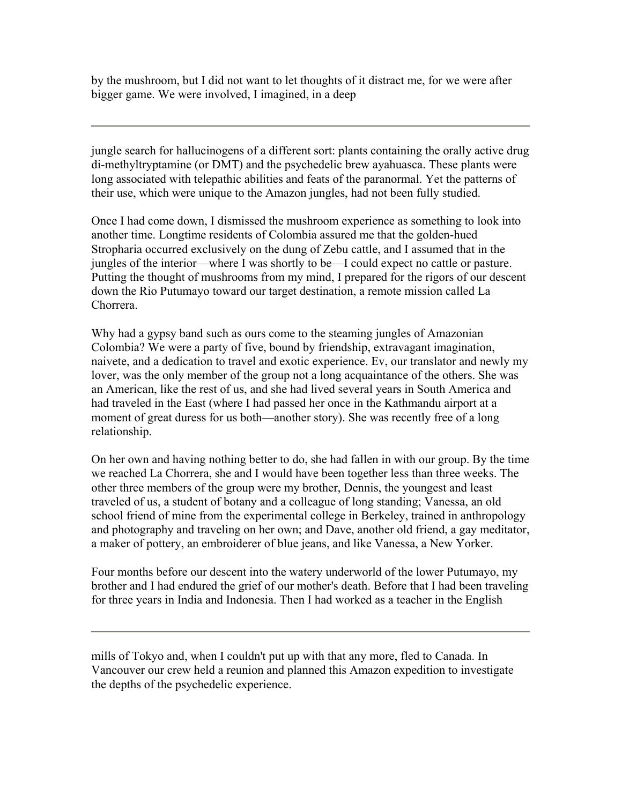by the mushroom, but I did not want to let thoughts of it distract me, for we were after bigger game. We were involved, I imagined, in a deep

jungle search for hallucinogens of a different sort: plants containing the orally active drug di-methyltryptamine (or DMT) and the psychedelic brew ayahuasca. These plants were long associated with telepathic abilities and feats of the paranormal. Yet the patterns of their use, which were unique to the Amazon jungles, had not been fully studied.

Once I had come down, I dismissed the mushroom experience as something to look into another time. Longtime residents of Colombia assured me that the golden-hued Stropharia occurred exclusively on the dung of Zebu cattle, and I assumed that in the jungles of the interior—where I was shortly to be—I could expect no cattle or pasture. Putting the thought of mushrooms from my mind, I prepared for the rigors of our descent down the Rio Putumayo toward our target destination, a remote mission called La Chorrera.

Why had a gypsy band such as ours come to the steaming jungles of Amazonian Colombia? We were a party of five, bound by friendship, extravagant imagination, naivete, and a dedication to travel and exotic experience. Ev, our translator and newly my lover, was the only member of the group not a long acquaintance of the others. She was an American, like the rest of us, and she had lived several years in South America and had traveled in the East (where I had passed her once in the Kathmandu airport at a moment of great duress for us both—another story). She was recently free of a long relationship.

On her own and having nothing better to do, she had fallen in with our group. By the time we reached La Chorrera, she and I would have been together less than three weeks. The other three members of the group were my brother, Dennis, the youngest and least traveled of us, a student of botany and a colleague of long standing; Vanessa, an old school friend of mine from the experimental college in Berkeley, trained in anthropology and photography and traveling on her own; and Dave, another old friend, a gay meditator, a maker of pottery, an embroiderer of blue jeans, and like Vanessa, a New Yorker.

Four months before our descent into the watery underworld of the lower Putumayo, my brother and I had endured the grief of our mother's death. Before that I had been traveling for three years in India and Indonesia. Then I had worked as a teacher in the English

mills of Tokyo and, when I couldn't put up with that any more, fled to Canada. In Vancouver our crew held a reunion and planned this Amazon expedition to investigate the depths of the psychedelic experience.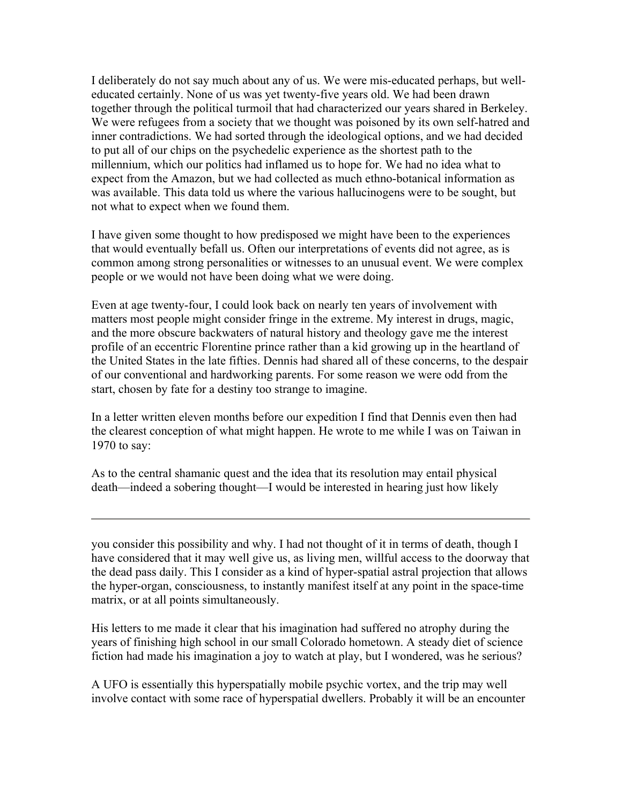I deliberately do not say much about any of us. We were mis-educated perhaps, but welleducated certainly. None of us was yet twenty-five years old. We had been drawn together through the political turmoil that had characterized our years shared in Berkeley. We were refugees from a society that we thought was poisoned by its own self-hatred and inner contradictions. We had sorted through the ideological options, and we had decided to put all of our chips on the psychedelic experience as the shortest path to the millennium, which our politics had inflamed us to hope for. We had no idea what to expect from the Amazon, but we had collected as much ethno-botanical information as was available. This data told us where the various hallucinogens were to be sought, but not what to expect when we found them.

I have given some thought to how predisposed we might have been to the experiences that would eventually befall us. Often our interpretations of events did not agree, as is common among strong personalities or witnesses to an unusual event. We were complex people or we would not have been doing what we were doing.

Even at age twenty-four, I could look back on nearly ten years of involvement with matters most people might consider fringe in the extreme. My interest in drugs, magic, and the more obscure backwaters of natural history and theology gave me the interest profile of an eccentric Florentine prince rather than a kid growing up in the heartland of the United States in the late fifties. Dennis had shared all of these concerns, to the despair of our conventional and hardworking parents. For some reason we were odd from the start, chosen by fate for a destiny too strange to imagine.

In a letter written eleven months before our expedition I find that Dennis even then had the clearest conception of what might happen. He wrote to me while I was on Taiwan in 1970 to say:

As to the central shamanic quest and the idea that its resolution may entail physical death—indeed a sobering thought—I would be interested in hearing just how likely

you consider this possibility and why. I had not thought of it in terms of death, though I have considered that it may well give us, as living men, willful access to the doorway that the dead pass daily. This I consider as a kind of hyper-spatial astral projection that allows the hyper-organ, consciousness, to instantly manifest itself at any point in the space-time matrix, or at all points simultaneously.

His letters to me made it clear that his imagination had suffered no atrophy during the years of finishing high school in our small Colorado hometown. A steady diet of science fiction had made his imagination a joy to watch at play, but I wondered, was he serious?

A UFO is essentially this hyperspatially mobile psychic vortex, and the trip may well involve contact with some race of hyperspatial dwellers. Probably it will be an encounter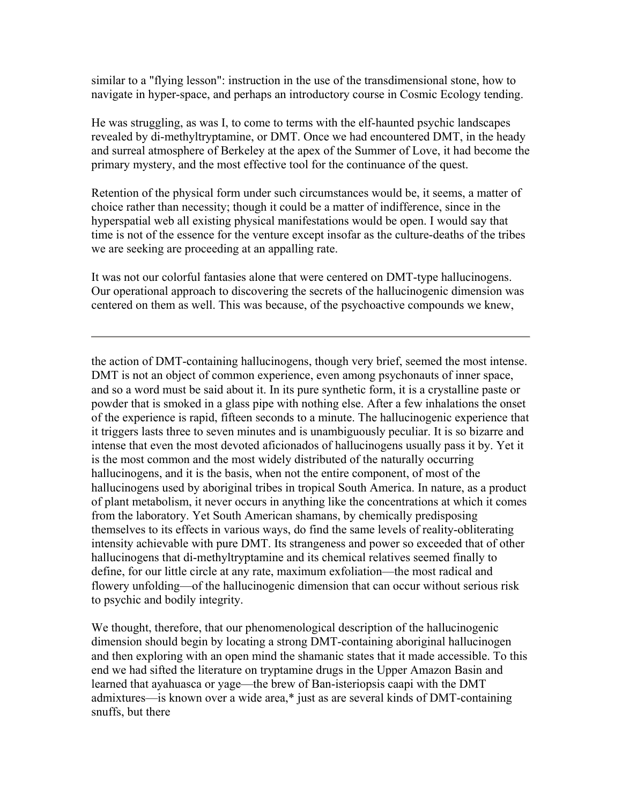similar to a "flying lesson": instruction in the use of the transdimensional stone, how to navigate in hyper-space, and perhaps an introductory course in Cosmic Ecology tending.

He was struggling, as was I, to come to terms with the elf-haunted psychic landscapes revealed by di-methyltryptamine, or DMT. Once we had encountered DMT, in the heady and surreal atmosphere of Berkeley at the apex of the Summer of Love, it had become the primary mystery, and the most effective tool for the continuance of the quest.

Retention of the physical form under such circumstances would be, it seems, a matter of choice rather than necessity; though it could be a matter of indifference, since in the hyperspatial web all existing physical manifestations would be open. I would say that time is not of the essence for the venture except insofar as the culture-deaths of the tribes we are seeking are proceeding at an appalling rate.

It was not our colorful fantasies alone that were centered on DMT-type hallucinogens. Our operational approach to discovering the secrets of the hallucinogenic dimension was centered on them as well. This was because, of the psychoactive compounds we knew,

the action of DMT-containing hallucinogens, though very brief, seemed the most intense. DMT is not an object of common experience, even among psychonauts of inner space, and so a word must be said about it. In its pure synthetic form, it is a crystalline paste or powder that is smoked in a glass pipe with nothing else. After a few inhalations the onset of the experience is rapid, fifteen seconds to a minute. The hallucinogenic experience that it triggers lasts three to seven minutes and is unambiguously peculiar. It is so bizarre and intense that even the most devoted aficionados of hallucinogens usually pass it by. Yet it is the most common and the most widely distributed of the naturally occurring hallucinogens, and it is the basis, when not the entire component, of most of the hallucinogens used by aboriginal tribes in tropical South America. In nature, as a product of plant metabolism, it never occurs in anything like the concentrations at which it comes from the laboratory. Yet South American shamans, by chemically predisposing themselves to its effects in various ways, do find the same levels of reality-obliterating intensity achievable with pure DMT. Its strangeness and power so exceeded that of other hallucinogens that di-methyltryptamine and its chemical relatives seemed finally to define, for our little circle at any rate, maximum exfoliation—the most radical and flowery unfolding—of the hallucinogenic dimension that can occur without serious risk to psychic and bodily integrity.

We thought, therefore, that our phenomenological description of the hallucinogenic dimension should begin by locating a strong DMT-containing aboriginal hallucinogen and then exploring with an open mind the shamanic states that it made accessible. To this end we had sifted the literature on tryptamine drugs in the Upper Amazon Basin and learned that ayahuasca or yage—the brew of Ban-isteriopsis caapi with the DMT admixtures—is known over a wide area,\* just as are several kinds of DMT-containing snuffs, but there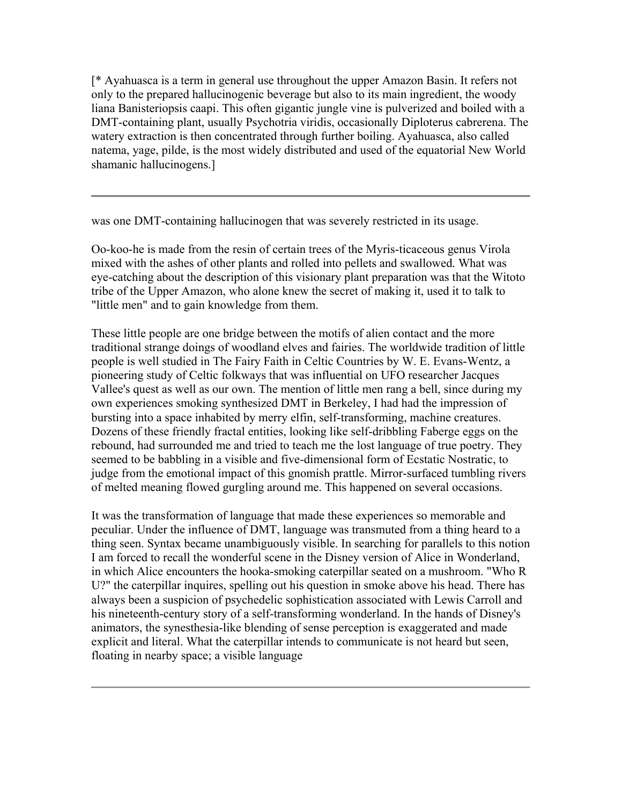[\* Ayahuasca is a term in general use throughout the upper Amazon Basin. It refers not only to the prepared hallucinogenic beverage but also to its main ingredient, the woody liana Banisteriopsis caapi. This often gigantic jungle vine is pulverized and boiled with a DMT-containing plant, usually Psychotria viridis, occasionally Diploterus cabrerena. The watery extraction is then concentrated through further boiling. Ayahuasca, also called natema, yage, pilde, is the most widely distributed and used of the equatorial New World shamanic hallucinogens.]

was one DMT-containing hallucinogen that was severely restricted in its usage.

Oo-koo-he is made from the resin of certain trees of the Myris-ticaceous genus Virola mixed with the ashes of other plants and rolled into pellets and swallowed. What was eye-catching about the description of this visionary plant preparation was that the Witoto tribe of the Upper Amazon, who alone knew the secret of making it, used it to talk to "little men" and to gain knowledge from them.

These little people are one bridge between the motifs of alien contact and the more traditional strange doings of woodland elves and fairies. The worldwide tradition of little people is well studied in The Fairy Faith in Celtic Countries by W. E. Evans-Wentz, a pioneering study of Celtic folkways that was influential on UFO researcher Jacques Vallee's quest as well as our own. The mention of little men rang a bell, since during my own experiences smoking synthesized DMT in Berkeley, I had had the impression of bursting into a space inhabited by merry elfin, self-transforming, machine creatures. Dozens of these friendly fractal entities, looking like self-dribbling Faberge eggs on the rebound, had surrounded me and tried to teach me the lost language of true poetry. They seemed to be babbling in a visible and five-dimensional form of Ecstatic Nostratic, to judge from the emotional impact of this gnomish prattle. Mirror-surfaced tumbling rivers of melted meaning flowed gurgling around me. This happened on several occasions.

It was the transformation of language that made these experiences so memorable and peculiar. Under the influence of DMT, language was transmuted from a thing heard to a thing seen. Syntax became unambiguously visible. In searching for parallels to this notion I am forced to recall the wonderful scene in the Disney version of Alice in Wonderland, in which Alice encounters the hooka-smoking caterpillar seated on a mushroom. "Who R U?" the caterpillar inquires, spelling out his question in smoke above his head. There has always been a suspicion of psychedelic sophistication associated with Lewis Carroll and his nineteenth-century story of a self-transforming wonderland. In the hands of Disney's animators, the synesthesia-like blending of sense perception is exaggerated and made explicit and literal. What the caterpillar intends to communicate is not heard but seen, floating in nearby space; a visible language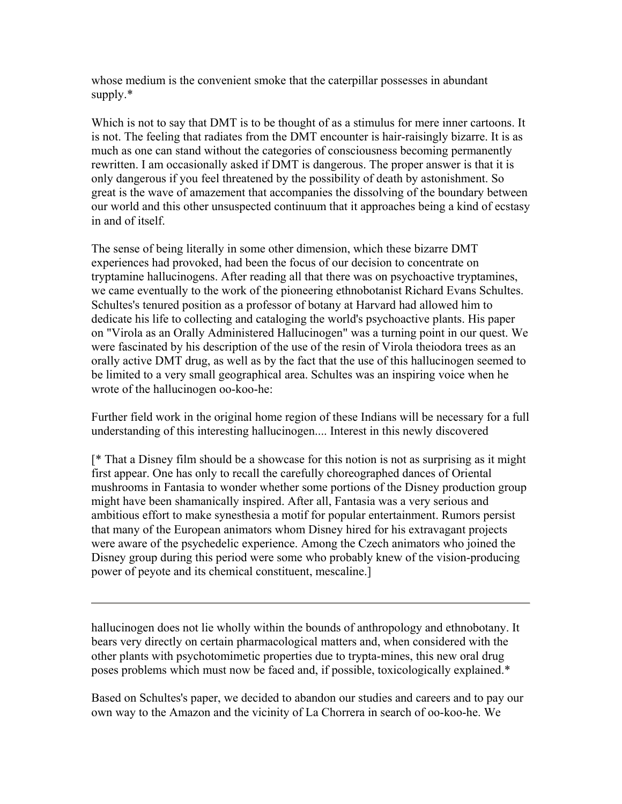whose medium is the convenient smoke that the caterpillar possesses in abundant supply.\*

Which is not to say that DMT is to be thought of as a stimulus for mere inner cartoons. It is not. The feeling that radiates from the DMT encounter is hair-raisingly bizarre. It is as much as one can stand without the categories of consciousness becoming permanently rewritten. I am occasionally asked if DMT is dangerous. The proper answer is that it is only dangerous if you feel threatened by the possibility of death by astonishment. So great is the wave of amazement that accompanies the dissolving of the boundary between our world and this other unsuspected continuum that it approaches being a kind of ecstasy in and of itself.

The sense of being literally in some other dimension, which these bizarre DMT experiences had provoked, had been the focus of our decision to concentrate on tryptamine hallucinogens. After reading all that there was on psychoactive tryptamines, we came eventually to the work of the pioneering ethnobotanist Richard Evans Schultes. Schultes's tenured position as a professor of botany at Harvard had allowed him to dedicate his life to collecting and cataloging the world's psychoactive plants. His paper on "Virola as an Orally Administered Hallucinogen" was a turning point in our quest. We were fascinated by his description of the use of the resin of Virola theiodora trees as an orally active DMT drug, as well as by the fact that the use of this hallucinogen seemed to be limited to a very small geographical area. Schultes was an inspiring voice when he wrote of the hallucinogen oo-koo-he:

Further field work in the original home region of these Indians will be necessary for a full understanding of this interesting hallucinogen.... Interest in this newly discovered

[\* That a Disney film should be a showcase for this notion is not as surprising as it might first appear. One has only to recall the carefully choreographed dances of Oriental mushrooms in Fantasia to wonder whether some portions of the Disney production group might have been shamanically inspired. After all, Fantasia was a very serious and ambitious effort to make synesthesia a motif for popular entertainment. Rumors persist that many of the European animators whom Disney hired for his extravagant projects were aware of the psychedelic experience. Among the Czech animators who joined the Disney group during this period were some who probably knew of the vision-producing power of peyote and its chemical constituent, mescaline.]

hallucinogen does not lie wholly within the bounds of anthropology and ethnobotany. It bears very directly on certain pharmacological matters and, when considered with the other plants with psychotomimetic properties due to trypta-mines, this new oral drug poses problems which must now be faced and, if possible, toxicologically explained.\*

Based on Schultes's paper, we decided to abandon our studies and careers and to pay our own way to the Amazon and the vicinity of La Chorrera in search of oo-koo-he. We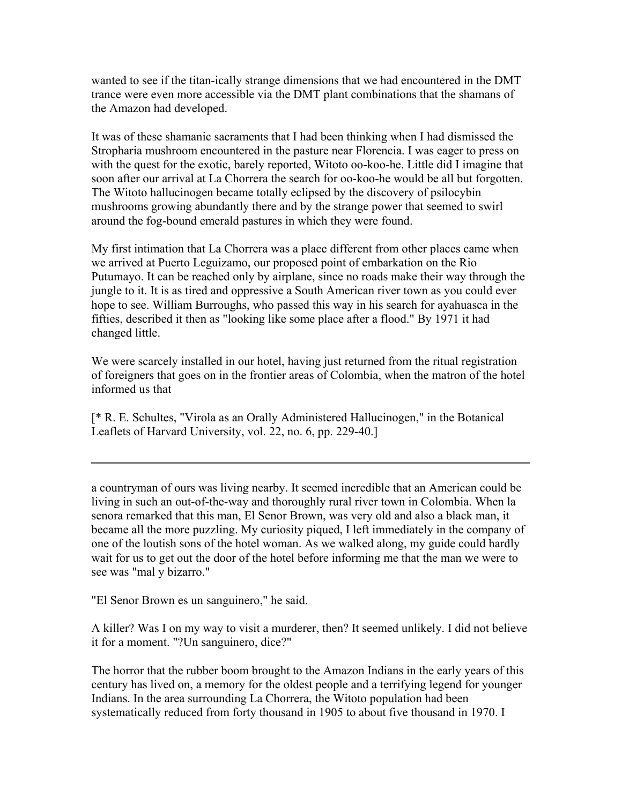wanted to see if the titan-ically strange dimensions that we had encountered in the DMT trance were even more accessible via the DMT plant combinations that the shamans of the Amazon had developed.

It was of these shamanic sacraments that I had been thinking when I had dismissed the Stropharia mushroom encountered in the pasture near Florencia. I was eager to press on with the quest for the exotic, barely reported, Witoto oo-koo-he. Little did I imagine that soon after our arrival at La Chorrera the search for oo-koo-he would be all but forgotten. The Witoto hallucinogen became totally eclipsed by the discovery of psilocybin mushrooms growing abundantly there and by the strange power that seemed to swirl around the fog-bound emerald pastures in which they were found.

My first intimation that La Chorrera was a place different from other places came when we arrived at Puerto Leguizamo, our proposed point of embarkation on the Rio Putumayo. It can be reached only by airplane, since no roads make their way through the jungle to it. It is as tired and oppressive a South American river town as you could ever hope to see. William Burroughs, who passed this way in his search for ayahuasca in the fifties, described it then as "looking like some place after a flood." By 1971 it had changed little.

We were scarcely installed in our hotel, having just returned from the ritual registration of foreigners that goes on in the frontier areas of Colombia, when the matron of the hotel informed us that

[\* R. E. Schultes, "Virola as an Orally Administered Hallucinogen," in the Botanical Leaflets of Harvard University, vol. 22, no. 6, pp. 229-40.]

a countryman of ours was living nearby. It seemed incredible that an American could be living in such an out-of-the-way and thoroughly rural river town in Colombia. When la senora remarked that this man, El Senor Brown, was very old and also a black man, it became all the more puzzling. My curiosity piqued, I left immediately in the company of one of the loutish sons of the hotel woman. As we walked along, my guide could hardly wait for us to get out the door of the hotel before informing me that the man we were to see was "mal y bizarro."

"El Senor Brown es un sanguinero," he said.

A killer? Was I on my way to visit a murderer, then? It seemed unlikely. I did not believe it for a moment. "?Un sanguinero, dice?"

The horror that the rubber boom brought to the Amazon Indians in the early years of this century has lived on, a memory for the oldest people and a terrifying legend for younger Indians. In the area surrounding La Chorrera, the Witoto population had been systematically reduced from forty thousand in 1905 to about five thousand in 1970. I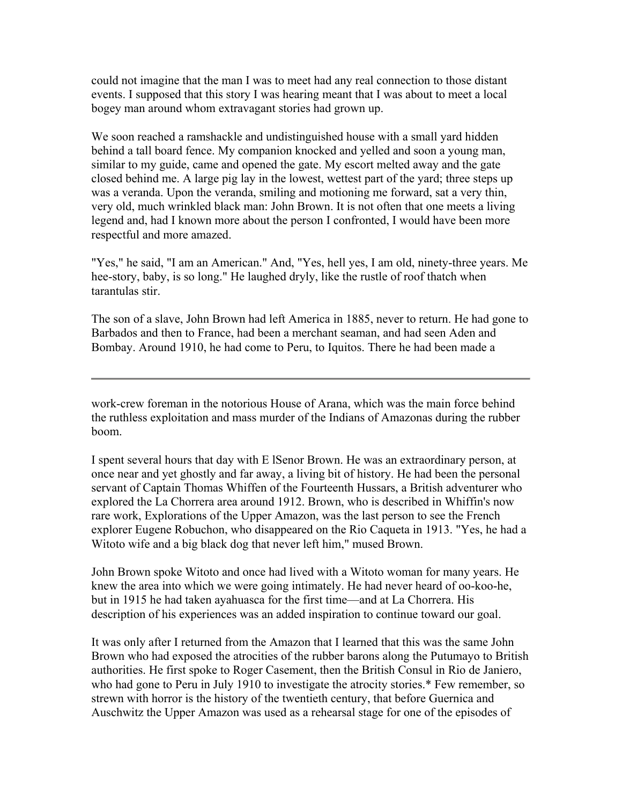could not imagine that the man I was to meet had any real connection to those distant events. I supposed that this story I was hearing meant that I was about to meet a local bogey man around whom extravagant stories had grown up.

We soon reached a ramshackle and undistinguished house with a small yard hidden behind a tall board fence. My companion knocked and yelled and soon a young man, similar to my guide, came and opened the gate. My escort melted away and the gate closed behind me. A large pig lay in the lowest, wettest part of the yard; three steps up was a veranda. Upon the veranda, smiling and motioning me forward, sat a very thin, very old, much wrinkled black man: John Brown. It is not often that one meets a living legend and, had I known more about the person I confronted, I would have been more respectful and more amazed.

"Yes," he said, "I am an American." And, "Yes, hell yes, I am old, ninety-three years. Me hee-story, baby, is so long." He laughed dryly, like the rustle of roof thatch when tarantulas stir.

The son of a slave, John Brown had left America in 1885, never to return. He had gone to Barbados and then to France, had been a merchant seaman, and had seen Aden and Bombay. Around 1910, he had come to Peru, to Iquitos. There he had been made a

work-crew foreman in the notorious House of Arana, which was the main force behind the ruthless exploitation and mass murder of the Indians of Amazonas during the rubber boom.

I spent several hours that day with E lSenor Brown. He was an extraordinary person, at once near and yet ghostly and far away, a living bit of history. He had been the personal servant of Captain Thomas Whiffen of the Fourteenth Hussars, a British adventurer who explored the La Chorrera area around 1912. Brown, who is described in Whiffin's now rare work, Explorations of the Upper Amazon, was the last person to see the French explorer Eugene Robuchon, who disappeared on the Rio Caqueta in 1913. "Yes, he had a Witoto wife and a big black dog that never left him," mused Brown.

John Brown spoke Witoto and once had lived with a Witoto woman for many years. He knew the area into which we were going intimately. He had never heard of oo-koo-he, but in 1915 he had taken ayahuasca for the first time—and at La Chorrera. His description of his experiences was an added inspiration to continue toward our goal.

It was only after I returned from the Amazon that I learned that this was the same John Brown who had exposed the atrocities of the rubber barons along the Putumayo to British authorities. He first spoke to Roger Casement, then the British Consul in Rio de Janiero, who had gone to Peru in July 1910 to investigate the atrocity stories.\* Few remember, so strewn with horror is the history of the twentieth century, that before Guernica and Auschwitz the Upper Amazon was used as a rehearsal stage for one of the episodes of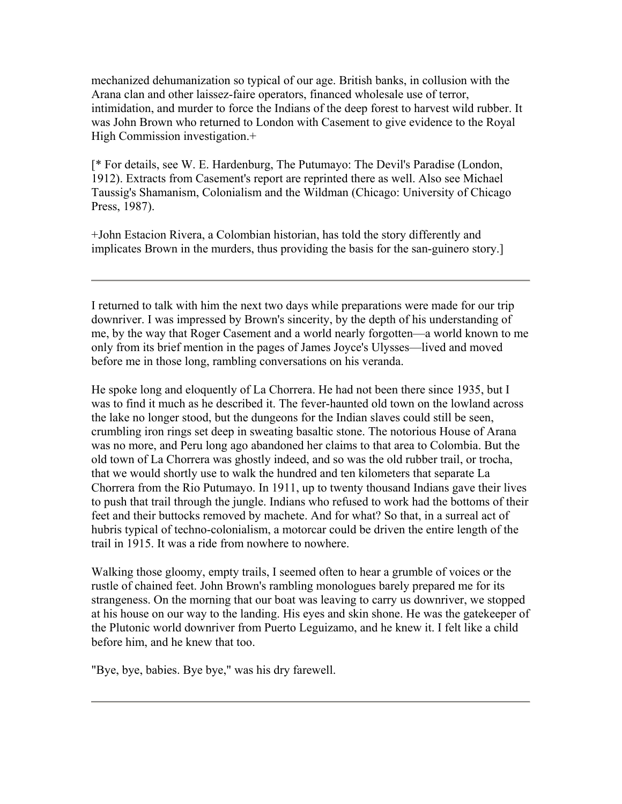mechanized dehumanization so typical of our age. British banks, in collusion with the Arana clan and other laissez-faire operators, financed wholesale use of terror, intimidation, and murder to force the Indians of the deep forest to harvest wild rubber. It was John Brown who returned to London with Casement to give evidence to the Royal High Commission investigation.+

[\* For details, see W. E. Hardenburg, The Putumayo: The Devil's Paradise (London, 1912). Extracts from Casement's report are reprinted there as well. Also see Michael Taussig's Shamanism, Colonialism and the Wildman (Chicago: University of Chicago Press, 1987).

+John Estacion Rivera, a Colombian historian, has told the story differently and implicates Brown in the murders, thus providing the basis for the san-guinero story.]

I returned to talk with him the next two days while preparations were made for our trip downriver. I was impressed by Brown's sincerity, by the depth of his understanding of me, by the way that Roger Casement and a world nearly forgotten—a world known to me only from its brief mention in the pages of James Joyce's Ulysses—lived and moved before me in those long, rambling conversations on his veranda.

He spoke long and eloquently of La Chorrera. He had not been there since 1935, but I was to find it much as he described it. The fever-haunted old town on the lowland across the lake no longer stood, but the dungeons for the Indian slaves could still be seen, crumbling iron rings set deep in sweating basaltic stone. The notorious House of Arana was no more, and Peru long ago abandoned her claims to that area to Colombia. But the old town of La Chorrera was ghostly indeed, and so was the old rubber trail, or trocha, that we would shortly use to walk the hundred and ten kilometers that separate La Chorrera from the Rio Putumayo. In 1911, up to twenty thousand Indians gave their lives to push that trail through the jungle. Indians who refused to work had the bottoms of their feet and their buttocks removed by machete. And for what? So that, in a surreal act of hubris typical of techno-colonialism, a motorcar could be driven the entire length of the trail in 1915. It was a ride from nowhere to nowhere.

Walking those gloomy, empty trails, I seemed often to hear a grumble of voices or the rustle of chained feet. John Brown's rambling monologues barely prepared me for its strangeness. On the morning that our boat was leaving to carry us downriver, we stopped at his house on our way to the landing. His eyes and skin shone. He was the gatekeeper of the Plutonic world downriver from Puerto Leguizamo, and he knew it. I felt like a child before him, and he knew that too.

"Bye, bye, babies. Bye bye," was his dry farewell.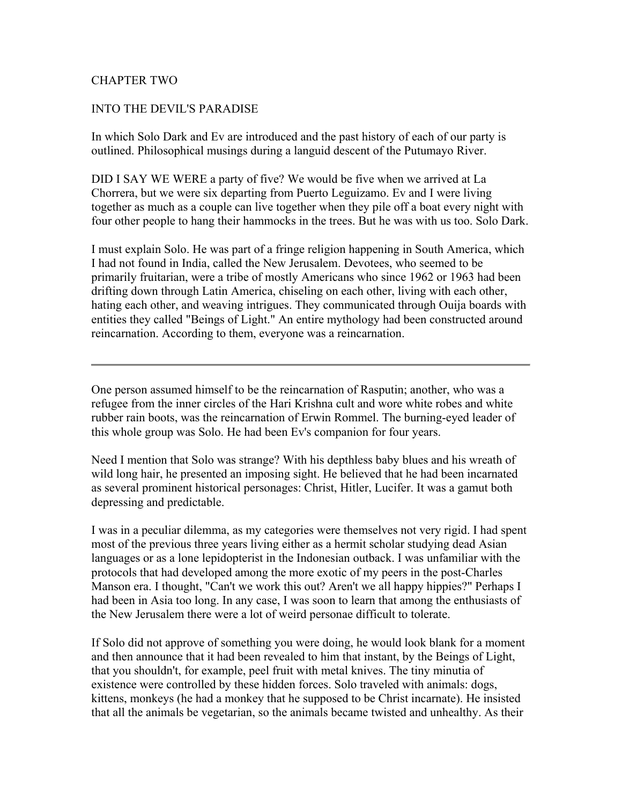#### CHAPTER TWO

## INTO THE DEVIL'S PARADISE

In which Solo Dark and Ev are introduced and the past history of each of our party is outlined. Philosophical musings during a languid descent of the Putumayo River.

DID I SAY WE WERE a party of five? We would be five when we arrived at La Chorrera, but we were six departing from Puerto Leguizamo. Ev and I were living together as much as a couple can live together when they pile off a boat every night with four other people to hang their hammocks in the trees. But he was with us too. Solo Dark.

I must explain Solo. He was part of a fringe religion happening in South America, which I had not found in India, called the New Jerusalem. Devotees, who seemed to be primarily fruitarian, were a tribe of mostly Americans who since 1962 or 1963 had been drifting down through Latin America, chiseling on each other, living with each other, hating each other, and weaving intrigues. They communicated through Ouija boards with entities they called "Beings of Light." An entire mythology had been constructed around reincarnation. According to them, everyone was a reincarnation.

One person assumed himself to be the reincarnation of Rasputin; another, who was a refugee from the inner circles of the Hari Krishna cult and wore white robes and white rubber rain boots, was the reincarnation of Erwin Rommel. The burning-eyed leader of this whole group was Solo. He had been Ev's companion for four years.

Need I mention that Solo was strange? With his depthless baby blues and his wreath of wild long hair, he presented an imposing sight. He believed that he had been incarnated as several prominent historical personages: Christ, Hitler, Lucifer. It was a gamut both depressing and predictable.

I was in a peculiar dilemma, as my categories were themselves not very rigid. I had spent most of the previous three years living either as a hermit scholar studying dead Asian languages or as a lone lepidopterist in the Indonesian outback. I was unfamiliar with the protocols that had developed among the more exotic of my peers in the post-Charles Manson era. I thought, "Can't we work this out? Aren't we all happy hippies?" Perhaps I had been in Asia too long. In any case, I was soon to learn that among the enthusiasts of the New Jerusalem there were a lot of weird personae difficult to tolerate.

If Solo did not approve of something you were doing, he would look blank for a moment and then announce that it had been revealed to him that instant, by the Beings of Light, that you shouldn't, for example, peel fruit with metal knives. The tiny minutia of existence were controlled by these hidden forces. Solo traveled with animals: dogs, kittens, monkeys (he had a monkey that he supposed to be Christ incarnate). He insisted that all the animals be vegetarian, so the animals became twisted and unhealthy. As their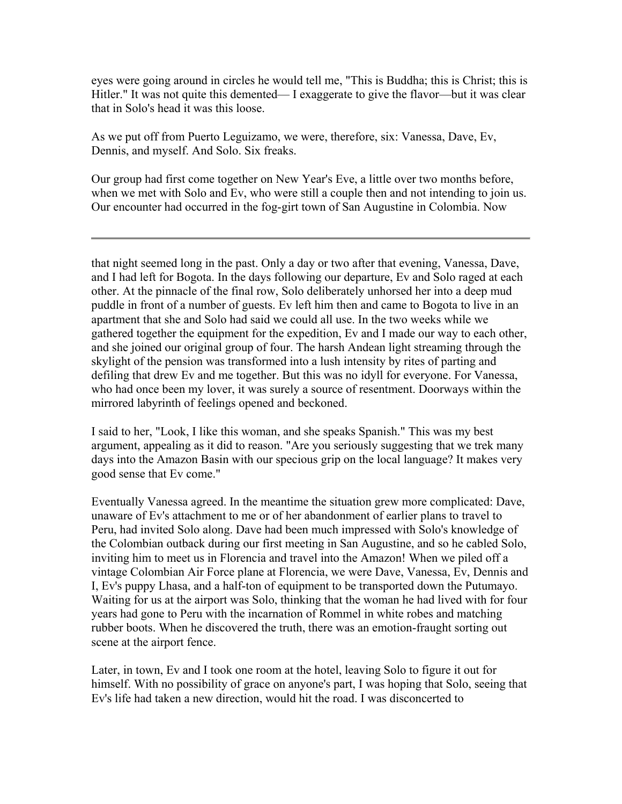eyes were going around in circles he would tell me, "This is Buddha; this is Christ; this is Hitler." It was not quite this demented— I exaggerate to give the flavor—but it was clear that in Solo's head it was this loose.

As we put off from Puerto Leguizamo, we were, therefore, six: Vanessa, Dave, Ev, Dennis, and myself. And Solo. Six freaks.

Our group had first come together on New Year's Eve, a little over two months before, when we met with Solo and Ev, who were still a couple then and not intending to join us. Our encounter had occurred in the fog-girt town of San Augustine in Colombia. Now

that night seemed long in the past. Only a day or two after that evening, Vanessa, Dave, and I had left for Bogota. In the days following our departure, Ev and Solo raged at each other. At the pinnacle of the final row, Solo deliberately unhorsed her into a deep mud puddle in front of a number of guests. Ev left him then and came to Bogota to live in an apartment that she and Solo had said we could all use. In the two weeks while we gathered together the equipment for the expedition, Ev and I made our way to each other, and she joined our original group of four. The harsh Andean light streaming through the skylight of the pension was transformed into a lush intensity by rites of parting and defiling that drew Ev and me together. But this was no idyll for everyone. For Vanessa, who had once been my lover, it was surely a source of resentment. Doorways within the mirrored labyrinth of feelings opened and beckoned.

I said to her, "Look, I like this woman, and she speaks Spanish." This was my best argument, appealing as it did to reason. "Are you seriously suggesting that we trek many days into the Amazon Basin with our specious grip on the local language? It makes very good sense that Ev come."

Eventually Vanessa agreed. In the meantime the situation grew more complicated: Dave, unaware of Ev's attachment to me or of her abandonment of earlier plans to travel to Peru, had invited Solo along. Dave had been much impressed with Solo's knowledge of the Colombian outback during our first meeting in San Augustine, and so he cabled Solo, inviting him to meet us in Florencia and travel into the Amazon! When we piled off a vintage Colombian Air Force plane at Florencia, we were Dave, Vanessa, Ev, Dennis and I, Ev's puppy Lhasa, and a half-ton of equipment to be transported down the Putumayo. Waiting for us at the airport was Solo, thinking that the woman he had lived with for four years had gone to Peru with the incarnation of Rommel in white robes and matching rubber boots. When he discovered the truth, there was an emotion-fraught sorting out scene at the airport fence.

Later, in town, Ev and I took one room at the hotel, leaving Solo to figure it out for himself. With no possibility of grace on anyone's part, I was hoping that Solo, seeing that Ev's life had taken a new direction, would hit the road. I was disconcerted to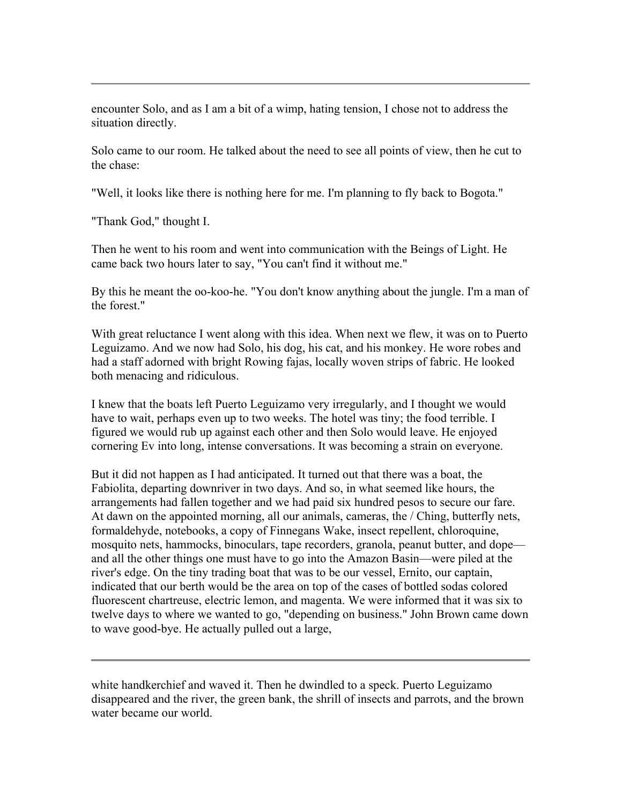encounter Solo, and as I am a bit of a wimp, hating tension, I chose not to address the situation directly.

Solo came to our room. He talked about the need to see all points of view, then he cut to the chase:

"Well, it looks like there is nothing here for me. I'm planning to fly back to Bogota."

"Thank God," thought I.

Then he went to his room and went into communication with the Beings of Light. He came back two hours later to say, "You can't find it without me."

By this he meant the oo-koo-he. "You don't know anything about the jungle. I'm a man of the forest."

With great reluctance I went along with this idea. When next we flew, it was on to Puerto Leguizamo. And we now had Solo, his dog, his cat, and his monkey. He wore robes and had a staff adorned with bright Rowing fajas, locally woven strips of fabric. He looked both menacing and ridiculous.

I knew that the boats left Puerto Leguizamo very irregularly, and I thought we would have to wait, perhaps even up to two weeks. The hotel was tiny; the food terrible. I figured we would rub up against each other and then Solo would leave. He enjoyed cornering Ev into long, intense conversations. It was becoming a strain on everyone.

But it did not happen as I had anticipated. It turned out that there was a boat, the Fabiolita, departing downriver in two days. And so, in what seemed like hours, the arrangements had fallen together and we had paid six hundred pesos to secure our fare. At dawn on the appointed morning, all our animals, cameras, the / Ching, butterfly nets, formaldehyde, notebooks, a copy of Finnegans Wake, insect repellent, chloroquine, mosquito nets, hammocks, binoculars, tape recorders, granola, peanut butter, and dope and all the other things one must have to go into the Amazon Basin—were piled at the river's edge. On the tiny trading boat that was to be our vessel, Ernito, our captain, indicated that our berth would be the area on top of the cases of bottled sodas colored fluorescent chartreuse, electric lemon, and magenta. We were informed that it was six to twelve days to where we wanted to go, "depending on business." John Brown came down to wave good-bye. He actually pulled out a large,

white handkerchief and waved it. Then he dwindled to a speck. Puerto Leguizamo disappeared and the river, the green bank, the shrill of insects and parrots, and the brown water became our world.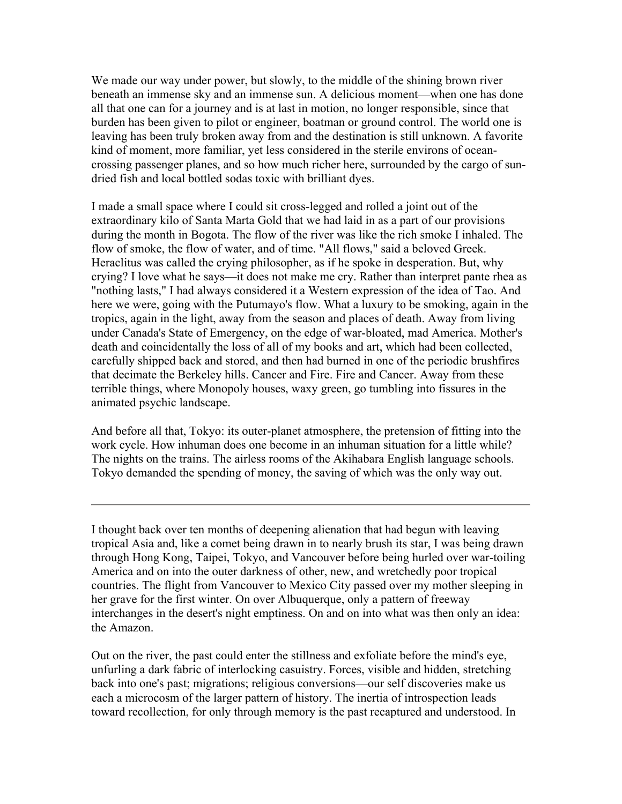We made our way under power, but slowly, to the middle of the shining brown river beneath an immense sky and an immense sun. A delicious moment—when one has done all that one can for a journey and is at last in motion, no longer responsible, since that burden has been given to pilot or engineer, boatman or ground control. The world one is leaving has been truly broken away from and the destination is still unknown. A favorite kind of moment, more familiar, yet less considered in the sterile environs of oceancrossing passenger planes, and so how much richer here, surrounded by the cargo of sundried fish and local bottled sodas toxic with brilliant dyes.

I made a small space where I could sit cross-legged and rolled a joint out of the extraordinary kilo of Santa Marta Gold that we had laid in as a part of our provisions during the month in Bogota. The flow of the river was like the rich smoke I inhaled. The flow of smoke, the flow of water, and of time. "All flows," said a beloved Greek. Heraclitus was called the crying philosopher, as if he spoke in desperation. But, why crying? I love what he says—it does not make me cry. Rather than interpret pante rhea as "nothing lasts," I had always considered it a Western expression of the idea of Tao. And here we were, going with the Putumayo's flow. What a luxury to be smoking, again in the tropics, again in the light, away from the season and places of death. Away from living under Canada's State of Emergency, on the edge of war-bloated, mad America. Mother's death and coincidentally the loss of all of my books and art, which had been collected, carefully shipped back and stored, and then had burned in one of the periodic brushfires that decimate the Berkeley hills. Cancer and Fire. Fire and Cancer. Away from these terrible things, where Monopoly houses, waxy green, go tumbling into fissures in the animated psychic landscape.

And before all that, Tokyo: its outer-planet atmosphere, the pretension of fitting into the work cycle. How inhuman does one become in an inhuman situation for a little while? The nights on the trains. The airless rooms of the Akihabara English language schools. Tokyo demanded the spending of money, the saving of which was the only way out.

I thought back over ten months of deepening alienation that had begun with leaving tropical Asia and, like a comet being drawn in to nearly brush its star, I was being drawn through Hong Kong, Taipei, Tokyo, and Vancouver before being hurled over war-toiling America and on into the outer darkness of other, new, and wretchedly poor tropical countries. The flight from Vancouver to Mexico City passed over my mother sleeping in her grave for the first winter. On over Albuquerque, only a pattern of freeway interchanges in the desert's night emptiness. On and on into what was then only an idea: the Amazon.

Out on the river, the past could enter the stillness and exfoliate before the mind's eye, unfurling a dark fabric of interlocking casuistry. Forces, visible and hidden, stretching back into one's past; migrations; religious conversions—our self discoveries make us each a microcosm of the larger pattern of history. The inertia of introspection leads toward recollection, for only through memory is the past recaptured and understood. In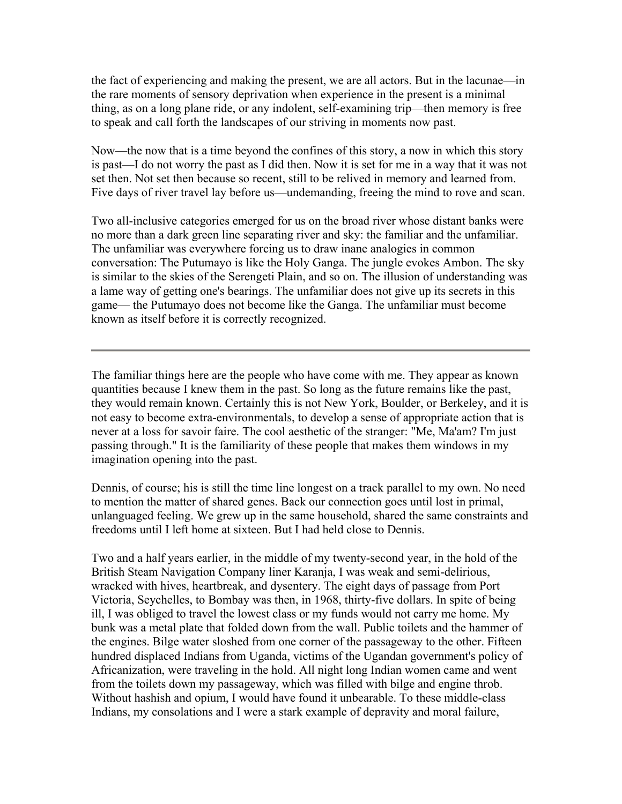the fact of experiencing and making the present, we are all actors. But in the lacunae—in the rare moments of sensory deprivation when experience in the present is a minimal thing, as on a long plane ride, or any indolent, self-examining trip—then memory is free to speak and call forth the landscapes of our striving in moments now past.

Now—the now that is a time beyond the confines of this story, a now in which this story is past—I do not worry the past as I did then. Now it is set for me in a way that it was not set then. Not set then because so recent, still to be relived in memory and learned from. Five days of river travel lay before us—undemanding, freeing the mind to rove and scan.

Two all-inclusive categories emerged for us on the broad river whose distant banks were no more than a dark green line separating river and sky: the familiar and the unfamiliar. The unfamiliar was everywhere forcing us to draw inane analogies in common conversation: The Putumayo is like the Holy Ganga. The jungle evokes Ambon. The sky is similar to the skies of the Serengeti Plain, and so on. The illusion of understanding was a lame way of getting one's bearings. The unfamiliar does not give up its secrets in this game— the Putumayo does not become like the Ganga. The unfamiliar must become known as itself before it is correctly recognized.

The familiar things here are the people who have come with me. They appear as known quantities because I knew them in the past. So long as the future remains like the past, they would remain known. Certainly this is not New York, Boulder, or Berkeley, and it is not easy to become extra-environmentals, to develop a sense of appropriate action that is never at a loss for savoir faire. The cool aesthetic of the stranger: "Me, Ma'am? I'm just passing through." It is the familiarity of these people that makes them windows in my imagination opening into the past.

Dennis, of course; his is still the time line longest on a track parallel to my own. No need to mention the matter of shared genes. Back our connection goes until lost in primal, unlanguaged feeling. We grew up in the same household, shared the same constraints and freedoms until I left home at sixteen. But I had held close to Dennis.

Two and a half years earlier, in the middle of my twenty-second year, in the hold of the British Steam Navigation Company liner Karanja, I was weak and semi-delirious, wracked with hives, heartbreak, and dysentery. The eight days of passage from Port Victoria, Seychelles, to Bombay was then, in 1968, thirty-five dollars. In spite of being ill, I was obliged to travel the lowest class or my funds would not carry me home. My bunk was a metal plate that folded down from the wall. Public toilets and the hammer of the engines. Bilge water sloshed from one corner of the passageway to the other. Fifteen hundred displaced Indians from Uganda, victims of the Ugandan government's policy of Africanization, were traveling in the hold. All night long Indian women came and went from the toilets down my passageway, which was filled with bilge and engine throb. Without hashish and opium, I would have found it unbearable. To these middle-class Indians, my consolations and I were a stark example of depravity and moral failure,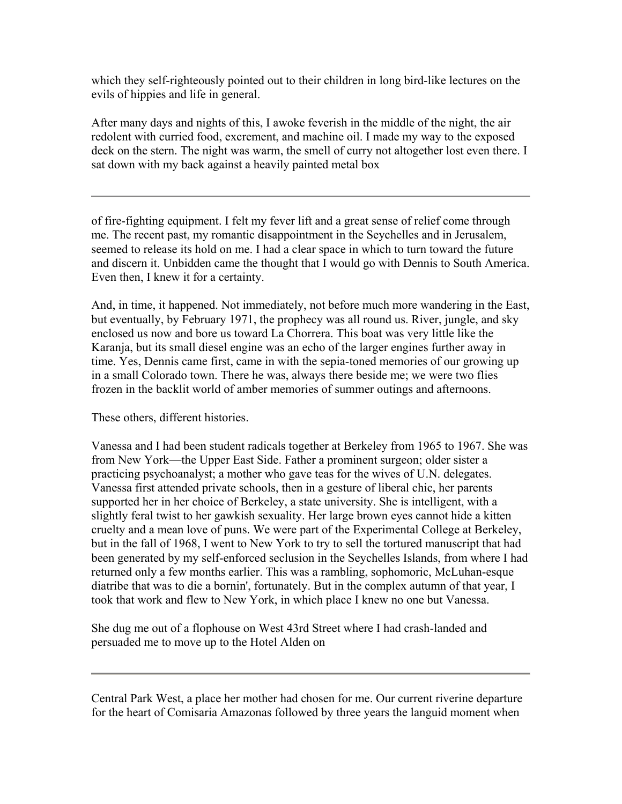which they self-righteously pointed out to their children in long bird-like lectures on the evils of hippies and life in general.

After many days and nights of this, I awoke feverish in the middle of the night, the air redolent with curried food, excrement, and machine oil. I made my way to the exposed deck on the stern. The night was warm, the smell of curry not altogether lost even there. I sat down with my back against a heavily painted metal box

of fire-fighting equipment. I felt my fever lift and a great sense of relief come through me. The recent past, my romantic disappointment in the Seychelles and in Jerusalem, seemed to release its hold on me. I had a clear space in which to turn toward the future and discern it. Unbidden came the thought that I would go with Dennis to South America. Even then, I knew it for a certainty.

And, in time, it happened. Not immediately, not before much more wandering in the East, but eventually, by February 1971, the prophecy was all round us. River, jungle, and sky enclosed us now and bore us toward La Chorrera. This boat was very little like the Karanja, but its small diesel engine was an echo of the larger engines further away in time. Yes, Dennis came first, came in with the sepia-toned memories of our growing up in a small Colorado town. There he was, always there beside me; we were two flies frozen in the backlit world of amber memories of summer outings and afternoons.

These others, different histories.

Vanessa and I had been student radicals together at Berkeley from 1965 to 1967. She was from New York—the Upper East Side. Father a prominent surgeon; older sister a practicing psychoanalyst; a mother who gave teas for the wives of U.N. delegates. Vanessa first attended private schools, then in a gesture of liberal chic, her parents supported her in her choice of Berkeley, a state university. She is intelligent, with a slightly feral twist to her gawkish sexuality. Her large brown eyes cannot hide a kitten cruelty and a mean love of puns. We were part of the Experimental College at Berkeley, but in the fall of 1968, I went to New York to try to sell the tortured manuscript that had been generated by my self-enforced seclusion in the Seychelles Islands, from where I had returned only a few months earlier. This was a rambling, sophomoric, McLuhan-esque diatribe that was to die a bornin', fortunately. But in the complex autumn of that year, I took that work and flew to New York, in which place I knew no one but Vanessa.

She dug me out of a flophouse on West 43rd Street where I had crash-landed and persuaded me to move up to the Hotel Alden on

Central Park West, a place her mother had chosen for me. Our current riverine departure for the heart of Comisaria Amazonas followed by three years the languid moment when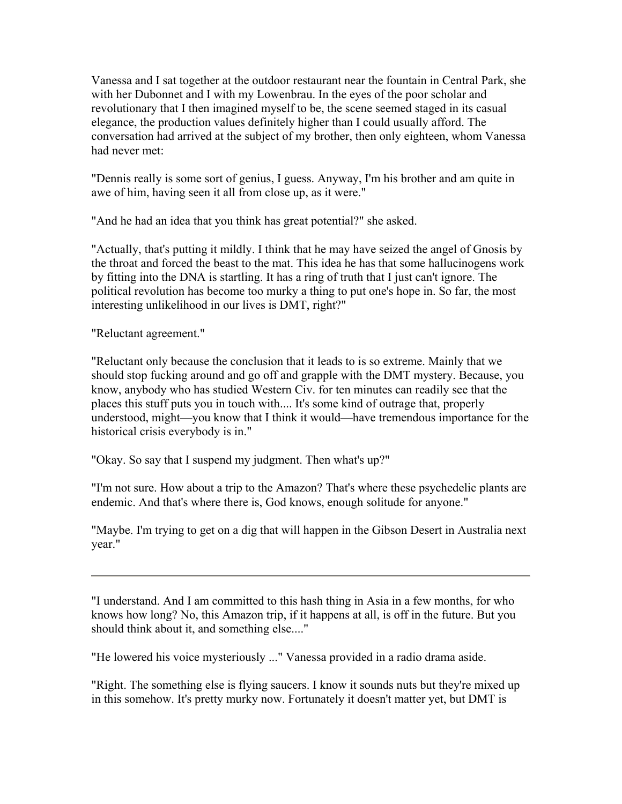Vanessa and I sat together at the outdoor restaurant near the fountain in Central Park, she with her Dubonnet and I with my Lowenbrau. In the eyes of the poor scholar and revolutionary that I then imagined myself to be, the scene seemed staged in its casual elegance, the production values definitely higher than I could usually afford. The conversation had arrived at the subject of my brother, then only eighteen, whom Vanessa had never met:

"Dennis really is some sort of genius, I guess. Anyway, I'm his brother and am quite in awe of him, having seen it all from close up, as it were."

"And he had an idea that you think has great potential?" she asked.

"Actually, that's putting it mildly. I think that he may have seized the angel of Gnosis by the throat and forced the beast to the mat. This idea he has that some hallucinogens work by fitting into the DNA is startling. It has a ring of truth that I just can't ignore. The political revolution has become too murky a thing to put one's hope in. So far, the most interesting unlikelihood in our lives is DMT, right?"

"Reluctant agreement."

"Reluctant only because the conclusion that it leads to is so extreme. Mainly that we should stop fucking around and go off and grapple with the DMT mystery. Because, you know, anybody who has studied Western Civ. for ten minutes can readily see that the places this stuff puts you in touch with.... It's some kind of outrage that, properly understood, might—you know that I think it would—have tremendous importance for the historical crisis everybody is in."

"Okay. So say that I suspend my judgment. Then what's up?"

"I'm not sure. How about a trip to the Amazon? That's where these psychedelic plants are endemic. And that's where there is, God knows, enough solitude for anyone."

"Maybe. I'm trying to get on a dig that will happen in the Gibson Desert in Australia next year."

"I understand. And I am committed to this hash thing in Asia in a few months, for who knows how long? No, this Amazon trip, if it happens at all, is off in the future. But you should think about it, and something else...."

"He lowered his voice mysteriously ..." Vanessa provided in a radio drama aside.

"Right. The something else is flying saucers. I know it sounds nuts but they're mixed up in this somehow. It's pretty murky now. Fortunately it doesn't matter yet, but DMT is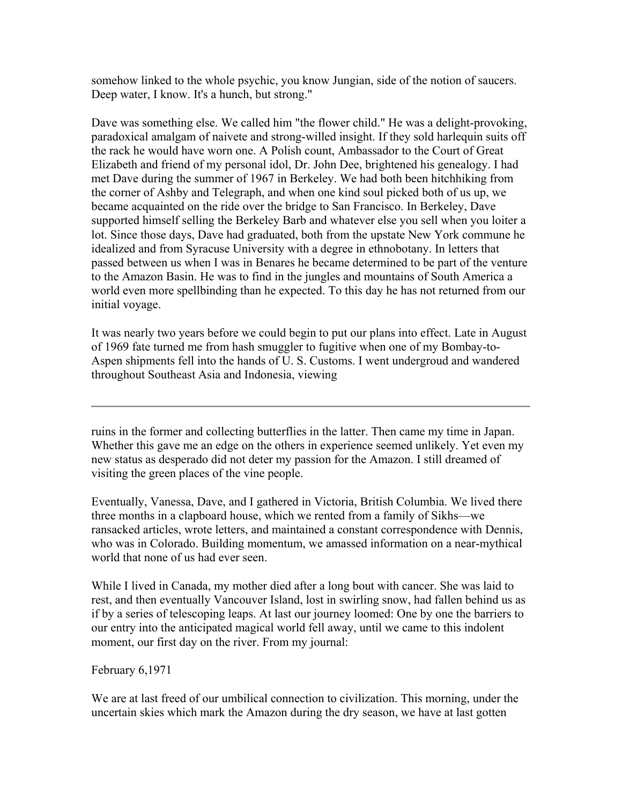somehow linked to the whole psychic, you know Jungian, side of the notion of saucers. Deep water, I know. It's a hunch, but strong."

Dave was something else. We called him "the flower child." He was a delight-provoking, paradoxical amalgam of naivete and strong-willed insight. If they sold harlequin suits off the rack he would have worn one. A Polish count, Ambassador to the Court of Great Elizabeth and friend of my personal idol, Dr. John Dee, brightened his genealogy. I had met Dave during the summer of 1967 in Berkeley. We had both been hitchhiking from the corner of Ashby and Telegraph, and when one kind soul picked both of us up, we became acquainted on the ride over the bridge to San Francisco. In Berkeley, Dave supported himself selling the Berkeley Barb and whatever else you sell when you loiter a lot. Since those days, Dave had graduated, both from the upstate New York commune he idealized and from Syracuse University with a degree in ethnobotany. In letters that passed between us when I was in Benares he became determined to be part of the venture to the Amazon Basin. He was to find in the jungles and mountains of South America a world even more spellbinding than he expected. To this day he has not returned from our initial voyage.

It was nearly two years before we could begin to put our plans into effect. Late in August of 1969 fate turned me from hash smuggler to fugitive when one of my Bombay-to-Aspen shipments fell into the hands of U. S. Customs. I went undergroud and wandered throughout Southeast Asia and Indonesia, viewing

ruins in the former and collecting butterflies in the latter. Then came my time in Japan. Whether this gave me an edge on the others in experience seemed unlikely. Yet even my new status as desperado did not deter my passion for the Amazon. I still dreamed of visiting the green places of the vine people.

Eventually, Vanessa, Dave, and I gathered in Victoria, British Columbia. We lived there three months in a clapboard house, which we rented from a family of Sikhs—we ransacked articles, wrote letters, and maintained a constant correspondence with Dennis, who was in Colorado. Building momentum, we amassed information on a near-mythical world that none of us had ever seen.

While I lived in Canada, my mother died after a long bout with cancer. She was laid to rest, and then eventually Vancouver Island, lost in swirling snow, had fallen behind us as if by a series of telescoping leaps. At last our journey loomed: One by one the barriers to our entry into the anticipated magical world fell away, until we came to this indolent moment, our first day on the river. From my journal:

#### February 6,1971

We are at last freed of our umbilical connection to civilization. This morning, under the uncertain skies which mark the Amazon during the dry season, we have at last gotten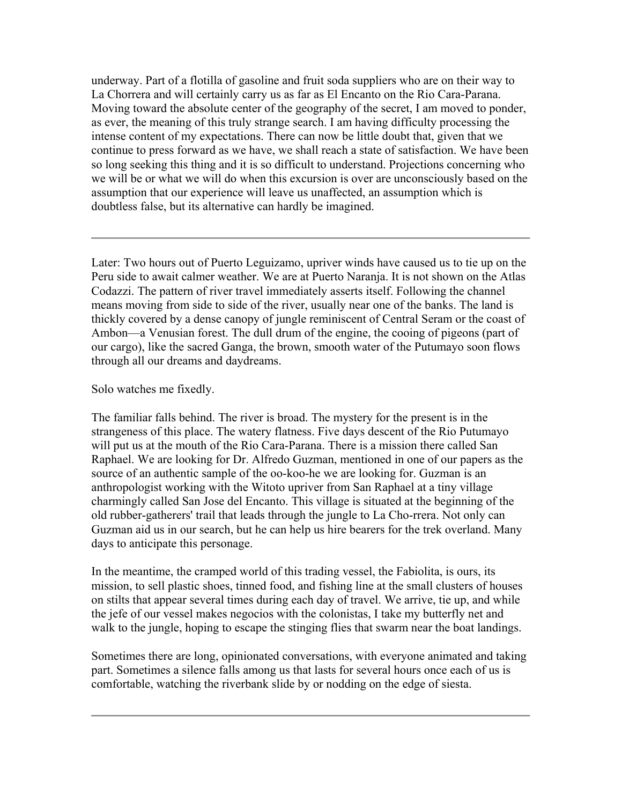underway. Part of a flotilla of gasoline and fruit soda suppliers who are on their way to La Chorrera and will certainly carry us as far as El Encanto on the Rio Cara-Parana. Moving toward the absolute center of the geography of the secret, I am moved to ponder, as ever, the meaning of this truly strange search. I am having difficulty processing the intense content of my expectations. There can now be little doubt that, given that we continue to press forward as we have, we shall reach a state of satisfaction. We have been so long seeking this thing and it is so difficult to understand. Projections concerning who we will be or what we will do when this excursion is over are unconsciously based on the assumption that our experience will leave us unaffected, an assumption which is doubtless false, but its alternative can hardly be imagined.

Later: Two hours out of Puerto Leguizamo, upriver winds have caused us to tie up on the Peru side to await calmer weather. We are at Puerto Naranja. It is not shown on the Atlas Codazzi. The pattern of river travel immediately asserts itself. Following the channel means moving from side to side of the river, usually near one of the banks. The land is thickly covered by a dense canopy of jungle reminiscent of Central Seram or the coast of Ambon—a Venusian forest. The dull drum of the engine, the cooing of pigeons (part of our cargo), like the sacred Ganga, the brown, smooth water of the Putumayo soon flows through all our dreams and daydreams.

Solo watches me fixedly.

The familiar falls behind. The river is broad. The mystery for the present is in the strangeness of this place. The watery flatness. Five days descent of the Rio Putumayo will put us at the mouth of the Rio Cara-Parana. There is a mission there called San Raphael. We are looking for Dr. Alfredo Guzman, mentioned in one of our papers as the source of an authentic sample of the oo-koo-he we are looking for. Guzman is an anthropologist working with the Witoto upriver from San Raphael at a tiny village charmingly called San Jose del Encanto. This village is situated at the beginning of the old rubber-gatherers' trail that leads through the jungle to La Cho-rrera. Not only can Guzman aid us in our search, but he can help us hire bearers for the trek overland. Many days to anticipate this personage.

In the meantime, the cramped world of this trading vessel, the Fabiolita, is ours, its mission, to sell plastic shoes, tinned food, and fishing line at the small clusters of houses on stilts that appear several times during each day of travel. We arrive, tie up, and while the jefe of our vessel makes negocios with the colonistas, I take my butterfly net and walk to the jungle, hoping to escape the stinging flies that swarm near the boat landings.

Sometimes there are long, opinionated conversations, with everyone animated and taking part. Sometimes a silence falls among us that lasts for several hours once each of us is comfortable, watching the riverbank slide by or nodding on the edge of siesta.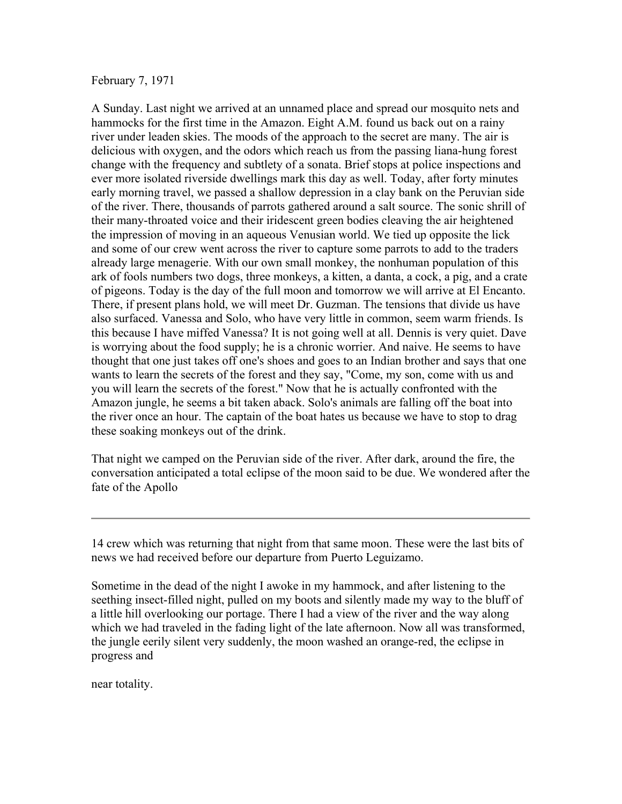February 7, 1971

A Sunday. Last night we arrived at an unnamed place and spread our mosquito nets and hammocks for the first time in the Amazon. Eight A.M. found us back out on a rainy river under leaden skies. The moods of the approach to the secret are many. The air is delicious with oxygen, and the odors which reach us from the passing liana-hung forest change with the frequency and subtlety of a sonata. Brief stops at police inspections and ever more isolated riverside dwellings mark this day as well. Today, after forty minutes early morning travel, we passed a shallow depression in a clay bank on the Peruvian side of the river. There, thousands of parrots gathered around a salt source. The sonic shrill of their many-throated voice and their iridescent green bodies cleaving the air heightened the impression of moving in an aqueous Venusian world. We tied up opposite the lick and some of our crew went across the river to capture some parrots to add to the traders already large menagerie. With our own small monkey, the nonhuman population of this ark of fools numbers two dogs, three monkeys, a kitten, a danta, a cock, a pig, and a crate of pigeons. Today is the day of the full moon and tomorrow we will arrive at El Encanto. There, if present plans hold, we will meet Dr. Guzman. The tensions that divide us have also surfaced. Vanessa and Solo, who have very little in common, seem warm friends. Is this because I have miffed Vanessa? It is not going well at all. Dennis is very quiet. Dave is worrying about the food supply; he is a chronic worrier. And naive. He seems to have thought that one just takes off one's shoes and goes to an Indian brother and says that one wants to learn the secrets of the forest and they say, "Come, my son, come with us and you will learn the secrets of the forest." Now that he is actually confronted with the Amazon jungle, he seems a bit taken aback. Solo's animals are falling off the boat into the river once an hour. The captain of the boat hates us because we have to stop to drag these soaking monkeys out of the drink.

That night we camped on the Peruvian side of the river. After dark, around the fire, the conversation anticipated a total eclipse of the moon said to be due. We wondered after the fate of the Apollo

Sometime in the dead of the night I awoke in my hammock, and after listening to the seething insect-filled night, pulled on my boots and silently made my way to the bluff of a little hill overlooking our portage. There I had a view of the river and the way along which we had traveled in the fading light of the late afternoon. Now all was transformed, the jungle eerily silent very suddenly, the moon washed an orange-red, the eclipse in progress and

near totality.

<sup>14</sup> crew which was returning that night from that same moon. These were the last bits of news we had received before our departure from Puerto Leguizamo.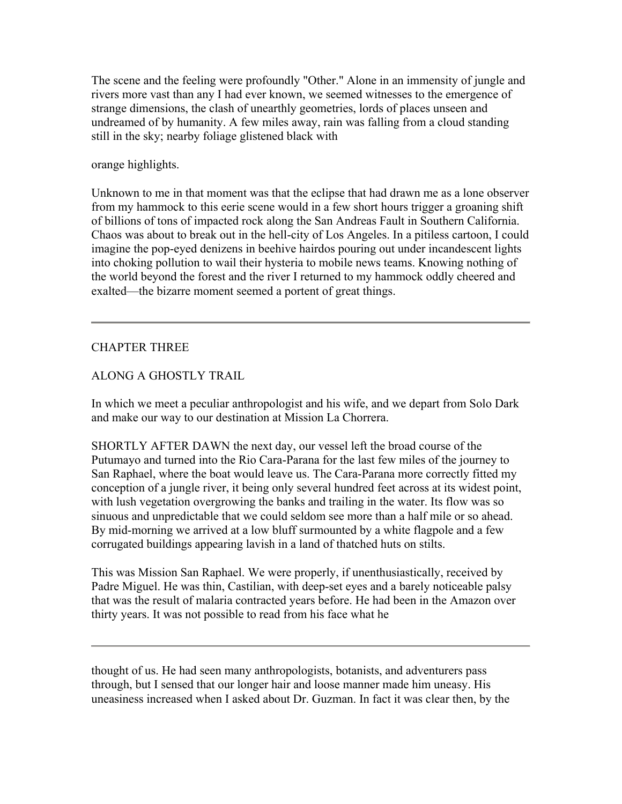The scene and the feeling were profoundly "Other." Alone in an immensity of jungle and rivers more vast than any I had ever known, we seemed witnesses to the emergence of strange dimensions, the clash of unearthly geometries, lords of places unseen and undreamed of by humanity. A few miles away, rain was falling from a cloud standing still in the sky; nearby foliage glistened black with

orange highlights.

Unknown to me in that moment was that the eclipse that had drawn me as a lone observer from my hammock to this eerie scene would in a few short hours trigger a groaning shift of billions of tons of impacted rock along the San Andreas Fault in Southern California. Chaos was about to break out in the hell-city of Los Angeles. In a pitiless cartoon, I could imagine the pop-eyed denizens in beehive hairdos pouring out under incandescent lights into choking pollution to wail their hysteria to mobile news teams. Knowing nothing of the world beyond the forest and the river I returned to my hammock oddly cheered and exalted—the bizarre moment seemed a portent of great things.

## CHAPTER THREE

## ALONG A GHOSTLY TRAIL

In which we meet a peculiar anthropologist and his wife, and we depart from Solo Dark and make our way to our destination at Mission La Chorrera.

SHORTLY AFTER DAWN the next day, our vessel left the broad course of the Putumayo and turned into the Rio Cara-Parana for the last few miles of the journey to San Raphael, where the boat would leave us. The Cara-Parana more correctly fitted my conception of a jungle river, it being only several hundred feet across at its widest point, with lush vegetation overgrowing the banks and trailing in the water. Its flow was so sinuous and unpredictable that we could seldom see more than a half mile or so ahead. By mid-morning we arrived at a low bluff surmounted by a white flagpole and a few corrugated buildings appearing lavish in a land of thatched huts on stilts.

This was Mission San Raphael. We were properly, if unenthusiastically, received by Padre Miguel. He was thin, Castilian, with deep-set eyes and a barely noticeable palsy that was the result of malaria contracted years before. He had been in the Amazon over thirty years. It was not possible to read from his face what he

thought of us. He had seen many anthropologists, botanists, and adventurers pass through, but I sensed that our longer hair and loose manner made him uneasy. His uneasiness increased when I asked about Dr. Guzman. In fact it was clear then, by the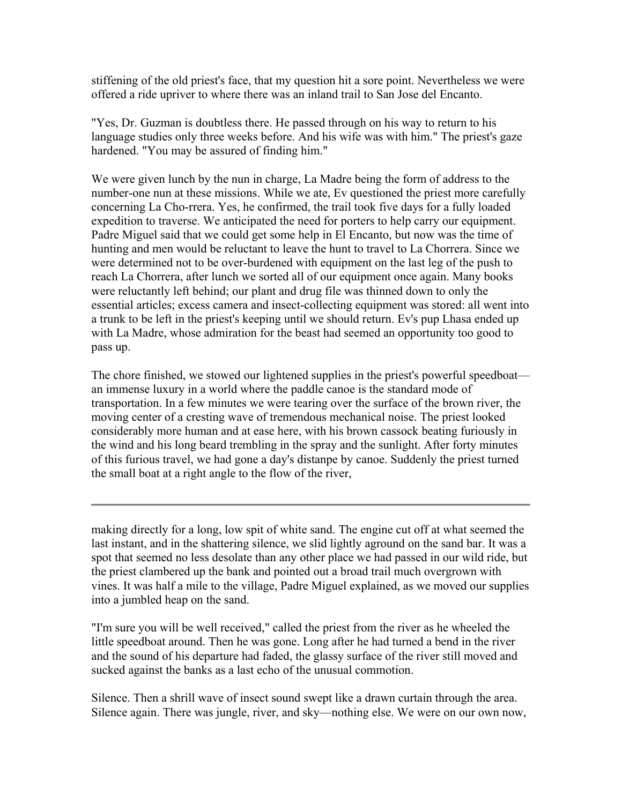stiffening of the old priest's face, that my question hit a sore point. Nevertheless we were offered a ride upriver to where there was an inland trail to San Jose del Encanto.

"Yes, Dr. Guzman is doubtless there. He passed through on his way to return to his language studies only three weeks before. And his wife was with him." The priest's gaze hardened. "You may be assured of finding him."

We were given lunch by the nun in charge, La Madre being the form of address to the number-one nun at these missions. While we ate, Ev questioned the priest more carefully concerning La Cho-rrera. Yes, he confirmed, the trail took five days for a fully loaded expedition to traverse. We anticipated the need for porters to help carry our equipment. Padre Miguel said that we could get some help in El Encanto, but now was the time of hunting and men would be reluctant to leave the hunt to travel to La Chorrera. Since we were determined not to be over-burdened with equipment on the last leg of the push to reach La Chorrera, after lunch we sorted all of our equipment once again. Many books were reluctantly left behind; our plant and drug file was thinned down to only the essential articles; excess camera and insect-collecting equipment was stored: all went into a trunk to be left in the priest's keeping until we should return. Ev's pup Lhasa ended up with La Madre, whose admiration for the beast had seemed an opportunity too good to pass up.

The chore finished, we stowed our lightened supplies in the priest's powerful speedboat an immense luxury in a world where the paddle canoe is the standard mode of transportation. In a few minutes we were tearing over the surface of the brown river, the moving center of a cresting wave of tremendous mechanical noise. The priest looked considerably more human and at ease here, with his brown cassock beating furiously in the wind and his long beard trembling in the spray and the sunlight. After forty minutes of this furious travel, we had gone a day's distanpe by canoe. Suddenly the priest turned the small boat at a right angle to the flow of the river,

making directly for a long, low spit of white sand. The engine cut off at what seemed the last instant, and in the shattering silence, we slid lightly aground on the sand bar. It was a spot that seemed no less desolate than any other place we had passed in our wild ride, but the priest clambered up the bank and pointed out a broad trail much overgrown with vines. It was half a mile to the village, Padre Miguel explained, as we moved our supplies into a jumbled heap on the sand.

"I'm sure you will be well received," called the priest from the river as he wheeled the little speedboat around. Then he was gone. Long after he had turned a bend in the river and the sound of his departure had faded, the glassy surface of the river still moved and sucked against the banks as a last echo of the unusual commotion.

Silence. Then a shrill wave of insect sound swept like a drawn curtain through the area. Silence again. There was jungle, river, and sky—nothing else. We were on our own now,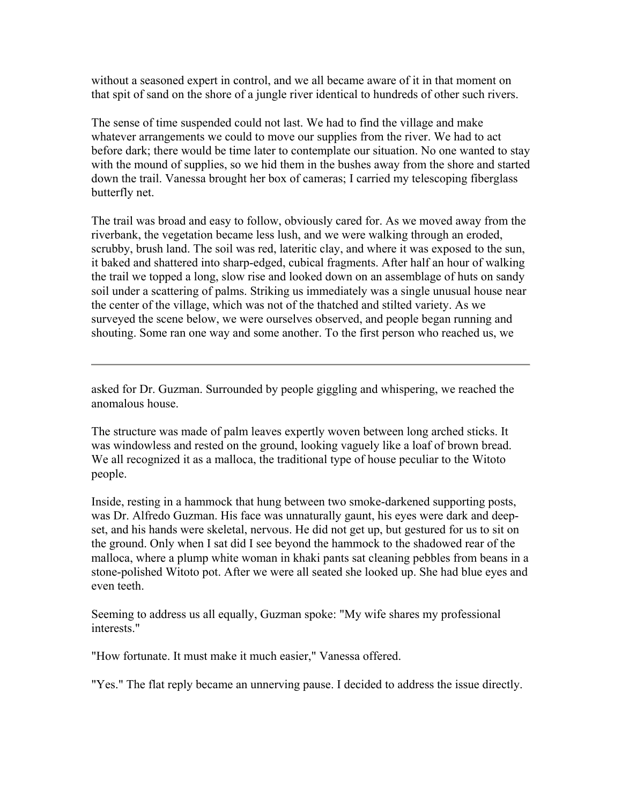without a seasoned expert in control, and we all became aware of it in that moment on that spit of sand on the shore of a jungle river identical to hundreds of other such rivers.

The sense of time suspended could not last. We had to find the village and make whatever arrangements we could to move our supplies from the river. We had to act before dark; there would be time later to contemplate our situation. No one wanted to stay with the mound of supplies, so we hid them in the bushes away from the shore and started down the trail. Vanessa brought her box of cameras; I carried my telescoping fiberglass butterfly net.

The trail was broad and easy to follow, obviously cared for. As we moved away from the riverbank, the vegetation became less lush, and we were walking through an eroded, scrubby, brush land. The soil was red, lateritic clay, and where it was exposed to the sun, it baked and shattered into sharp-edged, cubical fragments. After half an hour of walking the trail we topped a long, slow rise and looked down on an assemblage of huts on sandy soil under a scattering of palms. Striking us immediately was a single unusual house near the center of the village, which was not of the thatched and stilted variety. As we surveyed the scene below, we were ourselves observed, and people began running and shouting. Some ran one way and some another. To the first person who reached us, we

asked for Dr. Guzman. Surrounded by people giggling and whispering, we reached the anomalous house.

The structure was made of palm leaves expertly woven between long arched sticks. It was windowless and rested on the ground, looking vaguely like a loaf of brown bread. We all recognized it as a malloca, the traditional type of house peculiar to the Witoto people.

Inside, resting in a hammock that hung between two smoke-darkened supporting posts, was Dr. Alfredo Guzman. His face was unnaturally gaunt, his eyes were dark and deepset, and his hands were skeletal, nervous. He did not get up, but gestured for us to sit on the ground. Only when I sat did I see beyond the hammock to the shadowed rear of the malloca, where a plump white woman in khaki pants sat cleaning pebbles from beans in a stone-polished Witoto pot. After we were all seated she looked up. She had blue eyes and even teeth.

Seeming to address us all equally, Guzman spoke: "My wife shares my professional interests."

"How fortunate. It must make it much easier," Vanessa offered.

"Yes." The flat reply became an unnerving pause. I decided to address the issue directly.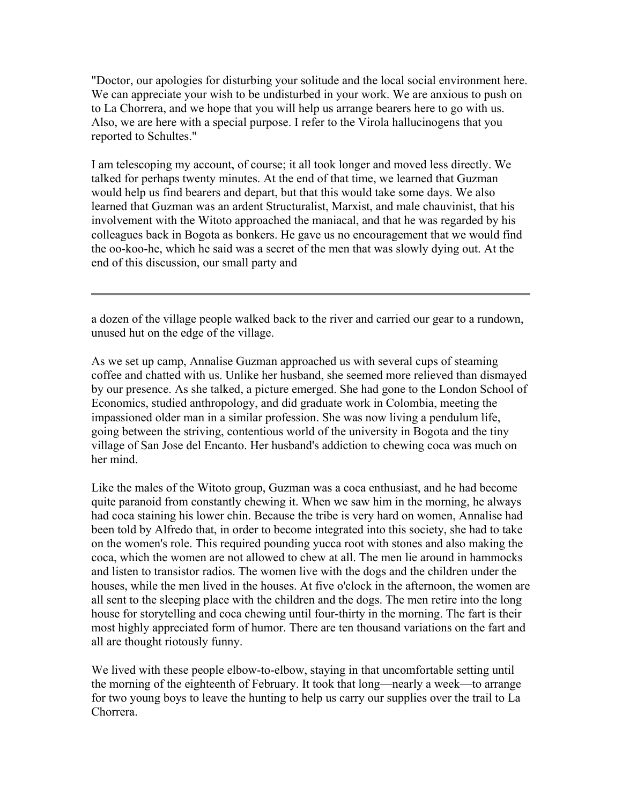"Doctor, our apologies for disturbing your solitude and the local social environment here. We can appreciate your wish to be undisturbed in your work. We are anxious to push on to La Chorrera, and we hope that you will help us arrange bearers here to go with us. Also, we are here with a special purpose. I refer to the Virola hallucinogens that you reported to Schultes."

I am telescoping my account, of course; it all took longer and moved less directly. We talked for perhaps twenty minutes. At the end of that time, we learned that Guzman would help us find bearers and depart, but that this would take some days. We also learned that Guzman was an ardent Structuralist, Marxist, and male chauvinist, that his involvement with the Witoto approached the maniacal, and that he was regarded by his colleagues back in Bogota as bonkers. He gave us no encouragement that we would find the oo-koo-he, which he said was a secret of the men that was slowly dying out. At the end of this discussion, our small party and

a dozen of the village people walked back to the river and carried our gear to a rundown, unused hut on the edge of the village.

As we set up camp, Annalise Guzman approached us with several cups of steaming coffee and chatted with us. Unlike her husband, she seemed more relieved than dismayed by our presence. As she talked, a picture emerged. She had gone to the London School of Economics, studied anthropology, and did graduate work in Colombia, meeting the impassioned older man in a similar profession. She was now living a pendulum life, going between the striving, contentious world of the university in Bogota and the tiny village of San Jose del Encanto. Her husband's addiction to chewing coca was much on her mind.

Like the males of the Witoto group, Guzman was a coca enthusiast, and he had become quite paranoid from constantly chewing it. When we saw him in the morning, he always had coca staining his lower chin. Because the tribe is very hard on women, Annalise had been told by Alfredo that, in order to become integrated into this society, she had to take on the women's role. This required pounding yucca root with stones and also making the coca, which the women are not allowed to chew at all. The men lie around in hammocks and listen to transistor radios. The women live with the dogs and the children under the houses, while the men lived in the houses. At five o'clock in the afternoon, the women are all sent to the sleeping place with the children and the dogs. The men retire into the long house for storytelling and coca chewing until four-thirty in the morning. The fart is their most highly appreciated form of humor. There are ten thousand variations on the fart and all are thought riotously funny.

We lived with these people elbow-to-elbow, staying in that uncomfortable setting until the morning of the eighteenth of February. It took that long—nearly a week—to arrange for two young boys to leave the hunting to help us carry our supplies over the trail to La Chorrera.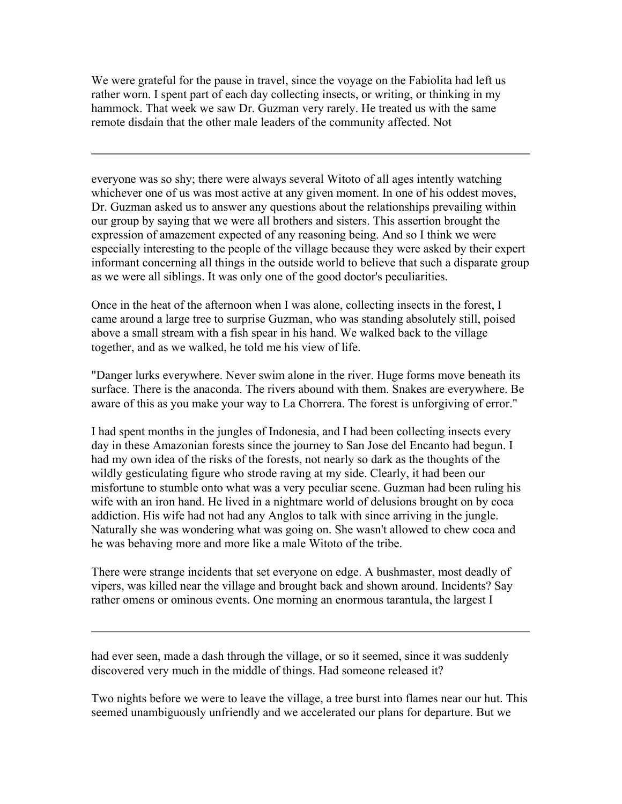We were grateful for the pause in travel, since the voyage on the Fabiolita had left us rather worn. I spent part of each day collecting insects, or writing, or thinking in my hammock. That week we saw Dr. Guzman very rarely. He treated us with the same remote disdain that the other male leaders of the community affected. Not

everyone was so shy; there were always several Witoto of all ages intently watching whichever one of us was most active at any given moment. In one of his oddest moves, Dr. Guzman asked us to answer any questions about the relationships prevailing within our group by saying that we were all brothers and sisters. This assertion brought the expression of amazement expected of any reasoning being. And so I think we were especially interesting to the people of the village because they were asked by their expert informant concerning all things in the outside world to believe that such a disparate group as we were all siblings. It was only one of the good doctor's peculiarities.

Once in the heat of the afternoon when I was alone, collecting insects in the forest, I came around a large tree to surprise Guzman, who was standing absolutely still, poised above a small stream with a fish spear in his hand. We walked back to the village together, and as we walked, he told me his view of life.

"Danger lurks everywhere. Never swim alone in the river. Huge forms move beneath its surface. There is the anaconda. The rivers abound with them. Snakes are everywhere. Be aware of this as you make your way to La Chorrera. The forest is unforgiving of error."

I had spent months in the jungles of Indonesia, and I had been collecting insects every day in these Amazonian forests since the journey to San Jose del Encanto had begun. I had my own idea of the risks of the forests, not nearly so dark as the thoughts of the wildly gesticulating figure who strode raving at my side. Clearly, it had been our misfortune to stumble onto what was a very peculiar scene. Guzman had been ruling his wife with an iron hand. He lived in a nightmare world of delusions brought on by coca addiction. His wife had not had any Anglos to talk with since arriving in the jungle. Naturally she was wondering what was going on. She wasn't allowed to chew coca and he was behaving more and more like a male Witoto of the tribe.

There were strange incidents that set everyone on edge. A bushmaster, most deadly of vipers, was killed near the village and brought back and shown around. Incidents? Say rather omens or ominous events. One morning an enormous tarantula, the largest I

had ever seen, made a dash through the village, or so it seemed, since it was suddenly discovered very much in the middle of things. Had someone released it?

Two nights before we were to leave the village, a tree burst into flames near our hut. This seemed unambiguously unfriendly and we accelerated our plans for departure. But we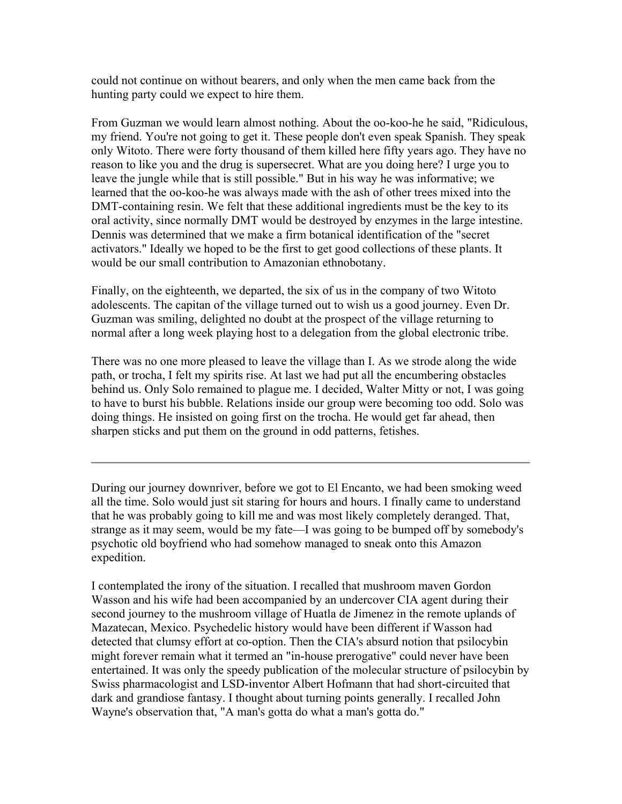could not continue on without bearers, and only when the men came back from the hunting party could we expect to hire them.

From Guzman we would learn almost nothing. About the oo-koo-he he said, "Ridiculous, my friend. You're not going to get it. These people don't even speak Spanish. They speak only Witoto. There were forty thousand of them killed here fifty years ago. They have no reason to like you and the drug is supersecret. What are you doing here? I urge you to leave the jungle while that is still possible." But in his way he was informative; we learned that the oo-koo-he was always made with the ash of other trees mixed into the DMT-containing resin. We felt that these additional ingredients must be the key to its oral activity, since normally DMT would be destroyed by enzymes in the large intestine. Dennis was determined that we make a firm botanical identification of the "secret activators." Ideally we hoped to be the first to get good collections of these plants. It would be our small contribution to Amazonian ethnobotany.

Finally, on the eighteenth, we departed, the six of us in the company of two Witoto adolescents. The capitan of the village turned out to wish us a good journey. Even Dr. Guzman was smiling, delighted no doubt at the prospect of the village returning to normal after a long week playing host to a delegation from the global electronic tribe.

There was no one more pleased to leave the village than I. As we strode along the wide path, or trocha, I felt my spirits rise. At last we had put all the encumbering obstacles behind us. Only Solo remained to plague me. I decided, Walter Mitty or not, I was going to have to burst his bubble. Relations inside our group were becoming too odd. Solo was doing things. He insisted on going first on the trocha. He would get far ahead, then sharpen sticks and put them on the ground in odd patterns, fetishes.

During our journey downriver, before we got to El Encanto, we had been smoking weed all the time. Solo would just sit staring for hours and hours. I finally came to understand that he was probably going to kill me and was most likely completely deranged. That, strange as it may seem, would be my fate—I was going to be bumped off by somebody's psychotic old boyfriend who had somehow managed to sneak onto this Amazon expedition.

I contemplated the irony of the situation. I recalled that mushroom maven Gordon Wasson and his wife had been accompanied by an undercover CIA agent during their second journey to the mushroom village of Huatla de Jimenez in the remote uplands of Mazatecan, Mexico. Psychedelic history would have been different if Wasson had detected that clumsy effort at co-option. Then the CIA's absurd notion that psilocybin might forever remain what it termed an "in-house prerogative" could never have been entertained. It was only the speedy publication of the molecular structure of psilocybin by Swiss pharmacologist and LSD-inventor Albert Hofmann that had short-circuited that dark and grandiose fantasy. I thought about turning points generally. I recalled John Wayne's observation that, "A man's gotta do what a man's gotta do."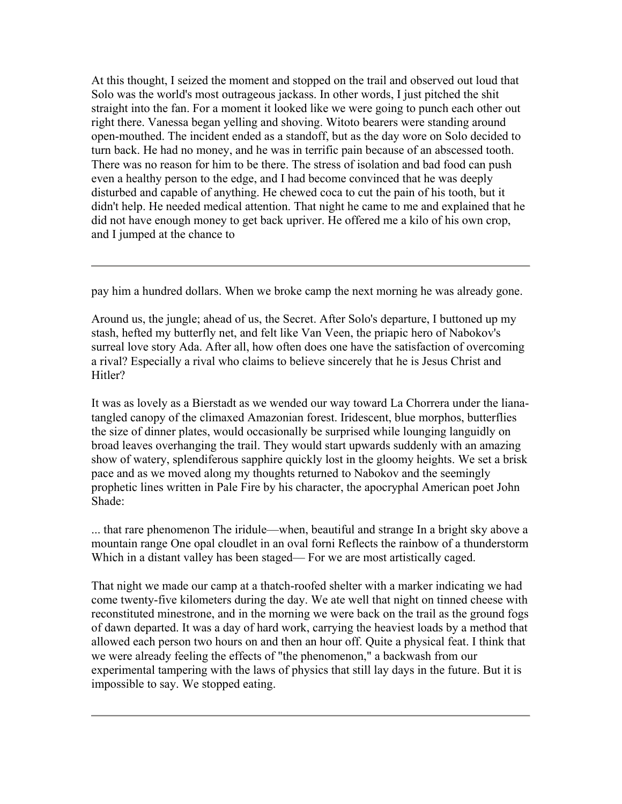At this thought, I seized the moment and stopped on the trail and observed out loud that Solo was the world's most outrageous jackass. In other words, I just pitched the shit straight into the fan. For a moment it looked like we were going to punch each other out right there. Vanessa began yelling and shoving. Witoto bearers were standing around open-mouthed. The incident ended as a standoff, but as the day wore on Solo decided to turn back. He had no money, and he was in terrific pain because of an abscessed tooth. There was no reason for him to be there. The stress of isolation and bad food can push even a healthy person to the edge, and I had become convinced that he was deeply disturbed and capable of anything. He chewed coca to cut the pain of his tooth, but it didn't help. He needed medical attention. That night he came to me and explained that he did not have enough money to get back upriver. He offered me a kilo of his own crop, and I jumped at the chance to

pay him a hundred dollars. When we broke camp the next morning he was already gone.

Around us, the jungle; ahead of us, the Secret. After Solo's departure, I buttoned up my stash, hefted my butterfly net, and felt like Van Veen, the priapic hero of Nabokov's surreal love story Ada. After all, how often does one have the satisfaction of overcoming a rival? Especially a rival who claims to believe sincerely that he is Jesus Christ and Hitler?

It was as lovely as a Bierstadt as we wended our way toward La Chorrera under the lianatangled canopy of the climaxed Amazonian forest. Iridescent, blue morphos, butterflies the size of dinner plates, would occasionally be surprised while lounging languidly on broad leaves overhanging the trail. They would start upwards suddenly with an amazing show of watery, splendiferous sapphire quickly lost in the gloomy heights. We set a brisk pace and as we moved along my thoughts returned to Nabokov and the seemingly prophetic lines written in Pale Fire by his character, the apocryphal American poet John Shade:

... that rare phenomenon The iridule—when, beautiful and strange In a bright sky above a mountain range One opal cloudlet in an oval forni Reflects the rainbow of a thunderstorm Which in a distant valley has been staged— For we are most artistically caged.

That night we made our camp at a thatch-roofed shelter with a marker indicating we had come twenty-five kilometers during the day. We ate well that night on tinned cheese with reconstituted minestrone, and in the morning we were back on the trail as the ground fogs of dawn departed. It was a day of hard work, carrying the heaviest loads by a method that allowed each person two hours on and then an hour off. Quite a physical feat. I think that we were already feeling the effects of "the phenomenon," a backwash from our experimental tampering with the laws of physics that still lay days in the future. But it is impossible to say. We stopped eating.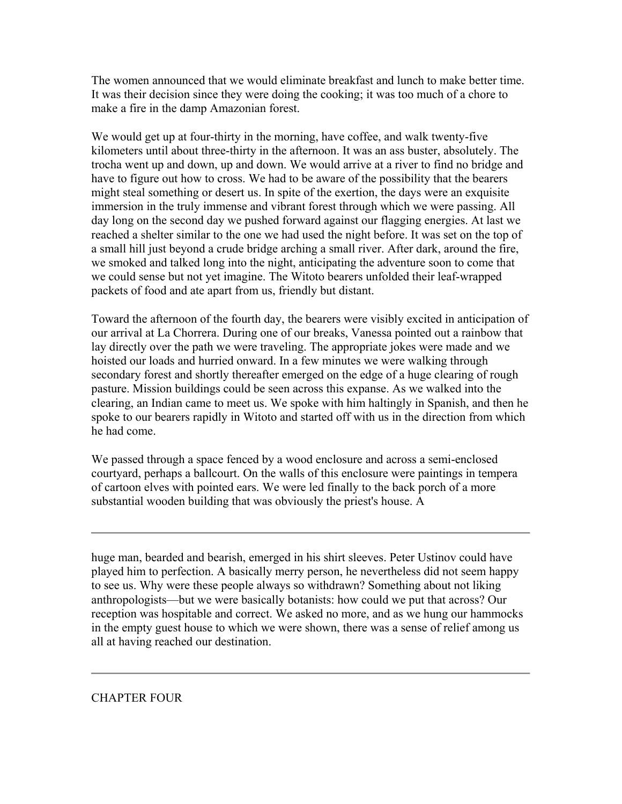The women announced that we would eliminate breakfast and lunch to make better time. It was their decision since they were doing the cooking; it was too much of a chore to make a fire in the damp Amazonian forest.

We would get up at four-thirty in the morning, have coffee, and walk twenty-five kilometers until about three-thirty in the afternoon. It was an ass buster, absolutely. The trocha went up and down, up and down. We would arrive at a river to find no bridge and have to figure out how to cross. We had to be aware of the possibility that the bearers might steal something or desert us. In spite of the exertion, the days were an exquisite immersion in the truly immense and vibrant forest through which we were passing. All day long on the second day we pushed forward against our flagging energies. At last we reached a shelter similar to the one we had used the night before. It was set on the top of a small hill just beyond a crude bridge arching a small river. After dark, around the fire, we smoked and talked long into the night, anticipating the adventure soon to come that we could sense but not yet imagine. The Witoto bearers unfolded their leaf-wrapped packets of food and ate apart from us, friendly but distant.

Toward the afternoon of the fourth day, the bearers were visibly excited in anticipation of our arrival at La Chorrera. During one of our breaks, Vanessa pointed out a rainbow that lay directly over the path we were traveling. The appropriate jokes were made and we hoisted our loads and hurried onward. In a few minutes we were walking through secondary forest and shortly thereafter emerged on the edge of a huge clearing of rough pasture. Mission buildings could be seen across this expanse. As we walked into the clearing, an Indian came to meet us. We spoke with him haltingly in Spanish, and then he spoke to our bearers rapidly in Witoto and started off with us in the direction from which he had come.

We passed through a space fenced by a wood enclosure and across a semi-enclosed courtyard, perhaps a ballcourt. On the walls of this enclosure were paintings in tempera of cartoon elves with pointed ears. We were led finally to the back porch of a more substantial wooden building that was obviously the priest's house. A

huge man, bearded and bearish, emerged in his shirt sleeves. Peter Ustinov could have played him to perfection. A basically merry person, he nevertheless did not seem happy to see us. Why were these people always so withdrawn? Something about not liking anthropologists—but we were basically botanists: how could we put that across? Our reception was hospitable and correct. We asked no more, and as we hung our hammocks in the empty guest house to which we were shown, there was a sense of relief among us all at having reached our destination.

#### CHAPTER FOUR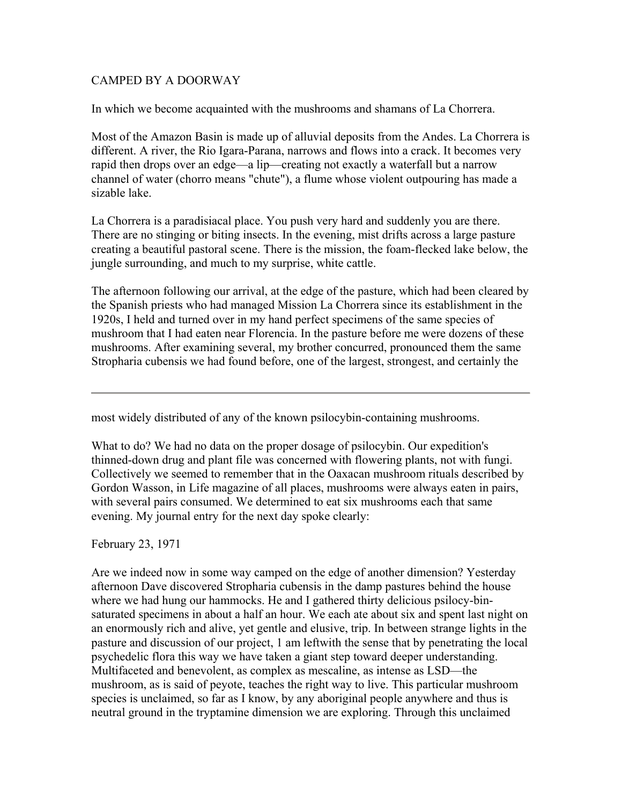# CAMPED BY A DOORWAY

In which we become acquainted with the mushrooms and shamans of La Chorrera.

Most of the Amazon Basin is made up of alluvial deposits from the Andes. La Chorrera is different. A river, the Rio Igara-Parana, narrows and flows into a crack. It becomes very rapid then drops over an edge—a lip—creating not exactly a waterfall but a narrow channel of water (chorro means "chute"), a flume whose violent outpouring has made a sizable lake.

La Chorrera is a paradisiacal place. You push very hard and suddenly you are there. There are no stinging or biting insects. In the evening, mist drifts across a large pasture creating a beautiful pastoral scene. There is the mission, the foam-flecked lake below, the jungle surrounding, and much to my surprise, white cattle.

The afternoon following our arrival, at the edge of the pasture, which had been cleared by the Spanish priests who had managed Mission La Chorrera since its establishment in the 1920s, I held and turned over in my hand perfect specimens of the same species of mushroom that I had eaten near Florencia. In the pasture before me were dozens of these mushrooms. After examining several, my brother concurred, pronounced them the same Stropharia cubensis we had found before, one of the largest, strongest, and certainly the

most widely distributed of any of the known psilocybin-containing mushrooms.

What to do? We had no data on the proper dosage of psilocybin. Our expedition's thinned-down drug and plant file was concerned with flowering plants, not with fungi. Collectively we seemed to remember that in the Oaxacan mushroom rituals described by Gordon Wasson, in Life magazine of all places, mushrooms were always eaten in pairs, with several pairs consumed. We determined to eat six mushrooms each that same evening. My journal entry for the next day spoke clearly:

February 23, 1971

Are we indeed now in some way camped on the edge of another dimension? Yesterday afternoon Dave discovered Stropharia cubensis in the damp pastures behind the house where we had hung our hammocks. He and I gathered thirty delicious psilocy-binsaturated specimens in about a half an hour. We each ate about six and spent last night on an enormously rich and alive, yet gentle and elusive, trip. In between strange lights in the pasture and discussion of our project, 1 am leftwith the sense that by penetrating the local psychedelic flora this way we have taken a giant step toward deeper understanding. Multifaceted and benevolent, as complex as mescaline, as intense as LSD—the mushroom, as is said of peyote, teaches the right way to live. This particular mushroom species is unclaimed, so far as I know, by any aboriginal people anywhere and thus is neutral ground in the tryptamine dimension we are exploring. Through this unclaimed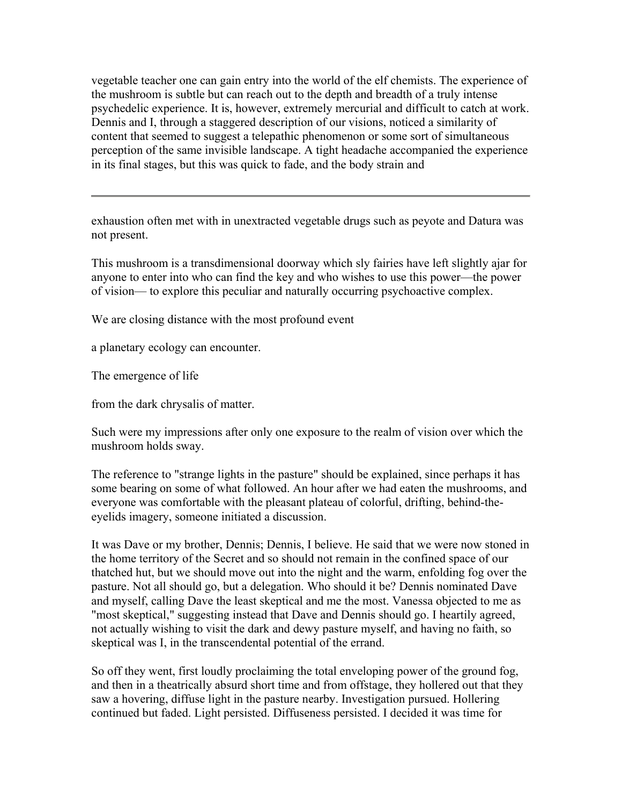vegetable teacher one can gain entry into the world of the elf chemists. The experience of the mushroom is subtle but can reach out to the depth and breadth of a truly intense psychedelic experience. It is, however, extremely mercurial and difficult to catch at work. Dennis and I, through a staggered description of our visions, noticed a similarity of content that seemed to suggest a telepathic phenomenon or some sort of simultaneous perception of the same invisible landscape. A tight headache accompanied the experience in its final stages, but this was quick to fade, and the body strain and

exhaustion often met with in unextracted vegetable drugs such as peyote and Datura was not present.

This mushroom is a transdimensional doorway which sly fairies have left slightly ajar for anyone to enter into who can find the key and who wishes to use this power—the power of vision— to explore this peculiar and naturally occurring psychoactive complex.

We are closing distance with the most profound event

a planetary ecology can encounter.

The emergence of life

from the dark chrysalis of matter.

Such were my impressions after only one exposure to the realm of vision over which the mushroom holds sway.

The reference to "strange lights in the pasture" should be explained, since perhaps it has some bearing on some of what followed. An hour after we had eaten the mushrooms, and everyone was comfortable with the pleasant plateau of colorful, drifting, behind-theeyelids imagery, someone initiated a discussion.

It was Dave or my brother, Dennis; Dennis, I believe. He said that we were now stoned in the home territory of the Secret and so should not remain in the confined space of our thatched hut, but we should move out into the night and the warm, enfolding fog over the pasture. Not all should go, but a delegation. Who should it be? Dennis nominated Dave and myself, calling Dave the least skeptical and me the most. Vanessa objected to me as "most skeptical," suggesting instead that Dave and Dennis should go. I heartily agreed, not actually wishing to visit the dark and dewy pasture myself, and having no faith, so skeptical was I, in the transcendental potential of the errand.

So off they went, first loudly proclaiming the total enveloping power of the ground fog, and then in a theatrically absurd short time and from offstage, they hollered out that they saw a hovering, diffuse light in the pasture nearby. Investigation pursued. Hollering continued but faded. Light persisted. Diffuseness persisted. I decided it was time for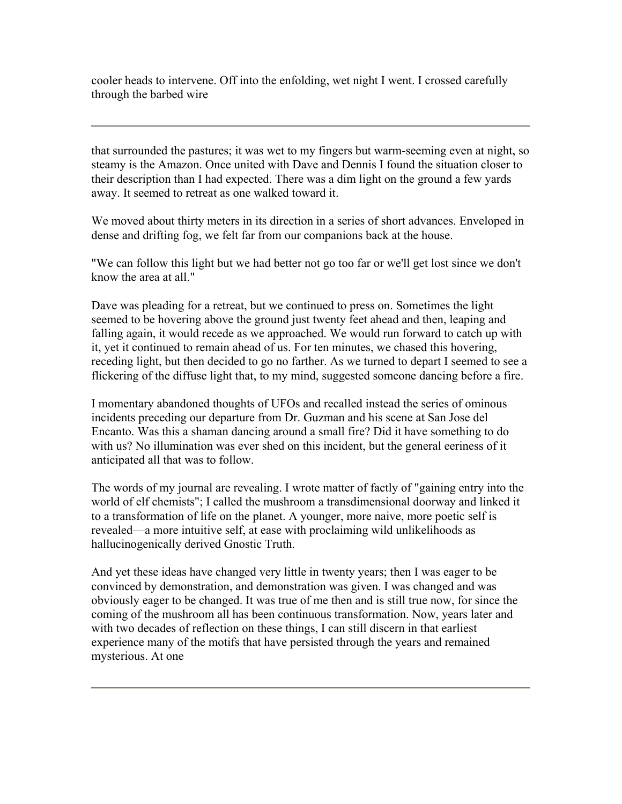cooler heads to intervene. Off into the enfolding, wet night I went. I crossed carefully through the barbed wire

that surrounded the pastures; it was wet to my fingers but warm-seeming even at night, so steamy is the Amazon. Once united with Dave and Dennis I found the situation closer to their description than I had expected. There was a dim light on the ground a few yards away. It seemed to retreat as one walked toward it.

We moved about thirty meters in its direction in a series of short advances. Enveloped in dense and drifting fog, we felt far from our companions back at the house.

"We can follow this light but we had better not go too far or we'll get lost since we don't know the area at all."

Dave was pleading for a retreat, but we continued to press on. Sometimes the light seemed to be hovering above the ground just twenty feet ahead and then, leaping and falling again, it would recede as we approached. We would run forward to catch up with it, yet it continued to remain ahead of us. For ten minutes, we chased this hovering, receding light, but then decided to go no farther. As we turned to depart I seemed to see a flickering of the diffuse light that, to my mind, suggested someone dancing before a fire.

I momentary abandoned thoughts of UFOs and recalled instead the series of ominous incidents preceding our departure from Dr. Guzman and his scene at San Jose del Encanto. Was this a shaman dancing around a small fire? Did it have something to do with us? No illumination was ever shed on this incident, but the general eeriness of it anticipated all that was to follow.

The words of my journal are revealing. I wrote matter of factly of "gaining entry into the world of elf chemists"; I called the mushroom a transdimensional doorway and linked it to a transformation of life on the planet. A younger, more naive, more poetic self is revealed—a more intuitive self, at ease with proclaiming wild unlikelihoods as hallucinogenically derived Gnostic Truth.

And yet these ideas have changed very little in twenty years; then I was eager to be convinced by demonstration, and demonstration was given. I was changed and was obviously eager to be changed. It was true of me then and is still true now, for since the coming of the mushroom all has been continuous transformation. Now, years later and with two decades of reflection on these things, I can still discern in that earliest experience many of the motifs that have persisted through the years and remained mysterious. At one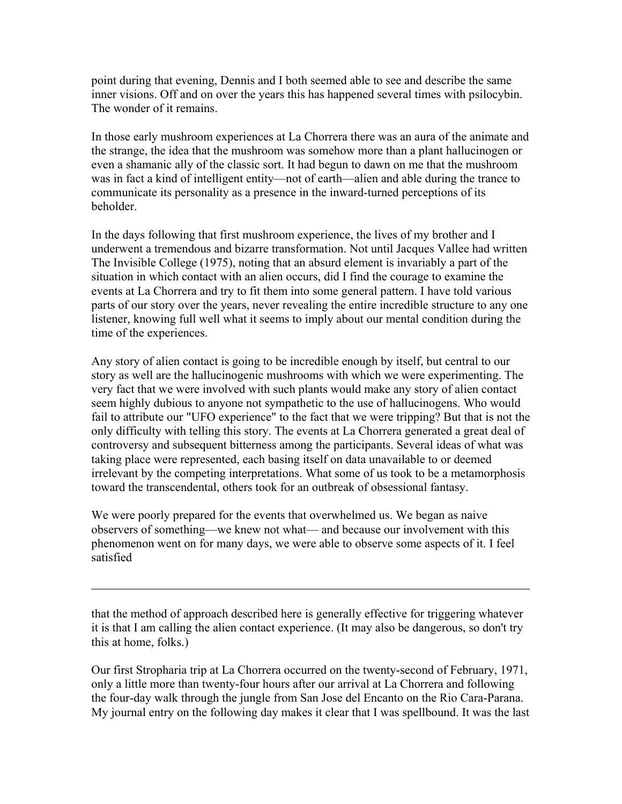point during that evening, Dennis and I both seemed able to see and describe the same inner visions. Off and on over the years this has happened several times with psilocybin. The wonder of it remains.

In those early mushroom experiences at La Chorrera there was an aura of the animate and the strange, the idea that the mushroom was somehow more than a plant hallucinogen or even a shamanic ally of the classic sort. It had begun to dawn on me that the mushroom was in fact a kind of intelligent entity—not of earth—alien and able during the trance to communicate its personality as a presence in the inward-turned perceptions of its beholder.

In the days following that first mushroom experience, the lives of my brother and I underwent a tremendous and bizarre transformation. Not until Jacques Vallee had written The Invisible College (1975), noting that an absurd element is invariably a part of the situation in which contact with an alien occurs, did I find the courage to examine the events at La Chorrera and try to fit them into some general pattern. I have told various parts of our story over the years, never revealing the entire incredible structure to any one listener, knowing full well what it seems to imply about our mental condition during the time of the experiences.

Any story of alien contact is going to be incredible enough by itself, but central to our story as well are the hallucinogenic mushrooms with which we were experimenting. The very fact that we were involved with such plants would make any story of alien contact seem highly dubious to anyone not sympathetic to the use of hallucinogens. Who would fail to attribute our "UFO experience" to the fact that we were tripping? But that is not the only difficulty with telling this story. The events at La Chorrera generated a great deal of controversy and subsequent bitterness among the participants. Several ideas of what was taking place were represented, each basing itself on data unavailable to or deemed irrelevant by the competing interpretations. What some of us took to be a metamorphosis toward the transcendental, others took for an outbreak of obsessional fantasy.

We were poorly prepared for the events that overwhelmed us. We began as naive observers of something—we knew not what— and because our involvement with this phenomenon went on for many days, we were able to observe some aspects of it. I feel satisfied

that the method of approach described here is generally effective for triggering whatever it is that I am calling the alien contact experience. (It may also be dangerous, so don't try this at home, folks.)

Our first Stropharia trip at La Chorrera occurred on the twenty-second of February, 1971, only a little more than twenty-four hours after our arrival at La Chorrera and following the four-day walk through the jungle from San Jose del Encanto on the Rio Cara-Parana. My journal entry on the following day makes it clear that I was spellbound. It was the last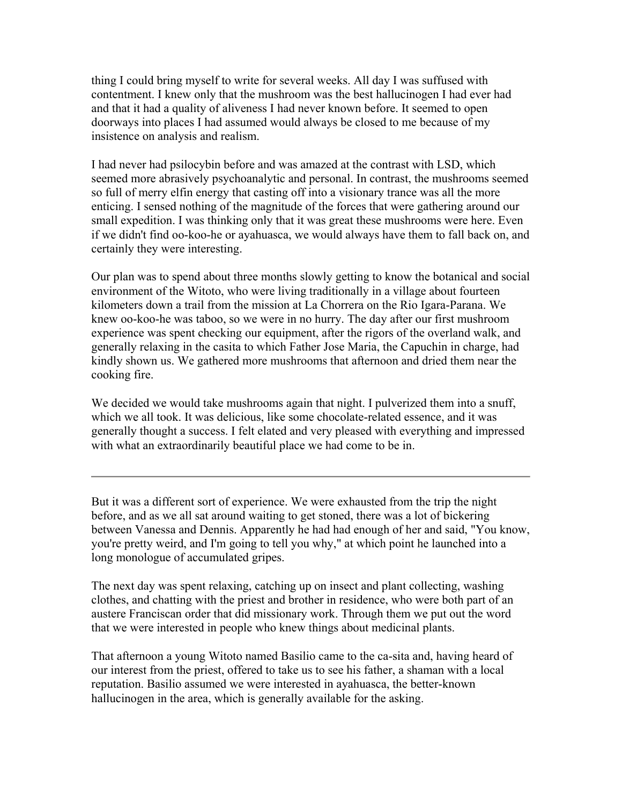thing I could bring myself to write for several weeks. All day I was suffused with contentment. I knew only that the mushroom was the best hallucinogen I had ever had and that it had a quality of aliveness I had never known before. It seemed to open doorways into places I had assumed would always be closed to me because of my insistence on analysis and realism.

I had never had psilocybin before and was amazed at the contrast with LSD, which seemed more abrasively psychoanalytic and personal. In contrast, the mushrooms seemed so full of merry elfin energy that casting off into a visionary trance was all the more enticing. I sensed nothing of the magnitude of the forces that were gathering around our small expedition. I was thinking only that it was great these mushrooms were here. Even if we didn't find oo-koo-he or ayahuasca, we would always have them to fall back on, and certainly they were interesting.

Our plan was to spend about three months slowly getting to know the botanical and social environment of the Witoto, who were living traditionally in a village about fourteen kilometers down a trail from the mission at La Chorrera on the Rio Igara-Parana. We knew oo-koo-he was taboo, so we were in no hurry. The day after our first mushroom experience was spent checking our equipment, after the rigors of the overland walk, and generally relaxing in the casita to which Father Jose Maria, the Capuchin in charge, had kindly shown us. We gathered more mushrooms that afternoon and dried them near the cooking fire.

We decided we would take mushrooms again that night. I pulverized them into a snuff, which we all took. It was delicious, like some chocolate-related essence, and it was generally thought a success. I felt elated and very pleased with everything and impressed with what an extraordinarily beautiful place we had come to be in.

But it was a different sort of experience. We were exhausted from the trip the night before, and as we all sat around waiting to get stoned, there was a lot of bickering between Vanessa and Dennis. Apparently he had had enough of her and said, "You know, you're pretty weird, and I'm going to tell you why," at which point he launched into a long monologue of accumulated gripes.

The next day was spent relaxing, catching up on insect and plant collecting, washing clothes, and chatting with the priest and brother in residence, who were both part of an austere Franciscan order that did missionary work. Through them we put out the word that we were interested in people who knew things about medicinal plants.

That afternoon a young Witoto named Basilio came to the ca-sita and, having heard of our interest from the priest, offered to take us to see his father, a shaman with a local reputation. Basilio assumed we were interested in ayahuasca, the better-known hallucinogen in the area, which is generally available for the asking.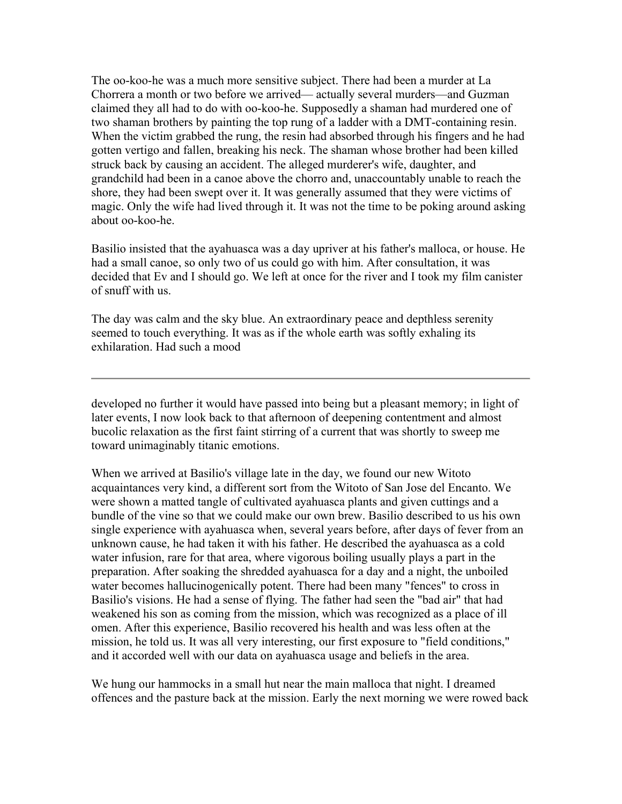The oo-koo-he was a much more sensitive subject. There had been a murder at La Chorrera a month or two before we arrived— actually several murders—and Guzman claimed they all had to do with oo-koo-he. Supposedly a shaman had murdered one of two shaman brothers by painting the top rung of a ladder with a DMT-containing resin. When the victim grabbed the rung, the resin had absorbed through his fingers and he had gotten vertigo and fallen, breaking his neck. The shaman whose brother had been killed struck back by causing an accident. The alleged murderer's wife, daughter, and grandchild had been in a canoe above the chorro and, unaccountably unable to reach the shore, they had been swept over it. It was generally assumed that they were victims of magic. Only the wife had lived through it. It was not the time to be poking around asking about oo-koo-he.

Basilio insisted that the ayahuasca was a day upriver at his father's malloca, or house. He had a small canoe, so only two of us could go with him. After consultation, it was decided that Ev and I should go. We left at once for the river and I took my film canister of snuff with us.

The day was calm and the sky blue. An extraordinary peace and depthless serenity seemed to touch everything. It was as if the whole earth was softly exhaling its exhilaration. Had such a mood

developed no further it would have passed into being but a pleasant memory; in light of later events, I now look back to that afternoon of deepening contentment and almost bucolic relaxation as the first faint stirring of a current that was shortly to sweep me toward unimaginably titanic emotions.

When we arrived at Basilio's village late in the day, we found our new Witoto acquaintances very kind, a different sort from the Witoto of San Jose del Encanto. We were shown a matted tangle of cultivated ayahuasca plants and given cuttings and a bundle of the vine so that we could make our own brew. Basilio described to us his own single experience with ayahuasca when, several years before, after days of fever from an unknown cause, he had taken it with his father. He described the ayahuasca as a cold water infusion, rare for that area, where vigorous boiling usually plays a part in the preparation. After soaking the shredded ayahuasca for a day and a night, the unboiled water becomes hallucinogenically potent. There had been many "fences" to cross in Basilio's visions. He had a sense of flying. The father had seen the "bad air" that had weakened his son as coming from the mission, which was recognized as a place of ill omen. After this experience, Basilio recovered his health and was less often at the mission, he told us. It was all very interesting, our first exposure to "field conditions," and it accorded well with our data on ayahuasca usage and beliefs in the area.

We hung our hammocks in a small hut near the main malloca that night. I dreamed offences and the pasture back at the mission. Early the next morning we were rowed back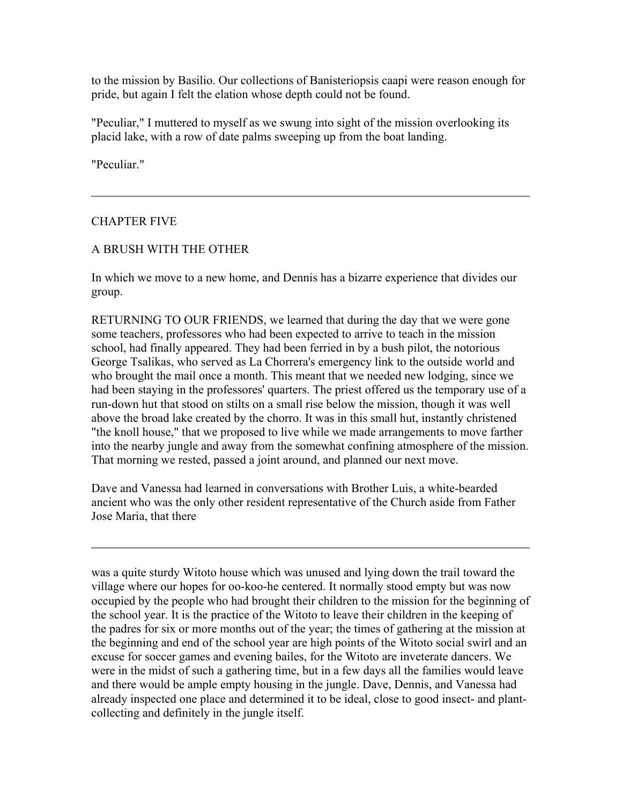to the mission by Basilio. Our collections of Banisteriopsis caapi were reason enough for pride, but again I felt the elation whose depth could not be found.

"Peculiar," I muttered to myself as we swung into sight of the mission overlooking its placid lake, with a row of date palms sweeping up from the boat landing.

"Peculiar"

# CHAPTER FIVE

# A BRUSH WITH THE OTHER

In which we move to a new home, and Dennis has a bizarre experience that divides our group.

RETURNING TO OUR FRIENDS, we learned that during the day that we were gone some teachers, professores who had been expected to arrive to teach in the mission school, had finally appeared. They had been ferried in by a bush pilot, the notorious George Tsalikas, who served as La Chorrera's emergency link to the outside world and who brought the mail once a month. This meant that we needed new lodging, since we had been staying in the professores' quarters. The priest offered us the temporary use of a run-down hut that stood on stilts on a small rise below the mission, though it was well above the broad lake created by the chorro. It was in this small hut, instantly christened "the knoll house," that we proposed to live while we made arrangements to move farther into the nearby jungle and away from the somewhat confining atmosphere of the mission. That morning we rested, passed a joint around, and planned our next move.

Dave and Vanessa had learned in conversations with Brother Luis, a white-bearded ancient who was the only other resident representative of the Church aside from Father Jose Maria, that there

was a quite sturdy Witoto house which was unused and lying down the trail toward the village where our hopes for oo-koo-he centered. It normally stood empty but was now occupied by the people who had brought their children to the mission for the beginning of the school year. It is the practice of the Witoto to leave their children in the keeping of the padres for six or more months out of the year; the times of gathering at the mission at the beginning and end of the school year are high points of the Witoto social swirl and an excuse for soccer games and evening bailes, for the Witoto are inveterate dancers. We were in the midst of such a gathering time, but in a few days all the families would leave and there would be ample empty housing in the jungle. Dave, Dennis, and Vanessa had already inspected one place and determined it to be ideal, close to good insect- and plantcollecting and definitely in the jungle itself.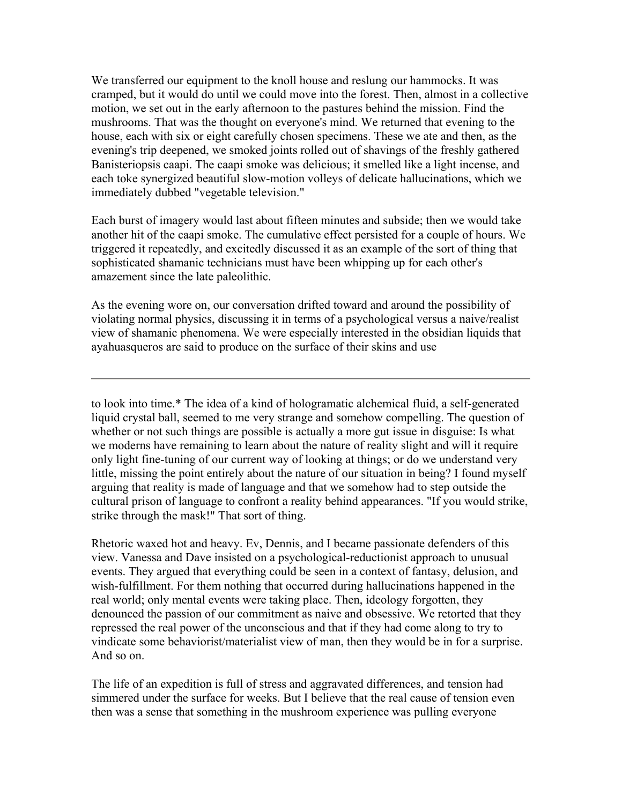We transferred our equipment to the knoll house and reslung our hammocks. It was cramped, but it would do until we could move into the forest. Then, almost in a collective motion, we set out in the early afternoon to the pastures behind the mission. Find the mushrooms. That was the thought on everyone's mind. We returned that evening to the house, each with six or eight carefully chosen specimens. These we ate and then, as the evening's trip deepened, we smoked joints rolled out of shavings of the freshly gathered Banisteriopsis caapi. The caapi smoke was delicious; it smelled like a light incense, and each toke synergized beautiful slow-motion volleys of delicate hallucinations, which we immediately dubbed "vegetable television."

Each burst of imagery would last about fifteen minutes and subside; then we would take another hit of the caapi smoke. The cumulative effect persisted for a couple of hours. We triggered it repeatedly, and excitedly discussed it as an example of the sort of thing that sophisticated shamanic technicians must have been whipping up for each other's amazement since the late paleolithic.

As the evening wore on, our conversation drifted toward and around the possibility of violating normal physics, discussing it in terms of a psychological versus a naive/realist view of shamanic phenomena. We were especially interested in the obsidian liquids that ayahuasqueros are said to produce on the surface of their skins and use

to look into time.\* The idea of a kind of hologramatic alchemical fluid, a self-generated liquid crystal ball, seemed to me very strange and somehow compelling. The question of whether or not such things are possible is actually a more gut issue in disguise: Is what we moderns have remaining to learn about the nature of reality slight and will it require only light fine-tuning of our current way of looking at things; or do we understand very little, missing the point entirely about the nature of our situation in being? I found myself arguing that reality is made of language and that we somehow had to step outside the cultural prison of language to confront a reality behind appearances. "If you would strike, strike through the mask!" That sort of thing.

Rhetoric waxed hot and heavy. Ev, Dennis, and I became passionate defenders of this view. Vanessa and Dave insisted on a psychological-reductionist approach to unusual events. They argued that everything could be seen in a context of fantasy, delusion, and wish-fulfillment. For them nothing that occurred during hallucinations happened in the real world; only mental events were taking place. Then, ideology forgotten, they denounced the passion of our commitment as naive and obsessive. We retorted that they repressed the real power of the unconscious and that if they had come along to try to vindicate some behaviorist/materialist view of man, then they would be in for a surprise. And so on.

The life of an expedition is full of stress and aggravated differences, and tension had simmered under the surface for weeks. But I believe that the real cause of tension even then was a sense that something in the mushroom experience was pulling everyone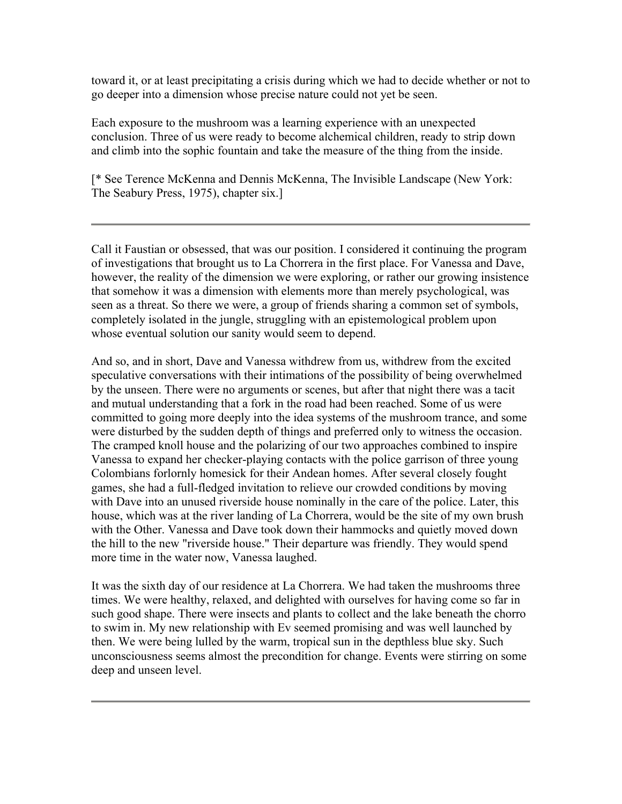toward it, or at least precipitating a crisis during which we had to decide whether or not to go deeper into a dimension whose precise nature could not yet be seen.

Each exposure to the mushroom was a learning experience with an unexpected conclusion. Three of us were ready to become alchemical children, ready to strip down and climb into the sophic fountain and take the measure of the thing from the inside.

[\* See Terence McKenna and Dennis McKenna, The Invisible Landscape (New York: The Seabury Press, 1975), chapter six.]

Call it Faustian or obsessed, that was our position. I considered it continuing the program of investigations that brought us to La Chorrera in the first place. For Vanessa and Dave, however, the reality of the dimension we were exploring, or rather our growing insistence that somehow it was a dimension with elements more than merely psychological, was seen as a threat. So there we were, a group of friends sharing a common set of symbols, completely isolated in the jungle, struggling with an epistemological problem upon whose eventual solution our sanity would seem to depend.

And so, and in short, Dave and Vanessa withdrew from us, withdrew from the excited speculative conversations with their intimations of the possibility of being overwhelmed by the unseen. There were no arguments or scenes, but after that night there was a tacit and mutual understanding that a fork in the road had been reached. Some of us were committed to going more deeply into the idea systems of the mushroom trance, and some were disturbed by the sudden depth of things and preferred only to witness the occasion. The cramped knoll house and the polarizing of our two approaches combined to inspire Vanessa to expand her checker-playing contacts with the police garrison of three young Colombians forlornly homesick for their Andean homes. After several closely fought games, she had a full-fledged invitation to relieve our crowded conditions by moving with Dave into an unused riverside house nominally in the care of the police. Later, this house, which was at the river landing of La Chorrera, would be the site of my own brush with the Other. Vanessa and Dave took down their hammocks and quietly moved down the hill to the new "riverside house." Their departure was friendly. They would spend more time in the water now, Vanessa laughed.

It was the sixth day of our residence at La Chorrera. We had taken the mushrooms three times. We were healthy, relaxed, and delighted with ourselves for having come so far in such good shape. There were insects and plants to collect and the lake beneath the chorro to swim in. My new relationship with Ev seemed promising and was well launched by then. We were being lulled by the warm, tropical sun in the depthless blue sky. Such unconsciousness seems almost the precondition for change. Events were stirring on some deep and unseen level.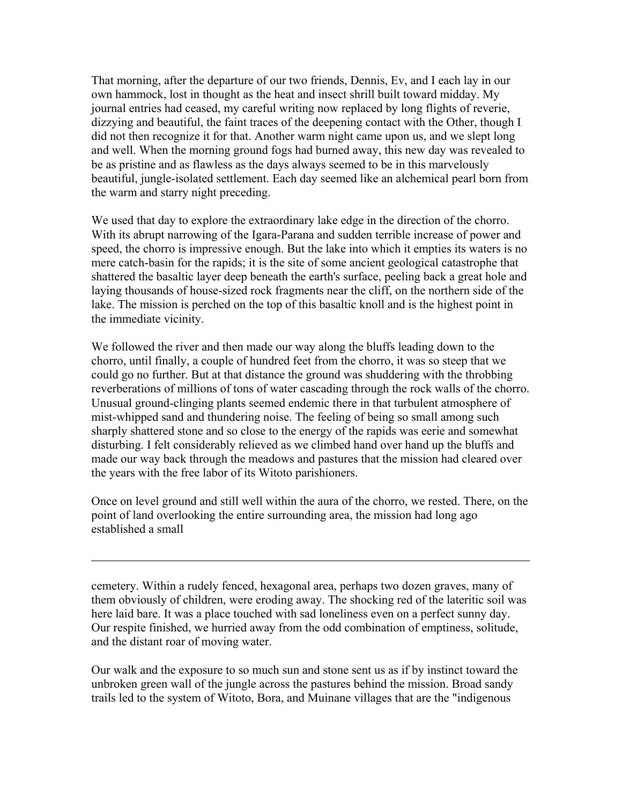That morning, after the departure of our two friends, Dennis, Ev, and I each lay in our own hammock, lost in thought as the heat and insect shrill built toward midday. My journal entries had ceased, my careful writing now replaced by long flights of reverie, dizzying and beautiful, the faint traces of the deepening contact with the Other, though I did not then recognize it for that. Another warm night came upon us, and we slept long and well. When the morning ground fogs had burned away, this new day was revealed to be as pristine and as flawless as the days always seemed to be in this marvelously beautiful, jungle-isolated settlement. Each day seemed like an alchemical pearl born from the warm and starry night preceding.

We used that day to explore the extraordinary lake edge in the direction of the chorro. With its abrupt narrowing of the Igara-Parana and sudden terrible increase of power and speed, the chorro is impressive enough. But the lake into which it empties its waters is no mere catch-basin for the rapids; it is the site of some ancient geological catastrophe that shattered the basaltic layer deep beneath the earth's surface, peeling back a great hole and laying thousands of house-sized rock fragments near the cliff, on the northern side of the lake. The mission is perched on the top of this basaltic knoll and is the highest point in the immediate vicinity.

We followed the river and then made our way along the bluffs leading down to the chorro, until finally, a couple of hundred feet from the chorro, it was so steep that we could go no further. But at that distance the ground was shuddering with the throbbing reverberations of millions of tons of water cascading through the rock walls of the chorro. Unusual ground-clinging plants seemed endemic there in that turbulent atmosphere of mist-whipped sand and thundering noise. The feeling of being so small among such sharply shattered stone and so close to the energy of the rapids was eerie and somewhat disturbing. I felt considerably relieved as we climbed hand over hand up the bluffs and made our way back through the meadows and pastures that the mission had cleared over the years with the free labor of its Witoto parishioners.

Once on level ground and still well within the aura of the chorro, we rested. There, on the point of land overlooking the entire surrounding area, the mission had long ago established a small

cemetery. Within a rudely fenced, hexagonal area, perhaps two dozen graves, many of them obviously of children, were eroding away. The shocking red of the lateritic soil was here laid bare. It was a place touched with sad loneliness even on a perfect sunny day. Our respite finished, we hurried away from the odd combination of emptiness, solitude, and the distant roar of moving water.

Our walk and the exposure to so much sun and stone sent us as if by instinct toward the unbroken green wall of the jungle across the pastures behind the mission. Broad sandy trails led to the system of Witoto, Bora, and Muinane villages that are the "indigenous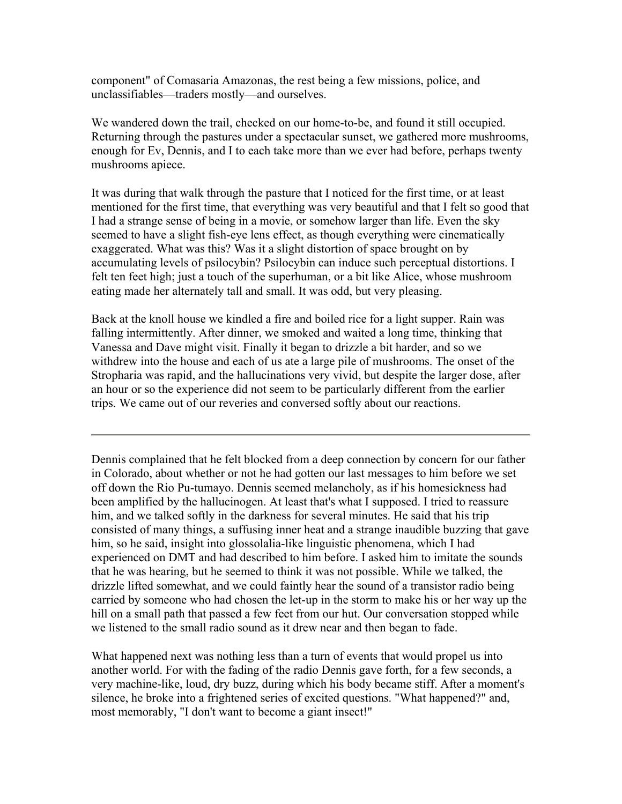component" of Comasaria Amazonas, the rest being a few missions, police, and unclassifiables—traders mostly—and ourselves.

We wandered down the trail, checked on our home-to-be, and found it still occupied. Returning through the pastures under a spectacular sunset, we gathered more mushrooms, enough for Ev, Dennis, and I to each take more than we ever had before, perhaps twenty mushrooms apiece.

It was during that walk through the pasture that I noticed for the first time, or at least mentioned for the first time, that everything was very beautiful and that I felt so good that I had a strange sense of being in a movie, or somehow larger than life. Even the sky seemed to have a slight fish-eye lens effect, as though everything were cinematically exaggerated. What was this? Was it a slight distortion of space brought on by accumulating levels of psilocybin? Psilocybin can induce such perceptual distortions. I felt ten feet high; just a touch of the superhuman, or a bit like Alice, whose mushroom eating made her alternately tall and small. It was odd, but very pleasing.

Back at the knoll house we kindled a fire and boiled rice for a light supper. Rain was falling intermittently. After dinner, we smoked and waited a long time, thinking that Vanessa and Dave might visit. Finally it began to drizzle a bit harder, and so we withdrew into the house and each of us ate a large pile of mushrooms. The onset of the Stropharia was rapid, and the hallucinations very vivid, but despite the larger dose, after an hour or so the experience did not seem to be particularly different from the earlier trips. We came out of our reveries and conversed softly about our reactions.

Dennis complained that he felt blocked from a deep connection by concern for our father in Colorado, about whether or not he had gotten our last messages to him before we set off down the Rio Pu-tumayo. Dennis seemed melancholy, as if his homesickness had been amplified by the hallucinogen. At least that's what I supposed. I tried to reassure him, and we talked softly in the darkness for several minutes. He said that his trip consisted of many things, a suffusing inner heat and a strange inaudible buzzing that gave him, so he said, insight into glossolalia-like linguistic phenomena, which I had experienced on DMT and had described to him before. I asked him to imitate the sounds that he was hearing, but he seemed to think it was not possible. While we talked, the drizzle lifted somewhat, and we could faintly hear the sound of a transistor radio being carried by someone who had chosen the let-up in the storm to make his or her way up the hill on a small path that passed a few feet from our hut. Our conversation stopped while we listened to the small radio sound as it drew near and then began to fade.

What happened next was nothing less than a turn of events that would propel us into another world. For with the fading of the radio Dennis gave forth, for a few seconds, a very machine-like, loud, dry buzz, during which his body became stiff. After a moment's silence, he broke into a frightened series of excited questions. "What happened?" and, most memorably, "I don't want to become a giant insect!"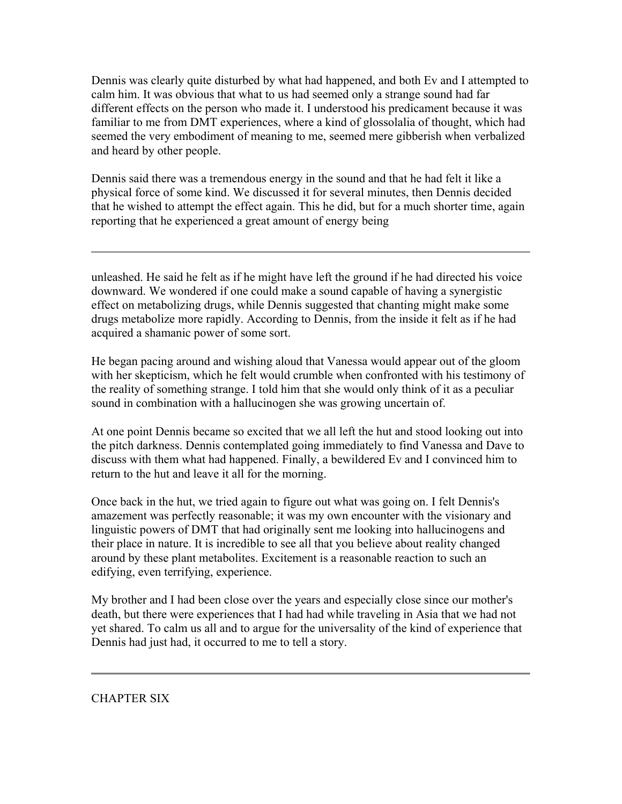Dennis was clearly quite disturbed by what had happened, and both Ev and I attempted to calm him. It was obvious that what to us had seemed only a strange sound had far different effects on the person who made it. I understood his predicament because it was familiar to me from DMT experiences, where a kind of glossolalia of thought, which had seemed the very embodiment of meaning to me, seemed mere gibberish when verbalized and heard by other people.

Dennis said there was a tremendous energy in the sound and that he had felt it like a physical force of some kind. We discussed it for several minutes, then Dennis decided that he wished to attempt the effect again. This he did, but for a much shorter time, again reporting that he experienced a great amount of energy being

unleashed. He said he felt as if he might have left the ground if he had directed his voice downward. We wondered if one could make a sound capable of having a synergistic effect on metabolizing drugs, while Dennis suggested that chanting might make some drugs metabolize more rapidly. According to Dennis, from the inside it felt as if he had acquired a shamanic power of some sort.

He began pacing around and wishing aloud that Vanessa would appear out of the gloom with her skepticism, which he felt would crumble when confronted with his testimony of the reality of something strange. I told him that she would only think of it as a peculiar sound in combination with a hallucinogen she was growing uncertain of.

At one point Dennis became so excited that we all left the hut and stood looking out into the pitch darkness. Dennis contemplated going immediately to find Vanessa and Dave to discuss with them what had happened. Finally, a bewildered Ev and I convinced him to return to the hut and leave it all for the morning.

Once back in the hut, we tried again to figure out what was going on. I felt Dennis's amazement was perfectly reasonable; it was my own encounter with the visionary and linguistic powers of DMT that had originally sent me looking into hallucinogens and their place in nature. It is incredible to see all that you believe about reality changed around by these plant metabolites. Excitement is a reasonable reaction to such an edifying, even terrifying, experience.

My brother and I had been close over the years and especially close since our mother's death, but there were experiences that I had had while traveling in Asia that we had not yet shared. To calm us all and to argue for the universality of the kind of experience that Dennis had just had, it occurred to me to tell a story.

#### CHAPTER SIX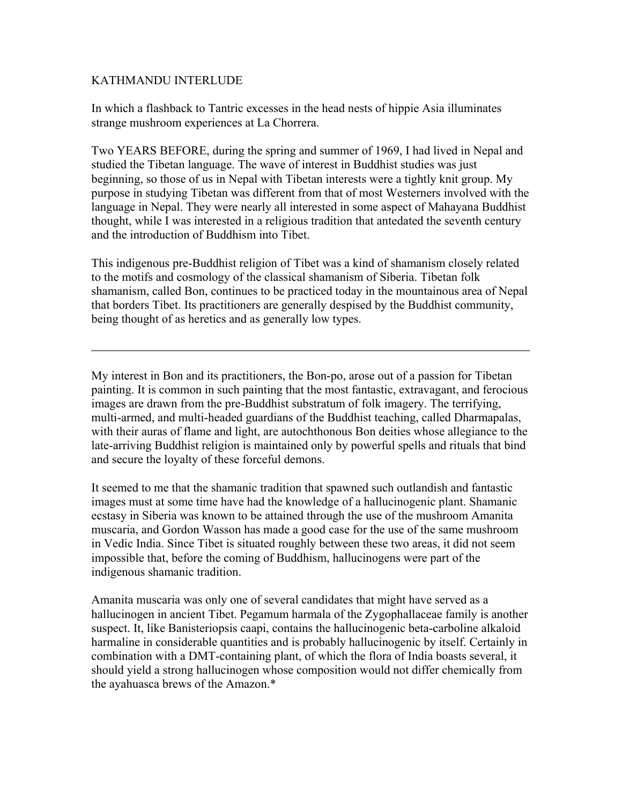### KATHMANDU INTERLUDE

In which a flashback to Tantric excesses in the head nests of hippie Asia illuminates strange mushroom experiences at La Chorrera.

Two YEARS BEFORE, during the spring and summer of 1969, I had lived in Nepal and studied the Tibetan language. The wave of interest in Buddhist studies was just beginning, so those of us in Nepal with Tibetan interests were a tightly knit group. My purpose in studying Tibetan was different from that of most Westerners involved with the language in Nepal. They were nearly all interested in some aspect of Mahayana Buddhist thought, while I was interested in a religious tradition that antedated the seventh century and the introduction of Buddhism into Tibet.

This indigenous pre-Buddhist religion of Tibet was a kind of shamanism closely related to the motifs and cosmology of the classical shamanism of Siberia. Tibetan folk shamanism, called Bon, continues to be practiced today in the mountainous area of Nepal that borders Tibet. Its practitioners are generally despised by the Buddhist community, being thought of as heretics and as generally low types.

My interest in Bon and its practitioners, the Bon-po, arose out of a passion for Tibetan painting. It is common in such painting that the most fantastic, extravagant, and ferocious images are drawn from the pre-Buddhist substratum of folk imagery. The terrifying, multi-armed, and multi-headed guardians of the Buddhist teaching, called Dharmapalas, with their auras of flame and light, are autochthonous Bon deities whose allegiance to the late-arriving Buddhist religion is maintained only by powerful spells and rituals that bind and secure the loyalty of these forceful demons.

It seemed to me that the shamanic tradition that spawned such outlandish and fantastic images must at some time have had the knowledge of a hallucinogenic plant. Shamanic ecstasy in Siberia was known to be attained through the use of the mushroom Amanita muscaria, and Gordon Wasson has made a good case for the use of the same mushroom in Vedic India. Since Tibet is situated roughly between these two areas, it did not seem impossible that, before the coming of Buddhism, hallucinogens were part of the indigenous shamanic tradition.

Amanita muscaria was only one of several candidates that might have served as a hallucinogen in ancient Tibet. Pegamum harmala of the Zygophallaceae family is another suspect. It, like Banisteriopsis caapi, contains the hallucinogenic beta-carboline alkaloid harmaline in considerable quantities and is probably hallucinogenic by itself. Certainly in combination with a DMT-containing plant, of which the flora of India boasts several, it should yield a strong hallucinogen whose composition would not differ chemically from the ayahuasca brews of the Amazon.\*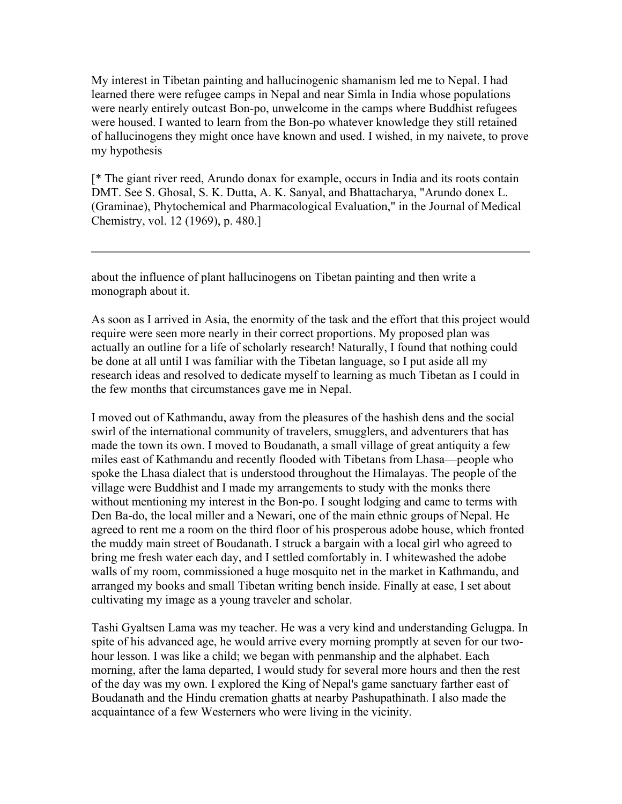My interest in Tibetan painting and hallucinogenic shamanism led me to Nepal. I had learned there were refugee camps in Nepal and near Simla in India whose populations were nearly entirely outcast Bon-po, unwelcome in the camps where Buddhist refugees were housed. I wanted to learn from the Bon-po whatever knowledge they still retained of hallucinogens they might once have known and used. I wished, in my naivete, to prove my hypothesis

[\* The giant river reed, Arundo donax for example, occurs in India and its roots contain DMT. See S. Ghosal, S. K. Dutta, A. K. Sanyal, and Bhattacharya, "Arundo donex L. (Graminae), Phytochemical and Pharmacological Evaluation," in the Journal of Medical Chemistry, vol. 12 (1969), p. 480.]

about the influence of plant hallucinogens on Tibetan painting and then write a monograph about it.

As soon as I arrived in Asia, the enormity of the task and the effort that this project would require were seen more nearly in their correct proportions. My proposed plan was actually an outline for a life of scholarly research! Naturally, I found that nothing could be done at all until I was familiar with the Tibetan language, so I put aside all my research ideas and resolved to dedicate myself to learning as much Tibetan as I could in the few months that circumstances gave me in Nepal.

I moved out of Kathmandu, away from the pleasures of the hashish dens and the social swirl of the international community of travelers, smugglers, and adventurers that has made the town its own. I moved to Boudanath, a small village of great antiquity a few miles east of Kathmandu and recently flooded with Tibetans from Lhasa—people who spoke the Lhasa dialect that is understood throughout the Himalayas. The people of the village were Buddhist and I made my arrangements to study with the monks there without mentioning my interest in the Bon-po. I sought lodging and came to terms with Den Ba-do, the local miller and a Newari, one of the main ethnic groups of Nepal. He agreed to rent me a room on the third floor of his prosperous adobe house, which fronted the muddy main street of Boudanath. I struck a bargain with a local girl who agreed to bring me fresh water each day, and I settled comfortably in. I whitewashed the adobe walls of my room, commissioned a huge mosquito net in the market in Kathmandu, and arranged my books and small Tibetan writing bench inside. Finally at ease, I set about cultivating my image as a young traveler and scholar.

Tashi Gyaltsen Lama was my teacher. He was a very kind and understanding Gelugpa. In spite of his advanced age, he would arrive every morning promptly at seven for our twohour lesson. I was like a child; we began with penmanship and the alphabet. Each morning, after the lama departed, I would study for several more hours and then the rest of the day was my own. I explored the King of Nepal's game sanctuary farther east of Boudanath and the Hindu cremation ghatts at nearby Pashupathinath. I also made the acquaintance of a few Westerners who were living in the vicinity.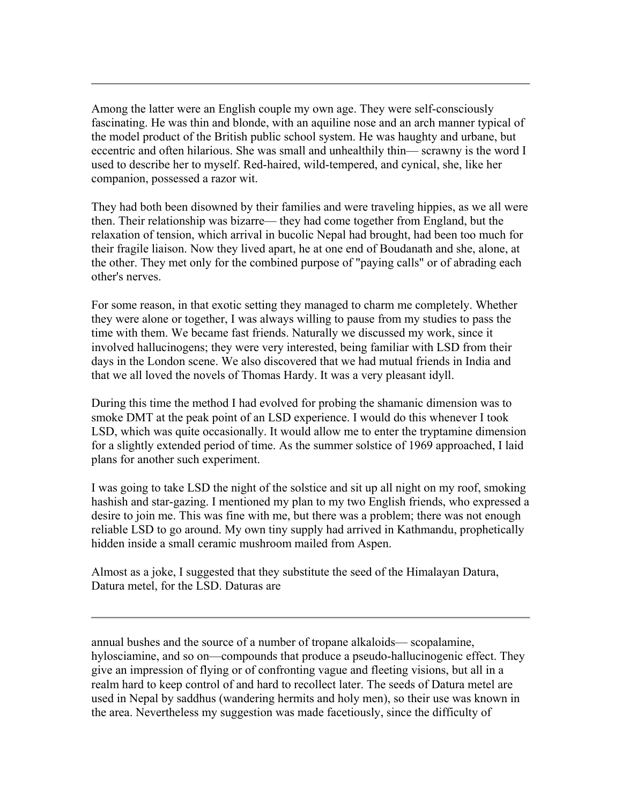Among the latter were an English couple my own age. They were self-consciously fascinating. He was thin and blonde, with an aquiline nose and an arch manner typical of the model product of the British public school system. He was haughty and urbane, but eccentric and often hilarious. She was small and unhealthily thin— scrawny is the word I used to describe her to myself. Red-haired, wild-tempered, and cynical, she, like her companion, possessed a razor wit.

They had both been disowned by their families and were traveling hippies, as we all were then. Their relationship was bizarre— they had come together from England, but the relaxation of tension, which arrival in bucolic Nepal had brought, had been too much for their fragile liaison. Now they lived apart, he at one end of Boudanath and she, alone, at the other. They met only for the combined purpose of "paying calls" or of abrading each other's nerves.

For some reason, in that exotic setting they managed to charm me completely. Whether they were alone or together, I was always willing to pause from my studies to pass the time with them. We became fast friends. Naturally we discussed my work, since it involved hallucinogens; they were very interested, being familiar with LSD from their days in the London scene. We also discovered that we had mutual friends in India and that we all loved the novels of Thomas Hardy. It was a very pleasant idyll.

During this time the method I had evolved for probing the shamanic dimension was to smoke DMT at the peak point of an LSD experience. I would do this whenever I took LSD, which was quite occasionally. It would allow me to enter the tryptamine dimension for a slightly extended period of time. As the summer solstice of 1969 approached, I laid plans for another such experiment.

I was going to take LSD the night of the solstice and sit up all night on my roof, smoking hashish and star-gazing. I mentioned my plan to my two English friends, who expressed a desire to join me. This was fine with me, but there was a problem; there was not enough reliable LSD to go around. My own tiny supply had arrived in Kathmandu, prophetically hidden inside a small ceramic mushroom mailed from Aspen.

Almost as a joke, I suggested that they substitute the seed of the Himalayan Datura, Datura metel, for the LSD. Daturas are

annual bushes and the source of a number of tropane alkaloids— scopalamine, hylosciamine, and so on—compounds that produce a pseudo-hallucinogenic effect. They give an impression of flying or of confronting vague and fleeting visions, but all in a realm hard to keep control of and hard to recollect later. The seeds of Datura metel are used in Nepal by saddhus (wandering hermits and holy men), so their use was known in the area. Nevertheless my suggestion was made facetiously, since the difficulty of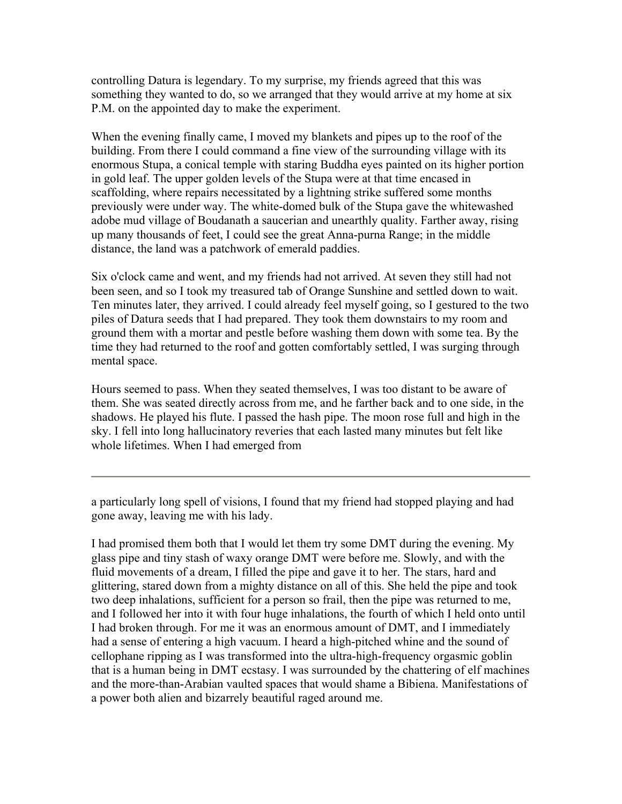controlling Datura is legendary. To my surprise, my friends agreed that this was something they wanted to do, so we arranged that they would arrive at my home at six P.M. on the appointed day to make the experiment.

When the evening finally came, I moved my blankets and pipes up to the roof of the building. From there I could command a fine view of the surrounding village with its enormous Stupa, a conical temple with staring Buddha eyes painted on its higher portion in gold leaf. The upper golden levels of the Stupa were at that time encased in scaffolding, where repairs necessitated by a lightning strike suffered some months previously were under way. The white-domed bulk of the Stupa gave the whitewashed adobe mud village of Boudanath a saucerian and unearthly quality. Farther away, rising up many thousands of feet, I could see the great Anna-purna Range; in the middle distance, the land was a patchwork of emerald paddies.

Six o'clock came and went, and my friends had not arrived. At seven they still had not been seen, and so I took my treasured tab of Orange Sunshine and settled down to wait. Ten minutes later, they arrived. I could already feel myself going, so I gestured to the two piles of Datura seeds that I had prepared. They took them downstairs to my room and ground them with a mortar and pestle before washing them down with some tea. By the time they had returned to the roof and gotten comfortably settled, I was surging through mental space.

Hours seemed to pass. When they seated themselves, I was too distant to be aware of them. She was seated directly across from me, and he farther back and to one side, in the shadows. He played his flute. I passed the hash pipe. The moon rose full and high in the sky. I fell into long hallucinatory reveries that each lasted many minutes but felt like whole lifetimes. When I had emerged from

a particularly long spell of visions, I found that my friend had stopped playing and had gone away, leaving me with his lady.

I had promised them both that I would let them try some DMT during the evening. My glass pipe and tiny stash of waxy orange DMT were before me. Slowly, and with the fluid movements of a dream, I filled the pipe and gave it to her. The stars, hard and glittering, stared down from a mighty distance on all of this. She held the pipe and took two deep inhalations, sufficient for a person so frail, then the pipe was returned to me, and I followed her into it with four huge inhalations, the fourth of which I held onto until I had broken through. For me it was an enormous amount of DMT, and I immediately had a sense of entering a high vacuum. I heard a high-pitched whine and the sound of cellophane ripping as I was transformed into the ultra-high-frequency orgasmic goblin that is a human being in DMT ecstasy. I was surrounded by the chattering of elf machines and the more-than-Arabian vaulted spaces that would shame a Bibiena. Manifestations of a power both alien and bizarrely beautiful raged around me.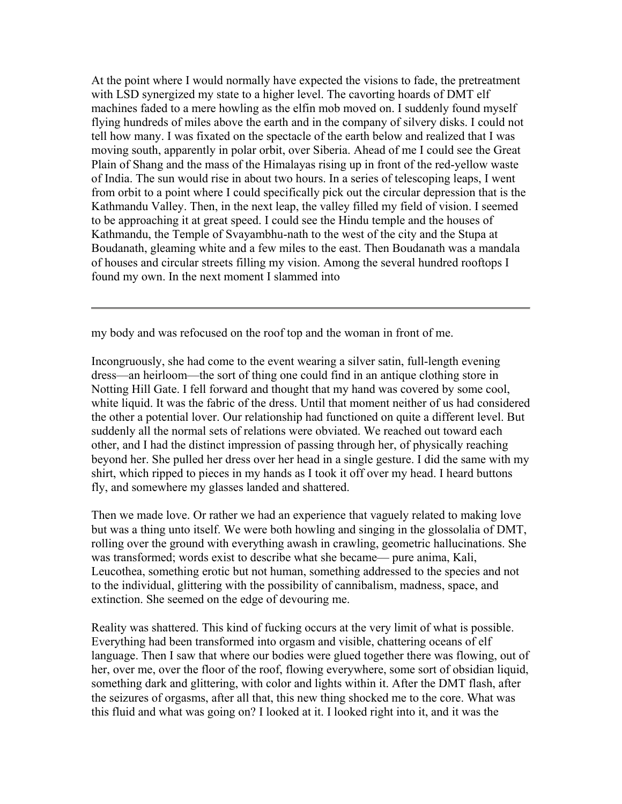At the point where I would normally have expected the visions to fade, the pretreatment with LSD synergized my state to a higher level. The cavorting hoards of DMT elf machines faded to a mere howling as the elfin mob moved on. I suddenly found myself flying hundreds of miles above the earth and in the company of silvery disks. I could not tell how many. I was fixated on the spectacle of the earth below and realized that I was moving south, apparently in polar orbit, over Siberia. Ahead of me I could see the Great Plain of Shang and the mass of the Himalayas rising up in front of the red-yellow waste of India. The sun would rise in about two hours. In a series of telescoping leaps, I went from orbit to a point where I could specifically pick out the circular depression that is the Kathmandu Valley. Then, in the next leap, the valley filled my field of vision. I seemed to be approaching it at great speed. I could see the Hindu temple and the houses of Kathmandu, the Temple of Svayambhu-nath to the west of the city and the Stupa at Boudanath, gleaming white and a few miles to the east. Then Boudanath was a mandala of houses and circular streets filling my vision. Among the several hundred rooftops I found my own. In the next moment I slammed into

my body and was refocused on the roof top and the woman in front of me.

Incongruously, she had come to the event wearing a silver satin, full-length evening dress—an heirloom—the sort of thing one could find in an antique clothing store in Notting Hill Gate. I fell forward and thought that my hand was covered by some cool, white liquid. It was the fabric of the dress. Until that moment neither of us had considered the other a potential lover. Our relationship had functioned on quite a different level. But suddenly all the normal sets of relations were obviated. We reached out toward each other, and I had the distinct impression of passing through her, of physically reaching beyond her. She pulled her dress over her head in a single gesture. I did the same with my shirt, which ripped to pieces in my hands as I took it off over my head. I heard buttons fly, and somewhere my glasses landed and shattered.

Then we made love. Or rather we had an experience that vaguely related to making love but was a thing unto itself. We were both howling and singing in the glossolalia of DMT, rolling over the ground with everything awash in crawling, geometric hallucinations. She was transformed; words exist to describe what she became— pure anima, Kali, Leucothea, something erotic but not human, something addressed to the species and not to the individual, glittering with the possibility of cannibalism, madness, space, and extinction. She seemed on the edge of devouring me.

Reality was shattered. This kind of fucking occurs at the very limit of what is possible. Everything had been transformed into orgasm and visible, chattering oceans of elf language. Then I saw that where our bodies were glued together there was flowing, out of her, over me, over the floor of the roof, flowing everywhere, some sort of obsidian liquid, something dark and glittering, with color and lights within it. After the DMT flash, after the seizures of orgasms, after all that, this new thing shocked me to the core. What was this fluid and what was going on? I looked at it. I looked right into it, and it was the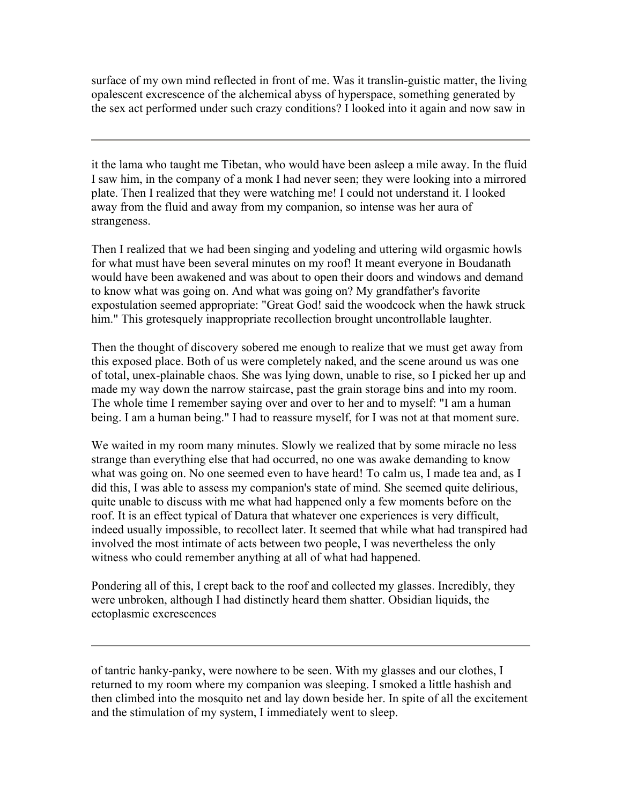surface of my own mind reflected in front of me. Was it translin-guistic matter, the living opalescent excrescence of the alchemical abyss of hyperspace, something generated by the sex act performed under such crazy conditions? I looked into it again and now saw in

it the lama who taught me Tibetan, who would have been asleep a mile away. In the fluid I saw him, in the company of a monk I had never seen; they were looking into a mirrored plate. Then I realized that they were watching me! I could not understand it. I looked away from the fluid and away from my companion, so intense was her aura of strangeness.

Then I realized that we had been singing and yodeling and uttering wild orgasmic howls for what must have been several minutes on my roof! It meant everyone in Boudanath would have been awakened and was about to open their doors and windows and demand to know what was going on. And what was going on? My grandfather's favorite expostulation seemed appropriate: "Great God! said the woodcock when the hawk struck him." This grotesquely inappropriate recollection brought uncontrollable laughter.

Then the thought of discovery sobered me enough to realize that we must get away from this exposed place. Both of us were completely naked, and the scene around us was one of total, unex-plainable chaos. She was lying down, unable to rise, so I picked her up and made my way down the narrow staircase, past the grain storage bins and into my room. The whole time I remember saying over and over to her and to myself: "I am a human being. I am a human being." I had to reassure myself, for I was not at that moment sure.

We waited in my room many minutes. Slowly we realized that by some miracle no less strange than everything else that had occurred, no one was awake demanding to know what was going on. No one seemed even to have heard! To calm us, I made tea and, as I did this, I was able to assess my companion's state of mind. She seemed quite delirious, quite unable to discuss with me what had happened only a few moments before on the roof. It is an effect typical of Datura that whatever one experiences is very difficult, indeed usually impossible, to recollect later. It seemed that while what had transpired had involved the most intimate of acts between two people, I was nevertheless the only witness who could remember anything at all of what had happened.

Pondering all of this, I crept back to the roof and collected my glasses. Incredibly, they were unbroken, although I had distinctly heard them shatter. Obsidian liquids, the ectoplasmic excrescences

of tantric hanky-panky, were nowhere to be seen. With my glasses and our clothes, I returned to my room where my companion was sleeping. I smoked a little hashish and then climbed into the mosquito net and lay down beside her. In spite of all the excitement and the stimulation of my system, I immediately went to sleep.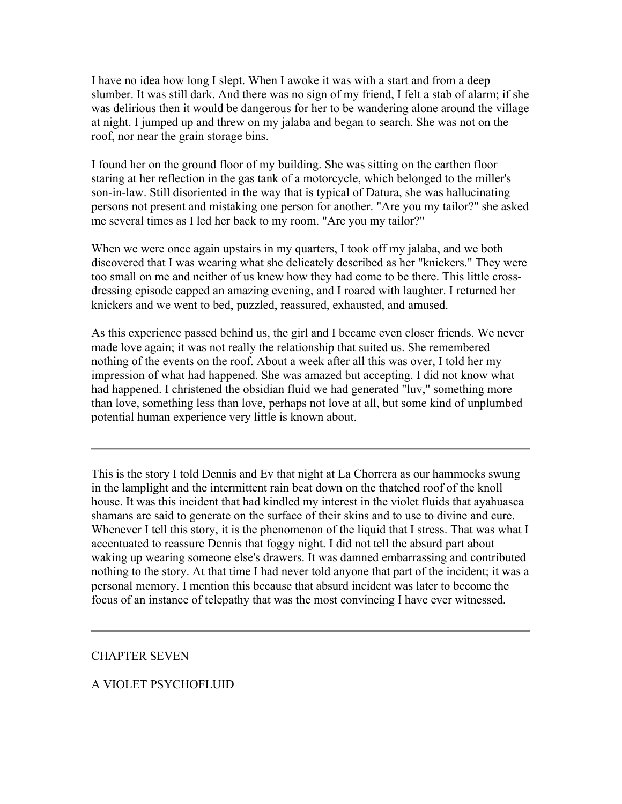I have no idea how long I slept. When I awoke it was with a start and from a deep slumber. It was still dark. And there was no sign of my friend, I felt a stab of alarm; if she was delirious then it would be dangerous for her to be wandering alone around the village at night. I jumped up and threw on my jalaba and began to search. She was not on the roof, nor near the grain storage bins.

I found her on the ground floor of my building. She was sitting on the earthen floor staring at her reflection in the gas tank of a motorcycle, which belonged to the miller's son-in-law. Still disoriented in the way that is typical of Datura, she was hallucinating persons not present and mistaking one person for another. "Are you my tailor?" she asked me several times as I led her back to my room. "Are you my tailor?"

When we were once again upstairs in my quarters, I took off my jalaba, and we both discovered that I was wearing what she delicately described as her "knickers." They were too small on me and neither of us knew how they had come to be there. This little crossdressing episode capped an amazing evening, and I roared with laughter. I returned her knickers and we went to bed, puzzled, reassured, exhausted, and amused.

As this experience passed behind us, the girl and I became even closer friends. We never made love again; it was not really the relationship that suited us. She remembered nothing of the events on the roof. About a week after all this was over, I told her my impression of what had happened. She was amazed but accepting. I did not know what had happened. I christened the obsidian fluid we had generated "luv," something more than love, something less than love, perhaps not love at all, but some kind of unplumbed potential human experience very little is known about.

This is the story I told Dennis and Ev that night at La Chorrera as our hammocks swung in the lamplight and the intermittent rain beat down on the thatched roof of the knoll house. It was this incident that had kindled my interest in the violet fluids that ayahuasca shamans are said to generate on the surface of their skins and to use to divine and cure. Whenever I tell this story, it is the phenomenon of the liquid that I stress. That was what I accentuated to reassure Dennis that foggy night. I did not tell the absurd part about waking up wearing someone else's drawers. It was damned embarrassing and contributed nothing to the story. At that time I had never told anyone that part of the incident; it was a personal memory. I mention this because that absurd incident was later to become the focus of an instance of telepathy that was the most convincing I have ever witnessed.

#### CHAPTER SEVEN

# A VIOLET PSYCHOFLUID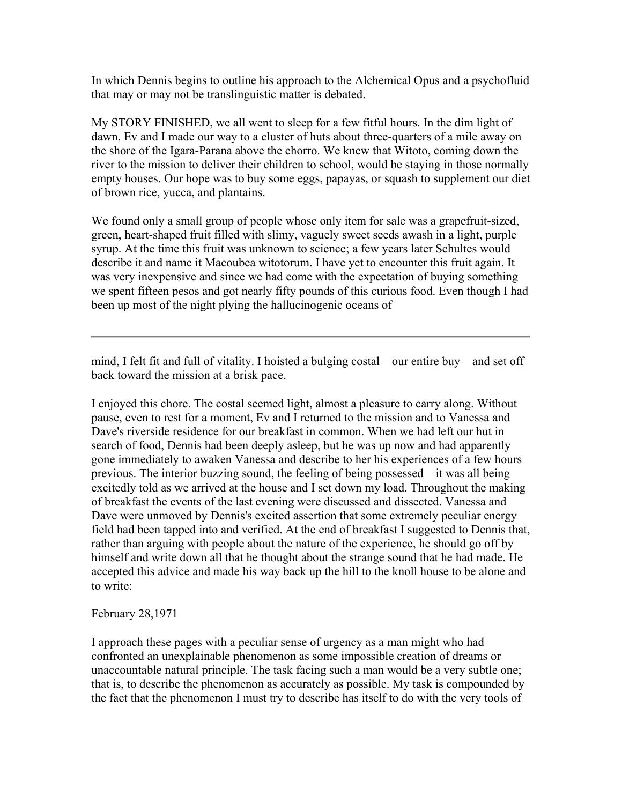In which Dennis begins to outline his approach to the Alchemical Opus and a psychofluid that may or may not be translinguistic matter is debated.

My STORY FINISHED, we all went to sleep for a few fitful hours. In the dim light of dawn, Ev and I made our way to a cluster of huts about three-quarters of a mile away on the shore of the Igara-Parana above the chorro. We knew that Witoto, coming down the river to the mission to deliver their children to school, would be staying in those normally empty houses. Our hope was to buy some eggs, papayas, or squash to supplement our diet of brown rice, yucca, and plantains.

We found only a small group of people whose only item for sale was a grapefruit-sized, green, heart-shaped fruit filled with slimy, vaguely sweet seeds awash in a light, purple syrup. At the time this fruit was unknown to science; a few years later Schultes would describe it and name it Macoubea witotorum. I have yet to encounter this fruit again. It was very inexpensive and since we had come with the expectation of buying something we spent fifteen pesos and got nearly fifty pounds of this curious food. Even though I had been up most of the night plying the hallucinogenic oceans of

mind, I felt fit and full of vitality. I hoisted a bulging costal—our entire buy—and set off back toward the mission at a brisk pace.

I enjoyed this chore. The costal seemed light, almost a pleasure to carry along. Without pause, even to rest for a moment, Ev and I returned to the mission and to Vanessa and Dave's riverside residence for our breakfast in common. When we had left our hut in search of food, Dennis had been deeply asleep, but he was up now and had apparently gone immediately to awaken Vanessa and describe to her his experiences of a few hours previous. The interior buzzing sound, the feeling of being possessed—it was all being excitedly told as we arrived at the house and I set down my load. Throughout the making of breakfast the events of the last evening were discussed and dissected. Vanessa and Dave were unmoved by Dennis's excited assertion that some extremely peculiar energy field had been tapped into and verified. At the end of breakfast I suggested to Dennis that, rather than arguing with people about the nature of the experience, he should go off by himself and write down all that he thought about the strange sound that he had made. He accepted this advice and made his way back up the hill to the knoll house to be alone and to write:

February 28,1971

I approach these pages with a peculiar sense of urgency as a man might who had confronted an unexplainable phenomenon as some impossible creation of dreams or unaccountable natural principle. The task facing such a man would be a very subtle one; that is, to describe the phenomenon as accurately as possible. My task is compounded by the fact that the phenomenon I must try to describe has itself to do with the very tools of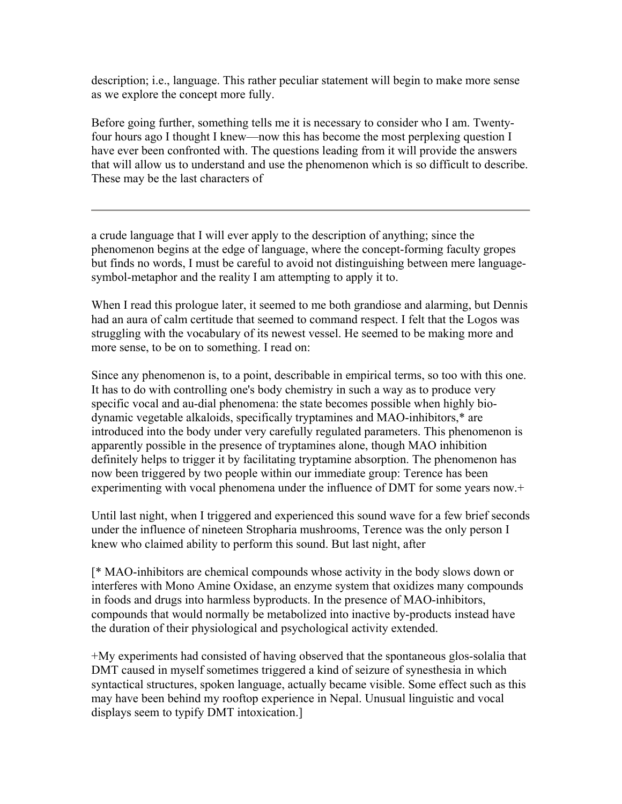description; i.e., language. This rather peculiar statement will begin to make more sense as we explore the concept more fully.

Before going further, something tells me it is necessary to consider who I am. Twentyfour hours ago I thought I knew—now this has become the most perplexing question I have ever been confronted with. The questions leading from it will provide the answers that will allow us to understand and use the phenomenon which is so difficult to describe. These may be the last characters of

a crude language that I will ever apply to the description of anything; since the phenomenon begins at the edge of language, where the concept-forming faculty gropes but finds no words, I must be careful to avoid not distinguishing between mere languagesymbol-metaphor and the reality I am attempting to apply it to.

When I read this prologue later, it seemed to me both grandiose and alarming, but Dennis had an aura of calm certitude that seemed to command respect. I felt that the Logos was struggling with the vocabulary of its newest vessel. He seemed to be making more and more sense, to be on to something. I read on:

Since any phenomenon is, to a point, describable in empirical terms, so too with this one. It has to do with controlling one's body chemistry in such a way as to produce very specific vocal and au-dial phenomena: the state becomes possible when highly biodynamic vegetable alkaloids, specifically tryptamines and MAO-inhibitors,\* are introduced into the body under very carefully regulated parameters. This phenomenon is apparently possible in the presence of tryptamines alone, though MAO inhibition definitely helps to trigger it by facilitating tryptamine absorption. The phenomenon has now been triggered by two people within our immediate group: Terence has been experimenting with vocal phenomena under the influence of DMT for some years now.+

Until last night, when I triggered and experienced this sound wave for a few brief seconds under the influence of nineteen Stropharia mushrooms, Terence was the only person I knew who claimed ability to perform this sound. But last night, after

[\* MAO-inhibitors are chemical compounds whose activity in the body slows down or interferes with Mono Amine Oxidase, an enzyme system that oxidizes many compounds in foods and drugs into harmless byproducts. In the presence of MAO-inhibitors, compounds that would normally be metabolized into inactive by-products instead have the duration of their physiological and psychological activity extended.

+My experiments had consisted of having observed that the spontaneous glos-solalia that DMT caused in myself sometimes triggered a kind of seizure of synesthesia in which syntactical structures, spoken language, actually became visible. Some effect such as this may have been behind my rooftop experience in Nepal. Unusual linguistic and vocal displays seem to typify DMT intoxication.]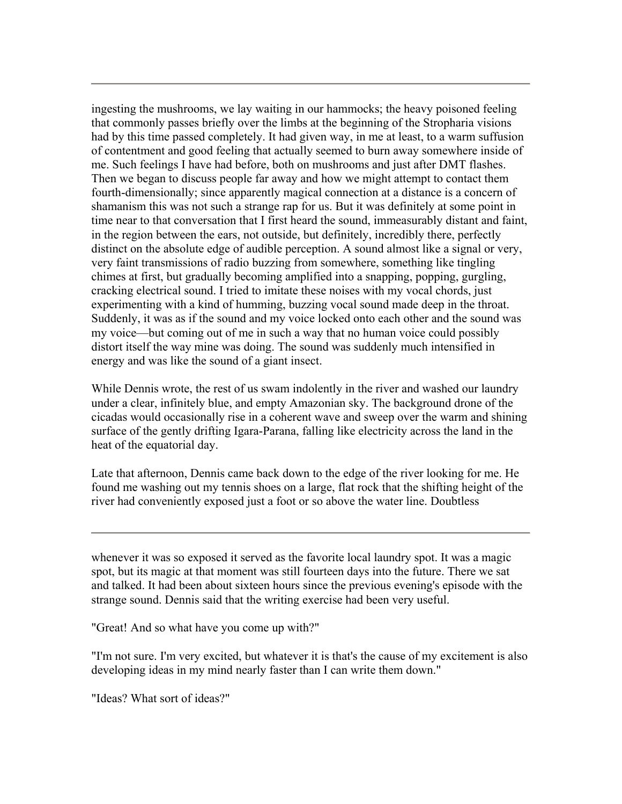ingesting the mushrooms, we lay waiting in our hammocks; the heavy poisoned feeling that commonly passes briefly over the limbs at the beginning of the Stropharia visions had by this time passed completely. It had given way, in me at least, to a warm suffusion of contentment and good feeling that actually seemed to burn away somewhere inside of me. Such feelings I have had before, both on mushrooms and just after DMT flashes. Then we began to discuss people far away and how we might attempt to contact them fourth-dimensionally; since apparently magical connection at a distance is a concern of shamanism this was not such a strange rap for us. But it was definitely at some point in time near to that conversation that I first heard the sound, immeasurably distant and faint, in the region between the ears, not outside, but definitely, incredibly there, perfectly distinct on the absolute edge of audible perception. A sound almost like a signal or very, very faint transmissions of radio buzzing from somewhere, something like tingling chimes at first, but gradually becoming amplified into a snapping, popping, gurgling, cracking electrical sound. I tried to imitate these noises with my vocal chords, just experimenting with a kind of humming, buzzing vocal sound made deep in the throat. Suddenly, it was as if the sound and my voice locked onto each other and the sound was my voice—but coming out of me in such a way that no human voice could possibly distort itself the way mine was doing. The sound was suddenly much intensified in energy and was like the sound of a giant insect.

While Dennis wrote, the rest of us swam indolently in the river and washed our laundry under a clear, infinitely blue, and empty Amazonian sky. The background drone of the cicadas would occasionally rise in a coherent wave and sweep over the warm and shining surface of the gently drifting Igara-Parana, falling like electricity across the land in the heat of the equatorial day.

Late that afternoon, Dennis came back down to the edge of the river looking for me. He found me washing out my tennis shoes on a large, flat rock that the shifting height of the river had conveniently exposed just a foot or so above the water line. Doubtless

whenever it was so exposed it served as the favorite local laundry spot. It was a magic spot, but its magic at that moment was still fourteen days into the future. There we sat and talked. It had been about sixteen hours since the previous evening's episode with the strange sound. Dennis said that the writing exercise had been very useful.

"Great! And so what have you come up with?"

"I'm not sure. I'm very excited, but whatever it is that's the cause of my excitement is also developing ideas in my mind nearly faster than I can write them down."

"Ideas? What sort of ideas?"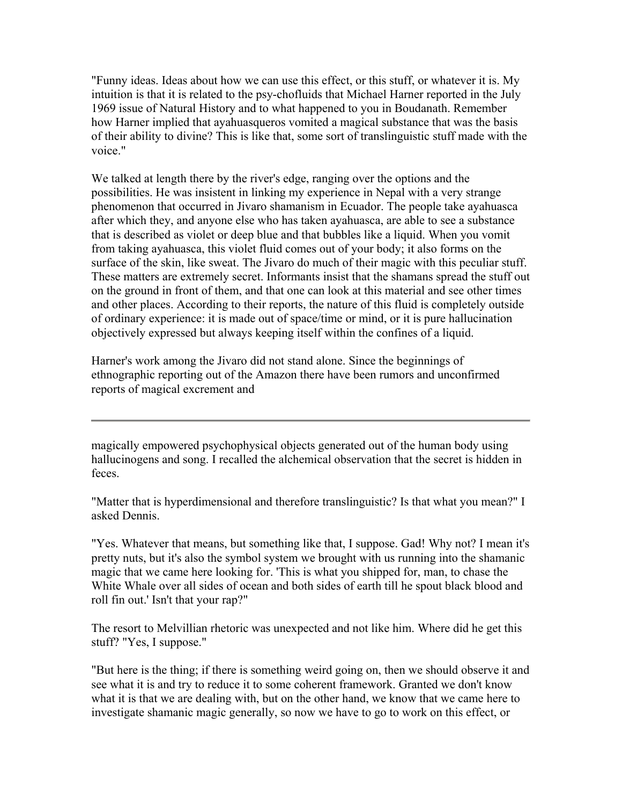"Funny ideas. Ideas about how we can use this effect, or this stuff, or whatever it is. My intuition is that it is related to the psy-chofluids that Michael Harner reported in the July 1969 issue of Natural History and to what happened to you in Boudanath. Remember how Harner implied that ayahuasqueros vomited a magical substance that was the basis of their ability to divine? This is like that, some sort of translinguistic stuff made with the voice."

We talked at length there by the river's edge, ranging over the options and the possibilities. He was insistent in linking my experience in Nepal with a very strange phenomenon that occurred in Jivaro shamanism in Ecuador. The people take ayahuasca after which they, and anyone else who has taken ayahuasca, are able to see a substance that is described as violet or deep blue and that bubbles like a liquid. When you vomit from taking ayahuasca, this violet fluid comes out of your body; it also forms on the surface of the skin, like sweat. The Jivaro do much of their magic with this peculiar stuff. These matters are extremely secret. Informants insist that the shamans spread the stuff out on the ground in front of them, and that one can look at this material and see other times and other places. According to their reports, the nature of this fluid is completely outside of ordinary experience: it is made out of space/time or mind, or it is pure hallucination objectively expressed but always keeping itself within the confines of a liquid.

Harner's work among the Jivaro did not stand alone. Since the beginnings of ethnographic reporting out of the Amazon there have been rumors and unconfirmed reports of magical excrement and

magically empowered psychophysical objects generated out of the human body using hallucinogens and song. I recalled the alchemical observation that the secret is hidden in feces.

"Matter that is hyperdimensional and therefore translinguistic? Is that what you mean?" I asked Dennis.

"Yes. Whatever that means, but something like that, I suppose. Gad! Why not? I mean it's pretty nuts, but it's also the symbol system we brought with us running into the shamanic magic that we came here looking for. 'This is what you shipped for, man, to chase the White Whale over all sides of ocean and both sides of earth till he spout black blood and roll fin out.' Isn't that your rap?"

The resort to Melvillian rhetoric was unexpected and not like him. Where did he get this stuff? "Yes, I suppose."

"But here is the thing; if there is something weird going on, then we should observe it and see what it is and try to reduce it to some coherent framework. Granted we don't know what it is that we are dealing with, but on the other hand, we know that we came here to investigate shamanic magic generally, so now we have to go to work on this effect, or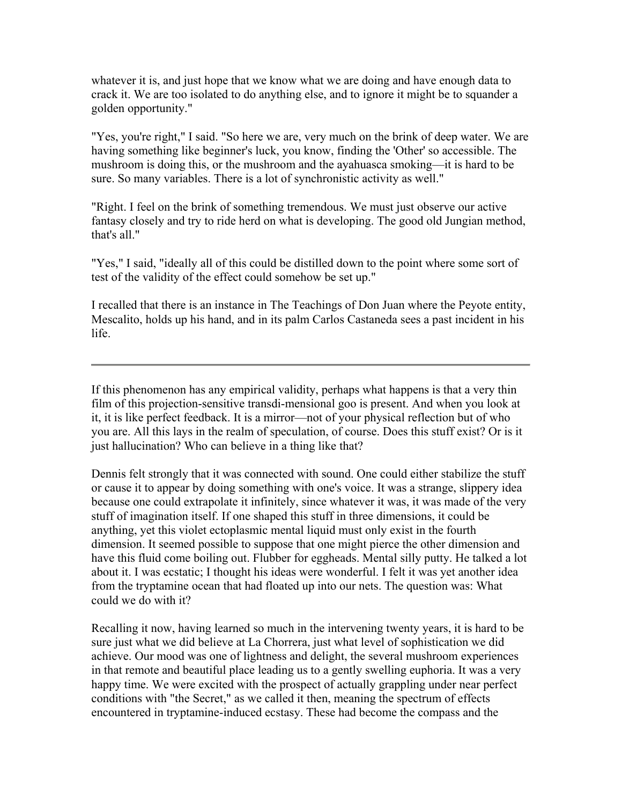whatever it is, and just hope that we know what we are doing and have enough data to crack it. We are too isolated to do anything else, and to ignore it might be to squander a golden opportunity."

"Yes, you're right," I said. "So here we are, very much on the brink of deep water. We are having something like beginner's luck, you know, finding the 'Other' so accessible. The mushroom is doing this, or the mushroom and the ayahuasca smoking—it is hard to be sure. So many variables. There is a lot of synchronistic activity as well."

"Right. I feel on the brink of something tremendous. We must just observe our active fantasy closely and try to ride herd on what is developing. The good old Jungian method, that's all."

"Yes," I said, "ideally all of this could be distilled down to the point where some sort of test of the validity of the effect could somehow be set up."

I recalled that there is an instance in The Teachings of Don Juan where the Peyote entity, Mescalito, holds up his hand, and in its palm Carlos Castaneda sees a past incident in his life.

If this phenomenon has any empirical validity, perhaps what happens is that a very thin film of this projection-sensitive transdi-mensional goo is present. And when you look at it, it is like perfect feedback. It is a mirror—not of your physical reflection but of who you are. All this lays in the realm of speculation, of course. Does this stuff exist? Or is it just hallucination? Who can believe in a thing like that?

Dennis felt strongly that it was connected with sound. One could either stabilize the stuff or cause it to appear by doing something with one's voice. It was a strange, slippery idea because one could extrapolate it infinitely, since whatever it was, it was made of the very stuff of imagination itself. If one shaped this stuff in three dimensions, it could be anything, yet this violet ectoplasmic mental liquid must only exist in the fourth dimension. It seemed possible to suppose that one might pierce the other dimension and have this fluid come boiling out. Flubber for eggheads. Mental silly putty. He talked a lot about it. I was ecstatic; I thought his ideas were wonderful. I felt it was yet another idea from the tryptamine ocean that had floated up into our nets. The question was: What could we do with it?

Recalling it now, having learned so much in the intervening twenty years, it is hard to be sure just what we did believe at La Chorrera, just what level of sophistication we did achieve. Our mood was one of lightness and delight, the several mushroom experiences in that remote and beautiful place leading us to a gently swelling euphoria. It was a very happy time. We were excited with the prospect of actually grappling under near perfect conditions with "the Secret," as we called it then, meaning the spectrum of effects encountered in tryptamine-induced ecstasy. These had become the compass and the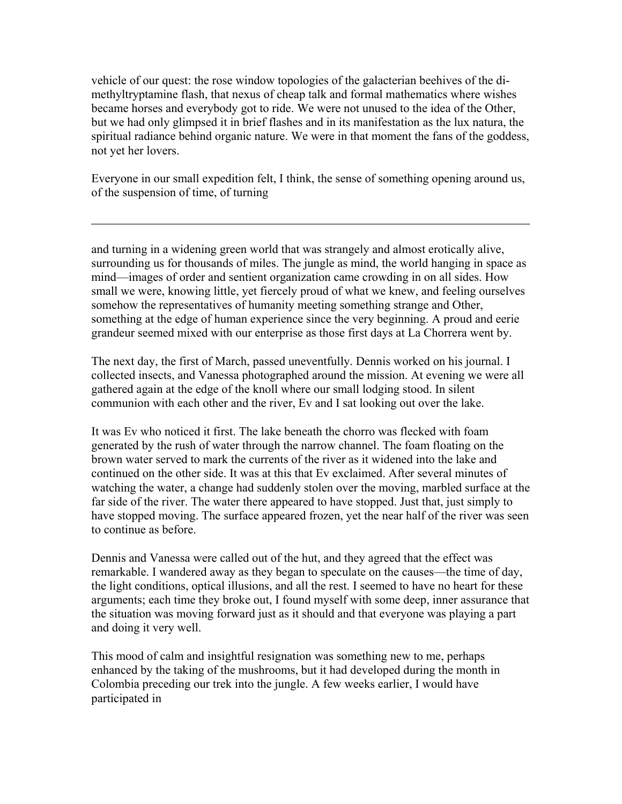vehicle of our quest: the rose window topologies of the galacterian beehives of the dimethyltryptamine flash, that nexus of cheap talk and formal mathematics where wishes became horses and everybody got to ride. We were not unused to the idea of the Other, but we had only glimpsed it in brief flashes and in its manifestation as the lux natura, the spiritual radiance behind organic nature. We were in that moment the fans of the goddess, not yet her lovers.

Everyone in our small expedition felt, I think, the sense of something opening around us, of the suspension of time, of turning

and turning in a widening green world that was strangely and almost erotically alive, surrounding us for thousands of miles. The jungle as mind, the world hanging in space as mind—images of order and sentient organization came crowding in on all sides. How small we were, knowing little, yet fiercely proud of what we knew, and feeling ourselves somehow the representatives of humanity meeting something strange and Other, something at the edge of human experience since the very beginning. A proud and eerie grandeur seemed mixed with our enterprise as those first days at La Chorrera went by.

The next day, the first of March, passed uneventfully. Dennis worked on his journal. I collected insects, and Vanessa photographed around the mission. At evening we were all gathered again at the edge of the knoll where our small lodging stood. In silent communion with each other and the river, Ev and I sat looking out over the lake.

It was Ev who noticed it first. The lake beneath the chorro was flecked with foam generated by the rush of water through the narrow channel. The foam floating on the brown water served to mark the currents of the river as it widened into the lake and continued on the other side. It was at this that Ev exclaimed. After several minutes of watching the water, a change had suddenly stolen over the moving, marbled surface at the far side of the river. The water there appeared to have stopped. Just that, just simply to have stopped moving. The surface appeared frozen, yet the near half of the river was seen to continue as before.

Dennis and Vanessa were called out of the hut, and they agreed that the effect was remarkable. I wandered away as they began to speculate on the causes—the time of day, the light conditions, optical illusions, and all the rest. I seemed to have no heart for these arguments; each time they broke out, I found myself with some deep, inner assurance that the situation was moving forward just as it should and that everyone was playing a part and doing it very well.

This mood of calm and insightful resignation was something new to me, perhaps enhanced by the taking of the mushrooms, but it had developed during the month in Colombia preceding our trek into the jungle. A few weeks earlier, I would have participated in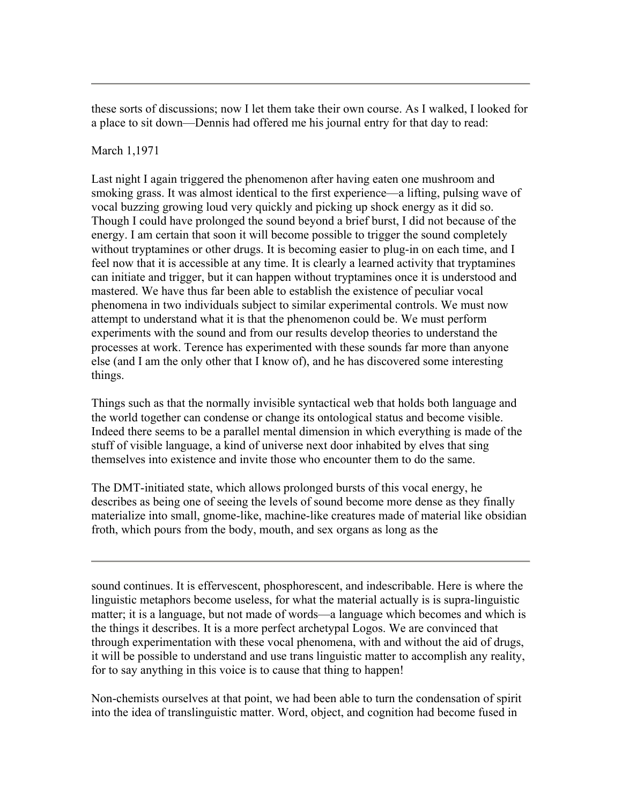these sorts of discussions; now I let them take their own course. As I walked, I looked for a place to sit down—Dennis had offered me his journal entry for that day to read:

### March 1,1971

Last night I again triggered the phenomenon after having eaten one mushroom and smoking grass. It was almost identical to the first experience—a lifting, pulsing wave of vocal buzzing growing loud very quickly and picking up shock energy as it did so. Though I could have prolonged the sound beyond a brief burst, I did not because of the energy. I am certain that soon it will become possible to trigger the sound completely without tryptamines or other drugs. It is becoming easier to plug-in on each time, and I feel now that it is accessible at any time. It is clearly a learned activity that tryptamines can initiate and trigger, but it can happen without tryptamines once it is understood and mastered. We have thus far been able to establish the existence of peculiar vocal phenomena in two individuals subject to similar experimental controls. We must now attempt to understand what it is that the phenomenon could be. We must perform experiments with the sound and from our results develop theories to understand the processes at work. Terence has experimented with these sounds far more than anyone else (and I am the only other that I know of), and he has discovered some interesting things.

Things such as that the normally invisible syntactical web that holds both language and the world together can condense or change its ontological status and become visible. Indeed there seems to be a parallel mental dimension in which everything is made of the stuff of visible language, a kind of universe next door inhabited by elves that sing themselves into existence and invite those who encounter them to do the same.

The DMT-initiated state, which allows prolonged bursts of this vocal energy, he describes as being one of seeing the levels of sound become more dense as they finally materialize into small, gnome-like, machine-like creatures made of material like obsidian froth, which pours from the body, mouth, and sex organs as long as the

sound continues. It is effervescent, phosphorescent, and indescribable. Here is where the linguistic metaphors become useless, for what the material actually is is supra-linguistic matter; it is a language, but not made of words—a language which becomes and which is the things it describes. It is a more perfect archetypal Logos. We are convinced that through experimentation with these vocal phenomena, with and without the aid of drugs, it will be possible to understand and use trans linguistic matter to accomplish any reality, for to say anything in this voice is to cause that thing to happen!

Non-chemists ourselves at that point, we had been able to turn the condensation of spirit into the idea of translinguistic matter. Word, object, and cognition had become fused in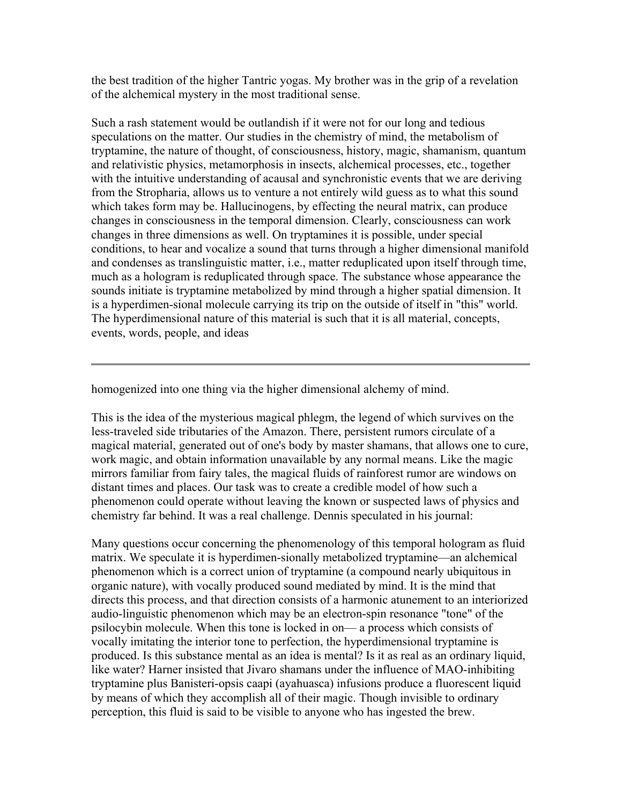the best tradition of the higher Tantric yogas. My brother was in the grip of a revelation of the alchemical mystery in the most traditional sense.

Such a rash statement would be outlandish if it were not for our long and tedious speculations on the matter. Our studies in the chemistry of mind, the metabolism of tryptamine, the nature of thought, of consciousness, history, magic, shamanism, quantum and relativistic physics, metamorphosis in insects, alchemical processes, etc., together with the intuitive understanding of acausal and synchronistic events that we are deriving from the Stropharia, allows us to venture a not entirely wild guess as to what this sound which takes form may be. Hallucinogens, by effecting the neural matrix, can produce changes in consciousness in the temporal dimension. Clearly, consciousness can work changes in three dimensions as well. On tryptamines it is possible, under special conditions, to hear and vocalize a sound that turns through a higher dimensional manifold and condenses as translinguistic matter, i.e., matter reduplicated upon itself through time, much as a hologram is reduplicated through space. The substance whose appearance the sounds initiate is tryptamine metabolized by mind through a higher spatial dimension. It is a hyperdimen-sional molecule carrying its trip on the outside of itself in "this" world. The hyperdimensional nature of this material is such that it is all material, concepts, events, words, people, and ideas

homogenized into one thing via the higher dimensional alchemy of mind.

This is the idea of the mysterious magical phlegm, the legend of which survives on the less-traveled side tributaries of the Amazon. There, persistent rumors circulate of a magical material, generated out of one's body by master shamans, that allows one to cure, work magic, and obtain information unavailable by any normal means. Like the magic mirrors familiar from fairy tales, the magical fluids of rainforest rumor are windows on distant times and places. Our task was to create a credible model of how such a phenomenon could operate without leaving the known or suspected laws of physics and chemistry far behind. It was a real challenge. Dennis speculated in his journal:

Many questions occur concerning the phenomenology of this temporal hologram as fluid matrix. We speculate it is hyperdimen-sionally metabolized tryptamine—an alchemical phenomenon which is a correct union of tryptamine (a compound nearly ubiquitous in organic nature), with vocally produced sound mediated by mind. It is the mind that directs this process, and that direction consists of a harmonic atunement to an interiorized audio-linguistic phenomenon which may be an electron-spin resonance "tone" of the psilocybin molecule. When this tone is locked in on— a process which consists of vocally imitating the interior tone to perfection, the hyperdimensional tryptamine is produced. Is this substance mental as an idea is mental? Is it as real as an ordinary liquid, like water? Harner insisted that Jivaro shamans under the influence of MAO-inhibiting tryptamine plus Banisteri-opsis caapi (ayahuasca) infusions produce a fluorescent liquid by means of which they accomplish all of their magic. Though invisible to ordinary perception, this fluid is said to be visible to anyone who has ingested the brew.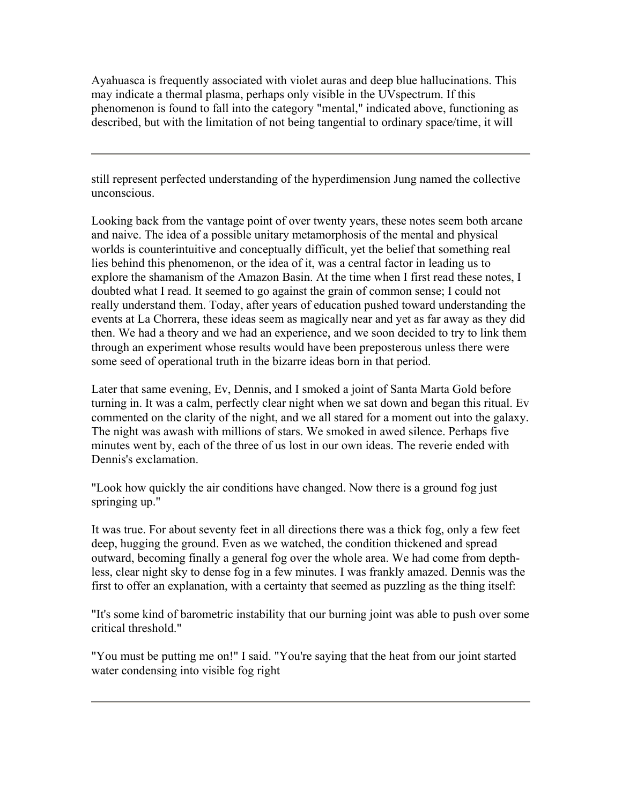Ayahuasca is frequently associated with violet auras and deep blue hallucinations. This may indicate a thermal plasma, perhaps only visible in the UVspectrum. If this phenomenon is found to fall into the category "mental," indicated above, functioning as described, but with the limitation of not being tangential to ordinary space/time, it will

still represent perfected understanding of the hyperdimension Jung named the collective unconscious.

Looking back from the vantage point of over twenty years, these notes seem both arcane and naive. The idea of a possible unitary metamorphosis of the mental and physical worlds is counterintuitive and conceptually difficult, yet the belief that something real lies behind this phenomenon, or the idea of it, was a central factor in leading us to explore the shamanism of the Amazon Basin. At the time when I first read these notes, I doubted what I read. It seemed to go against the grain of common sense; I could not really understand them. Today, after years of education pushed toward understanding the events at La Chorrera, these ideas seem as magically near and yet as far away as they did then. We had a theory and we had an experience, and we soon decided to try to link them through an experiment whose results would have been preposterous unless there were some seed of operational truth in the bizarre ideas born in that period.

Later that same evening, Ev, Dennis, and I smoked a joint of Santa Marta Gold before turning in. It was a calm, perfectly clear night when we sat down and began this ritual. Ev commented on the clarity of the night, and we all stared for a moment out into the galaxy. The night was awash with millions of stars. We smoked in awed silence. Perhaps five minutes went by, each of the three of us lost in our own ideas. The reverie ended with Dennis's exclamation.

"Look how quickly the air conditions have changed. Now there is a ground fog just springing up."

It was true. For about seventy feet in all directions there was a thick fog, only a few feet deep, hugging the ground. Even as we watched, the condition thickened and spread outward, becoming finally a general fog over the whole area. We had come from depthless, clear night sky to dense fog in a few minutes. I was frankly amazed. Dennis was the first to offer an explanation, with a certainty that seemed as puzzling as the thing itself:

"It's some kind of barometric instability that our burning joint was able to push over some critical threshold."

"You must be putting me on!" I said. "You're saying that the heat from our joint started water condensing into visible fog right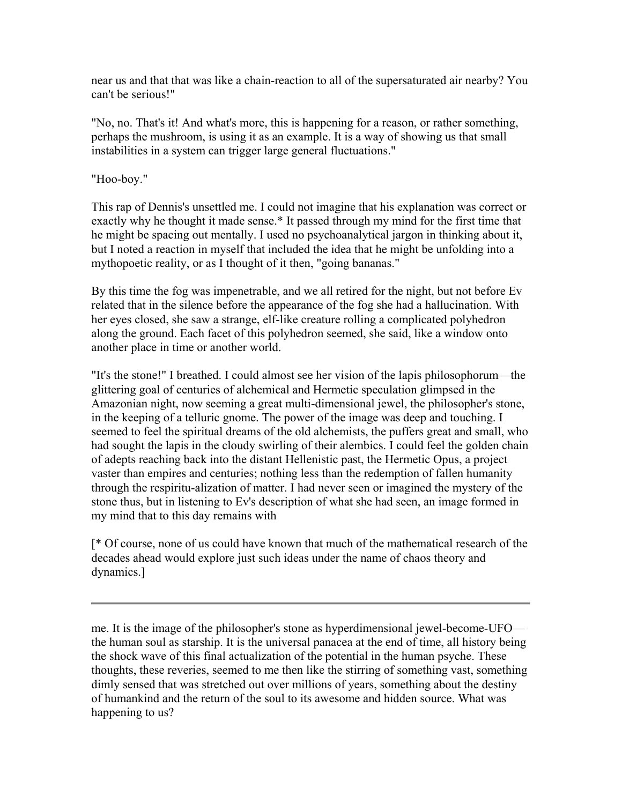near us and that that was like a chain-reaction to all of the supersaturated air nearby? You can't be serious!"

"No, no. That's it! And what's more, this is happening for a reason, or rather something, perhaps the mushroom, is using it as an example. It is a way of showing us that small instabilities in a system can trigger large general fluctuations."

### "Hoo-boy."

This rap of Dennis's unsettled me. I could not imagine that his explanation was correct or exactly why he thought it made sense.\* It passed through my mind for the first time that he might be spacing out mentally. I used no psychoanalytical jargon in thinking about it, but I noted a reaction in myself that included the idea that he might be unfolding into a mythopoetic reality, or as I thought of it then, "going bananas."

By this time the fog was impenetrable, and we all retired for the night, but not before Ev related that in the silence before the appearance of the fog she had a hallucination. With her eyes closed, she saw a strange, elf-like creature rolling a complicated polyhedron along the ground. Each facet of this polyhedron seemed, she said, like a window onto another place in time or another world.

"It's the stone!" I breathed. I could almost see her vision of the lapis philosophorum—the glittering goal of centuries of alchemical and Hermetic speculation glimpsed in the Amazonian night, now seeming a great multi-dimensional jewel, the philosopher's stone, in the keeping of a telluric gnome. The power of the image was deep and touching. I seemed to feel the spiritual dreams of the old alchemists, the puffers great and small, who had sought the lapis in the cloudy swirling of their alembics. I could feel the golden chain of adepts reaching back into the distant Hellenistic past, the Hermetic Opus, a project vaster than empires and centuries; nothing less than the redemption of fallen humanity through the respiritu-alization of matter. I had never seen or imagined the mystery of the stone thus, but in listening to Ev's description of what she had seen, an image formed in my mind that to this day remains with

[\* Of course, none of us could have known that much of the mathematical research of the decades ahead would explore just such ideas under the name of chaos theory and dynamics.]

me. It is the image of the philosopher's stone as hyperdimensional jewel-become-UFO the human soul as starship. It is the universal panacea at the end of time, all history being the shock wave of this final actualization of the potential in the human psyche. These thoughts, these reveries, seemed to me then like the stirring of something vast, something dimly sensed that was stretched out over millions of years, something about the destiny of humankind and the return of the soul to its awesome and hidden source. What was happening to us?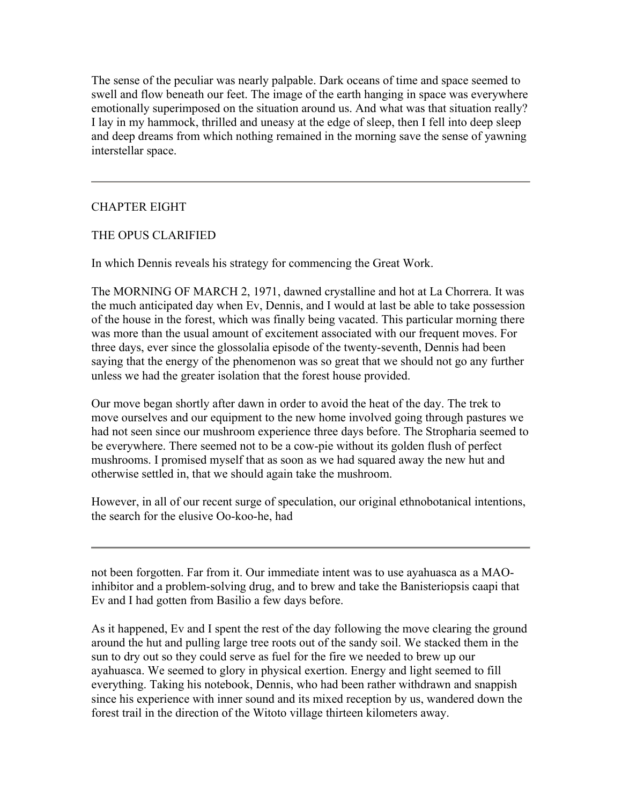The sense of the peculiar was nearly palpable. Dark oceans of time and space seemed to swell and flow beneath our feet. The image of the earth hanging in space was everywhere emotionally superimposed on the situation around us. And what was that situation really? I lay in my hammock, thrilled and uneasy at the edge of sleep, then I fell into deep sleep and deep dreams from which nothing remained in the morning save the sense of yawning interstellar space.

# CHAPTER EIGHT

#### THE OPUS CLARIFIED

In which Dennis reveals his strategy for commencing the Great Work.

The MORNING OF MARCH 2, 1971, dawned crystalline and hot at La Chorrera. It was the much anticipated day when Ev, Dennis, and I would at last be able to take possession of the house in the forest, which was finally being vacated. This particular morning there was more than the usual amount of excitement associated with our frequent moves. For three days, ever since the glossolalia episode of the twenty-seventh, Dennis had been saying that the energy of the phenomenon was so great that we should not go any further unless we had the greater isolation that the forest house provided.

Our move began shortly after dawn in order to avoid the heat of the day. The trek to move ourselves and our equipment to the new home involved going through pastures we had not seen since our mushroom experience three days before. The Stropharia seemed to be everywhere. There seemed not to be a cow-pie without its golden flush of perfect mushrooms. I promised myself that as soon as we had squared away the new hut and otherwise settled in, that we should again take the mushroom.

However, in all of our recent surge of speculation, our original ethnobotanical intentions, the search for the elusive Oo-koo-he, had

not been forgotten. Far from it. Our immediate intent was to use ayahuasca as a MAOinhibitor and a problem-solving drug, and to brew and take the Banisteriopsis caapi that Ev and I had gotten from Basilio a few days before.

As it happened, Ev and I spent the rest of the day following the move clearing the ground around the hut and pulling large tree roots out of the sandy soil. We stacked them in the sun to dry out so they could serve as fuel for the fire we needed to brew up our ayahuasca. We seemed to glory in physical exertion. Energy and light seemed to fill everything. Taking his notebook, Dennis, who had been rather withdrawn and snappish since his experience with inner sound and its mixed reception by us, wandered down the forest trail in the direction of the Witoto village thirteen kilometers away.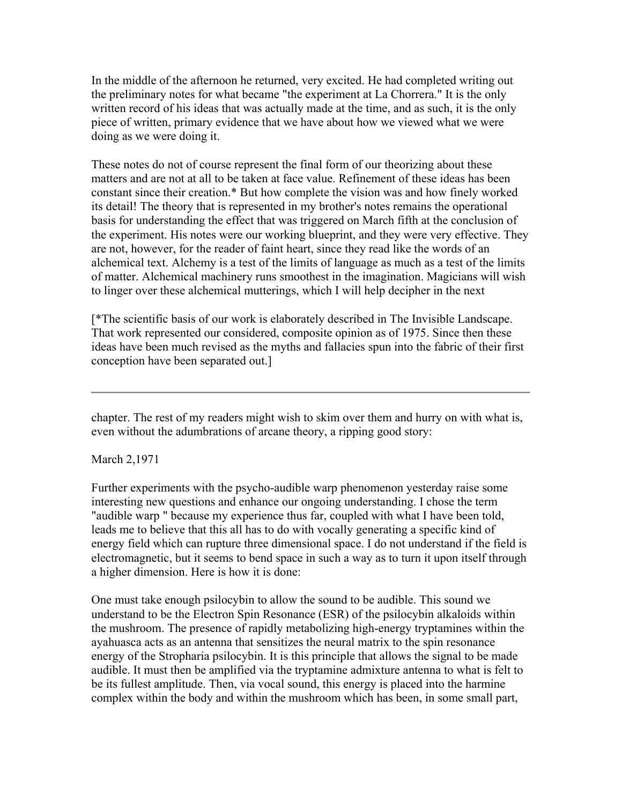In the middle of the afternoon he returned, very excited. He had completed writing out the preliminary notes for what became "the experiment at La Chorrera." It is the only written record of his ideas that was actually made at the time, and as such, it is the only piece of written, primary evidence that we have about how we viewed what we were doing as we were doing it.

These notes do not of course represent the final form of our theorizing about these matters and are not at all to be taken at face value. Refinement of these ideas has been constant since their creation.\* But how complete the vision was and how finely worked its detail! The theory that is represented in my brother's notes remains the operational basis for understanding the effect that was triggered on March fifth at the conclusion of the experiment. His notes were our working blueprint, and they were very effective. They are not, however, for the reader of faint heart, since they read like the words of an alchemical text. Alchemy is a test of the limits of language as much as a test of the limits of matter. Alchemical machinery runs smoothest in the imagination. Magicians will wish to linger over these alchemical mutterings, which I will help decipher in the next

[\*The scientific basis of our work is elaborately described in The Invisible Landscape. That work represented our considered, composite opinion as of 1975. Since then these ideas have been much revised as the myths and fallacies spun into the fabric of their first conception have been separated out.]

chapter. The rest of my readers might wish to skim over them and hurry on with what is, even without the adumbrations of arcane theory, a ripping good story:

March 2,1971

Further experiments with the psycho-audible warp phenomenon yesterday raise some interesting new questions and enhance our ongoing understanding. I chose the term "audible warp " because my experience thus far, coupled with what I have been told, leads me to believe that this all has to do with vocally generating a specific kind of energy field which can rupture three dimensional space. I do not understand if the field is electromagnetic, but it seems to bend space in such a way as to turn it upon itself through a higher dimension. Here is how it is done:

One must take enough psilocybin to allow the sound to be audible. This sound we understand to be the Electron Spin Resonance (ESR) of the psilocybin alkaloids within the mushroom. The presence of rapidly metabolizing high-energy tryptamines within the ayahuasca acts as an antenna that sensitizes the neural matrix to the spin resonance energy of the Stropharia psilocybin. It is this principle that allows the signal to be made audible. It must then be amplified via the tryptamine admixture antenna to what is felt to be its fullest amplitude. Then, via vocal sound, this energy is placed into the harmine complex within the body and within the mushroom which has been, in some small part,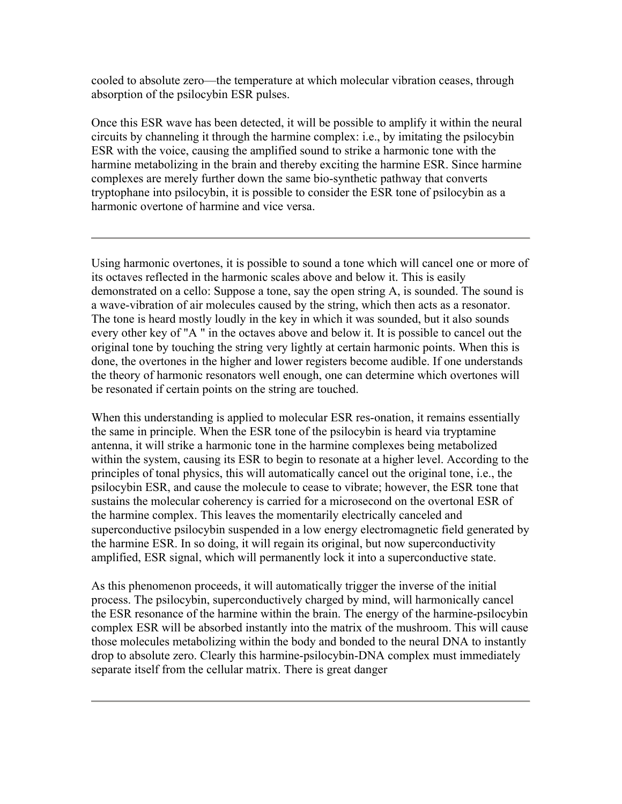cooled to absolute zero—the temperature at which molecular vibration ceases, through absorption of the psilocybin ESR pulses.

Once this ESR wave has been detected, it will be possible to amplify it within the neural circuits by channeling it through the harmine complex: i.e., by imitating the psilocybin ESR with the voice, causing the amplified sound to strike a harmonic tone with the harmine metabolizing in the brain and thereby exciting the harmine ESR. Since harmine complexes are merely further down the same bio-synthetic pathway that converts tryptophane into psilocybin, it is possible to consider the ESR tone of psilocybin as a harmonic overtone of harmine and vice versa.

Using harmonic overtones, it is possible to sound a tone which will cancel one or more of its octaves reflected in the harmonic scales above and below it. This is easily demonstrated on a cello: Suppose a tone, say the open string A, is sounded. The sound is a wave-vibration of air molecules caused by the string, which then acts as a resonator. The tone is heard mostly loudly in the key in which it was sounded, but it also sounds every other key of "A " in the octaves above and below it. It is possible to cancel out the original tone by touching the string very lightly at certain harmonic points. When this is done, the overtones in the higher and lower registers become audible. If one understands the theory of harmonic resonators well enough, one can determine which overtones will be resonated if certain points on the string are touched.

When this understanding is applied to molecular ESR res-onation, it remains essentially the same in principle. When the ESR tone of the psilocybin is heard via tryptamine antenna, it will strike a harmonic tone in the harmine complexes being metabolized within the system, causing its ESR to begin to resonate at a higher level. According to the principles of tonal physics, this will automatically cancel out the original tone, i.e., the psilocybin ESR, and cause the molecule to cease to vibrate; however, the ESR tone that sustains the molecular coherency is carried for a microsecond on the overtonal ESR of the harmine complex. This leaves the momentarily electrically canceled and superconductive psilocybin suspended in a low energy electromagnetic field generated by the harmine ESR. In so doing, it will regain its original, but now superconductivity amplified, ESR signal, which will permanently lock it into a superconductive state.

As this phenomenon proceeds, it will automatically trigger the inverse of the initial process. The psilocybin, superconductively charged by mind, will harmonically cancel the ESR resonance of the harmine within the brain. The energy of the harmine-psilocybin complex ESR will be absorbed instantly into the matrix of the mushroom. This will cause those molecules metabolizing within the body and bonded to the neural DNA to instantly drop to absolute zero. Clearly this harmine-psilocybin-DNA complex must immediately separate itself from the cellular matrix. There is great danger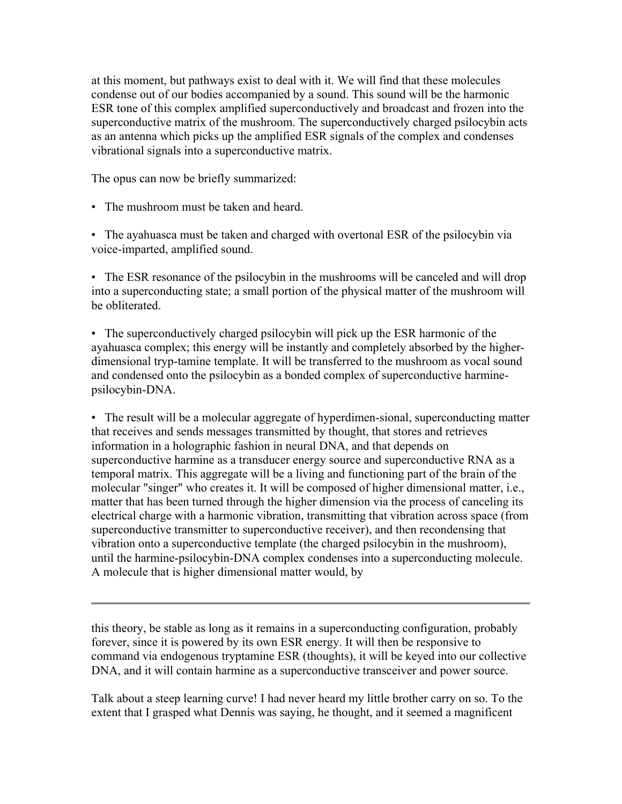at this moment, but pathways exist to deal with it. We will find that these molecules condense out of our bodies accompanied by a sound. This sound will be the harmonic ESR tone of this complex amplified superconductively and broadcast and frozen into the superconductive matrix of the mushroom. The superconductively charged psilocybin acts as an antenna which picks up the amplified ESR signals of the complex and condenses vibrational signals into a superconductive matrix.

The opus can now be briefly summarized:

• The mushroom must be taken and heard.

• The ayahuasca must be taken and charged with overtonal ESR of the psilocybin via voice-imparted, amplified sound.

• The ESR resonance of the psilocybin in the mushrooms will be canceled and will drop into a superconducting state; a small portion of the physical matter of the mushroom will be obliterated.

• The superconductively charged psilocybin will pick up the ESR harmonic of the ayahuasca complex; this energy will be instantly and completely absorbed by the higherdimensional tryp-tamine template. It will be transferred to the mushroom as vocal sound and condensed onto the psilocybin as a bonded complex of superconductive harminepsilocybin-DNA.

• The result will be a molecular aggregate of hyperdimen-sional, superconducting matter that receives and sends messages transmitted by thought, that stores and retrieves information in a holographic fashion in neural DNA, and that depends on superconductive harmine as a transducer energy source and superconductive RNA as a temporal matrix. This aggregate will be a living and functioning part of the brain of the molecular "singer" who creates it. It will be composed of higher dimensional matter, i.e., matter that has been turned through the higher dimension via the process of canceling its electrical charge with a harmonic vibration, transmitting that vibration across space (from superconductive transmitter to superconductive receiver), and then recondensing that vibration onto a superconductive template (the charged psilocybin in the mushroom), until the harmine-psilocybin-DNA complex condenses into a superconducting molecule. A molecule that is higher dimensional matter would, by

this theory, be stable as long as it remains in a superconducting configuration, probably forever, since it is powered by its own ESR energy. It will then be responsive to command via endogenous tryptamine ESR (thoughts), it will be keyed into our collective DNA, and it will contain harmine as a superconductive transceiver and power source.

Talk about a steep learning curve! I had never heard my little brother carry on so. To the extent that I grasped what Dennis was saying, he thought, and it seemed a magnificent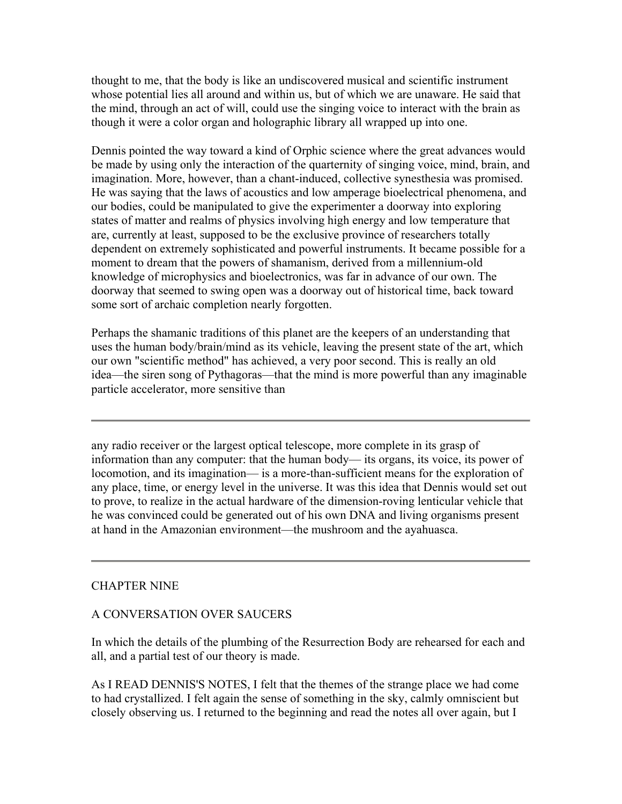thought to me, that the body is like an undiscovered musical and scientific instrument whose potential lies all around and within us, but of which we are unaware. He said that the mind, through an act of will, could use the singing voice to interact with the brain as though it were a color organ and holographic library all wrapped up into one.

Dennis pointed the way toward a kind of Orphic science where the great advances would be made by using only the interaction of the quarternity of singing voice, mind, brain, and imagination. More, however, than a chant-induced, collective synesthesia was promised. He was saying that the laws of acoustics and low amperage bioelectrical phenomena, and our bodies, could be manipulated to give the experimenter a doorway into exploring states of matter and realms of physics involving high energy and low temperature that are, currently at least, supposed to be the exclusive province of researchers totally dependent on extremely sophisticated and powerful instruments. It became possible for a moment to dream that the powers of shamanism, derived from a millennium-old knowledge of microphysics and bioelectronics, was far in advance of our own. The doorway that seemed to swing open was a doorway out of historical time, back toward some sort of archaic completion nearly forgotten.

Perhaps the shamanic traditions of this planet are the keepers of an understanding that uses the human body/brain/mind as its vehicle, leaving the present state of the art, which our own "scientific method" has achieved, a very poor second. This is really an old idea—the siren song of Pythagoras—that the mind is more powerful than any imaginable particle accelerator, more sensitive than

any radio receiver or the largest optical telescope, more complete in its grasp of information than any computer: that the human body— its organs, its voice, its power of locomotion, and its imagination— is a more-than-sufficient means for the exploration of any place, time, or energy level in the universe. It was this idea that Dennis would set out to prove, to realize in the actual hardware of the dimension-roving lenticular vehicle that he was convinced could be generated out of his own DNA and living organisms present at hand in the Amazonian environment—the mushroom and the ayahuasca.

#### CHAPTER NINE

# A CONVERSATION OVER SAUCERS

In which the details of the plumbing of the Resurrection Body are rehearsed for each and all, and a partial test of our theory is made.

As I READ DENNIS'S NOTES, I felt that the themes of the strange place we had come to had crystallized. I felt again the sense of something in the sky, calmly omniscient but closely observing us. I returned to the beginning and read the notes all over again, but I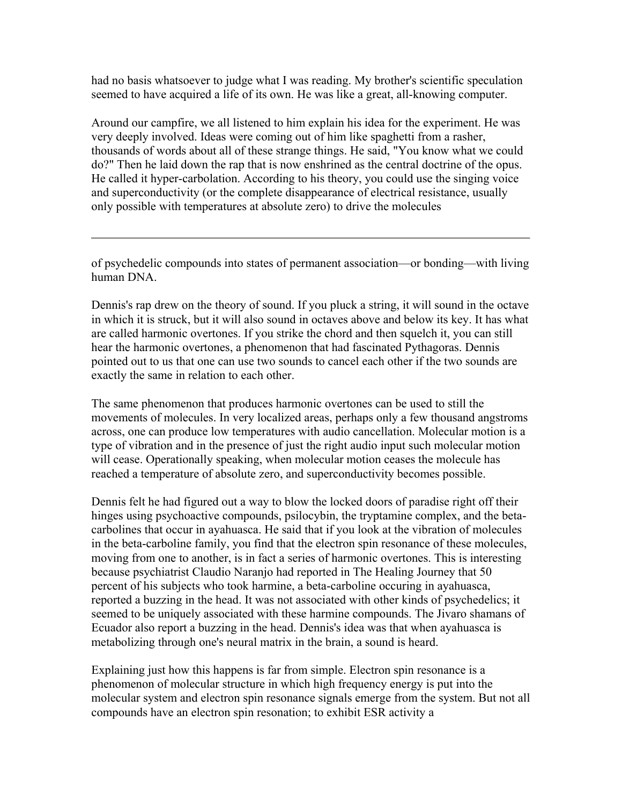had no basis whatsoever to judge what I was reading. My brother's scientific speculation seemed to have acquired a life of its own. He was like a great, all-knowing computer.

Around our campfire, we all listened to him explain his idea for the experiment. He was very deeply involved. Ideas were coming out of him like spaghetti from a rasher, thousands of words about all of these strange things. He said, "You know what we could do?" Then he laid down the rap that is now enshrined as the central doctrine of the opus. He called it hyper-carbolation. According to his theory, you could use the singing voice and superconductivity (or the complete disappearance of electrical resistance, usually only possible with temperatures at absolute zero) to drive the molecules

of psychedelic compounds into states of permanent association—or bonding—with living human DNA.

Dennis's rap drew on the theory of sound. If you pluck a string, it will sound in the octave in which it is struck, but it will also sound in octaves above and below its key. It has what are called harmonic overtones. If you strike the chord and then squelch it, you can still hear the harmonic overtones, a phenomenon that had fascinated Pythagoras. Dennis pointed out to us that one can use two sounds to cancel each other if the two sounds are exactly the same in relation to each other.

The same phenomenon that produces harmonic overtones can be used to still the movements of molecules. In very localized areas, perhaps only a few thousand angstroms across, one can produce low temperatures with audio cancellation. Molecular motion is a type of vibration and in the presence of just the right audio input such molecular motion will cease. Operationally speaking, when molecular motion ceases the molecule has reached a temperature of absolute zero, and superconductivity becomes possible.

Dennis felt he had figured out a way to blow the locked doors of paradise right off their hinges using psychoactive compounds, psilocybin, the tryptamine complex, and the betacarbolines that occur in ayahuasca. He said that if you look at the vibration of molecules in the beta-carboline family, you find that the electron spin resonance of these molecules, moving from one to another, is in fact a series of harmonic overtones. This is interesting because psychiatrist Claudio Naranjo had reported in The Healing Journey that 50 percent of his subjects who took harmine, a beta-carboline occuring in ayahuasca, reported a buzzing in the head. It was not associated with other kinds of psychedelics; it seemed to be uniquely associated with these harmine compounds. The Jivaro shamans of Ecuador also report a buzzing in the head. Dennis's idea was that when ayahuasca is metabolizing through one's neural matrix in the brain, a sound is heard.

Explaining just how this happens is far from simple. Electron spin resonance is a phenomenon of molecular structure in which high frequency energy is put into the molecular system and electron spin resonance signals emerge from the system. But not all compounds have an electron spin resonation; to exhibit ESR activity a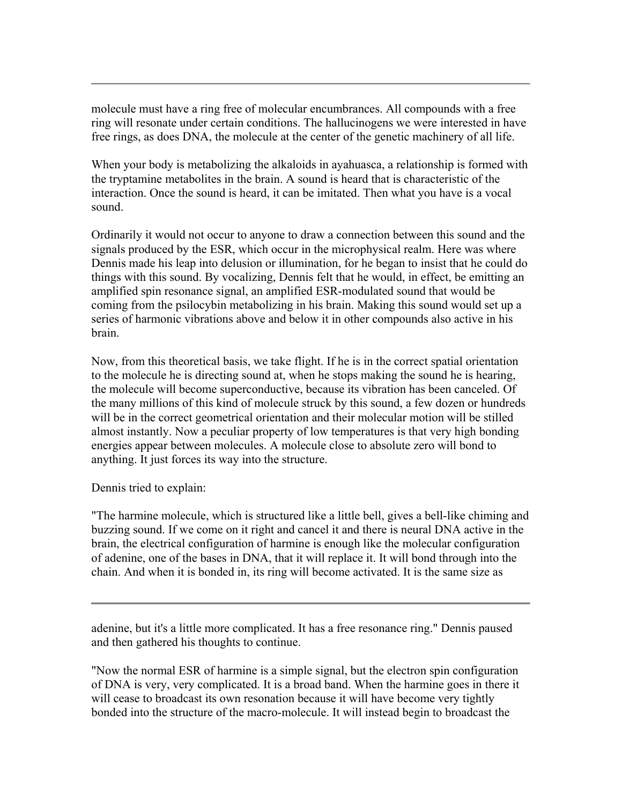molecule must have a ring free of molecular encumbrances. All compounds with a free ring will resonate under certain conditions. The hallucinogens we were interested in have free rings, as does DNA, the molecule at the center of the genetic machinery of all life.

When your body is metabolizing the alkaloids in ayahuasca, a relationship is formed with the tryptamine metabolites in the brain. A sound is heard that is characteristic of the interaction. Once the sound is heard, it can be imitated. Then what you have is a vocal sound.

Ordinarily it would not occur to anyone to draw a connection between this sound and the signals produced by the ESR, which occur in the microphysical realm. Here was where Dennis made his leap into delusion or illumination, for he began to insist that he could do things with this sound. By vocalizing, Dennis felt that he would, in effect, be emitting an amplified spin resonance signal, an amplified ESR-modulated sound that would be coming from the psilocybin metabolizing in his brain. Making this sound would set up a series of harmonic vibrations above and below it in other compounds also active in his brain.

Now, from this theoretical basis, we take flight. If he is in the correct spatial orientation to the molecule he is directing sound at, when he stops making the sound he is hearing, the molecule will become superconductive, because its vibration has been canceled. Of the many millions of this kind of molecule struck by this sound, a few dozen or hundreds will be in the correct geometrical orientation and their molecular motion will be stilled almost instantly. Now a peculiar property of low temperatures is that very high bonding energies appear between molecules. A molecule close to absolute zero will bond to anything. It just forces its way into the structure.

Dennis tried to explain:

"The harmine molecule, which is structured like a little bell, gives a bell-like chiming and buzzing sound. If we come on it right and cancel it and there is neural DNA active in the brain, the electrical configuration of harmine is enough like the molecular configuration of adenine, one of the bases in DNA, that it will replace it. It will bond through into the chain. And when it is bonded in, its ring will become activated. It is the same size as

adenine, but it's a little more complicated. It has a free resonance ring." Dennis paused and then gathered his thoughts to continue.

"Now the normal ESR of harmine is a simple signal, but the electron spin configuration of DNA is very, very complicated. It is a broad band. When the harmine goes in there it will cease to broadcast its own resonation because it will have become very tightly bonded into the structure of the macro-molecule. It will instead begin to broadcast the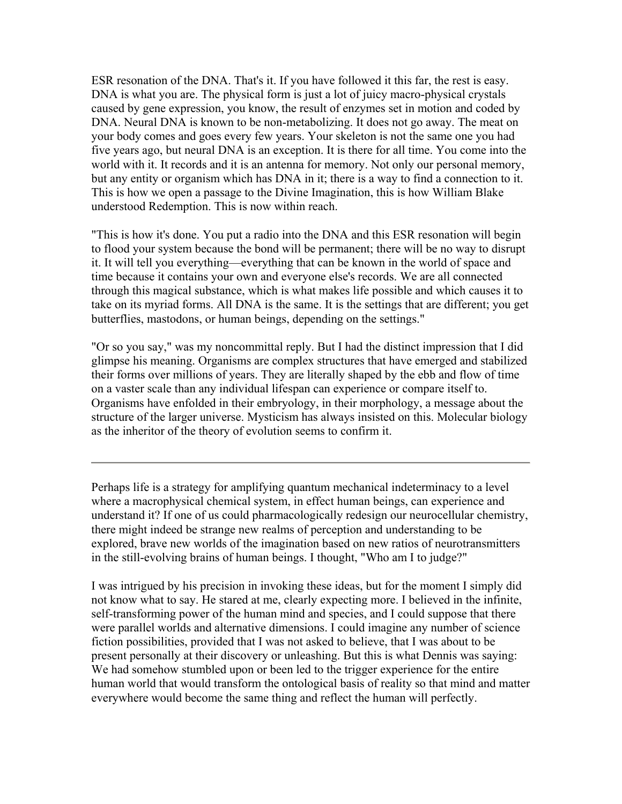ESR resonation of the DNA. That's it. If you have followed it this far, the rest is easy. DNA is what you are. The physical form is just a lot of juicy macro-physical crystals caused by gene expression, you know, the result of enzymes set in motion and coded by DNA. Neural DNA is known to be non-metabolizing. It does not go away. The meat on your body comes and goes every few years. Your skeleton is not the same one you had five years ago, but neural DNA is an exception. It is there for all time. You come into the world with it. It records and it is an antenna for memory. Not only our personal memory, but any entity or organism which has DNA in it; there is a way to find a connection to it. This is how we open a passage to the Divine Imagination, this is how William Blake understood Redemption. This is now within reach.

"This is how it's done. You put a radio into the DNA and this ESR resonation will begin to flood your system because the bond will be permanent; there will be no way to disrupt it. It will tell you everything—everything that can be known in the world of space and time because it contains your own and everyone else's records. We are all connected through this magical substance, which is what makes life possible and which causes it to take on its myriad forms. All DNA is the same. It is the settings that are different; you get butterflies, mastodons, or human beings, depending on the settings."

"Or so you say," was my noncommittal reply. But I had the distinct impression that I did glimpse his meaning. Organisms are complex structures that have emerged and stabilized their forms over millions of years. They are literally shaped by the ebb and flow of time on a vaster scale than any individual lifespan can experience or compare itself to. Organisms have enfolded in their embryology, in their morphology, a message about the structure of the larger universe. Mysticism has always insisted on this. Molecular biology as the inheritor of the theory of evolution seems to confirm it.

Perhaps life is a strategy for amplifying quantum mechanical indeterminacy to a level where a macrophysical chemical system, in effect human beings, can experience and understand it? If one of us could pharmacologically redesign our neurocellular chemistry, there might indeed be strange new realms of perception and understanding to be explored, brave new worlds of the imagination based on new ratios of neurotransmitters in the still-evolving brains of human beings. I thought, "Who am I to judge?"

I was intrigued by his precision in invoking these ideas, but for the moment I simply did not know what to say. He stared at me, clearly expecting more. I believed in the infinite, self-transforming power of the human mind and species, and I could suppose that there were parallel worlds and alternative dimensions. I could imagine any number of science fiction possibilities, provided that I was not asked to believe, that I was about to be present personally at their discovery or unleashing. But this is what Dennis was saying: We had somehow stumbled upon or been led to the trigger experience for the entire human world that would transform the ontological basis of reality so that mind and matter everywhere would become the same thing and reflect the human will perfectly.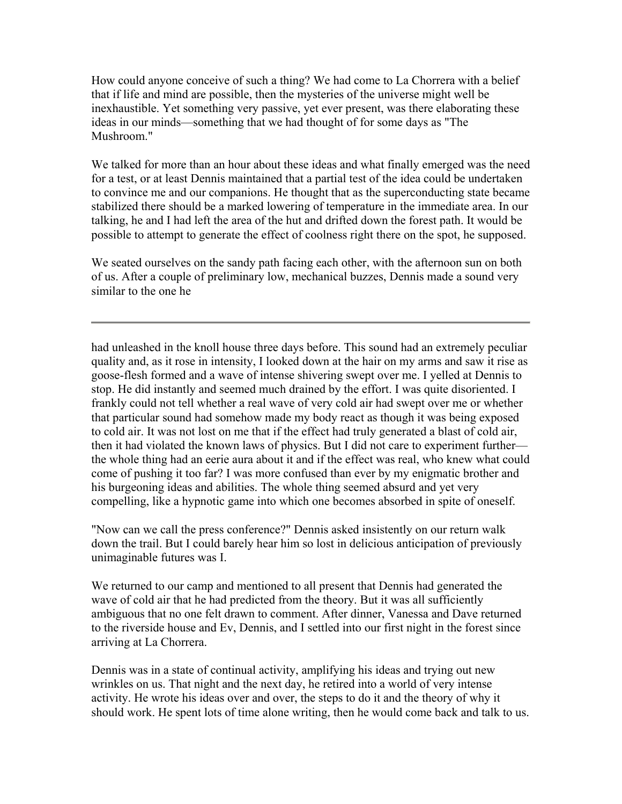How could anyone conceive of such a thing? We had come to La Chorrera with a belief that if life and mind are possible, then the mysteries of the universe might well be inexhaustible. Yet something very passive, yet ever present, was there elaborating these ideas in our minds—something that we had thought of for some days as "The Mushroom<sup>"</sup>

We talked for more than an hour about these ideas and what finally emerged was the need for a test, or at least Dennis maintained that a partial test of the idea could be undertaken to convince me and our companions. He thought that as the superconducting state became stabilized there should be a marked lowering of temperature in the immediate area. In our talking, he and I had left the area of the hut and drifted down the forest path. It would be possible to attempt to generate the effect of coolness right there on the spot, he supposed.

We seated ourselves on the sandy path facing each other, with the afternoon sun on both of us. After a couple of preliminary low, mechanical buzzes, Dennis made a sound very similar to the one he

had unleashed in the knoll house three days before. This sound had an extremely peculiar quality and, as it rose in intensity, I looked down at the hair on my arms and saw it rise as goose-flesh formed and a wave of intense shivering swept over me. I yelled at Dennis to stop. He did instantly and seemed much drained by the effort. I was quite disoriented. I frankly could not tell whether a real wave of very cold air had swept over me or whether that particular sound had somehow made my body react as though it was being exposed to cold air. It was not lost on me that if the effect had truly generated a blast of cold air, then it had violated the known laws of physics. But I did not care to experiment further the whole thing had an eerie aura about it and if the effect was real, who knew what could come of pushing it too far? I was more confused than ever by my enigmatic brother and his burgeoning ideas and abilities. The whole thing seemed absurd and yet very compelling, like a hypnotic game into which one becomes absorbed in spite of oneself.

"Now can we call the press conference?" Dennis asked insistently on our return walk down the trail. But I could barely hear him so lost in delicious anticipation of previously unimaginable futures was I.

We returned to our camp and mentioned to all present that Dennis had generated the wave of cold air that he had predicted from the theory. But it was all sufficiently ambiguous that no one felt drawn to comment. After dinner, Vanessa and Dave returned to the riverside house and Ev, Dennis, and I settled into our first night in the forest since arriving at La Chorrera.

Dennis was in a state of continual activity, amplifying his ideas and trying out new wrinkles on us. That night and the next day, he retired into a world of very intense activity. He wrote his ideas over and over, the steps to do it and the theory of why it should work. He spent lots of time alone writing, then he would come back and talk to us.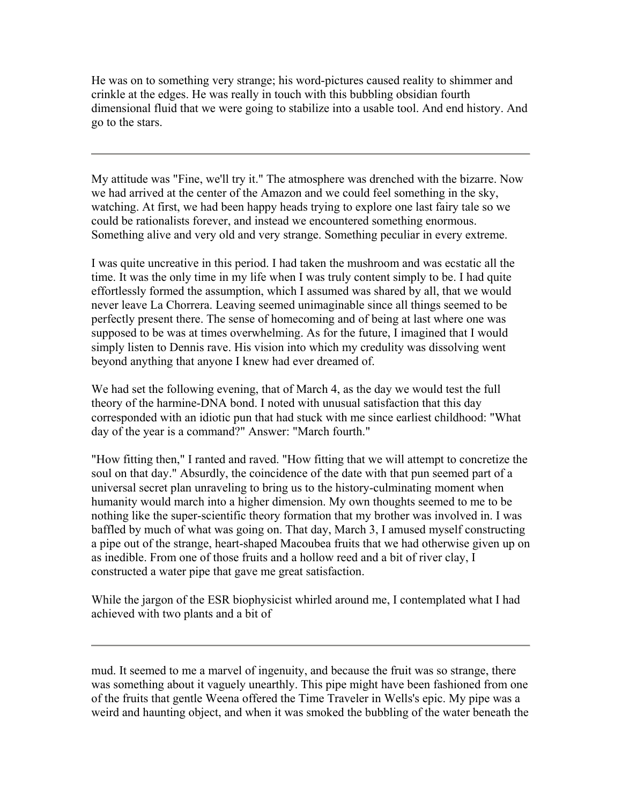He was on to something very strange; his word-pictures caused reality to shimmer and crinkle at the edges. He was really in touch with this bubbling obsidian fourth dimensional fluid that we were going to stabilize into a usable tool. And end history. And go to the stars.

My attitude was "Fine, we'll try it." The atmosphere was drenched with the bizarre. Now we had arrived at the center of the Amazon and we could feel something in the sky, watching. At first, we had been happy heads trying to explore one last fairy tale so we could be rationalists forever, and instead we encountered something enormous. Something alive and very old and very strange. Something peculiar in every extreme.

I was quite uncreative in this period. I had taken the mushroom and was ecstatic all the time. It was the only time in my life when I was truly content simply to be. I had quite effortlessly formed the assumption, which I assumed was shared by all, that we would never leave La Chorrera. Leaving seemed unimaginable since all things seemed to be perfectly present there. The sense of homecoming and of being at last where one was supposed to be was at times overwhelming. As for the future, I imagined that I would simply listen to Dennis rave. His vision into which my credulity was dissolving went beyond anything that anyone I knew had ever dreamed of.

We had set the following evening, that of March 4, as the day we would test the full theory of the harmine-DNA bond. I noted with unusual satisfaction that this day corresponded with an idiotic pun that had stuck with me since earliest childhood: "What day of the year is a command?" Answer: "March fourth."

"How fitting then," I ranted and raved. "How fitting that we will attempt to concretize the soul on that day." Absurdly, the coincidence of the date with that pun seemed part of a universal secret plan unraveling to bring us to the history-culminating moment when humanity would march into a higher dimension. My own thoughts seemed to me to be nothing like the super-scientific theory formation that my brother was involved in. I was baffled by much of what was going on. That day, March 3, I amused myself constructing a pipe out of the strange, heart-shaped Macoubea fruits that we had otherwise given up on as inedible. From one of those fruits and a hollow reed and a bit of river clay, I constructed a water pipe that gave me great satisfaction.

While the jargon of the ESR biophysicist whirled around me, I contemplated what I had achieved with two plants and a bit of

mud. It seemed to me a marvel of ingenuity, and because the fruit was so strange, there was something about it vaguely unearthly. This pipe might have been fashioned from one of the fruits that gentle Weena offered the Time Traveler in Wells's epic. My pipe was a weird and haunting object, and when it was smoked the bubbling of the water beneath the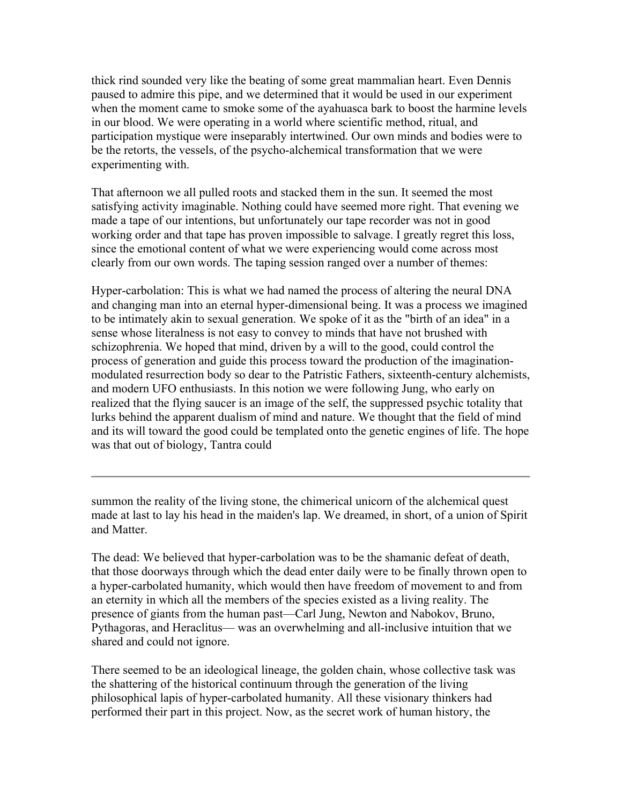thick rind sounded very like the beating of some great mammalian heart. Even Dennis paused to admire this pipe, and we determined that it would be used in our experiment when the moment came to smoke some of the ayahuasca bark to boost the harmine levels in our blood. We were operating in a world where scientific method, ritual, and participation mystique were inseparably intertwined. Our own minds and bodies were to be the retorts, the vessels, of the psycho-alchemical transformation that we were experimenting with.

That afternoon we all pulled roots and stacked them in the sun. It seemed the most satisfying activity imaginable. Nothing could have seemed more right. That evening we made a tape of our intentions, but unfortunately our tape recorder was not in good working order and that tape has proven impossible to salvage. I greatly regret this loss, since the emotional content of what we were experiencing would come across most clearly from our own words. The taping session ranged over a number of themes:

Hyper-carbolation: This is what we had named the process of altering the neural DNA and changing man into an eternal hyper-dimensional being. It was a process we imagined to be intimately akin to sexual generation. We spoke of it as the "birth of an idea" in a sense whose literalness is not easy to convey to minds that have not brushed with schizophrenia. We hoped that mind, driven by a will to the good, could control the process of generation and guide this process toward the production of the imaginationmodulated resurrection body so dear to the Patristic Fathers, sixteenth-century alchemists, and modern UFO enthusiasts. In this notion we were following Jung, who early on realized that the flying saucer is an image of the self, the suppressed psychic totality that lurks behind the apparent dualism of mind and nature. We thought that the field of mind and its will toward the good could be templated onto the genetic engines of life. The hope was that out of biology, Tantra could

summon the reality of the living stone, the chimerical unicorn of the alchemical quest made at last to lay his head in the maiden's lap. We dreamed, in short, of a union of Spirit and Matter.

The dead: We believed that hyper-carbolation was to be the shamanic defeat of death, that those doorways through which the dead enter daily were to be finally thrown open to a hyper-carbolated humanity, which would then have freedom of movement to and from an eternity in which all the members of the species existed as a living reality. The presence of giants from the human past—Carl Jung, Newton and Nabokov, Bruno, Pythagoras, and Heraclitus— was an overwhelming and all-inclusive intuition that we shared and could not ignore.

There seemed to be an ideological lineage, the golden chain, whose collective task was the shattering of the historical continuum through the generation of the living philosophical lapis of hyper-carbolated humanity. All these visionary thinkers had performed their part in this project. Now, as the secret work of human history, the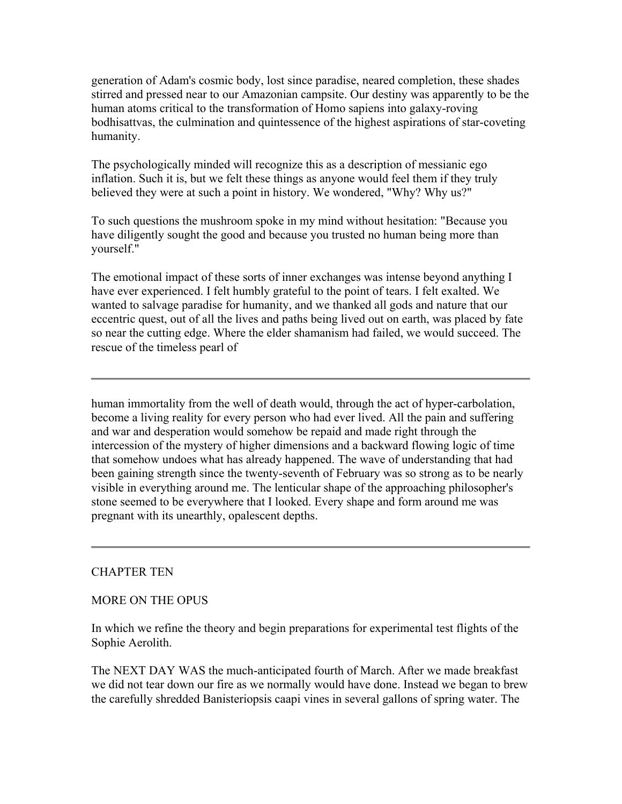generation of Adam's cosmic body, lost since paradise, neared completion, these shades stirred and pressed near to our Amazonian campsite. Our destiny was apparently to be the human atoms critical to the transformation of Homo sapiens into galaxy-roving bodhisattvas, the culmination and quintessence of the highest aspirations of star-coveting humanity.

The psychologically minded will recognize this as a description of messianic ego inflation. Such it is, but we felt these things as anyone would feel them if they truly believed they were at such a point in history. We wondered, "Why? Why us?"

To such questions the mushroom spoke in my mind without hesitation: "Because you have diligently sought the good and because you trusted no human being more than yourself."

The emotional impact of these sorts of inner exchanges was intense beyond anything I have ever experienced. I felt humbly grateful to the point of tears. I felt exalted. We wanted to salvage paradise for humanity, and we thanked all gods and nature that our eccentric quest, out of all the lives and paths being lived out on earth, was placed by fate so near the cutting edge. Where the elder shamanism had failed, we would succeed. The rescue of the timeless pearl of

human immortality from the well of death would, through the act of hyper-carbolation, become a living reality for every person who had ever lived. All the pain and suffering and war and desperation would somehow be repaid and made right through the intercession of the mystery of higher dimensions and a backward flowing logic of time that somehow undoes what has already happened. The wave of understanding that had been gaining strength since the twenty-seventh of February was so strong as to be nearly visible in everything around me. The lenticular shape of the approaching philosopher's stone seemed to be everywhere that I looked. Every shape and form around me was pregnant with its unearthly, opalescent depths.

#### CHAPTER TEN

#### MORE ON THE OPUS

In which we refine the theory and begin preparations for experimental test flights of the Sophie Aerolith.

The NEXT DAY WAS the much-anticipated fourth of March. After we made breakfast we did not tear down our fire as we normally would have done. Instead we began to brew the carefully shredded Banisteriopsis caapi vines in several gallons of spring water. The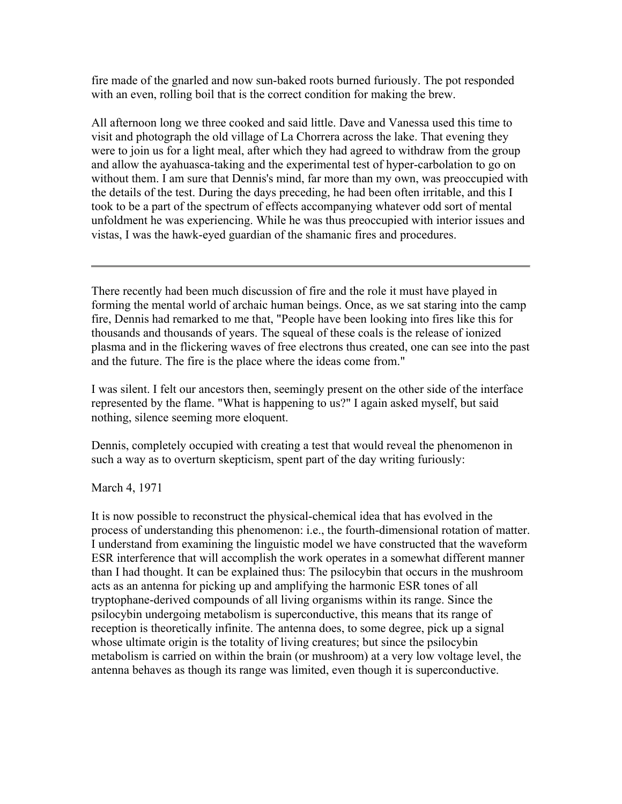fire made of the gnarled and now sun-baked roots burned furiously. The pot responded with an even, rolling boil that is the correct condition for making the brew.

All afternoon long we three cooked and said little. Dave and Vanessa used this time to visit and photograph the old village of La Chorrera across the lake. That evening they were to join us for a light meal, after which they had agreed to withdraw from the group and allow the ayahuasca-taking and the experimental test of hyper-carbolation to go on without them. I am sure that Dennis's mind, far more than my own, was preoccupied with the details of the test. During the days preceding, he had been often irritable, and this I took to be a part of the spectrum of effects accompanying whatever odd sort of mental unfoldment he was experiencing. While he was thus preoccupied with interior issues and vistas, I was the hawk-eyed guardian of the shamanic fires and procedures.

There recently had been much discussion of fire and the role it must have played in forming the mental world of archaic human beings. Once, as we sat staring into the camp fire, Dennis had remarked to me that, "People have been looking into fires like this for thousands and thousands of years. The squeal of these coals is the release of ionized plasma and in the flickering waves of free electrons thus created, one can see into the past and the future. The fire is the place where the ideas come from."

I was silent. I felt our ancestors then, seemingly present on the other side of the interface represented by the flame. "What is happening to us?" I again asked myself, but said nothing, silence seeming more eloquent.

Dennis, completely occupied with creating a test that would reveal the phenomenon in such a way as to overturn skepticism, spent part of the day writing furiously:

March 4, 1971

It is now possible to reconstruct the physical-chemical idea that has evolved in the process of understanding this phenomenon: i.e., the fourth-dimensional rotation of matter. I understand from examining the linguistic model we have constructed that the waveform ESR interference that will accomplish the work operates in a somewhat different manner than I had thought. It can be explained thus: The psilocybin that occurs in the mushroom acts as an antenna for picking up and amplifying the harmonic ESR tones of all tryptophane-derived compounds of all living organisms within its range. Since the psilocybin undergoing metabolism is superconductive, this means that its range of reception is theoretically infinite. The antenna does, to some degree, pick up a signal whose ultimate origin is the totality of living creatures; but since the psilocybin metabolism is carried on within the brain (or mushroom) at a very low voltage level, the antenna behaves as though its range was limited, even though it is superconductive.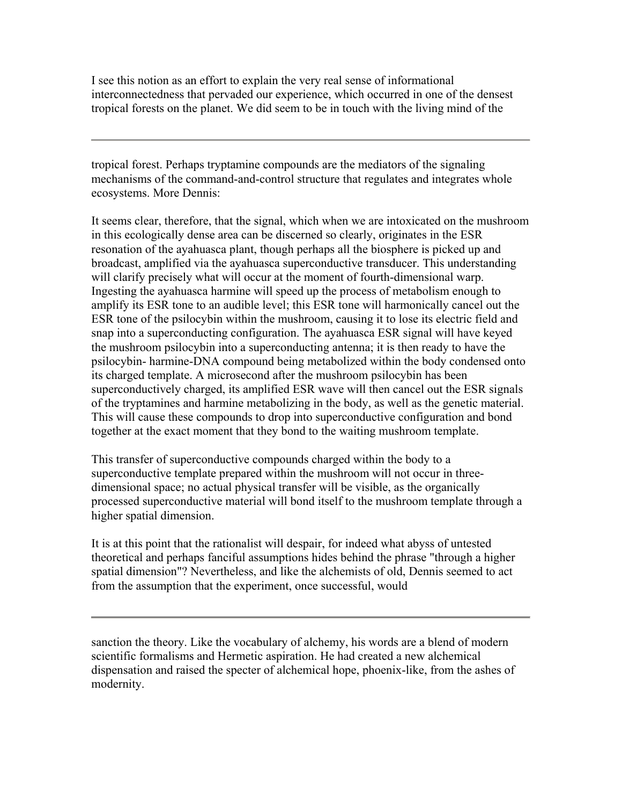I see this notion as an effort to explain the very real sense of informational interconnectedness that pervaded our experience, which occurred in one of the densest tropical forests on the planet. We did seem to be in touch with the living mind of the

tropical forest. Perhaps tryptamine compounds are the mediators of the signaling mechanisms of the command-and-control structure that regulates and integrates whole ecosystems. More Dennis:

It seems clear, therefore, that the signal, which when we are intoxicated on the mushroom in this ecologically dense area can be discerned so clearly, originates in the ESR resonation of the ayahuasca plant, though perhaps all the biosphere is picked up and broadcast, amplified via the ayahuasca superconductive transducer. This understanding will clarify precisely what will occur at the moment of fourth-dimensional warp. Ingesting the ayahuasca harmine will speed up the process of metabolism enough to amplify its ESR tone to an audible level; this ESR tone will harmonically cancel out the ESR tone of the psilocybin within the mushroom, causing it to lose its electric field and snap into a superconducting configuration. The ayahuasca ESR signal will have keyed the mushroom psilocybin into a superconducting antenna; it is then ready to have the psilocybin- harmine-DNA compound being metabolized within the body condensed onto its charged template. A microsecond after the mushroom psilocybin has been superconductively charged, its amplified ESR wave will then cancel out the ESR signals of the tryptamines and harmine metabolizing in the body, as well as the genetic material. This will cause these compounds to drop into superconductive configuration and bond together at the exact moment that they bond to the waiting mushroom template.

This transfer of superconductive compounds charged within the body to a superconductive template prepared within the mushroom will not occur in threedimensional space; no actual physical transfer will be visible, as the organically processed superconductive material will bond itself to the mushroom template through a higher spatial dimension.

It is at this point that the rationalist will despair, for indeed what abyss of untested theoretical and perhaps fanciful assumptions hides behind the phrase "through a higher spatial dimension"? Nevertheless, and like the alchemists of old, Dennis seemed to act from the assumption that the experiment, once successful, would

sanction the theory. Like the vocabulary of alchemy, his words are a blend of modern scientific formalisms and Hermetic aspiration. He had created a new alchemical dispensation and raised the specter of alchemical hope, phoenix-like, from the ashes of modernity.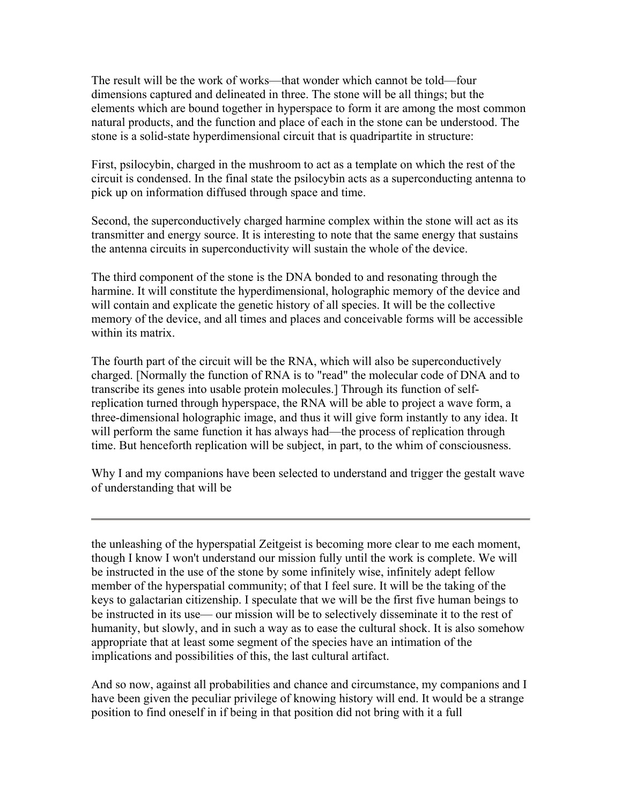The result will be the work of works—that wonder which cannot be told—four dimensions captured and delineated in three. The stone will be all things; but the elements which are bound together in hyperspace to form it are among the most common natural products, and the function and place of each in the stone can be understood. The stone is a solid-state hyperdimensional circuit that is quadripartite in structure:

First, psilocybin, charged in the mushroom to act as a template on which the rest of the circuit is condensed. In the final state the psilocybin acts as a superconducting antenna to pick up on information diffused through space and time.

Second, the superconductively charged harmine complex within the stone will act as its transmitter and energy source. It is interesting to note that the same energy that sustains the antenna circuits in superconductivity will sustain the whole of the device.

The third component of the stone is the DNA bonded to and resonating through the harmine. It will constitute the hyperdimensional, holographic memory of the device and will contain and explicate the genetic history of all species. It will be the collective memory of the device, and all times and places and conceivable forms will be accessible within its matrix.

The fourth part of the circuit will be the RNA, which will also be superconductively charged. [Normally the function of RNA is to "read" the molecular code of DNA and to transcribe its genes into usable protein molecules.] Through its function of selfreplication turned through hyperspace, the RNA will be able to project a wave form, a three-dimensional holographic image, and thus it will give form instantly to any idea. It will perform the same function it has always had—the process of replication through time. But henceforth replication will be subject, in part, to the whim of consciousness.

Why I and my companions have been selected to understand and trigger the gestalt wave of understanding that will be

the unleashing of the hyperspatial Zeitgeist is becoming more clear to me each moment, though I know I won't understand our mission fully until the work is complete. We will be instructed in the use of the stone by some infinitely wise, infinitely adept fellow member of the hyperspatial community; of that I feel sure. It will be the taking of the keys to galactarian citizenship. I speculate that we will be the first five human beings to be instructed in its use— our mission will be to selectively disseminate it to the rest of humanity, but slowly, and in such a way as to ease the cultural shock. It is also somehow appropriate that at least some segment of the species have an intimation of the implications and possibilities of this, the last cultural artifact.

And so now, against all probabilities and chance and circumstance, my companions and I have been given the peculiar privilege of knowing history will end. It would be a strange position to find oneself in if being in that position did not bring with it a full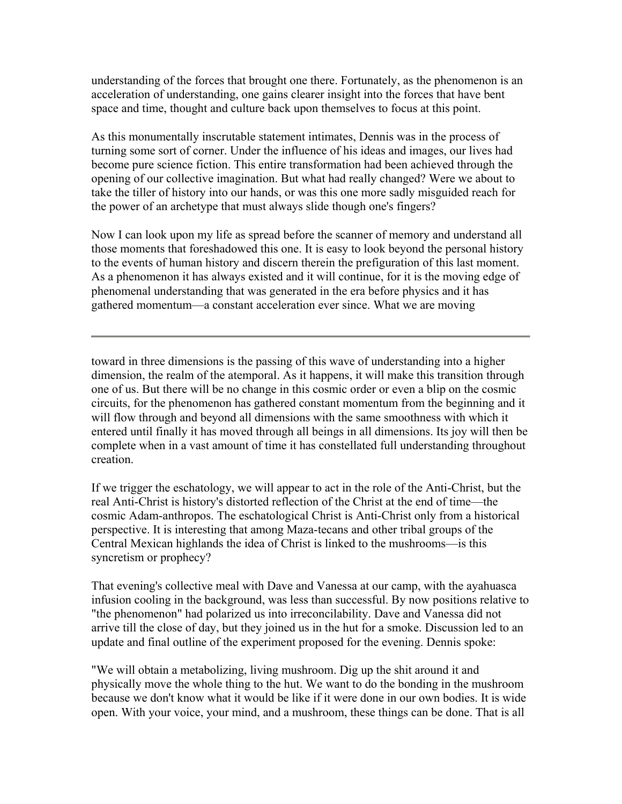understanding of the forces that brought one there. Fortunately, as the phenomenon is an acceleration of understanding, one gains clearer insight into the forces that have bent space and time, thought and culture back upon themselves to focus at this point.

As this monumentally inscrutable statement intimates, Dennis was in the process of turning some sort of corner. Under the influence of his ideas and images, our lives had become pure science fiction. This entire transformation had been achieved through the opening of our collective imagination. But what had really changed? Were we about to take the tiller of history into our hands, or was this one more sadly misguided reach for the power of an archetype that must always slide though one's fingers?

Now I can look upon my life as spread before the scanner of memory and understand all those moments that foreshadowed this one. It is easy to look beyond the personal history to the events of human history and discern therein the prefiguration of this last moment. As a phenomenon it has always existed and it will continue, for it is the moving edge of phenomenal understanding that was generated in the era before physics and it has gathered momentum—a constant acceleration ever since. What we are moving

toward in three dimensions is the passing of this wave of understanding into a higher dimension, the realm of the atemporal. As it happens, it will make this transition through one of us. But there will be no change in this cosmic order or even a blip on the cosmic circuits, for the phenomenon has gathered constant momentum from the beginning and it will flow through and beyond all dimensions with the same smoothness with which it entered until finally it has moved through all beings in all dimensions. Its joy will then be complete when in a vast amount of time it has constellated full understanding throughout creation.

If we trigger the eschatology, we will appear to act in the role of the Anti-Christ, but the real Anti-Christ is history's distorted reflection of the Christ at the end of time—the cosmic Adam-anthropos. The eschatological Christ is Anti-Christ only from a historical perspective. It is interesting that among Maza-tecans and other tribal groups of the Central Mexican highlands the idea of Christ is linked to the mushrooms—is this syncretism or prophecy?

That evening's collective meal with Dave and Vanessa at our camp, with the ayahuasca infusion cooling in the background, was less than successful. By now positions relative to "the phenomenon" had polarized us into irreconcilability. Dave and Vanessa did not arrive till the close of day, but they joined us in the hut for a smoke. Discussion led to an update and final outline of the experiment proposed for the evening. Dennis spoke:

"We will obtain a metabolizing, living mushroom. Dig up the shit around it and physically move the whole thing to the hut. We want to do the bonding in the mushroom because we don't know what it would be like if it were done in our own bodies. It is wide open. With your voice, your mind, and a mushroom, these things can be done. That is all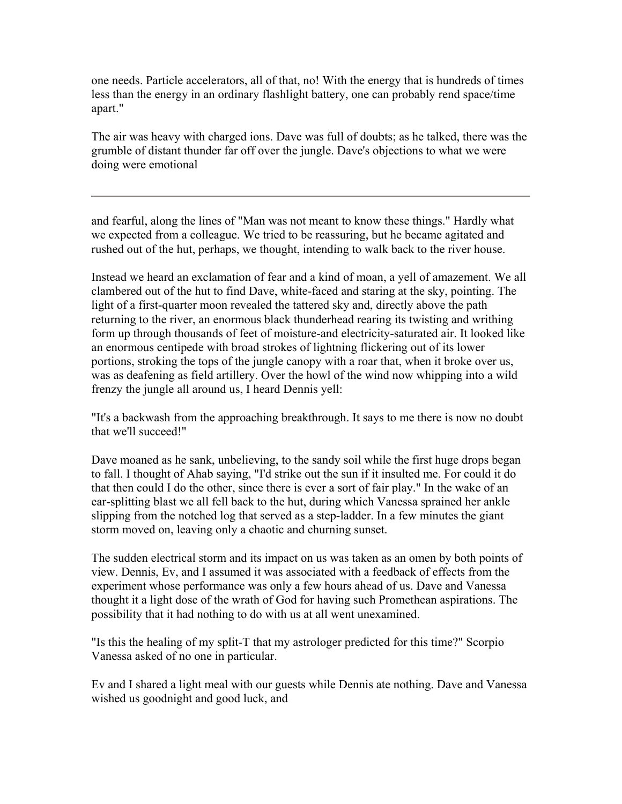one needs. Particle accelerators, all of that, no! With the energy that is hundreds of times less than the energy in an ordinary flashlight battery, one can probably rend space/time apart."

The air was heavy with charged ions. Dave was full of doubts; as he talked, there was the grumble of distant thunder far off over the jungle. Dave's objections to what we were doing were emotional

and fearful, along the lines of "Man was not meant to know these things." Hardly what we expected from a colleague. We tried to be reassuring, but he became agitated and rushed out of the hut, perhaps, we thought, intending to walk back to the river house.

Instead we heard an exclamation of fear and a kind of moan, a yell of amazement. We all clambered out of the hut to find Dave, white-faced and staring at the sky, pointing. The light of a first-quarter moon revealed the tattered sky and, directly above the path returning to the river, an enormous black thunderhead rearing its twisting and writhing form up through thousands of feet of moisture-and electricity-saturated air. It looked like an enormous centipede with broad strokes of lightning flickering out of its lower portions, stroking the tops of the jungle canopy with a roar that, when it broke over us, was as deafening as field artillery. Over the howl of the wind now whipping into a wild frenzy the jungle all around us, I heard Dennis yell:

"It's a backwash from the approaching breakthrough. It says to me there is now no doubt that we'll succeed!"

Dave moaned as he sank, unbelieving, to the sandy soil while the first huge drops began to fall. I thought of Ahab saying, "I'd strike out the sun if it insulted me. For could it do that then could I do the other, since there is ever a sort of fair play." In the wake of an ear-splitting blast we all fell back to the hut, during which Vanessa sprained her ankle slipping from the notched log that served as a step-ladder. In a few minutes the giant storm moved on, leaving only a chaotic and churning sunset.

The sudden electrical storm and its impact on us was taken as an omen by both points of view. Dennis, Ev, and I assumed it was associated with a feedback of effects from the experiment whose performance was only a few hours ahead of us. Dave and Vanessa thought it a light dose of the wrath of God for having such Promethean aspirations. The possibility that it had nothing to do with us at all went unexamined.

"Is this the healing of my split-T that my astrologer predicted for this time?" Scorpio Vanessa asked of no one in particular.

Ev and I shared a light meal with our guests while Dennis ate nothing. Dave and Vanessa wished us goodnight and good luck, and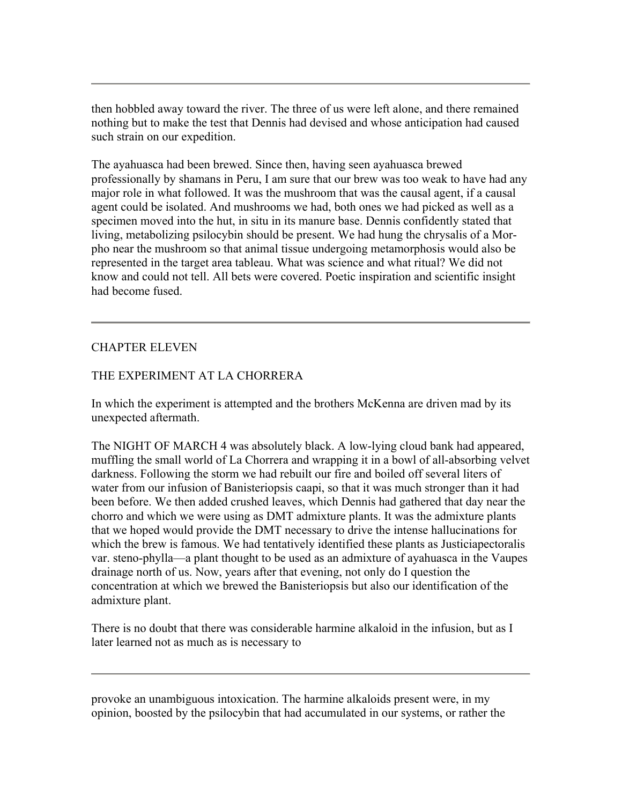then hobbled away toward the river. The three of us were left alone, and there remained nothing but to make the test that Dennis had devised and whose anticipation had caused such strain on our expedition.

The ayahuasca had been brewed. Since then, having seen ayahuasca brewed professionally by shamans in Peru, I am sure that our brew was too weak to have had any major role in what followed. It was the mushroom that was the causal agent, if a causal agent could be isolated. And mushrooms we had, both ones we had picked as well as a specimen moved into the hut, in situ in its manure base. Dennis confidently stated that living, metabolizing psilocybin should be present. We had hung the chrysalis of a Morpho near the mushroom so that animal tissue undergoing metamorphosis would also be represented in the target area tableau. What was science and what ritual? We did not know and could not tell. All bets were covered. Poetic inspiration and scientific insight had become fused.

# CHAPTER ELEVEN

# THE EXPERIMENT AT LA CHORRERA

In which the experiment is attempted and the brothers McKenna are driven mad by its unexpected aftermath.

The NIGHT OF MARCH 4 was absolutely black. A low-lying cloud bank had appeared, muffling the small world of La Chorrera and wrapping it in a bowl of all-absorbing velvet darkness. Following the storm we had rebuilt our fire and boiled off several liters of water from our infusion of Banisteriopsis caapi, so that it was much stronger than it had been before. We then added crushed leaves, which Dennis had gathered that day near the chorro and which we were using as DMT admixture plants. It was the admixture plants that we hoped would provide the DMT necessary to drive the intense hallucinations for which the brew is famous. We had tentatively identified these plants as Justiciapectoralis var. steno-phylla—a plant thought to be used as an admixture of ayahuasca in the Vaupes drainage north of us. Now, years after that evening, not only do I question the concentration at which we brewed the Banisteriopsis but also our identification of the admixture plant.

There is no doubt that there was considerable harmine alkaloid in the infusion, but as I later learned not as much as is necessary to

provoke an unambiguous intoxication. The harmine alkaloids present were, in my opinion, boosted by the psilocybin that had accumulated in our systems, or rather the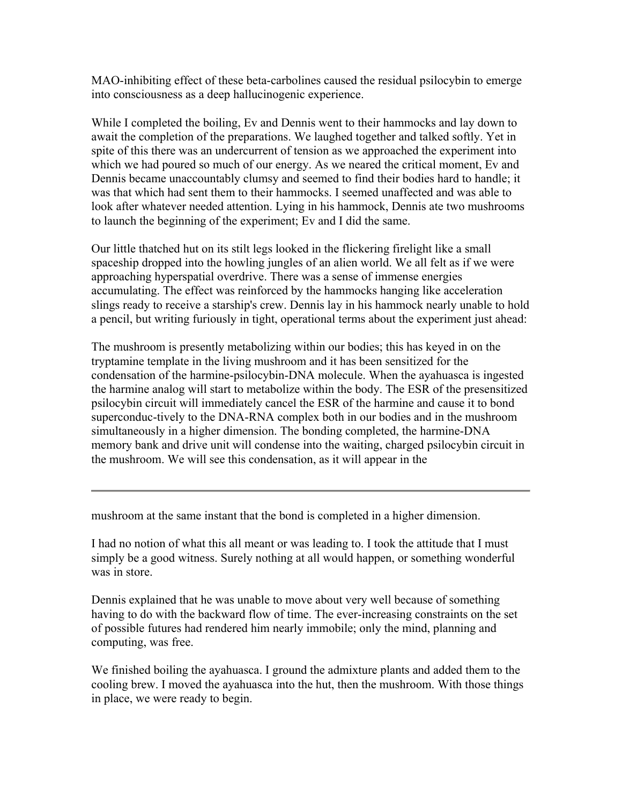MAO-inhibiting effect of these beta-carbolines caused the residual psilocybin to emerge into consciousness as a deep hallucinogenic experience.

While I completed the boiling, Ev and Dennis went to their hammocks and lay down to await the completion of the preparations. We laughed together and talked softly. Yet in spite of this there was an undercurrent of tension as we approached the experiment into which we had poured so much of our energy. As we neared the critical moment, Ev and Dennis became unaccountably clumsy and seemed to find their bodies hard to handle; it was that which had sent them to their hammocks. I seemed unaffected and was able to look after whatever needed attention. Lying in his hammock, Dennis ate two mushrooms to launch the beginning of the experiment; Ev and I did the same.

Our little thatched hut on its stilt legs looked in the flickering firelight like a small spaceship dropped into the howling jungles of an alien world. We all felt as if we were approaching hyperspatial overdrive. There was a sense of immense energies accumulating. The effect was reinforced by the hammocks hanging like acceleration slings ready to receive a starship's crew. Dennis lay in his hammock nearly unable to hold a pencil, but writing furiously in tight, operational terms about the experiment just ahead:

The mushroom is presently metabolizing within our bodies; this has keyed in on the tryptamine template in the living mushroom and it has been sensitized for the condensation of the harmine-psilocybin-DNA molecule. When the ayahuasca is ingested the harmine analog will start to metabolize within the body. The ESR of the presensitized psilocybin circuit will immediately cancel the ESR of the harmine and cause it to bond superconduc-tively to the DNA-RNA complex both in our bodies and in the mushroom simultaneously in a higher dimension. The bonding completed, the harmine-DNA memory bank and drive unit will condense into the waiting, charged psilocybin circuit in the mushroom. We will see this condensation, as it will appear in the

mushroom at the same instant that the bond is completed in a higher dimension.

I had no notion of what this all meant or was leading to. I took the attitude that I must simply be a good witness. Surely nothing at all would happen, or something wonderful was in store.

Dennis explained that he was unable to move about very well because of something having to do with the backward flow of time. The ever-increasing constraints on the set of possible futures had rendered him nearly immobile; only the mind, planning and computing, was free.

We finished boiling the ayahuasca. I ground the admixture plants and added them to the cooling brew. I moved the ayahuasca into the hut, then the mushroom. With those things in place, we were ready to begin.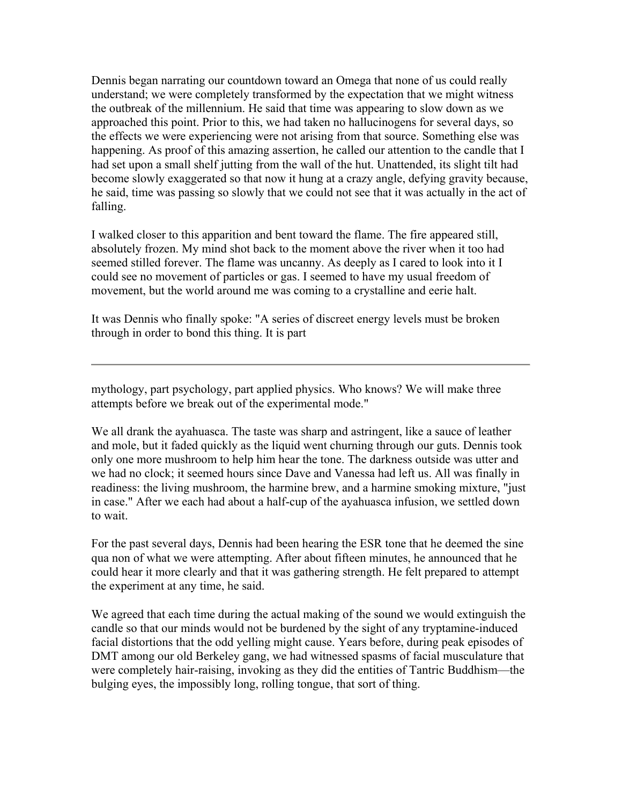Dennis began narrating our countdown toward an Omega that none of us could really understand; we were completely transformed by the expectation that we might witness the outbreak of the millennium. He said that time was appearing to slow down as we approached this point. Prior to this, we had taken no hallucinogens for several days, so the effects we were experiencing were not arising from that source. Something else was happening. As proof of this amazing assertion, he called our attention to the candle that I had set upon a small shelf jutting from the wall of the hut. Unattended, its slight tilt had become slowly exaggerated so that now it hung at a crazy angle, defying gravity because, he said, time was passing so slowly that we could not see that it was actually in the act of falling.

I walked closer to this apparition and bent toward the flame. The fire appeared still, absolutely frozen. My mind shot back to the moment above the river when it too had seemed stilled forever. The flame was uncanny. As deeply as I cared to look into it I could see no movement of particles or gas. I seemed to have my usual freedom of movement, but the world around me was coming to a crystalline and eerie halt.

It was Dennis who finally spoke: "A series of discreet energy levels must be broken through in order to bond this thing. It is part

mythology, part psychology, part applied physics. Who knows? We will make three attempts before we break out of the experimental mode."

We all drank the ayahuasca. The taste was sharp and astringent, like a sauce of leather and mole, but it faded quickly as the liquid went churning through our guts. Dennis took only one more mushroom to help him hear the tone. The darkness outside was utter and we had no clock; it seemed hours since Dave and Vanessa had left us. All was finally in readiness: the living mushroom, the harmine brew, and a harmine smoking mixture, "just in case." After we each had about a half-cup of the ayahuasca infusion, we settled down to wait.

For the past several days, Dennis had been hearing the ESR tone that he deemed the sine qua non of what we were attempting. After about fifteen minutes, he announced that he could hear it more clearly and that it was gathering strength. He felt prepared to attempt the experiment at any time, he said.

We agreed that each time during the actual making of the sound we would extinguish the candle so that our minds would not be burdened by the sight of any tryptamine-induced facial distortions that the odd yelling might cause. Years before, during peak episodes of DMT among our old Berkeley gang, we had witnessed spasms of facial musculature that were completely hair-raising, invoking as they did the entities of Tantric Buddhism—the bulging eyes, the impossibly long, rolling tongue, that sort of thing.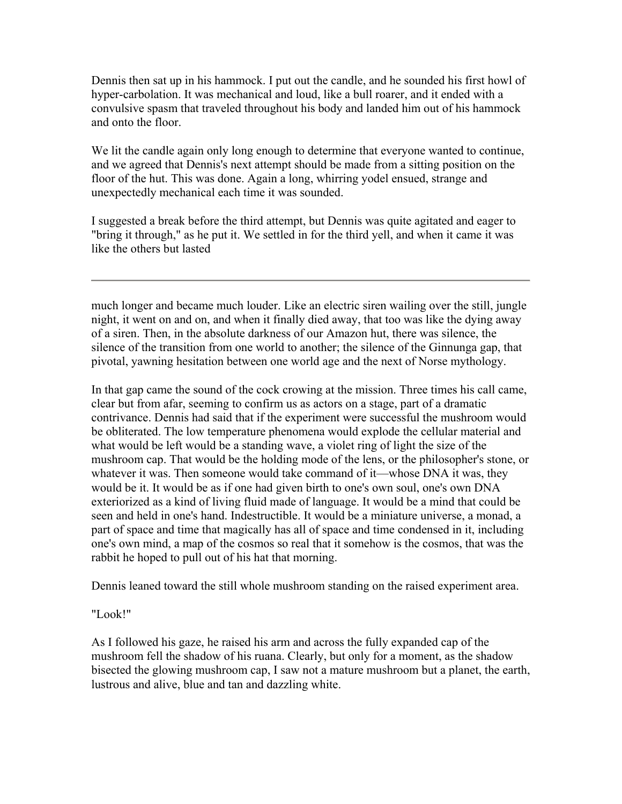Dennis then sat up in his hammock. I put out the candle, and he sounded his first howl of hyper-carbolation. It was mechanical and loud, like a bull roarer, and it ended with a convulsive spasm that traveled throughout his body and landed him out of his hammock and onto the floor.

We lit the candle again only long enough to determine that everyone wanted to continue, and we agreed that Dennis's next attempt should be made from a sitting position on the floor of the hut. This was done. Again a long, whirring yodel ensued, strange and unexpectedly mechanical each time it was sounded.

I suggested a break before the third attempt, but Dennis was quite agitated and eager to "bring it through," as he put it. We settled in for the third yell, and when it came it was like the others but lasted

much longer and became much louder. Like an electric siren wailing over the still, jungle night, it went on and on, and when it finally died away, that too was like the dying away of a siren. Then, in the absolute darkness of our Amazon hut, there was silence, the silence of the transition from one world to another; the silence of the Ginnunga gap, that pivotal, yawning hesitation between one world age and the next of Norse mythology.

In that gap came the sound of the cock crowing at the mission. Three times his call came, clear but from afar, seeming to confirm us as actors on a stage, part of a dramatic contrivance. Dennis had said that if the experiment were successful the mushroom would be obliterated. The low temperature phenomena would explode the cellular material and what would be left would be a standing wave, a violet ring of light the size of the mushroom cap. That would be the holding mode of the lens, or the philosopher's stone, or whatever it was. Then someone would take command of it—whose DNA it was, they would be it. It would be as if one had given birth to one's own soul, one's own DNA exteriorized as a kind of living fluid made of language. It would be a mind that could be seen and held in one's hand. Indestructible. It would be a miniature universe, a monad, a part of space and time that magically has all of space and time condensed in it, including one's own mind, a map of the cosmos so real that it somehow is the cosmos, that was the rabbit he hoped to pull out of his hat that morning.

Dennis leaned toward the still whole mushroom standing on the raised experiment area.

# "Look!"

As I followed his gaze, he raised his arm and across the fully expanded cap of the mushroom fell the shadow of his ruana. Clearly, but only for a moment, as the shadow bisected the glowing mushroom cap, I saw not a mature mushroom but a planet, the earth, lustrous and alive, blue and tan and dazzling white.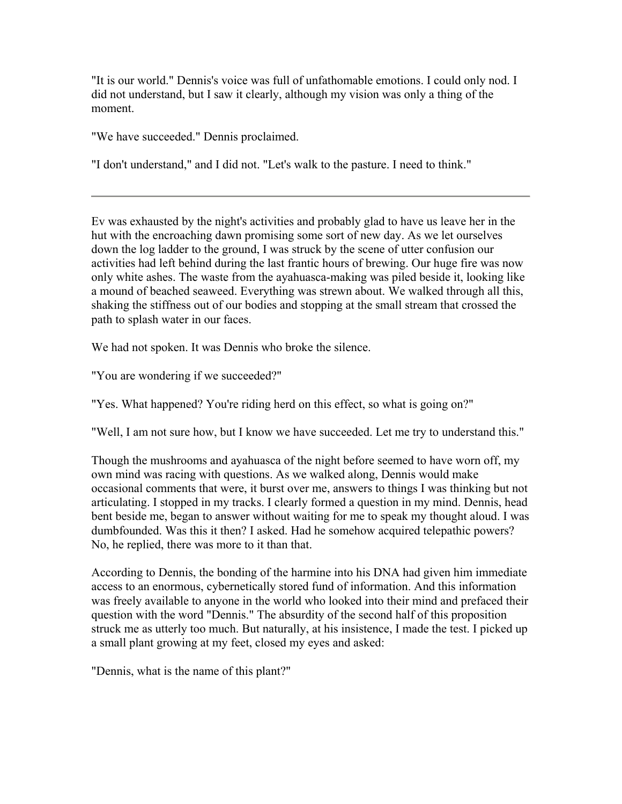"It is our world." Dennis's voice was full of unfathomable emotions. I could only nod. I did not understand, but I saw it clearly, although my vision was only a thing of the moment.

"We have succeeded." Dennis proclaimed.

"I don't understand," and I did not. "Let's walk to the pasture. I need to think."

Ev was exhausted by the night's activities and probably glad to have us leave her in the hut with the encroaching dawn promising some sort of new day. As we let ourselves down the log ladder to the ground, I was struck by the scene of utter confusion our activities had left behind during the last frantic hours of brewing. Our huge fire was now only white ashes. The waste from the ayahuasca-making was piled beside it, looking like a mound of beached seaweed. Everything was strewn about. We walked through all this, shaking the stiffness out of our bodies and stopping at the small stream that crossed the path to splash water in our faces.

We had not spoken. It was Dennis who broke the silence.

"You are wondering if we succeeded?"

"Yes. What happened? You're riding herd on this effect, so what is going on?"

"Well, I am not sure how, but I know we have succeeded. Let me try to understand this."

Though the mushrooms and ayahuasca of the night before seemed to have worn off, my own mind was racing with questions. As we walked along, Dennis would make occasional comments that were, it burst over me, answers to things I was thinking but not articulating. I stopped in my tracks. I clearly formed a question in my mind. Dennis, head bent beside me, began to answer without waiting for me to speak my thought aloud. I was dumbfounded. Was this it then? I asked. Had he somehow acquired telepathic powers? No, he replied, there was more to it than that.

According to Dennis, the bonding of the harmine into his DNA had given him immediate access to an enormous, cybernetically stored fund of information. And this information was freely available to anyone in the world who looked into their mind and prefaced their question with the word "Dennis." The absurdity of the second half of this proposition struck me as utterly too much. But naturally, at his insistence, I made the test. I picked up a small plant growing at my feet, closed my eyes and asked:

"Dennis, what is the name of this plant?"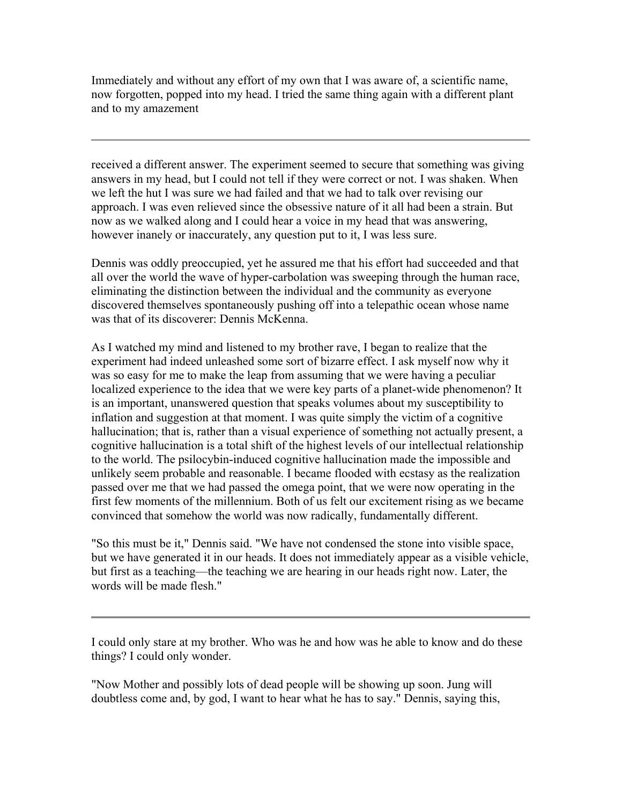Immediately and without any effort of my own that I was aware of, a scientific name, now forgotten, popped into my head. I tried the same thing again with a different plant and to my amazement

received a different answer. The experiment seemed to secure that something was giving answers in my head, but I could not tell if they were correct or not. I was shaken. When we left the hut I was sure we had failed and that we had to talk over revising our approach. I was even relieved since the obsessive nature of it all had been a strain. But now as we walked along and I could hear a voice in my head that was answering, however inanely or inaccurately, any question put to it, I was less sure.

Dennis was oddly preoccupied, yet he assured me that his effort had succeeded and that all over the world the wave of hyper-carbolation was sweeping through the human race, eliminating the distinction between the individual and the community as everyone discovered themselves spontaneously pushing off into a telepathic ocean whose name was that of its discoverer: Dennis McKenna.

As I watched my mind and listened to my brother rave, I began to realize that the experiment had indeed unleashed some sort of bizarre effect. I ask myself now why it was so easy for me to make the leap from assuming that we were having a peculiar localized experience to the idea that we were key parts of a planet-wide phenomenon? It is an important, unanswered question that speaks volumes about my susceptibility to inflation and suggestion at that moment. I was quite simply the victim of a cognitive hallucination; that is, rather than a visual experience of something not actually present, a cognitive hallucination is a total shift of the highest levels of our intellectual relationship to the world. The psilocybin-induced cognitive hallucination made the impossible and unlikely seem probable and reasonable. I became flooded with ecstasy as the realization passed over me that we had passed the omega point, that we were now operating in the first few moments of the millennium. Both of us felt our excitement rising as we became convinced that somehow the world was now radically, fundamentally different.

"So this must be it," Dennis said. "We have not condensed the stone into visible space, but we have generated it in our heads. It does not immediately appear as a visible vehicle, but first as a teaching—the teaching we are hearing in our heads right now. Later, the words will be made flesh."

I could only stare at my brother. Who was he and how was he able to know and do these things? I could only wonder.

"Now Mother and possibly lots of dead people will be showing up soon. Jung will doubtless come and, by god, I want to hear what he has to say." Dennis, saying this,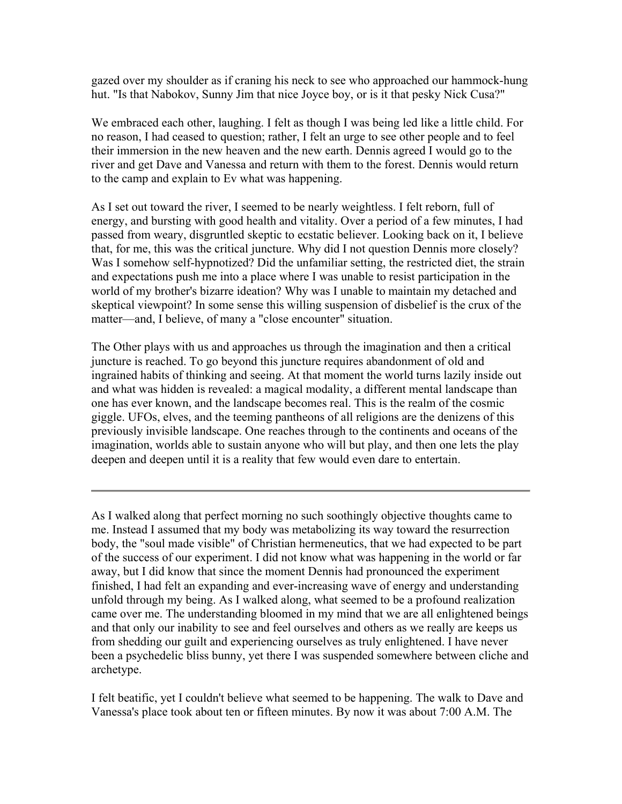gazed over my shoulder as if craning his neck to see who approached our hammock-hung hut. "Is that Nabokov, Sunny Jim that nice Joyce boy, or is it that pesky Nick Cusa?"

We embraced each other, laughing. I felt as though I was being led like a little child. For no reason, I had ceased to question; rather, I felt an urge to see other people and to feel their immersion in the new heaven and the new earth. Dennis agreed I would go to the river and get Dave and Vanessa and return with them to the forest. Dennis would return to the camp and explain to Ev what was happening.

As I set out toward the river, I seemed to be nearly weightless. I felt reborn, full of energy, and bursting with good health and vitality. Over a period of a few minutes, I had passed from weary, disgruntled skeptic to ecstatic believer. Looking back on it, I believe that, for me, this was the critical juncture. Why did I not question Dennis more closely? Was I somehow self-hypnotized? Did the unfamiliar setting, the restricted diet, the strain and expectations push me into a place where I was unable to resist participation in the world of my brother's bizarre ideation? Why was I unable to maintain my detached and skeptical viewpoint? In some sense this willing suspension of disbelief is the crux of the matter—and, I believe, of many a "close encounter" situation.

The Other plays with us and approaches us through the imagination and then a critical juncture is reached. To go beyond this juncture requires abandonment of old and ingrained habits of thinking and seeing. At that moment the world turns lazily inside out and what was hidden is revealed: a magical modality, a different mental landscape than one has ever known, and the landscape becomes real. This is the realm of the cosmic giggle. UFOs, elves, and the teeming pantheons of all religions are the denizens of this previously invisible landscape. One reaches through to the continents and oceans of the imagination, worlds able to sustain anyone who will but play, and then one lets the play deepen and deepen until it is a reality that few would even dare to entertain.

As I walked along that perfect morning no such soothingly objective thoughts came to me. Instead I assumed that my body was metabolizing its way toward the resurrection body, the "soul made visible" of Christian hermeneutics, that we had expected to be part of the success of our experiment. I did not know what was happening in the world or far away, but I did know that since the moment Dennis had pronounced the experiment finished, I had felt an expanding and ever-increasing wave of energy and understanding unfold through my being. As I walked along, what seemed to be a profound realization came over me. The understanding bloomed in my mind that we are all enlightened beings and that only our inability to see and feel ourselves and others as we really are keeps us from shedding our guilt and experiencing ourselves as truly enlightened. I have never been a psychedelic bliss bunny, yet there I was suspended somewhere between cliche and archetype.

I felt beatific, yet I couldn't believe what seemed to be happening. The walk to Dave and Vanessa's place took about ten or fifteen minutes. By now it was about 7:00 A.M. The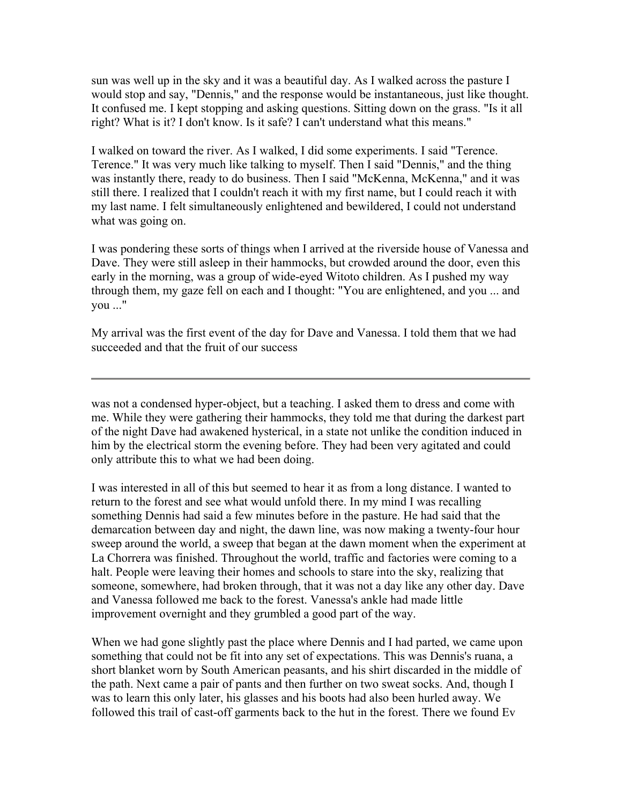sun was well up in the sky and it was a beautiful day. As I walked across the pasture I would stop and say, "Dennis," and the response would be instantaneous, just like thought. It confused me. I kept stopping and asking questions. Sitting down on the grass. "Is it all right? What is it? I don't know. Is it safe? I can't understand what this means."

I walked on toward the river. As I walked, I did some experiments. I said "Terence. Terence." It was very much like talking to myself. Then I said "Dennis," and the thing was instantly there, ready to do business. Then I said "McKenna, McKenna," and it was still there. I realized that I couldn't reach it with my first name, but I could reach it with my last name. I felt simultaneously enlightened and bewildered, I could not understand what was going on.

I was pondering these sorts of things when I arrived at the riverside house of Vanessa and Dave. They were still asleep in their hammocks, but crowded around the door, even this early in the morning, was a group of wide-eyed Witoto children. As I pushed my way through them, my gaze fell on each and I thought: "You are enlightened, and you ... and you ..."

My arrival was the first event of the day for Dave and Vanessa. I told them that we had succeeded and that the fruit of our success

was not a condensed hyper-object, but a teaching. I asked them to dress and come with me. While they were gathering their hammocks, they told me that during the darkest part of the night Dave had awakened hysterical, in a state not unlike the condition induced in him by the electrical storm the evening before. They had been very agitated and could only attribute this to what we had been doing.

I was interested in all of this but seemed to hear it as from a long distance. I wanted to return to the forest and see what would unfold there. In my mind I was recalling something Dennis had said a few minutes before in the pasture. He had said that the demarcation between day and night, the dawn line, was now making a twenty-four hour sweep around the world, a sweep that began at the dawn moment when the experiment at La Chorrera was finished. Throughout the world, traffic and factories were coming to a halt. People were leaving their homes and schools to stare into the sky, realizing that someone, somewhere, had broken through, that it was not a day like any other day. Dave and Vanessa followed me back to the forest. Vanessa's ankle had made little improvement overnight and they grumbled a good part of the way.

When we had gone slightly past the place where Dennis and I had parted, we came upon something that could not be fit into any set of expectations. This was Dennis's ruana, a short blanket worn by South American peasants, and his shirt discarded in the middle of the path. Next came a pair of pants and then further on two sweat socks. And, though I was to learn this only later, his glasses and his boots had also been hurled away. We followed this trail of cast-off garments back to the hut in the forest. There we found Ev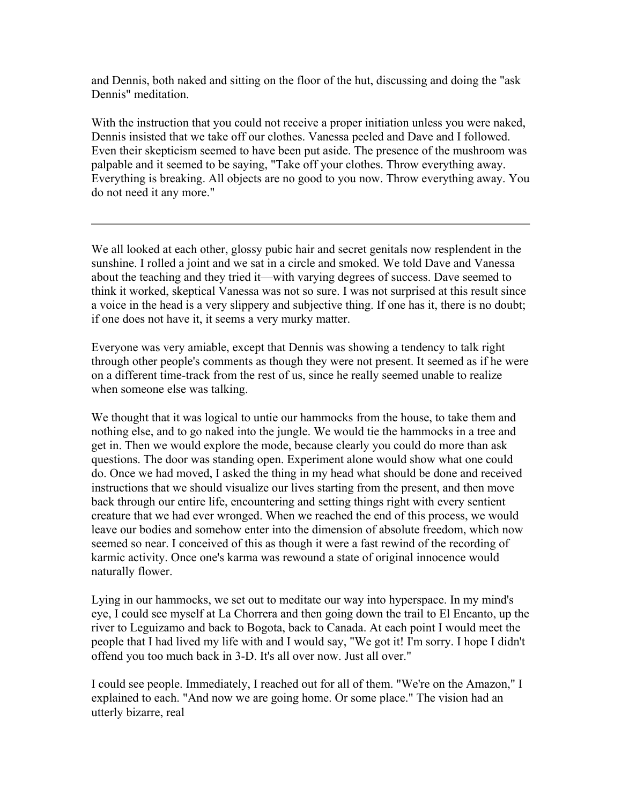and Dennis, both naked and sitting on the floor of the hut, discussing and doing the "ask Dennis" meditation.

With the instruction that you could not receive a proper initiation unless you were naked, Dennis insisted that we take off our clothes. Vanessa peeled and Dave and I followed. Even their skepticism seemed to have been put aside. The presence of the mushroom was palpable and it seemed to be saying, "Take off your clothes. Throw everything away. Everything is breaking. All objects are no good to you now. Throw everything away. You do not need it any more."

We all looked at each other, glossy pubic hair and secret genitals now resplendent in the sunshine. I rolled a joint and we sat in a circle and smoked. We told Dave and Vanessa about the teaching and they tried it—with varying degrees of success. Dave seemed to think it worked, skeptical Vanessa was not so sure. I was not surprised at this result since a voice in the head is a very slippery and subjective thing. If one has it, there is no doubt; if one does not have it, it seems a very murky matter.

Everyone was very amiable, except that Dennis was showing a tendency to talk right through other people's comments as though they were not present. It seemed as if he were on a different time-track from the rest of us, since he really seemed unable to realize when someone else was talking.

We thought that it was logical to untie our hammocks from the house, to take them and nothing else, and to go naked into the jungle. We would tie the hammocks in a tree and get in. Then we would explore the mode, because clearly you could do more than ask questions. The door was standing open. Experiment alone would show what one could do. Once we had moved, I asked the thing in my head what should be done and received instructions that we should visualize our lives starting from the present, and then move back through our entire life, encountering and setting things right with every sentient creature that we had ever wronged. When we reached the end of this process, we would leave our bodies and somehow enter into the dimension of absolute freedom, which now seemed so near. I conceived of this as though it were a fast rewind of the recording of karmic activity. Once one's karma was rewound a state of original innocence would naturally flower.

Lying in our hammocks, we set out to meditate our way into hyperspace. In my mind's eye, I could see myself at La Chorrera and then going down the trail to El Encanto, up the river to Leguizamo and back to Bogota, back to Canada. At each point I would meet the people that I had lived my life with and I would say, "We got it! I'm sorry. I hope I didn't offend you too much back in 3-D. It's all over now. Just all over."

I could see people. Immediately, I reached out for all of them. "We're on the Amazon," I explained to each. "And now we are going home. Or some place." The vision had an utterly bizarre, real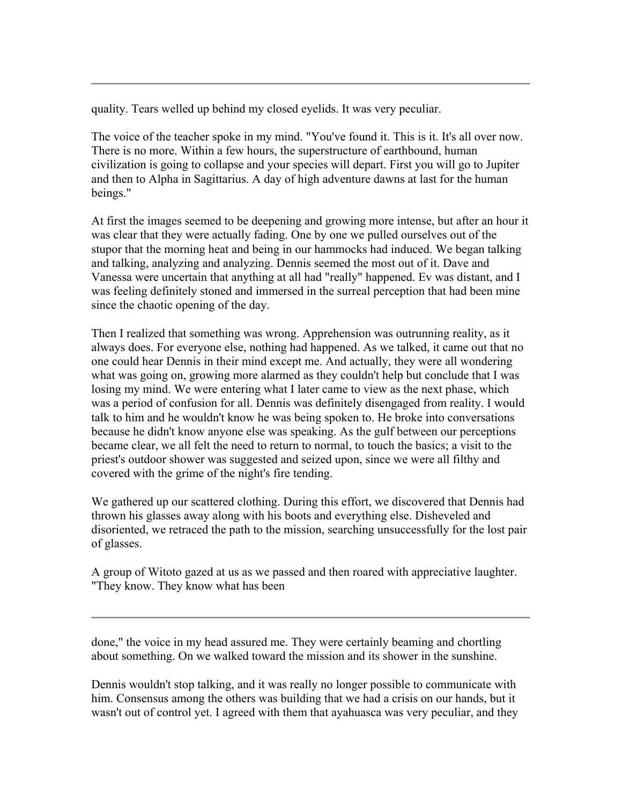quality. Tears welled up behind my closed eyelids. It was very peculiar.

The voice of the teacher spoke in my mind. "You've found it. This is it. It's all over now. There is no more. Within a few hours, the superstructure of earthbound, human civilization is going to collapse and your species will depart. First you will go to Jupiter and then to Alpha in Sagittarius. A day of high adventure dawns at last for the human beings."

At first the images seemed to be deepening and growing more intense, but after an hour it was clear that they were actually fading. One by one we pulled ourselves out of the stupor that the morning heat and being in our hammocks had induced. We began talking and talking, analyzing and analyzing. Dennis seemed the most out of it. Dave and Vanessa were uncertain that anything at all had "really" happened. Ev was distant, and I was feeling definitely stoned and immersed in the surreal perception that had been mine since the chaotic opening of the day.

Then I realized that something was wrong. Apprehension was outrunning reality, as it always does. For everyone else, nothing had happened. As we talked, it came out that no one could hear Dennis in their mind except me. And actually, they were all wondering what was going on, growing more alarmed as they couldn't help but conclude that I was losing my mind. We were entering what I later came to view as the next phase, which was a period of confusion for all. Dennis was definitely disengaged from reality. I would talk to him and he wouldn't know he was being spoken to. He broke into conversations because he didn't know anyone else was speaking. As the gulf between our perceptions became clear, we all felt the need to return to normal, to touch the basics; a visit to the priest's outdoor shower was suggested and seized upon, since we were all filthy and covered with the grime of the night's fire tending.

We gathered up our scattered clothing. During this effort, we discovered that Dennis had thrown his glasses away along with his boots and everything else. Disheveled and disoriented, we retraced the path to the mission, searching unsuccessfully for the lost pair of glasses.

A group of Witoto gazed at us as we passed and then roared with appreciative laughter. "They know. They know what has been

done," the voice in my head assured me. They were certainly beaming and chortling about something. On we walked toward the mission and its shower in the sunshine.

Dennis wouldn't stop talking, and it was really no longer possible to communicate with him. Consensus among the others was building that we had a crisis on our hands, but it wasn't out of control yet. I agreed with them that ayahuasca was very peculiar, and they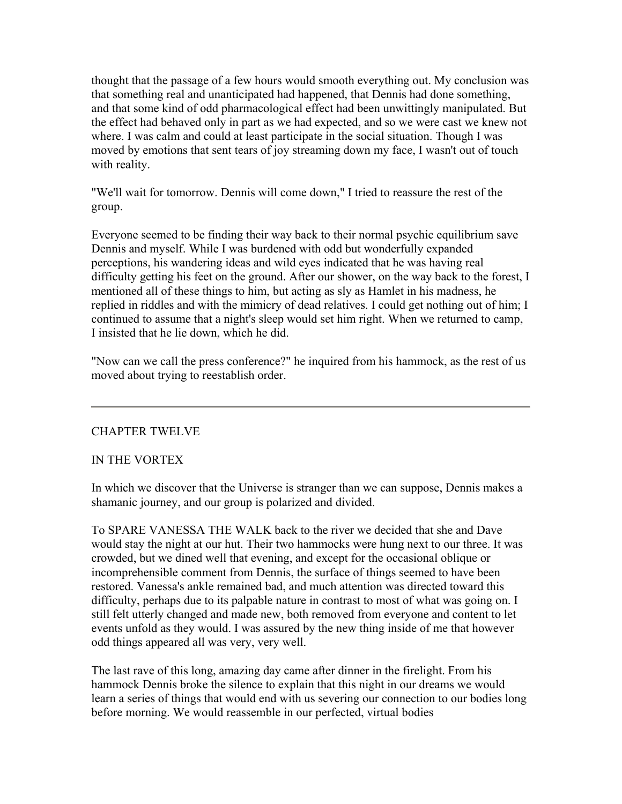thought that the passage of a few hours would smooth everything out. My conclusion was that something real and unanticipated had happened, that Dennis had done something, and that some kind of odd pharmacological effect had been unwittingly manipulated. But the effect had behaved only in part as we had expected, and so we were cast we knew not where. I was calm and could at least participate in the social situation. Though I was moved by emotions that sent tears of joy streaming down my face, I wasn't out of touch with reality.

"We'll wait for tomorrow. Dennis will come down," I tried to reassure the rest of the group.

Everyone seemed to be finding their way back to their normal psychic equilibrium save Dennis and myself. While I was burdened with odd but wonderfully expanded perceptions, his wandering ideas and wild eyes indicated that he was having real difficulty getting his feet on the ground. After our shower, on the way back to the forest, I mentioned all of these things to him, but acting as sly as Hamlet in his madness, he replied in riddles and with the mimicry of dead relatives. I could get nothing out of him; I continued to assume that a night's sleep would set him right. When we returned to camp, I insisted that he lie down, which he did.

"Now can we call the press conference?" he inquired from his hammock, as the rest of us moved about trying to reestablish order.

# CHAPTER TWELVE

### IN THE VORTEX

In which we discover that the Universe is stranger than we can suppose, Dennis makes a shamanic journey, and our group is polarized and divided.

To SPARE VANESSA THE WALK back to the river we decided that she and Dave would stay the night at our hut. Their two hammocks were hung next to our three. It was crowded, but we dined well that evening, and except for the occasional oblique or incomprehensible comment from Dennis, the surface of things seemed to have been restored. Vanessa's ankle remained bad, and much attention was directed toward this difficulty, perhaps due to its palpable nature in contrast to most of what was going on. I still felt utterly changed and made new, both removed from everyone and content to let events unfold as they would. I was assured by the new thing inside of me that however odd things appeared all was very, very well.

The last rave of this long, amazing day came after dinner in the firelight. From his hammock Dennis broke the silence to explain that this night in our dreams we would learn a series of things that would end with us severing our connection to our bodies long before morning. We would reassemble in our perfected, virtual bodies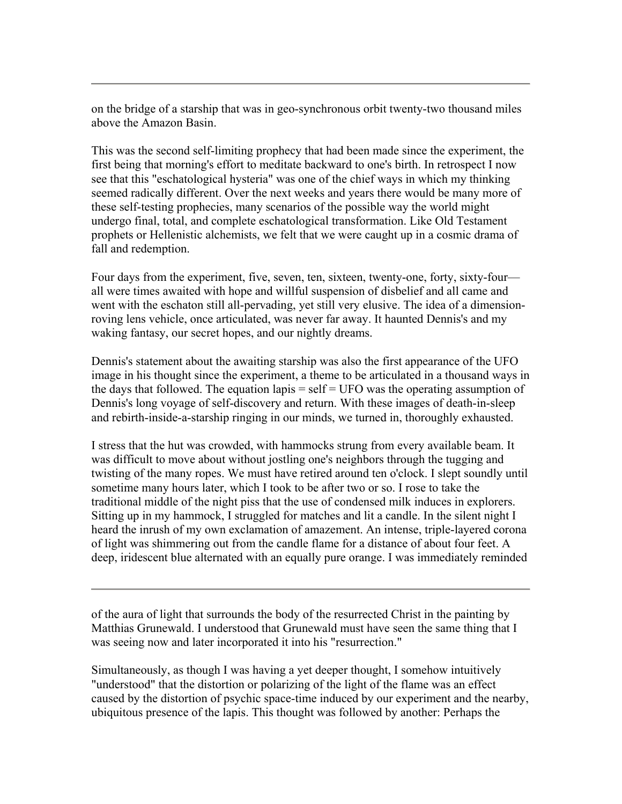on the bridge of a starship that was in geo-synchronous orbit twenty-two thousand miles above the Amazon Basin.

This was the second self-limiting prophecy that had been made since the experiment, the first being that morning's effort to meditate backward to one's birth. In retrospect I now see that this "eschatological hysteria" was one of the chief ways in which my thinking seemed radically different. Over the next weeks and years there would be many more of these self-testing prophecies, many scenarios of the possible way the world might undergo final, total, and complete eschatological transformation. Like Old Testament prophets or Hellenistic alchemists, we felt that we were caught up in a cosmic drama of fall and redemption.

Four days from the experiment, five, seven, ten, sixteen, twenty-one, forty, sixty-four all were times awaited with hope and willful suspension of disbelief and all came and went with the eschaton still all-pervading, yet still very elusive. The idea of a dimensionroving lens vehicle, once articulated, was never far away. It haunted Dennis's and my waking fantasy, our secret hopes, and our nightly dreams.

Dennis's statement about the awaiting starship was also the first appearance of the UFO image in his thought since the experiment, a theme to be articulated in a thousand ways in the days that followed. The equation lapis  $=$  self  $=$  UFO was the operating assumption of Dennis's long voyage of self-discovery and return. With these images of death-in-sleep and rebirth-inside-a-starship ringing in our minds, we turned in, thoroughly exhausted.

I stress that the hut was crowded, with hammocks strung from every available beam. It was difficult to move about without jostling one's neighbors through the tugging and twisting of the many ropes. We must have retired around ten o'clock. I slept soundly until sometime many hours later, which I took to be after two or so. I rose to take the traditional middle of the night piss that the use of condensed milk induces in explorers. Sitting up in my hammock, I struggled for matches and lit a candle. In the silent night I heard the inrush of my own exclamation of amazement. An intense, triple-layered corona of light was shimmering out from the candle flame for a distance of about four feet. A deep, iridescent blue alternated with an equally pure orange. I was immediately reminded

of the aura of light that surrounds the body of the resurrected Christ in the painting by Matthias Grunewald. I understood that Grunewald must have seen the same thing that I was seeing now and later incorporated it into his "resurrection."

Simultaneously, as though I was having a yet deeper thought, I somehow intuitively "understood" that the distortion or polarizing of the light of the flame was an effect caused by the distortion of psychic space-time induced by our experiment and the nearby, ubiquitous presence of the lapis. This thought was followed by another: Perhaps the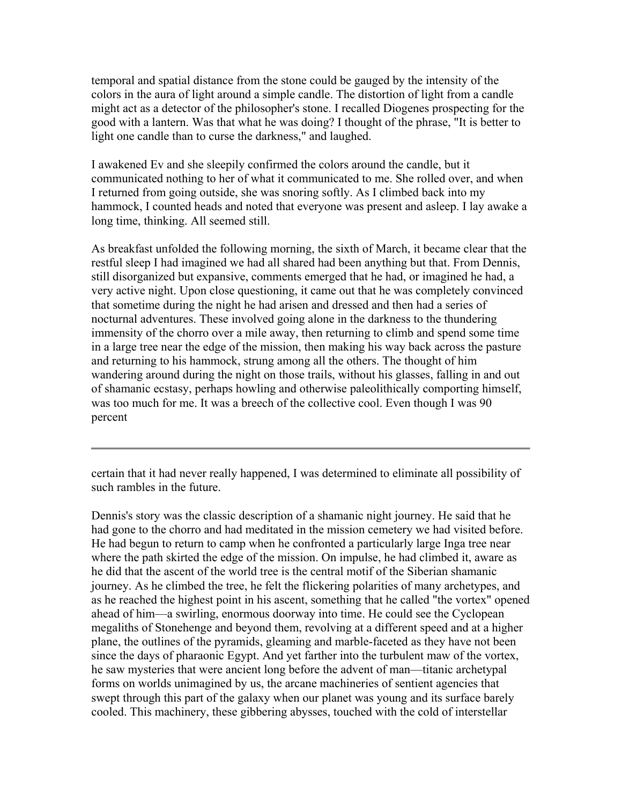temporal and spatial distance from the stone could be gauged by the intensity of the colors in the aura of light around a simple candle. The distortion of light from a candle might act as a detector of the philosopher's stone. I recalled Diogenes prospecting for the good with a lantern. Was that what he was doing? I thought of the phrase, "It is better to light one candle than to curse the darkness," and laughed.

I awakened Ev and she sleepily confirmed the colors around the candle, but it communicated nothing to her of what it communicated to me. She rolled over, and when I returned from going outside, she was snoring softly. As I climbed back into my hammock, I counted heads and noted that everyone was present and asleep. I lay awake a long time, thinking. All seemed still.

As breakfast unfolded the following morning, the sixth of March, it became clear that the restful sleep I had imagined we had all shared had been anything but that. From Dennis, still disorganized but expansive, comments emerged that he had, or imagined he had, a very active night. Upon close questioning, it came out that he was completely convinced that sometime during the night he had arisen and dressed and then had a series of nocturnal adventures. These involved going alone in the darkness to the thundering immensity of the chorro over a mile away, then returning to climb and spend some time in a large tree near the edge of the mission, then making his way back across the pasture and returning to his hammock, strung among all the others. The thought of him wandering around during the night on those trails, without his glasses, falling in and out of shamanic ecstasy, perhaps howling and otherwise paleolithically comporting himself, was too much for me. It was a breech of the collective cool. Even though I was 90 percent

certain that it had never really happened, I was determined to eliminate all possibility of such rambles in the future.

Dennis's story was the classic description of a shamanic night journey. He said that he had gone to the chorro and had meditated in the mission cemetery we had visited before. He had begun to return to camp when he confronted a particularly large Inga tree near where the path skirted the edge of the mission. On impulse, he had climbed it, aware as he did that the ascent of the world tree is the central motif of the Siberian shamanic journey. As he climbed the tree, he felt the flickering polarities of many archetypes, and as he reached the highest point in his ascent, something that he called "the vortex" opened ahead of him—a swirling, enormous doorway into time. He could see the Cyclopean megaliths of Stonehenge and beyond them, revolving at a different speed and at a higher plane, the outlines of the pyramids, gleaming and marble-faceted as they have not been since the days of pharaonic Egypt. And yet farther into the turbulent maw of the vortex, he saw mysteries that were ancient long before the advent of man—titanic archetypal forms on worlds unimagined by us, the arcane machineries of sentient agencies that swept through this part of the galaxy when our planet was young and its surface barely cooled. This machinery, these gibbering abysses, touched with the cold of interstellar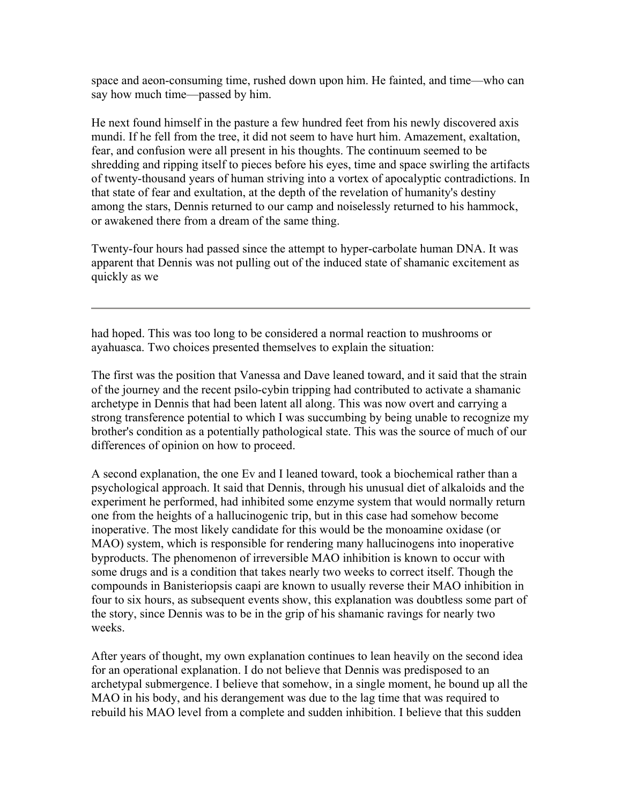space and aeon-consuming time, rushed down upon him. He fainted, and time—who can say how much time—passed by him.

He next found himself in the pasture a few hundred feet from his newly discovered axis mundi. If he fell from the tree, it did not seem to have hurt him. Amazement, exaltation, fear, and confusion were all present in his thoughts. The continuum seemed to be shredding and ripping itself to pieces before his eyes, time and space swirling the artifacts of twenty-thousand years of human striving into a vortex of apocalyptic contradictions. In that state of fear and exultation, at the depth of the revelation of humanity's destiny among the stars, Dennis returned to our camp and noiselessly returned to his hammock, or awakened there from a dream of the same thing.

Twenty-four hours had passed since the attempt to hyper-carbolate human DNA. It was apparent that Dennis was not pulling out of the induced state of shamanic excitement as quickly as we

had hoped. This was too long to be considered a normal reaction to mushrooms or ayahuasca. Two choices presented themselves to explain the situation:

The first was the position that Vanessa and Dave leaned toward, and it said that the strain of the journey and the recent psilo-cybin tripping had contributed to activate a shamanic archetype in Dennis that had been latent all along. This was now overt and carrying a strong transference potential to which I was succumbing by being unable to recognize my brother's condition as a potentially pathological state. This was the source of much of our differences of opinion on how to proceed.

A second explanation, the one Ev and I leaned toward, took a biochemical rather than a psychological approach. It said that Dennis, through his unusual diet of alkaloids and the experiment he performed, had inhibited some enzyme system that would normally return one from the heights of a hallucinogenic trip, but in this case had somehow become inoperative. The most likely candidate for this would be the monoamine oxidase (or MAO) system, which is responsible for rendering many hallucinogens into inoperative byproducts. The phenomenon of irreversible MAO inhibition is known to occur with some drugs and is a condition that takes nearly two weeks to correct itself. Though the compounds in Banisteriopsis caapi are known to usually reverse their MAO inhibition in four to six hours, as subsequent events show, this explanation was doubtless some part of the story, since Dennis was to be in the grip of his shamanic ravings for nearly two weeks.

After years of thought, my own explanation continues to lean heavily on the second idea for an operational explanation. I do not believe that Dennis was predisposed to an archetypal submergence. I believe that somehow, in a single moment, he bound up all the MAO in his body, and his derangement was due to the lag time that was required to rebuild his MAO level from a complete and sudden inhibition. I believe that this sudden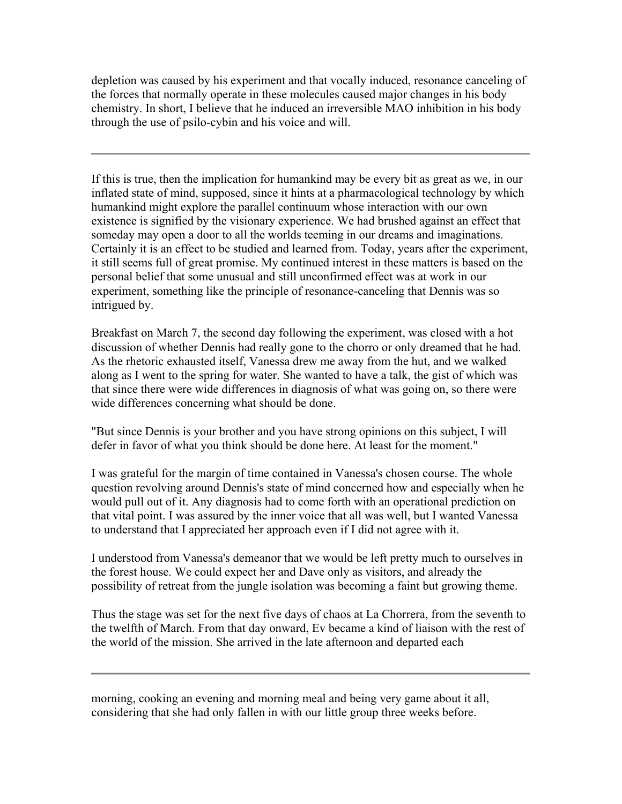depletion was caused by his experiment and that vocally induced, resonance canceling of the forces that normally operate in these molecules caused major changes in his body chemistry. In short, I believe that he induced an irreversible MAO inhibition in his body through the use of psilo-cybin and his voice and will.

If this is true, then the implication for humankind may be every bit as great as we, in our inflated state of mind, supposed, since it hints at a pharmacological technology by which humankind might explore the parallel continuum whose interaction with our own existence is signified by the visionary experience. We had brushed against an effect that someday may open a door to all the worlds teeming in our dreams and imaginations. Certainly it is an effect to be studied and learned from. Today, years after the experiment, it still seems full of great promise. My continued interest in these matters is based on the personal belief that some unusual and still unconfirmed effect was at work in our experiment, something like the principle of resonance-canceling that Dennis was so intrigued by.

Breakfast on March 7, the second day following the experiment, was closed with a hot discussion of whether Dennis had really gone to the chorro or only dreamed that he had. As the rhetoric exhausted itself, Vanessa drew me away from the hut, and we walked along as I went to the spring for water. She wanted to have a talk, the gist of which was that since there were wide differences in diagnosis of what was going on, so there were wide differences concerning what should be done.

"But since Dennis is your brother and you have strong opinions on this subject, I will defer in favor of what you think should be done here. At least for the moment."

I was grateful for the margin of time contained in Vanessa's chosen course. The whole question revolving around Dennis's state of mind concerned how and especially when he would pull out of it. Any diagnosis had to come forth with an operational prediction on that vital point. I was assured by the inner voice that all was well, but I wanted Vanessa to understand that I appreciated her approach even if I did not agree with it.

I understood from Vanessa's demeanor that we would be left pretty much to ourselves in the forest house. We could expect her and Dave only as visitors, and already the possibility of retreat from the jungle isolation was becoming a faint but growing theme.

Thus the stage was set for the next five days of chaos at La Chorrera, from the seventh to the twelfth of March. From that day onward, Ev became a kind of liaison with the rest of the world of the mission. She arrived in the late afternoon and departed each

morning, cooking an evening and morning meal and being very game about it all, considering that she had only fallen in with our little group three weeks before.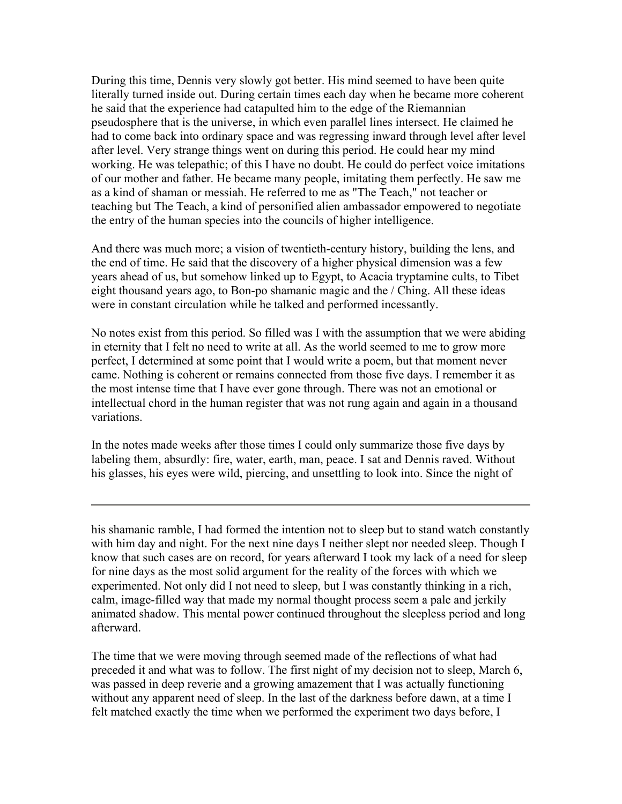During this time, Dennis very slowly got better. His mind seemed to have been quite literally turned inside out. During certain times each day when he became more coherent he said that the experience had catapulted him to the edge of the Riemannian pseudosphere that is the universe, in which even parallel lines intersect. He claimed he had to come back into ordinary space and was regressing inward through level after level after level. Very strange things went on during this period. He could hear my mind working. He was telepathic; of this I have no doubt. He could do perfect voice imitations of our mother and father. He became many people, imitating them perfectly. He saw me as a kind of shaman or messiah. He referred to me as "The Teach," not teacher or teaching but The Teach, a kind of personified alien ambassador empowered to negotiate the entry of the human species into the councils of higher intelligence.

And there was much more; a vision of twentieth-century history, building the lens, and the end of time. He said that the discovery of a higher physical dimension was a few years ahead of us, but somehow linked up to Egypt, to Acacia tryptamine cults, to Tibet eight thousand years ago, to Bon-po shamanic magic and the / Ching. All these ideas were in constant circulation while he talked and performed incessantly.

No notes exist from this period. So filled was I with the assumption that we were abiding in eternity that I felt no need to write at all. As the world seemed to me to grow more perfect, I determined at some point that I would write a poem, but that moment never came. Nothing is coherent or remains connected from those five days. I remember it as the most intense time that I have ever gone through. There was not an emotional or intellectual chord in the human register that was not rung again and again in a thousand variations.

In the notes made weeks after those times I could only summarize those five days by labeling them, absurdly: fire, water, earth, man, peace. I sat and Dennis raved. Without his glasses, his eyes were wild, piercing, and unsettling to look into. Since the night of

his shamanic ramble, I had formed the intention not to sleep but to stand watch constantly with him day and night. For the next nine days I neither slept nor needed sleep. Though I know that such cases are on record, for years afterward I took my lack of a need for sleep for nine days as the most solid argument for the reality of the forces with which we experimented. Not only did I not need to sleep, but I was constantly thinking in a rich, calm, image-filled way that made my normal thought process seem a pale and jerkily animated shadow. This mental power continued throughout the sleepless period and long afterward.

The time that we were moving through seemed made of the reflections of what had preceded it and what was to follow. The first night of my decision not to sleep, March 6, was passed in deep reverie and a growing amazement that I was actually functioning without any apparent need of sleep. In the last of the darkness before dawn, at a time I felt matched exactly the time when we performed the experiment two days before, I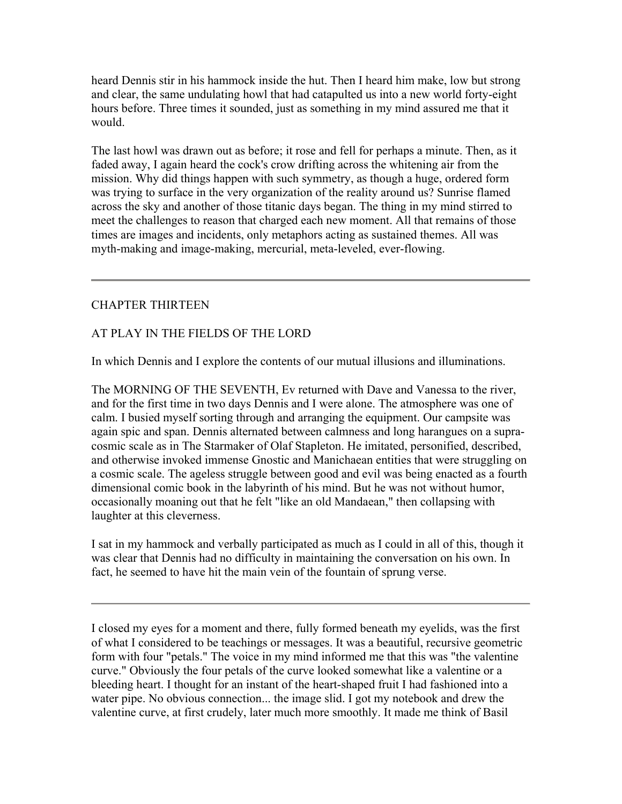heard Dennis stir in his hammock inside the hut. Then I heard him make, low but strong and clear, the same undulating howl that had catapulted us into a new world forty-eight hours before. Three times it sounded, just as something in my mind assured me that it would.

The last howl was drawn out as before; it rose and fell for perhaps a minute. Then, as it faded away, I again heard the cock's crow drifting across the whitening air from the mission. Why did things happen with such symmetry, as though a huge, ordered form was trying to surface in the very organization of the reality around us? Sunrise flamed across the sky and another of those titanic days began. The thing in my mind stirred to meet the challenges to reason that charged each new moment. All that remains of those times are images and incidents, only metaphors acting as sustained themes. All was myth-making and image-making, mercurial, meta-leveled, ever-flowing.

# CHAPTER THIRTEEN

# AT PLAY IN THE FIELDS OF THE LORD

In which Dennis and I explore the contents of our mutual illusions and illuminations.

The MORNING OF THE SEVENTH, Ev returned with Dave and Vanessa to the river, and for the first time in two days Dennis and I were alone. The atmosphere was one of calm. I busied myself sorting through and arranging the equipment. Our campsite was again spic and span. Dennis alternated between calmness and long harangues on a supracosmic scale as in The Starmaker of Olaf Stapleton. He imitated, personified, described, and otherwise invoked immense Gnostic and Manichaean entities that were struggling on a cosmic scale. The ageless struggle between good and evil was being enacted as a fourth dimensional comic book in the labyrinth of his mind. But he was not without humor, occasionally moaning out that he felt "like an old Mandaean," then collapsing with laughter at this cleverness.

I sat in my hammock and verbally participated as much as I could in all of this, though it was clear that Dennis had no difficulty in maintaining the conversation on his own. In fact, he seemed to have hit the main vein of the fountain of sprung verse.

I closed my eyes for a moment and there, fully formed beneath my eyelids, was the first of what I considered to be teachings or messages. It was a beautiful, recursive geometric form with four "petals." The voice in my mind informed me that this was "the valentine curve." Obviously the four petals of the curve looked somewhat like a valentine or a bleeding heart. I thought for an instant of the heart-shaped fruit I had fashioned into a water pipe. No obvious connection... the image slid. I got my notebook and drew the valentine curve, at first crudely, later much more smoothly. It made me think of Basil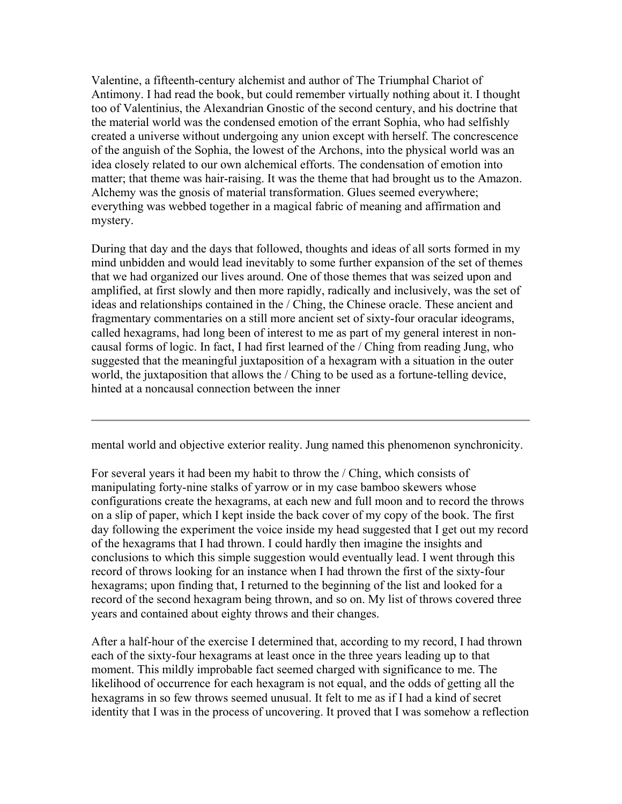Valentine, a fifteenth-century alchemist and author of The Triumphal Chariot of Antimony. I had read the book, but could remember virtually nothing about it. I thought too of Valentinius, the Alexandrian Gnostic of the second century, and his doctrine that the material world was the condensed emotion of the errant Sophia, who had selfishly created a universe without undergoing any union except with herself. The concrescence of the anguish of the Sophia, the lowest of the Archons, into the physical world was an idea closely related to our own alchemical efforts. The condensation of emotion into matter; that theme was hair-raising. It was the theme that had brought us to the Amazon. Alchemy was the gnosis of material transformation. Glues seemed everywhere; everything was webbed together in a magical fabric of meaning and affirmation and mystery.

During that day and the days that followed, thoughts and ideas of all sorts formed in my mind unbidden and would lead inevitably to some further expansion of the set of themes that we had organized our lives around. One of those themes that was seized upon and amplified, at first slowly and then more rapidly, radically and inclusively, was the set of ideas and relationships contained in the / Ching, the Chinese oracle. These ancient and fragmentary commentaries on a still more ancient set of sixty-four oracular ideograms, called hexagrams, had long been of interest to me as part of my general interest in noncausal forms of logic. In fact, I had first learned of the / Ching from reading Jung, who suggested that the meaningful juxtaposition of a hexagram with a situation in the outer world, the juxtaposition that allows the / Ching to be used as a fortune-telling device, hinted at a noncausal connection between the inner

mental world and objective exterior reality. Jung named this phenomenon synchronicity.

For several years it had been my habit to throw the / Ching, which consists of manipulating forty-nine stalks of yarrow or in my case bamboo skewers whose configurations create the hexagrams, at each new and full moon and to record the throws on a slip of paper, which I kept inside the back cover of my copy of the book. The first day following the experiment the voice inside my head suggested that I get out my record of the hexagrams that I had thrown. I could hardly then imagine the insights and conclusions to which this simple suggestion would eventually lead. I went through this record of throws looking for an instance when I had thrown the first of the sixty-four hexagrams; upon finding that, I returned to the beginning of the list and looked for a record of the second hexagram being thrown, and so on. My list of throws covered three years and contained about eighty throws and their changes.

After a half-hour of the exercise I determined that, according to my record, I had thrown each of the sixty-four hexagrams at least once in the three years leading up to that moment. This mildly improbable fact seemed charged with significance to me. The likelihood of occurrence for each hexagram is not equal, and the odds of getting all the hexagrams in so few throws seemed unusual. It felt to me as if I had a kind of secret identity that I was in the process of uncovering. It proved that I was somehow a reflection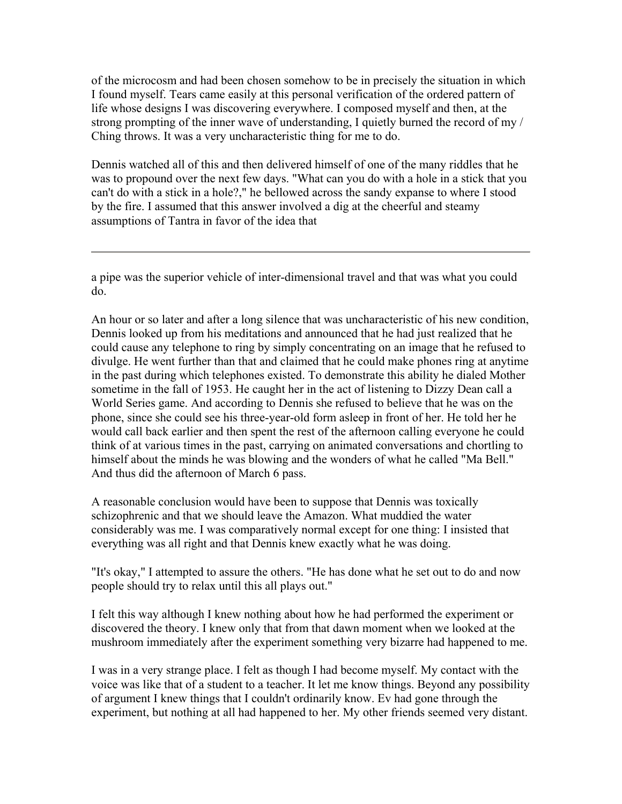of the microcosm and had been chosen somehow to be in precisely the situation in which I found myself. Tears came easily at this personal verification of the ordered pattern of life whose designs I was discovering everywhere. I composed myself and then, at the strong prompting of the inner wave of understanding, I quietly burned the record of my / Ching throws. It was a very uncharacteristic thing for me to do.

Dennis watched all of this and then delivered himself of one of the many riddles that he was to propound over the next few days. "What can you do with a hole in a stick that you can't do with a stick in a hole?," he bellowed across the sandy expanse to where I stood by the fire. I assumed that this answer involved a dig at the cheerful and steamy assumptions of Tantra in favor of the idea that

a pipe was the superior vehicle of inter-dimensional travel and that was what you could do.

An hour or so later and after a long silence that was uncharacteristic of his new condition, Dennis looked up from his meditations and announced that he had just realized that he could cause any telephone to ring by simply concentrating on an image that he refused to divulge. He went further than that and claimed that he could make phones ring at anytime in the past during which telephones existed. To demonstrate this ability he dialed Mother sometime in the fall of 1953. He caught her in the act of listening to Dizzy Dean call a World Series game. And according to Dennis she refused to believe that he was on the phone, since she could see his three-year-old form asleep in front of her. He told her he would call back earlier and then spent the rest of the afternoon calling everyone he could think of at various times in the past, carrying on animated conversations and chortling to himself about the minds he was blowing and the wonders of what he called "Ma Bell." And thus did the afternoon of March 6 pass.

A reasonable conclusion would have been to suppose that Dennis was toxically schizophrenic and that we should leave the Amazon. What muddied the water considerably was me. I was comparatively normal except for one thing: I insisted that everything was all right and that Dennis knew exactly what he was doing.

"It's okay," I attempted to assure the others. "He has done what he set out to do and now people should try to relax until this all plays out."

I felt this way although I knew nothing about how he had performed the experiment or discovered the theory. I knew only that from that dawn moment when we looked at the mushroom immediately after the experiment something very bizarre had happened to me.

I was in a very strange place. I felt as though I had become myself. My contact with the voice was like that of a student to a teacher. It let me know things. Beyond any possibility of argument I knew things that I couldn't ordinarily know. Ev had gone through the experiment, but nothing at all had happened to her. My other friends seemed very distant.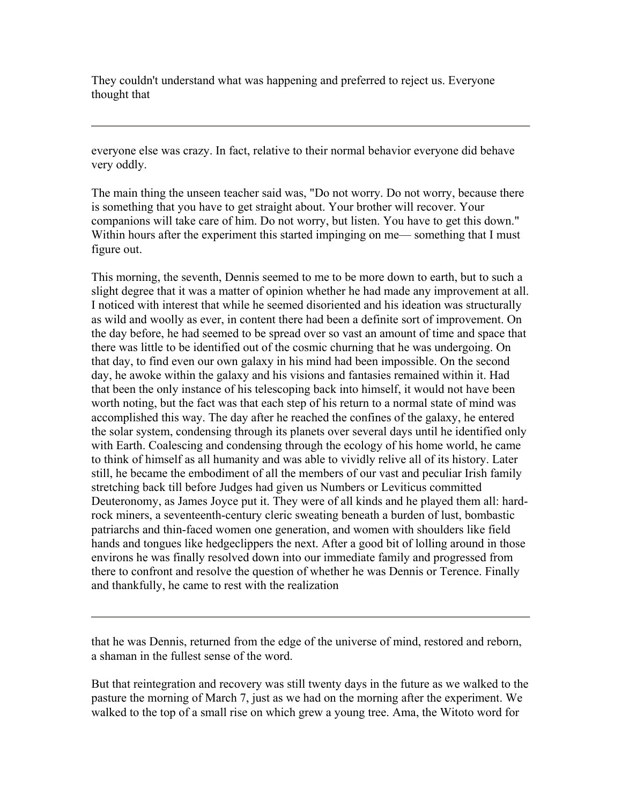They couldn't understand what was happening and preferred to reject us. Everyone thought that

everyone else was crazy. In fact, relative to their normal behavior everyone did behave very oddly.

The main thing the unseen teacher said was, "Do not worry. Do not worry, because there is something that you have to get straight about. Your brother will recover. Your companions will take care of him. Do not worry, but listen. You have to get this down." Within hours after the experiment this started impinging on me— something that I must figure out.

This morning, the seventh, Dennis seemed to me to be more down to earth, but to such a slight degree that it was a matter of opinion whether he had made any improvement at all. I noticed with interest that while he seemed disoriented and his ideation was structurally as wild and woolly as ever, in content there had been a definite sort of improvement. On the day before, he had seemed to be spread over so vast an amount of time and space that there was little to be identified out of the cosmic churning that he was undergoing. On that day, to find even our own galaxy in his mind had been impossible. On the second day, he awoke within the galaxy and his visions and fantasies remained within it. Had that been the only instance of his telescoping back into himself, it would not have been worth noting, but the fact was that each step of his return to a normal state of mind was accomplished this way. The day after he reached the confines of the galaxy, he entered the solar system, condensing through its planets over several days until he identified only with Earth. Coalescing and condensing through the ecology of his home world, he came to think of himself as all humanity and was able to vividly relive all of its history. Later still, he became the embodiment of all the members of our vast and peculiar Irish family stretching back till before Judges had given us Numbers or Leviticus committed Deuteronomy, as James Joyce put it. They were of all kinds and he played them all: hardrock miners, a seventeenth-century cleric sweating beneath a burden of lust, bombastic patriarchs and thin-faced women one generation, and women with shoulders like field hands and tongues like hedgeclippers the next. After a good bit of lolling around in those environs he was finally resolved down into our immediate family and progressed from there to confront and resolve the question of whether he was Dennis or Terence. Finally and thankfully, he came to rest with the realization

that he was Dennis, returned from the edge of the universe of mind, restored and reborn, a shaman in the fullest sense of the word.

But that reintegration and recovery was still twenty days in the future as we walked to the pasture the morning of March 7, just as we had on the morning after the experiment. We walked to the top of a small rise on which grew a young tree. Ama, the Witoto word for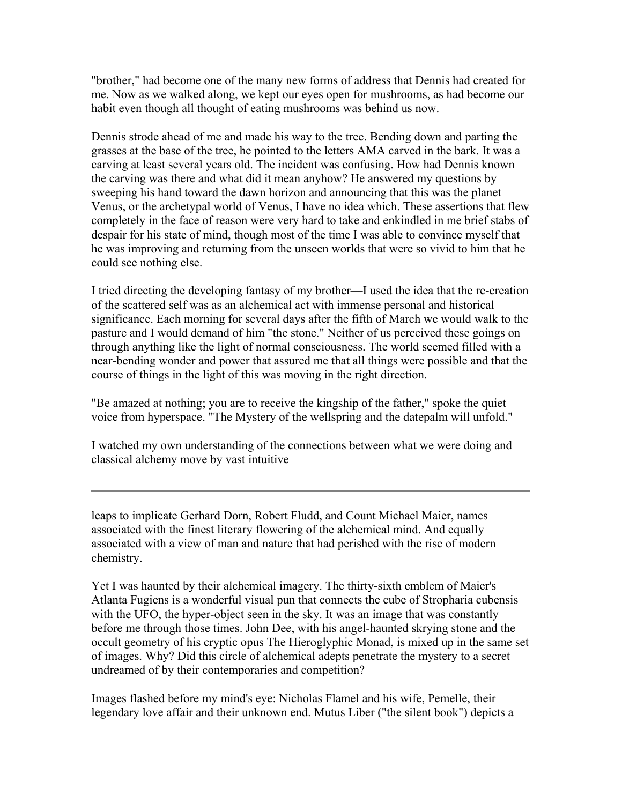"brother," had become one of the many new forms of address that Dennis had created for me. Now as we walked along, we kept our eyes open for mushrooms, as had become our habit even though all thought of eating mushrooms was behind us now.

Dennis strode ahead of me and made his way to the tree. Bending down and parting the grasses at the base of the tree, he pointed to the letters AMA carved in the bark. It was a carving at least several years old. The incident was confusing. How had Dennis known the carving was there and what did it mean anyhow? He answered my questions by sweeping his hand toward the dawn horizon and announcing that this was the planet Venus, or the archetypal world of Venus, I have no idea which. These assertions that flew completely in the face of reason were very hard to take and enkindled in me brief stabs of despair for his state of mind, though most of the time I was able to convince myself that he was improving and returning from the unseen worlds that were so vivid to him that he could see nothing else.

I tried directing the developing fantasy of my brother—I used the idea that the re-creation of the scattered self was as an alchemical act with immense personal and historical significance. Each morning for several days after the fifth of March we would walk to the pasture and I would demand of him "the stone." Neither of us perceived these goings on through anything like the light of normal consciousness. The world seemed filled with a near-bending wonder and power that assured me that all things were possible and that the course of things in the light of this was moving in the right direction.

"Be amazed at nothing; you are to receive the kingship of the father," spoke the quiet voice from hyperspace. "The Mystery of the wellspring and the datepalm will unfold."

I watched my own understanding of the connections between what we were doing and classical alchemy move by vast intuitive

leaps to implicate Gerhard Dorn, Robert Fludd, and Count Michael Maier, names associated with the finest literary flowering of the alchemical mind. And equally associated with a view of man and nature that had perished with the rise of modern chemistry.

Yet I was haunted by their alchemical imagery. The thirty-sixth emblem of Maier's Atlanta Fugiens is a wonderful visual pun that connects the cube of Stropharia cubensis with the UFO, the hyper-object seen in the sky. It was an image that was constantly before me through those times. John Dee, with his angel-haunted skrying stone and the occult geometry of his cryptic opus The Hieroglyphic Monad, is mixed up in the same set of images. Why? Did this circle of alchemical adepts penetrate the mystery to a secret undreamed of by their contemporaries and competition?

Images flashed before my mind's eye: Nicholas Flamel and his wife, Pemelle, their legendary love affair and their unknown end. Mutus Liber ("the silent book") depicts a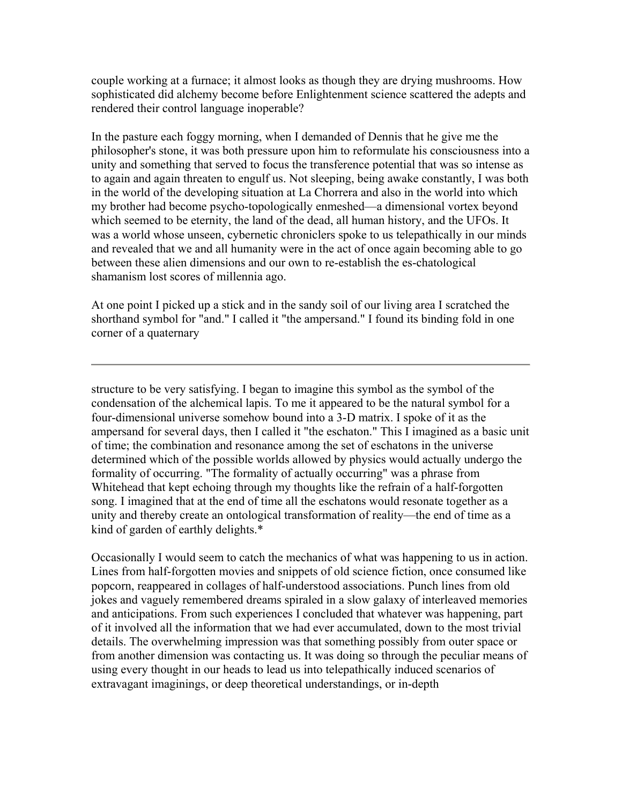couple working at a furnace; it almost looks as though they are drying mushrooms. How sophisticated did alchemy become before Enlightenment science scattered the adepts and rendered their control language inoperable?

In the pasture each foggy morning, when I demanded of Dennis that he give me the philosopher's stone, it was both pressure upon him to reformulate his consciousness into a unity and something that served to focus the transference potential that was so intense as to again and again threaten to engulf us. Not sleeping, being awake constantly, I was both in the world of the developing situation at La Chorrera and also in the world into which my brother had become psycho-topologically enmeshed—a dimensional vortex beyond which seemed to be eternity, the land of the dead, all human history, and the UFOs. It was a world whose unseen, cybernetic chroniclers spoke to us telepathically in our minds and revealed that we and all humanity were in the act of once again becoming able to go between these alien dimensions and our own to re-establish the es-chatological shamanism lost scores of millennia ago.

At one point I picked up a stick and in the sandy soil of our living area I scratched the shorthand symbol for "and." I called it "the ampersand." I found its binding fold in one corner of a quaternary

structure to be very satisfying. I began to imagine this symbol as the symbol of the condensation of the alchemical lapis. To me it appeared to be the natural symbol for a four-dimensional universe somehow bound into a 3-D matrix. I spoke of it as the ampersand for several days, then I called it "the eschaton." This I imagined as a basic unit of time; the combination and resonance among the set of eschatons in the universe determined which of the possible worlds allowed by physics would actually undergo the formality of occurring. "The formality of actually occurring" was a phrase from Whitehead that kept echoing through my thoughts like the refrain of a half-forgotten song. I imagined that at the end of time all the eschatons would resonate together as a unity and thereby create an ontological transformation of reality—the end of time as a kind of garden of earthly delights.\*

Occasionally I would seem to catch the mechanics of what was happening to us in action. Lines from half-forgotten movies and snippets of old science fiction, once consumed like popcorn, reappeared in collages of half-understood associations. Punch lines from old jokes and vaguely remembered dreams spiraled in a slow galaxy of interleaved memories and anticipations. From such experiences I concluded that whatever was happening, part of it involved all the information that we had ever accumulated, down to the most trivial details. The overwhelming impression was that something possibly from outer space or from another dimension was contacting us. It was doing so through the peculiar means of using every thought in our heads to lead us into telepathically induced scenarios of extravagant imaginings, or deep theoretical understandings, or in-depth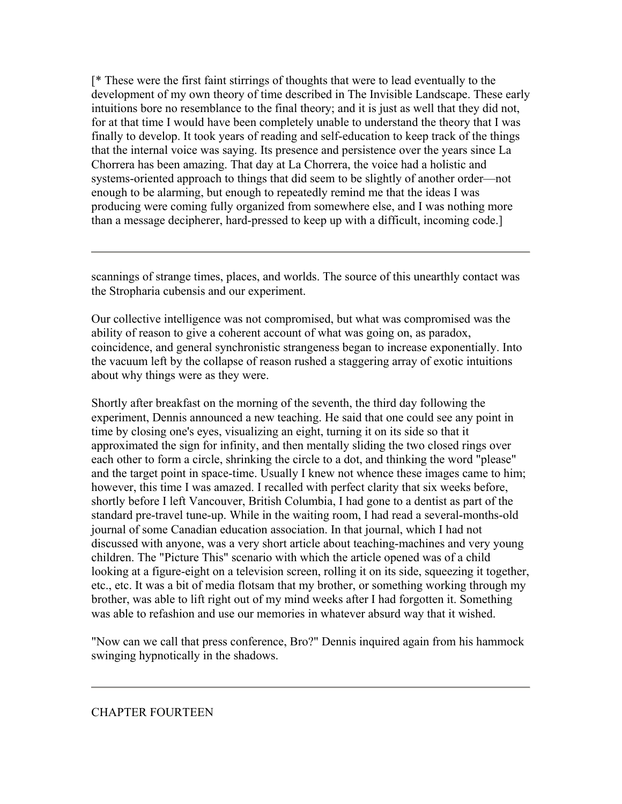[\* These were the first faint stirrings of thoughts that were to lead eventually to the development of my own theory of time described in The Invisible Landscape. These early intuitions bore no resemblance to the final theory; and it is just as well that they did not, for at that time I would have been completely unable to understand the theory that I was finally to develop. It took years of reading and self-education to keep track of the things that the internal voice was saying. Its presence and persistence over the years since La Chorrera has been amazing. That day at La Chorrera, the voice had a holistic and systems-oriented approach to things that did seem to be slightly of another order—not enough to be alarming, but enough to repeatedly remind me that the ideas I was producing were coming fully organized from somewhere else, and I was nothing more than a message decipherer, hard-pressed to keep up with a difficult, incoming code.]

scannings of strange times, places, and worlds. The source of this unearthly contact was the Stropharia cubensis and our experiment.

Our collective intelligence was not compromised, but what was compromised was the ability of reason to give a coherent account of what was going on, as paradox, coincidence, and general synchronistic strangeness began to increase exponentially. Into the vacuum left by the collapse of reason rushed a staggering array of exotic intuitions about why things were as they were.

Shortly after breakfast on the morning of the seventh, the third day following the experiment, Dennis announced a new teaching. He said that one could see any point in time by closing one's eyes, visualizing an eight, turning it on its side so that it approximated the sign for infinity, and then mentally sliding the two closed rings over each other to form a circle, shrinking the circle to a dot, and thinking the word "please" and the target point in space-time. Usually I knew not whence these images came to him; however, this time I was amazed. I recalled with perfect clarity that six weeks before, shortly before I left Vancouver, British Columbia, I had gone to a dentist as part of the standard pre-travel tune-up. While in the waiting room, I had read a several-months-old journal of some Canadian education association. In that journal, which I had not discussed with anyone, was a very short article about teaching-machines and very young children. The "Picture This" scenario with which the article opened was of a child looking at a figure-eight on a television screen, rolling it on its side, squeezing it together, etc., etc. It was a bit of media flotsam that my brother, or something working through my brother, was able to lift right out of my mind weeks after I had forgotten it. Something was able to refashion and use our memories in whatever absurd way that it wished.

"Now can we call that press conference, Bro?" Dennis inquired again from his hammock swinging hypnotically in the shadows.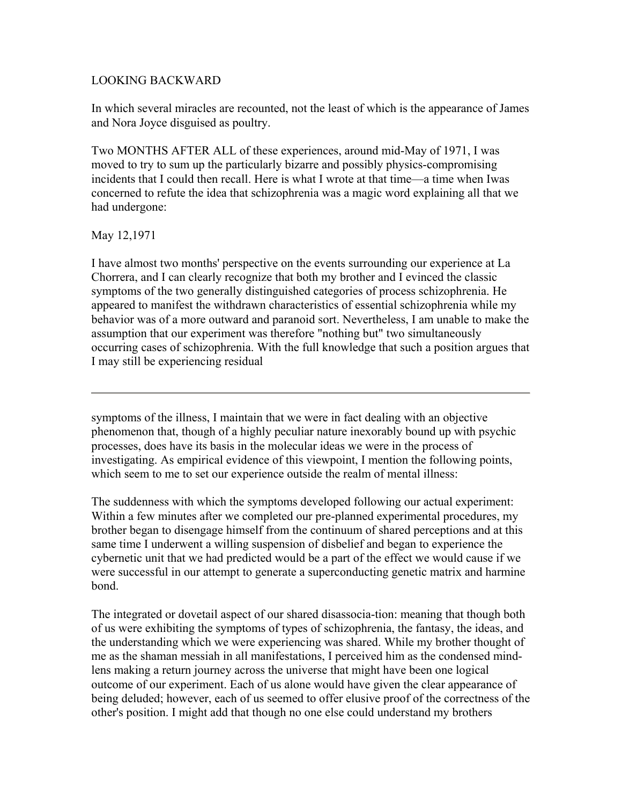# LOOKING BACKWARD

In which several miracles are recounted, not the least of which is the appearance of James and Nora Joyce disguised as poultry.

Two MONTHS AFTER ALL of these experiences, around mid-May of 1971, I was moved to try to sum up the particularly bizarre and possibly physics-compromising incidents that I could then recall. Here is what I wrote at that time—a time when Iwas concerned to refute the idea that schizophrenia was a magic word explaining all that we had undergone:

May 12,1971

I have almost two months' perspective on the events surrounding our experience at La Chorrera, and I can clearly recognize that both my brother and I evinced the classic symptoms of the two generally distinguished categories of process schizophrenia. He appeared to manifest the withdrawn characteristics of essential schizophrenia while my behavior was of a more outward and paranoid sort. Nevertheless, I am unable to make the assumption that our experiment was therefore "nothing but" two simultaneously occurring cases of schizophrenia. With the full knowledge that such a position argues that I may still be experiencing residual

symptoms of the illness, I maintain that we were in fact dealing with an objective phenomenon that, though of a highly peculiar nature inexorably bound up with psychic processes, does have its basis in the molecular ideas we were in the process of investigating. As empirical evidence of this viewpoint, I mention the following points, which seem to me to set our experience outside the realm of mental illness:

The suddenness with which the symptoms developed following our actual experiment: Within a few minutes after we completed our pre-planned experimental procedures, my brother began to disengage himself from the continuum of shared perceptions and at this same time I underwent a willing suspension of disbelief and began to experience the cybernetic unit that we had predicted would be a part of the effect we would cause if we were successful in our attempt to generate a superconducting genetic matrix and harmine bond.

The integrated or dovetail aspect of our shared disassocia-tion: meaning that though both of us were exhibiting the symptoms of types of schizophrenia, the fantasy, the ideas, and the understanding which we were experiencing was shared. While my brother thought of me as the shaman messiah in all manifestations, I perceived him as the condensed mindlens making a return journey across the universe that might have been one logical outcome of our experiment. Each of us alone would have given the clear appearance of being deluded; however, each of us seemed to offer elusive proof of the correctness of the other's position. I might add that though no one else could understand my brothers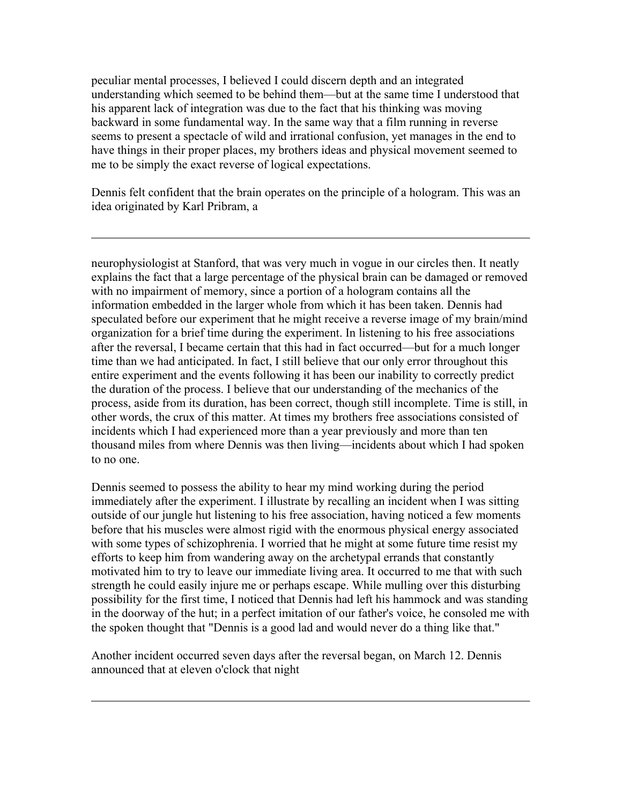peculiar mental processes, I believed I could discern depth and an integrated understanding which seemed to be behind them—but at the same time I understood that his apparent lack of integration was due to the fact that his thinking was moving backward in some fundamental way. In the same way that a film running in reverse seems to present a spectacle of wild and irrational confusion, yet manages in the end to have things in their proper places, my brothers ideas and physical movement seemed to me to be simply the exact reverse of logical expectations.

Dennis felt confident that the brain operates on the principle of a hologram. This was an idea originated by Karl Pribram, a

neurophysiologist at Stanford, that was very much in vogue in our circles then. It neatly explains the fact that a large percentage of the physical brain can be damaged or removed with no impairment of memory, since a portion of a hologram contains all the information embedded in the larger whole from which it has been taken. Dennis had speculated before our experiment that he might receive a reverse image of my brain/mind organization for a brief time during the experiment. In listening to his free associations after the reversal, I became certain that this had in fact occurred—but for a much longer time than we had anticipated. In fact, I still believe that our only error throughout this entire experiment and the events following it has been our inability to correctly predict the duration of the process. I believe that our understanding of the mechanics of the process, aside from its duration, has been correct, though still incomplete. Time is still, in other words, the crux of this matter. At times my brothers free associations consisted of incidents which I had experienced more than a year previously and more than ten thousand miles from where Dennis was then living—incidents about which I had spoken to no one.

Dennis seemed to possess the ability to hear my mind working during the period immediately after the experiment. I illustrate by recalling an incident when I was sitting outside of our jungle hut listening to his free association, having noticed a few moments before that his muscles were almost rigid with the enormous physical energy associated with some types of schizophrenia. I worried that he might at some future time resist my efforts to keep him from wandering away on the archetypal errands that constantly motivated him to try to leave our immediate living area. It occurred to me that with such strength he could easily injure me or perhaps escape. While mulling over this disturbing possibility for the first time, I noticed that Dennis had left his hammock and was standing in the doorway of the hut; in a perfect imitation of our father's voice, he consoled me with the spoken thought that "Dennis is a good lad and would never do a thing like that."

Another incident occurred seven days after the reversal began, on March 12. Dennis announced that at eleven o'clock that night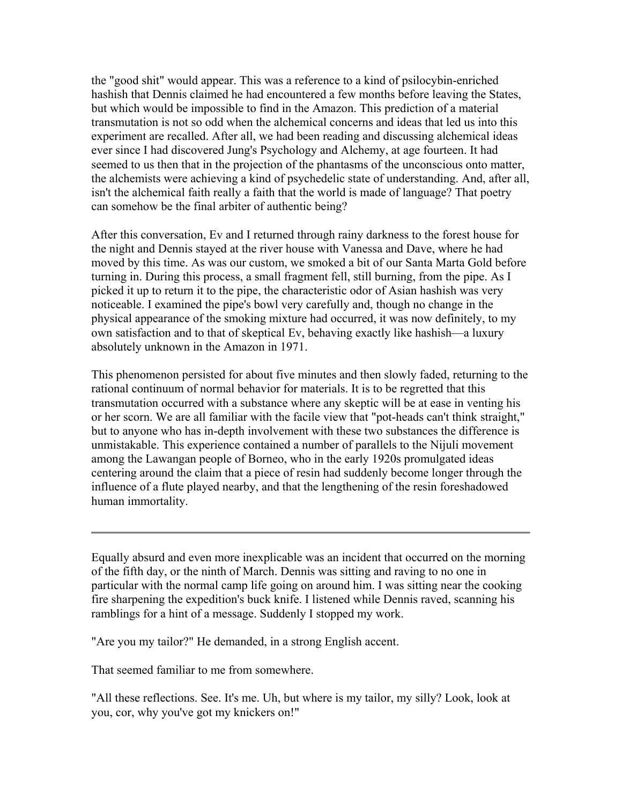the "good shit" would appear. This was a reference to a kind of psilocybin-enriched hashish that Dennis claimed he had encountered a few months before leaving the States, but which would be impossible to find in the Amazon. This prediction of a material transmutation is not so odd when the alchemical concerns and ideas that led us into this experiment are recalled. After all, we had been reading and discussing alchemical ideas ever since I had discovered Jung's Psychology and Alchemy, at age fourteen. It had seemed to us then that in the projection of the phantasms of the unconscious onto matter, the alchemists were achieving a kind of psychedelic state of understanding. And, after all, isn't the alchemical faith really a faith that the world is made of language? That poetry can somehow be the final arbiter of authentic being?

After this conversation, Ev and I returned through rainy darkness to the forest house for the night and Dennis stayed at the river house with Vanessa and Dave, where he had moved by this time. As was our custom, we smoked a bit of our Santa Marta Gold before turning in. During this process, a small fragment fell, still burning, from the pipe. As I picked it up to return it to the pipe, the characteristic odor of Asian hashish was very noticeable. I examined the pipe's bowl very carefully and, though no change in the physical appearance of the smoking mixture had occurred, it was now definitely, to my own satisfaction and to that of skeptical Ev, behaving exactly like hashish—a luxury absolutely unknown in the Amazon in 1971.

This phenomenon persisted for about five minutes and then slowly faded, returning to the rational continuum of normal behavior for materials. It is to be regretted that this transmutation occurred with a substance where any skeptic will be at ease in venting his or her scorn. We are all familiar with the facile view that "pot-heads can't think straight," but to anyone who has in-depth involvement with these two substances the difference is unmistakable. This experience contained a number of parallels to the Nijuli movement among the Lawangan people of Borneo, who in the early 1920s promulgated ideas centering around the claim that a piece of resin had suddenly become longer through the influence of a flute played nearby, and that the lengthening of the resin foreshadowed human immortality.

Equally absurd and even more inexplicable was an incident that occurred on the morning of the fifth day, or the ninth of March. Dennis was sitting and raving to no one in particular with the normal camp life going on around him. I was sitting near the cooking fire sharpening the expedition's buck knife. I listened while Dennis raved, scanning his ramblings for a hint of a message. Suddenly I stopped my work.

"Are you my tailor?" He demanded, in a strong English accent.

That seemed familiar to me from somewhere.

"All these reflections. See. It's me. Uh, but where is my tailor, my silly? Look, look at you, cor, why you've got my knickers on!"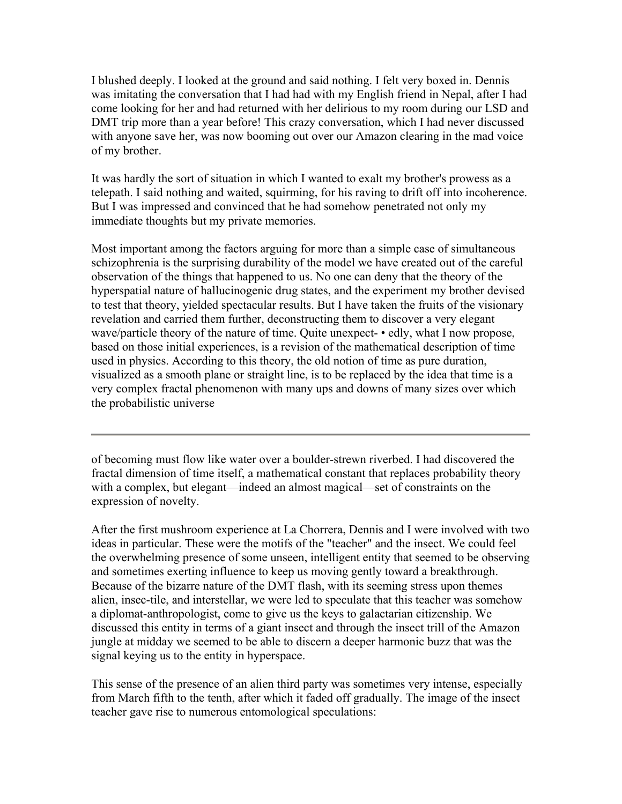I blushed deeply. I looked at the ground and said nothing. I felt very boxed in. Dennis was imitating the conversation that I had had with my English friend in Nepal, after I had come looking for her and had returned with her delirious to my room during our LSD and DMT trip more than a year before! This crazy conversation, which I had never discussed with anyone save her, was now booming out over our Amazon clearing in the mad voice of my brother.

It was hardly the sort of situation in which I wanted to exalt my brother's prowess as a telepath. I said nothing and waited, squirming, for his raving to drift off into incoherence. But I was impressed and convinced that he had somehow penetrated not only my immediate thoughts but my private memories.

Most important among the factors arguing for more than a simple case of simultaneous schizophrenia is the surprising durability of the model we have created out of the careful observation of the things that happened to us. No one can deny that the theory of the hyperspatial nature of hallucinogenic drug states, and the experiment my brother devised to test that theory, yielded spectacular results. But I have taken the fruits of the visionary revelation and carried them further, deconstructing them to discover a very elegant wave/particle theory of the nature of time. Quite unexpect- • edly, what I now propose, based on those initial experiences, is a revision of the mathematical description of time used in physics. According to this theory, the old notion of time as pure duration, visualized as a smooth plane or straight line, is to be replaced by the idea that time is a very complex fractal phenomenon with many ups and downs of many sizes over which the probabilistic universe

of becoming must flow like water over a boulder-strewn riverbed. I had discovered the fractal dimension of time itself, a mathematical constant that replaces probability theory with a complex, but elegant—indeed an almost magical—set of constraints on the expression of novelty.

After the first mushroom experience at La Chorrera, Dennis and I were involved with two ideas in particular. These were the motifs of the "teacher" and the insect. We could feel the overwhelming presence of some unseen, intelligent entity that seemed to be observing and sometimes exerting influence to keep us moving gently toward a breakthrough. Because of the bizarre nature of the DMT flash, with its seeming stress upon themes alien, insec-tile, and interstellar, we were led to speculate that this teacher was somehow a diplomat-anthropologist, come to give us the keys to galactarian citizenship. We discussed this entity in terms of a giant insect and through the insect trill of the Amazon jungle at midday we seemed to be able to discern a deeper harmonic buzz that was the signal keying us to the entity in hyperspace.

This sense of the presence of an alien third party was sometimes very intense, especially from March fifth to the tenth, after which it faded off gradually. The image of the insect teacher gave rise to numerous entomological speculations: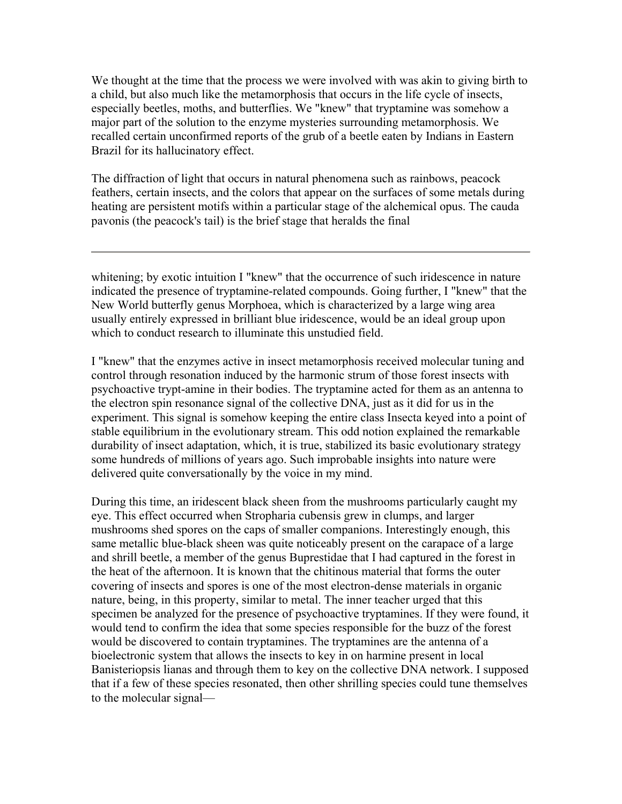We thought at the time that the process we were involved with was akin to giving birth to a child, but also much like the metamorphosis that occurs in the life cycle of insects, especially beetles, moths, and butterflies. We "knew" that tryptamine was somehow a major part of the solution to the enzyme mysteries surrounding metamorphosis. We recalled certain unconfirmed reports of the grub of a beetle eaten by Indians in Eastern Brazil for its hallucinatory effect.

The diffraction of light that occurs in natural phenomena such as rainbows, peacock feathers, certain insects, and the colors that appear on the surfaces of some metals during heating are persistent motifs within a particular stage of the alchemical opus. The cauda pavonis (the peacock's tail) is the brief stage that heralds the final

whitening; by exotic intuition I "knew" that the occurrence of such iridescence in nature indicated the presence of tryptamine-related compounds. Going further, I "knew" that the New World butterfly genus Morphoea, which is characterized by a large wing area usually entirely expressed in brilliant blue iridescence, would be an ideal group upon which to conduct research to illuminate this unstudied field.

I "knew" that the enzymes active in insect metamorphosis received molecular tuning and control through resonation induced by the harmonic strum of those forest insects with psychoactive trypt-amine in their bodies. The tryptamine acted for them as an antenna to the electron spin resonance signal of the collective DNA, just as it did for us in the experiment. This signal is somehow keeping the entire class Insecta keyed into a point of stable equilibrium in the evolutionary stream. This odd notion explained the remarkable durability of insect adaptation, which, it is true, stabilized its basic evolutionary strategy some hundreds of millions of years ago. Such improbable insights into nature were delivered quite conversationally by the voice in my mind.

During this time, an iridescent black sheen from the mushrooms particularly caught my eye. This effect occurred when Stropharia cubensis grew in clumps, and larger mushrooms shed spores on the caps of smaller companions. Interestingly enough, this same metallic blue-black sheen was quite noticeably present on the carapace of a large and shrill beetle, a member of the genus Buprestidae that I had captured in the forest in the heat of the afternoon. It is known that the chitinous material that forms the outer covering of insects and spores is one of the most electron-dense materials in organic nature, being, in this property, similar to metal. The inner teacher urged that this specimen be analyzed for the presence of psychoactive tryptamines. If they were found, it would tend to confirm the idea that some species responsible for the buzz of the forest would be discovered to contain tryptamines. The tryptamines are the antenna of a bioelectronic system that allows the insects to key in on harmine present in local Banisteriopsis lianas and through them to key on the collective DNA network. I supposed that if a few of these species resonated, then other shrilling species could tune themselves to the molecular signal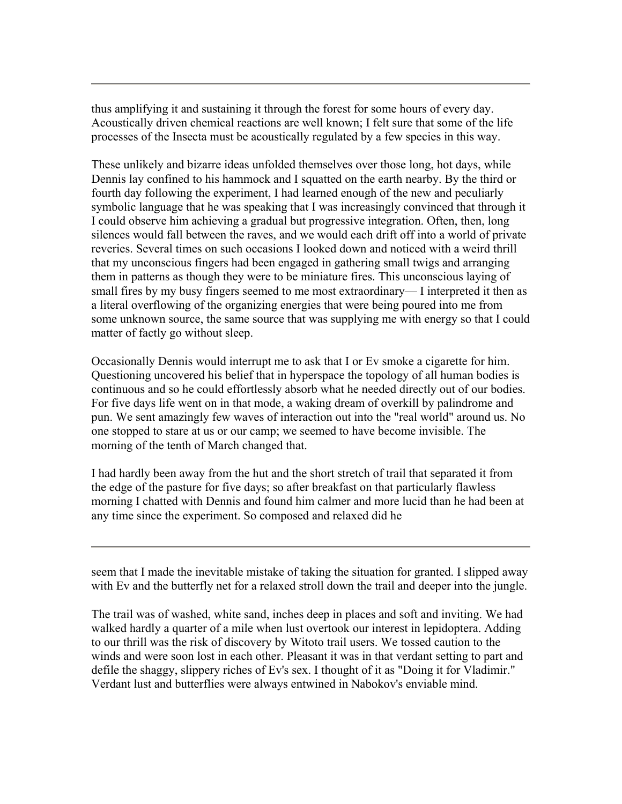thus amplifying it and sustaining it through the forest for some hours of every day. Acoustically driven chemical reactions are well known; I felt sure that some of the life processes of the Insecta must be acoustically regulated by a few species in this way.

These unlikely and bizarre ideas unfolded themselves over those long, hot days, while Dennis lay confined to his hammock and I squatted on the earth nearby. By the third or fourth day following the experiment, I had learned enough of the new and peculiarly symbolic language that he was speaking that I was increasingly convinced that through it I could observe him achieving a gradual but progressive integration. Often, then, long silences would fall between the raves, and we would each drift off into a world of private reveries. Several times on such occasions I looked down and noticed with a weird thrill that my unconscious fingers had been engaged in gathering small twigs and arranging them in patterns as though they were to be miniature fires. This unconscious laying of small fires by my busy fingers seemed to me most extraordinary— I interpreted it then as a literal overflowing of the organizing energies that were being poured into me from some unknown source, the same source that was supplying me with energy so that I could matter of factly go without sleep.

Occasionally Dennis would interrupt me to ask that I or Ev smoke a cigarette for him. Questioning uncovered his belief that in hyperspace the topology of all human bodies is continuous and so he could effortlessly absorb what he needed directly out of our bodies. For five days life went on in that mode, a waking dream of overkill by palindrome and pun. We sent amazingly few waves of interaction out into the "real world" around us. No one stopped to stare at us or our camp; we seemed to have become invisible. The morning of the tenth of March changed that.

I had hardly been away from the hut and the short stretch of trail that separated it from the edge of the pasture for five days; so after breakfast on that particularly flawless morning I chatted with Dennis and found him calmer and more lucid than he had been at any time since the experiment. So composed and relaxed did he

seem that I made the inevitable mistake of taking the situation for granted. I slipped away with Ev and the butterfly net for a relaxed stroll down the trail and deeper into the jungle.

The trail was of washed, white sand, inches deep in places and soft and inviting. We had walked hardly a quarter of a mile when lust overtook our interest in lepidoptera. Adding to our thrill was the risk of discovery by Witoto trail users. We tossed caution to the winds and were soon lost in each other. Pleasant it was in that verdant setting to part and defile the shaggy, slippery riches of Ev's sex. I thought of it as "Doing it for Vladimir." Verdant lust and butterflies were always entwined in Nabokov's enviable mind.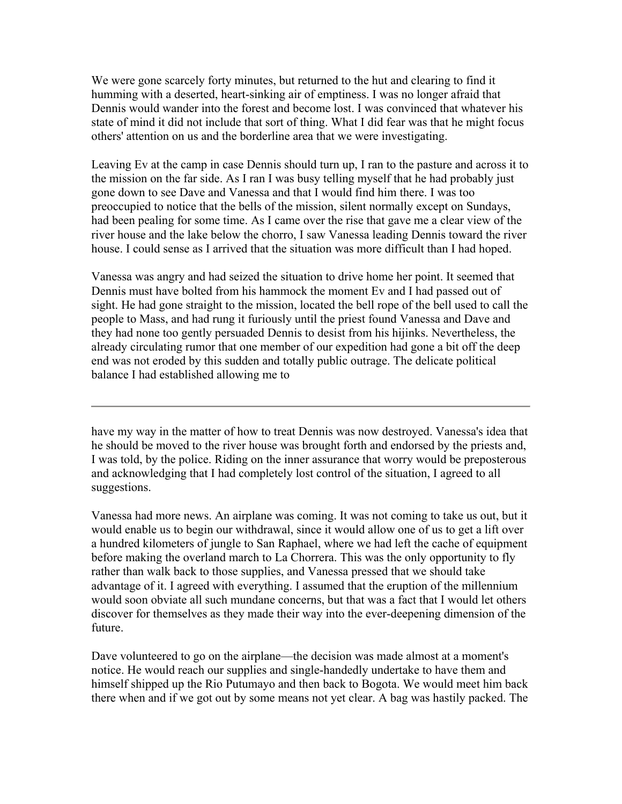We were gone scarcely forty minutes, but returned to the hut and clearing to find it humming with a deserted, heart-sinking air of emptiness. I was no longer afraid that Dennis would wander into the forest and become lost. I was convinced that whatever his state of mind it did not include that sort of thing. What I did fear was that he might focus others' attention on us and the borderline area that we were investigating.

Leaving Ev at the camp in case Dennis should turn up, I ran to the pasture and across it to the mission on the far side. As I ran I was busy telling myself that he had probably just gone down to see Dave and Vanessa and that I would find him there. I was too preoccupied to notice that the bells of the mission, silent normally except on Sundays, had been pealing for some time. As I came over the rise that gave me a clear view of the river house and the lake below the chorro, I saw Vanessa leading Dennis toward the river house. I could sense as I arrived that the situation was more difficult than I had hoped.

Vanessa was angry and had seized the situation to drive home her point. It seemed that Dennis must have bolted from his hammock the moment Ev and I had passed out of sight. He had gone straight to the mission, located the bell rope of the bell used to call the people to Mass, and had rung it furiously until the priest found Vanessa and Dave and they had none too gently persuaded Dennis to desist from his hijinks. Nevertheless, the already circulating rumor that one member of our expedition had gone a bit off the deep end was not eroded by this sudden and totally public outrage. The delicate political balance I had established allowing me to

have my way in the matter of how to treat Dennis was now destroyed. Vanessa's idea that he should be moved to the river house was brought forth and endorsed by the priests and, I was told, by the police. Riding on the inner assurance that worry would be preposterous and acknowledging that I had completely lost control of the situation, I agreed to all suggestions.

Vanessa had more news. An airplane was coming. It was not coming to take us out, but it would enable us to begin our withdrawal, since it would allow one of us to get a lift over a hundred kilometers of jungle to San Raphael, where we had left the cache of equipment before making the overland march to La Chorrera. This was the only opportunity to fly rather than walk back to those supplies, and Vanessa pressed that we should take advantage of it. I agreed with everything. I assumed that the eruption of the millennium would soon obviate all such mundane concerns, but that was a fact that I would let others discover for themselves as they made their way into the ever-deepening dimension of the future.

Dave volunteered to go on the airplane—the decision was made almost at a moment's notice. He would reach our supplies and single-handedly undertake to have them and himself shipped up the Rio Putumayo and then back to Bogota. We would meet him back there when and if we got out by some means not yet clear. A bag was hastily packed. The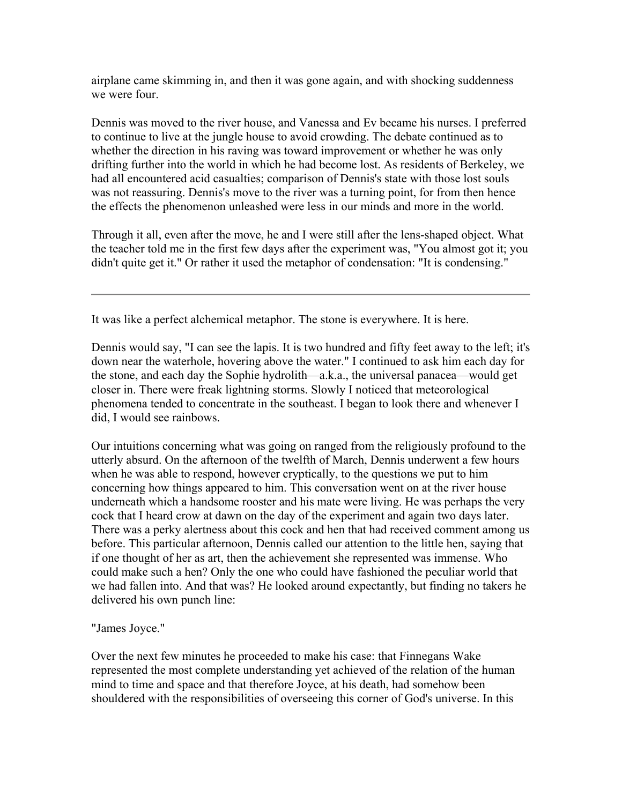airplane came skimming in, and then it was gone again, and with shocking suddenness we were four

Dennis was moved to the river house, and Vanessa and Ev became his nurses. I preferred to continue to live at the jungle house to avoid crowding. The debate continued as to whether the direction in his raving was toward improvement or whether he was only drifting further into the world in which he had become lost. As residents of Berkeley, we had all encountered acid casualties; comparison of Dennis's state with those lost souls was not reassuring. Dennis's move to the river was a turning point, for from then hence the effects the phenomenon unleashed were less in our minds and more in the world.

Through it all, even after the move, he and I were still after the lens-shaped object. What the teacher told me in the first few days after the experiment was, "You almost got it; you didn't quite get it." Or rather it used the metaphor of condensation: "It is condensing."

It was like a perfect alchemical metaphor. The stone is everywhere. It is here.

Dennis would say, "I can see the lapis. It is two hundred and fifty feet away to the left; it's down near the waterhole, hovering above the water." I continued to ask him each day for the stone, and each day the Sophie hydrolith—a.k.a., the universal panacea—would get closer in. There were freak lightning storms. Slowly I noticed that meteorological phenomena tended to concentrate in the southeast. I began to look there and whenever I did, I would see rainbows.

Our intuitions concerning what was going on ranged from the religiously profound to the utterly absurd. On the afternoon of the twelfth of March, Dennis underwent a few hours when he was able to respond, however cryptically, to the questions we put to him concerning how things appeared to him. This conversation went on at the river house underneath which a handsome rooster and his mate were living. He was perhaps the very cock that I heard crow at dawn on the day of the experiment and again two days later. There was a perky alertness about this cock and hen that had received comment among us before. This particular afternoon, Dennis called our attention to the little hen, saying that if one thought of her as art, then the achievement she represented was immense. Who could make such a hen? Only the one who could have fashioned the peculiar world that we had fallen into. And that was? He looked around expectantly, but finding no takers he delivered his own punch line:

"James Joyce."

Over the next few minutes he proceeded to make his case: that Finnegans Wake represented the most complete understanding yet achieved of the relation of the human mind to time and space and that therefore Joyce, at his death, had somehow been shouldered with the responsibilities of overseeing this corner of God's universe. In this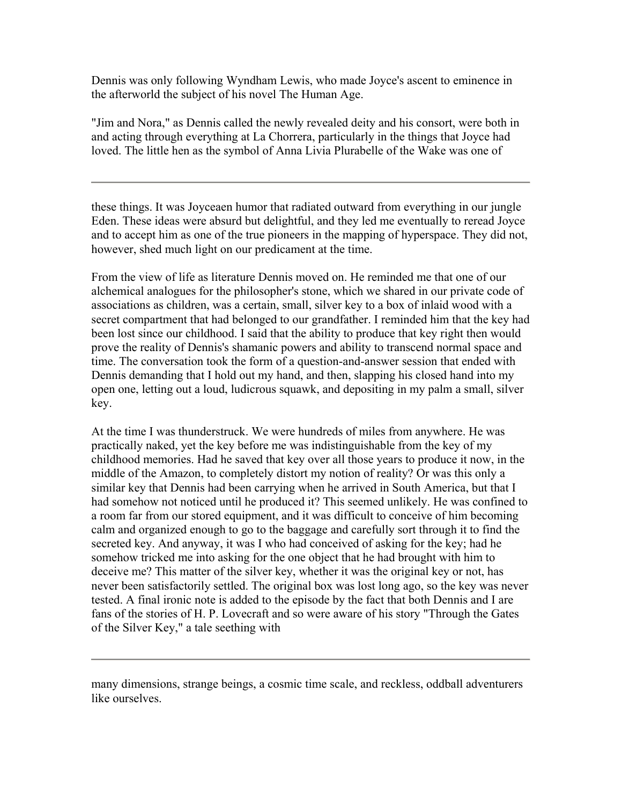Dennis was only following Wyndham Lewis, who made Joyce's ascent to eminence in the afterworld the subject of his novel The Human Age.

"Jim and Nora," as Dennis called the newly revealed deity and his consort, were both in and acting through everything at La Chorrera, particularly in the things that Joyce had loved. The little hen as the symbol of Anna Livia Plurabelle of the Wake was one of

these things. It was Joyceaen humor that radiated outward from everything in our jungle Eden. These ideas were absurd but delightful, and they led me eventually to reread Joyce and to accept him as one of the true pioneers in the mapping of hyperspace. They did not, however, shed much light on our predicament at the time.

From the view of life as literature Dennis moved on. He reminded me that one of our alchemical analogues for the philosopher's stone, which we shared in our private code of associations as children, was a certain, small, silver key to a box of inlaid wood with a secret compartment that had belonged to our grandfather. I reminded him that the key had been lost since our childhood. I said that the ability to produce that key right then would prove the reality of Dennis's shamanic powers and ability to transcend normal space and time. The conversation took the form of a question-and-answer session that ended with Dennis demanding that I hold out my hand, and then, slapping his closed hand into my open one, letting out a loud, ludicrous squawk, and depositing in my palm a small, silver key.

At the time I was thunderstruck. We were hundreds of miles from anywhere. He was practically naked, yet the key before me was indistinguishable from the key of my childhood memories. Had he saved that key over all those years to produce it now, in the middle of the Amazon, to completely distort my notion of reality? Or was this only a similar key that Dennis had been carrying when he arrived in South America, but that I had somehow not noticed until he produced it? This seemed unlikely. He was confined to a room far from our stored equipment, and it was difficult to conceive of him becoming calm and organized enough to go to the baggage and carefully sort through it to find the secreted key. And anyway, it was I who had conceived of asking for the key; had he somehow tricked me into asking for the one object that he had brought with him to deceive me? This matter of the silver key, whether it was the original key or not, has never been satisfactorily settled. The original box was lost long ago, so the key was never tested. A final ironic note is added to the episode by the fact that both Dennis and I are fans of the stories of H. P. Lovecraft and so were aware of his story "Through the Gates of the Silver Key," a tale seething with

many dimensions, strange beings, a cosmic time scale, and reckless, oddball adventurers like ourselves.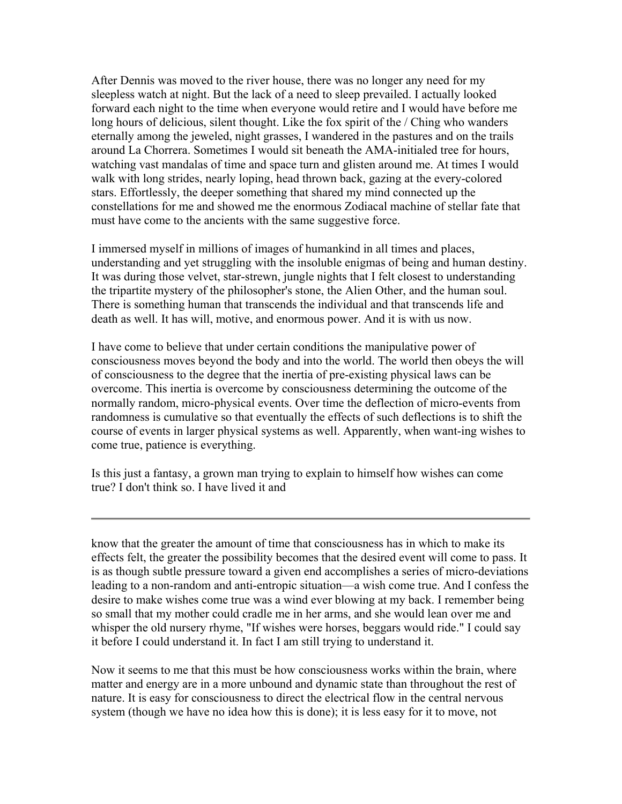After Dennis was moved to the river house, there was no longer any need for my sleepless watch at night. But the lack of a need to sleep prevailed. I actually looked forward each night to the time when everyone would retire and I would have before me long hours of delicious, silent thought. Like the fox spirit of the / Ching who wanders eternally among the jeweled, night grasses, I wandered in the pastures and on the trails around La Chorrera. Sometimes I would sit beneath the AMA-initialed tree for hours, watching vast mandalas of time and space turn and glisten around me. At times I would walk with long strides, nearly loping, head thrown back, gazing at the every-colored stars. Effortlessly, the deeper something that shared my mind connected up the constellations for me and showed me the enormous Zodiacal machine of stellar fate that must have come to the ancients with the same suggestive force.

I immersed myself in millions of images of humankind in all times and places, understanding and yet struggling with the insoluble enigmas of being and human destiny. It was during those velvet, star-strewn, jungle nights that I felt closest to understanding the tripartite mystery of the philosopher's stone, the Alien Other, and the human soul. There is something human that transcends the individual and that transcends life and death as well. It has will, motive, and enormous power. And it is with us now.

I have come to believe that under certain conditions the manipulative power of consciousness moves beyond the body and into the world. The world then obeys the will of consciousness to the degree that the inertia of pre-existing physical laws can be overcome. This inertia is overcome by consciousness determining the outcome of the normally random, micro-physical events. Over time the deflection of micro-events from randomness is cumulative so that eventually the effects of such deflections is to shift the course of events in larger physical systems as well. Apparently, when want-ing wishes to come true, patience is everything.

Is this just a fantasy, a grown man trying to explain to himself how wishes can come true? I don't think so. I have lived it and

know that the greater the amount of time that consciousness has in which to make its effects felt, the greater the possibility becomes that the desired event will come to pass. It is as though subtle pressure toward a given end accomplishes a series of micro-deviations leading to a non-random and anti-entropic situation—a wish come true. And I confess the desire to make wishes come true was a wind ever blowing at my back. I remember being so small that my mother could cradle me in her arms, and she would lean over me and whisper the old nursery rhyme, "If wishes were horses, beggars would ride." I could say it before I could understand it. In fact I am still trying to understand it.

Now it seems to me that this must be how consciousness works within the brain, where matter and energy are in a more unbound and dynamic state than throughout the rest of nature. It is easy for consciousness to direct the electrical flow in the central nervous system (though we have no idea how this is done); it is less easy for it to move, not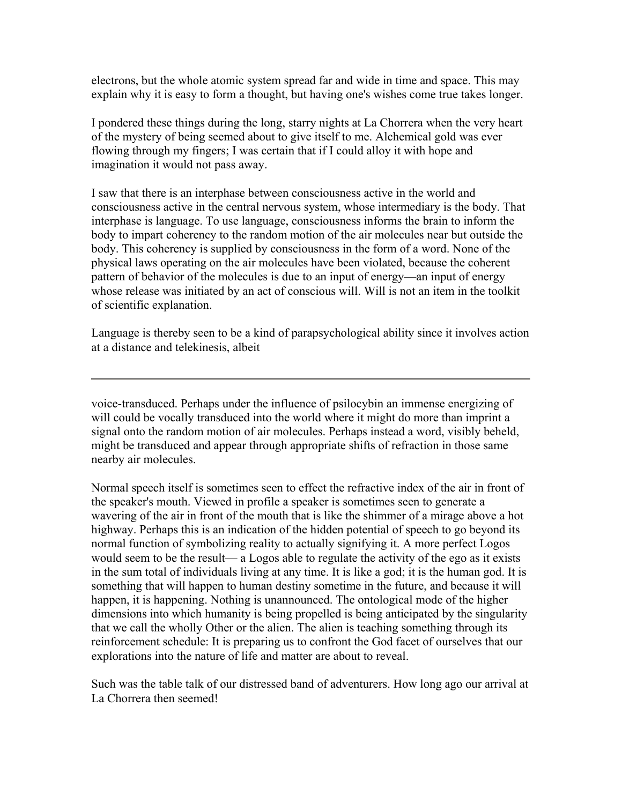electrons, but the whole atomic system spread far and wide in time and space. This may explain why it is easy to form a thought, but having one's wishes come true takes longer.

I pondered these things during the long, starry nights at La Chorrera when the very heart of the mystery of being seemed about to give itself to me. Alchemical gold was ever flowing through my fingers; I was certain that if I could alloy it with hope and imagination it would not pass away.

I saw that there is an interphase between consciousness active in the world and consciousness active in the central nervous system, whose intermediary is the body. That interphase is language. To use language, consciousness informs the brain to inform the body to impart coherency to the random motion of the air molecules near but outside the body. This coherency is supplied by consciousness in the form of a word. None of the physical laws operating on the air molecules have been violated, because the coherent pattern of behavior of the molecules is due to an input of energy—an input of energy whose release was initiated by an act of conscious will. Will is not an item in the toolkit of scientific explanation.

Language is thereby seen to be a kind of parapsychological ability since it involves action at a distance and telekinesis, albeit

voice-transduced. Perhaps under the influence of psilocybin an immense energizing of will could be vocally transduced into the world where it might do more than imprint a signal onto the random motion of air molecules. Perhaps instead a word, visibly beheld, might be transduced and appear through appropriate shifts of refraction in those same nearby air molecules.

Normal speech itself is sometimes seen to effect the refractive index of the air in front of the speaker's mouth. Viewed in profile a speaker is sometimes seen to generate a wavering of the air in front of the mouth that is like the shimmer of a mirage above a hot highway. Perhaps this is an indication of the hidden potential of speech to go beyond its normal function of symbolizing reality to actually signifying it. A more perfect Logos would seem to be the result— a Logos able to regulate the activity of the ego as it exists in the sum total of individuals living at any time. It is like a god; it is the human god. It is something that will happen to human destiny sometime in the future, and because it will happen, it is happening. Nothing is unannounced. The ontological mode of the higher dimensions into which humanity is being propelled is being anticipated by the singularity that we call the wholly Other or the alien. The alien is teaching something through its reinforcement schedule: It is preparing us to confront the God facet of ourselves that our explorations into the nature of life and matter are about to reveal.

Such was the table talk of our distressed band of adventurers. How long ago our arrival at La Chorrera then seemed!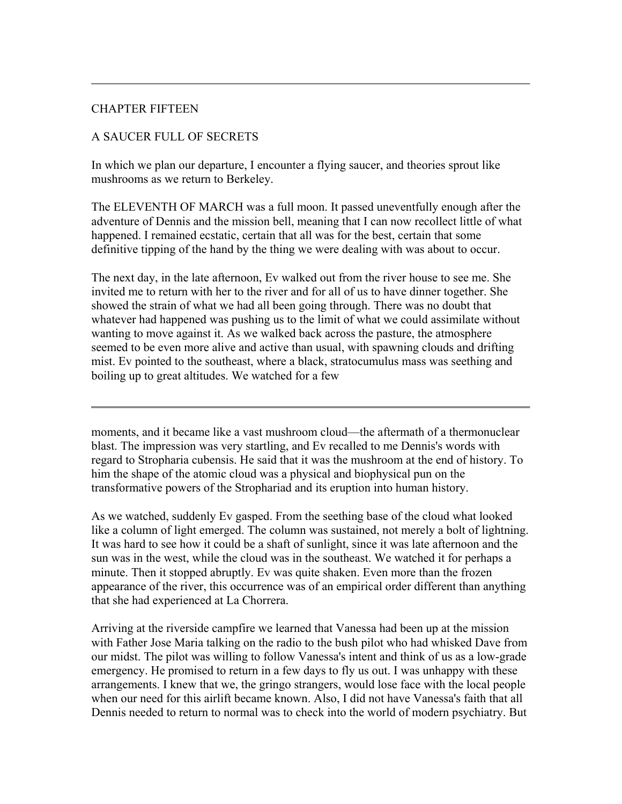### CHAPTER FIFTEEN

# A SAUCER FULL OF SECRETS

In which we plan our departure, I encounter a flying saucer, and theories sprout like mushrooms as we return to Berkeley.

The ELEVENTH OF MARCH was a full moon. It passed uneventfully enough after the adventure of Dennis and the mission bell, meaning that I can now recollect little of what happened. I remained ecstatic, certain that all was for the best, certain that some definitive tipping of the hand by the thing we were dealing with was about to occur.

The next day, in the late afternoon, Ev walked out from the river house to see me. She invited me to return with her to the river and for all of us to have dinner together. She showed the strain of what we had all been going through. There was no doubt that whatever had happened was pushing us to the limit of what we could assimilate without wanting to move against it. As we walked back across the pasture, the atmosphere seemed to be even more alive and active than usual, with spawning clouds and drifting mist. Ev pointed to the southeast, where a black, stratocumulus mass was seething and boiling up to great altitudes. We watched for a few

moments, and it became like a vast mushroom cloud—the aftermath of a thermonuclear blast. The impression was very startling, and Ev recalled to me Dennis's words with regard to Stropharia cubensis. He said that it was the mushroom at the end of history. To him the shape of the atomic cloud was a physical and biophysical pun on the transformative powers of the Strophariad and its eruption into human history.

As we watched, suddenly Ev gasped. From the seething base of the cloud what looked like a column of light emerged. The column was sustained, not merely a bolt of lightning. It was hard to see how it could be a shaft of sunlight, since it was late afternoon and the sun was in the west, while the cloud was in the southeast. We watched it for perhaps a minute. Then it stopped abruptly. Ev was quite shaken. Even more than the frozen appearance of the river, this occurrence was of an empirical order different than anything that she had experienced at La Chorrera.

Arriving at the riverside campfire we learned that Vanessa had been up at the mission with Father Jose Maria talking on the radio to the bush pilot who had whisked Dave from our midst. The pilot was willing to follow Vanessa's intent and think of us as a low-grade emergency. He promised to return in a few days to fly us out. I was unhappy with these arrangements. I knew that we, the gringo strangers, would lose face with the local people when our need for this airlift became known. Also, I did not have Vanessa's faith that all Dennis needed to return to normal was to check into the world of modern psychiatry. But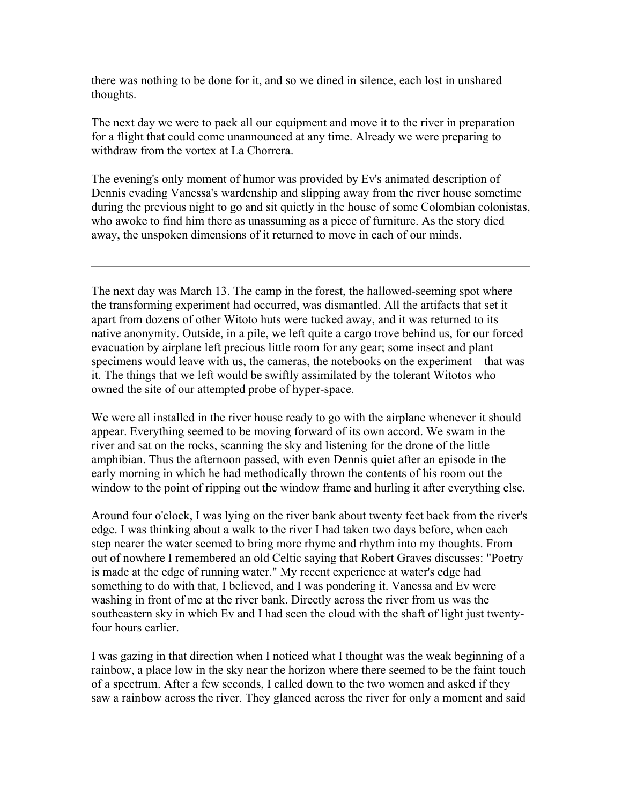there was nothing to be done for it, and so we dined in silence, each lost in unshared thoughts.

The next day we were to pack all our equipment and move it to the river in preparation for a flight that could come unannounced at any time. Already we were preparing to withdraw from the vortex at La Chorrera.

The evening's only moment of humor was provided by Ev's animated description of Dennis evading Vanessa's wardenship and slipping away from the river house sometime during the previous night to go and sit quietly in the house of some Colombian colonistas, who awoke to find him there as unassuming as a piece of furniture. As the story died away, the unspoken dimensions of it returned to move in each of our minds.

The next day was March 13. The camp in the forest, the hallowed-seeming spot where the transforming experiment had occurred, was dismantled. All the artifacts that set it apart from dozens of other Witoto huts were tucked away, and it was returned to its native anonymity. Outside, in a pile, we left quite a cargo trove behind us, for our forced evacuation by airplane left precious little room for any gear; some insect and plant specimens would leave with us, the cameras, the notebooks on the experiment—that was it. The things that we left would be swiftly assimilated by the tolerant Witotos who owned the site of our attempted probe of hyper-space.

We were all installed in the river house ready to go with the airplane whenever it should appear. Everything seemed to be moving forward of its own accord. We swam in the river and sat on the rocks, scanning the sky and listening for the drone of the little amphibian. Thus the afternoon passed, with even Dennis quiet after an episode in the early morning in which he had methodically thrown the contents of his room out the window to the point of ripping out the window frame and hurling it after everything else.

Around four o'clock, I was lying on the river bank about twenty feet back from the river's edge. I was thinking about a walk to the river I had taken two days before, when each step nearer the water seemed to bring more rhyme and rhythm into my thoughts. From out of nowhere I remembered an old Celtic saying that Robert Graves discusses: "Poetry is made at the edge of running water." My recent experience at water's edge had something to do with that, I believed, and I was pondering it. Vanessa and Ev were washing in front of me at the river bank. Directly across the river from us was the southeastern sky in which Ev and I had seen the cloud with the shaft of light just twentyfour hours earlier.

I was gazing in that direction when I noticed what I thought was the weak beginning of a rainbow, a place low in the sky near the horizon where there seemed to be the faint touch of a spectrum. After a few seconds, I called down to the two women and asked if they saw a rainbow across the river. They glanced across the river for only a moment and said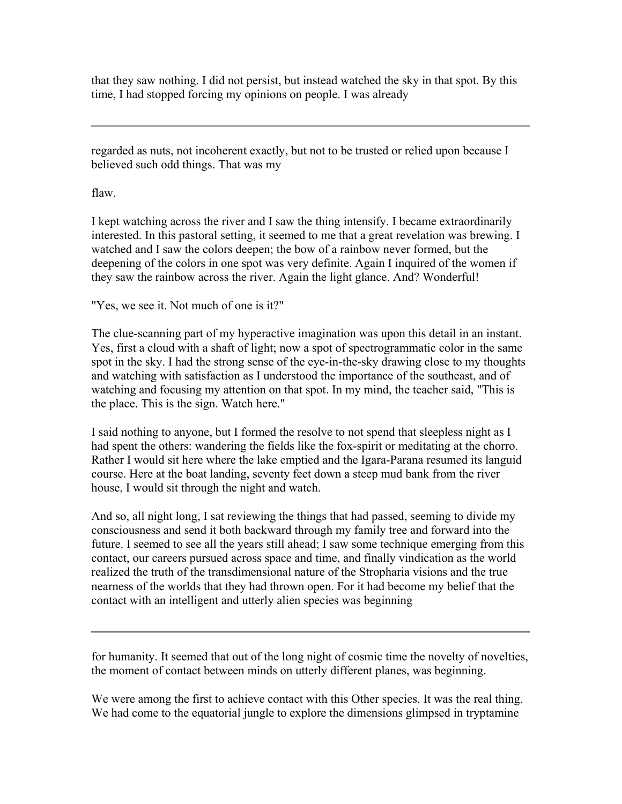that they saw nothing. I did not persist, but instead watched the sky in that spot. By this time, I had stopped forcing my opinions on people. I was already

regarded as nuts, not incoherent exactly, but not to be trusted or relied upon because I believed such odd things. That was my

flaw.

I kept watching across the river and I saw the thing intensify. I became extraordinarily interested. In this pastoral setting, it seemed to me that a great revelation was brewing. I watched and I saw the colors deepen; the bow of a rainbow never formed, but the deepening of the colors in one spot was very definite. Again I inquired of the women if they saw the rainbow across the river. Again the light glance. And? Wonderful!

"Yes, we see it. Not much of one is it?"

The clue-scanning part of my hyperactive imagination was upon this detail in an instant. Yes, first a cloud with a shaft of light; now a spot of spectrogrammatic color in the same spot in the sky. I had the strong sense of the eye-in-the-sky drawing close to my thoughts and watching with satisfaction as I understood the importance of the southeast, and of watching and focusing my attention on that spot. In my mind, the teacher said, "This is the place. This is the sign. Watch here."

I said nothing to anyone, but I formed the resolve to not spend that sleepless night as I had spent the others: wandering the fields like the fox-spirit or meditating at the chorro. Rather I would sit here where the lake emptied and the Igara-Parana resumed its languid course. Here at the boat landing, seventy feet down a steep mud bank from the river house, I would sit through the night and watch.

And so, all night long, I sat reviewing the things that had passed, seeming to divide my consciousness and send it both backward through my family tree and forward into the future. I seemed to see all the years still ahead; I saw some technique emerging from this contact, our careers pursued across space and time, and finally vindication as the world realized the truth of the transdimensional nature of the Stropharia visions and the true nearness of the worlds that they had thrown open. For it had become my belief that the contact with an intelligent and utterly alien species was beginning

for humanity. It seemed that out of the long night of cosmic time the novelty of novelties, the moment of contact between minds on utterly different planes, was beginning.

We were among the first to achieve contact with this Other species. It was the real thing. We had come to the equatorial jungle to explore the dimensions glimpsed in tryptamine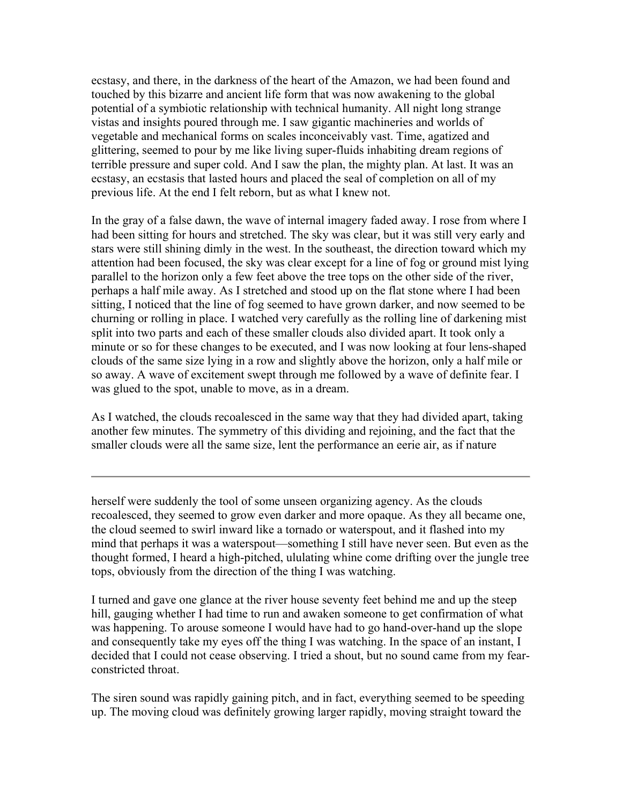ecstasy, and there, in the darkness of the heart of the Amazon, we had been found and touched by this bizarre and ancient life form that was now awakening to the global potential of a symbiotic relationship with technical humanity. All night long strange vistas and insights poured through me. I saw gigantic machineries and worlds of vegetable and mechanical forms on scales inconceivably vast. Time, agatized and glittering, seemed to pour by me like living super-fluids inhabiting dream regions of terrible pressure and super cold. And I saw the plan, the mighty plan. At last. It was an ecstasy, an ecstasis that lasted hours and placed the seal of completion on all of my previous life. At the end I felt reborn, but as what I knew not.

In the gray of a false dawn, the wave of internal imagery faded away. I rose from where I had been sitting for hours and stretched. The sky was clear, but it was still very early and stars were still shining dimly in the west. In the southeast, the direction toward which my attention had been focused, the sky was clear except for a line of fog or ground mist lying parallel to the horizon only a few feet above the tree tops on the other side of the river, perhaps a half mile away. As I stretched and stood up on the flat stone where I had been sitting, I noticed that the line of fog seemed to have grown darker, and now seemed to be churning or rolling in place. I watched very carefully as the rolling line of darkening mist split into two parts and each of these smaller clouds also divided apart. It took only a minute or so for these changes to be executed, and I was now looking at four lens-shaped clouds of the same size lying in a row and slightly above the horizon, only a half mile or so away. A wave of excitement swept through me followed by a wave of definite fear. I was glued to the spot, unable to move, as in a dream.

As I watched, the clouds recoalesced in the same way that they had divided apart, taking another few minutes. The symmetry of this dividing and rejoining, and the fact that the smaller clouds were all the same size, lent the performance an eerie air, as if nature

herself were suddenly the tool of some unseen organizing agency. As the clouds recoalesced, they seemed to grow even darker and more opaque. As they all became one, the cloud seemed to swirl inward like a tornado or waterspout, and it flashed into my mind that perhaps it was a waterspout—something I still have never seen. But even as the thought formed, I heard a high-pitched, ululating whine come drifting over the jungle tree tops, obviously from the direction of the thing I was watching.

I turned and gave one glance at the river house seventy feet behind me and up the steep hill, gauging whether I had time to run and awaken someone to get confirmation of what was happening. To arouse someone I would have had to go hand-over-hand up the slope and consequently take my eyes off the thing I was watching. In the space of an instant, I decided that I could not cease observing. I tried a shout, but no sound came from my fearconstricted throat.

The siren sound was rapidly gaining pitch, and in fact, everything seemed to be speeding up. The moving cloud was definitely growing larger rapidly, moving straight toward the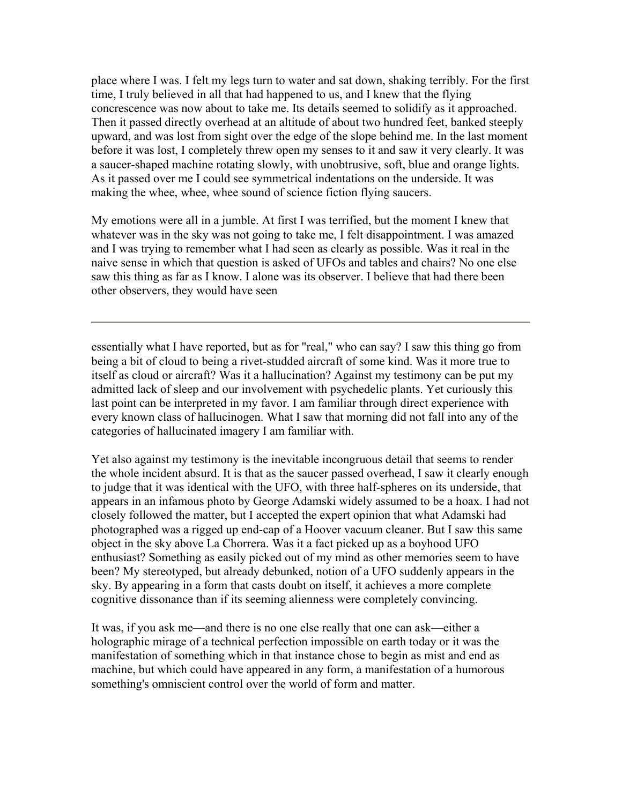place where I was. I felt my legs turn to water and sat down, shaking terribly. For the first time, I truly believed in all that had happened to us, and I knew that the flying concrescence was now about to take me. Its details seemed to solidify as it approached. Then it passed directly overhead at an altitude of about two hundred feet, banked steeply upward, and was lost from sight over the edge of the slope behind me. In the last moment before it was lost, I completely threw open my senses to it and saw it very clearly. It was a saucer-shaped machine rotating slowly, with unobtrusive, soft, blue and orange lights. As it passed over me I could see symmetrical indentations on the underside. It was making the whee, whee, whee sound of science fiction flying saucers.

My emotions were all in a jumble. At first I was terrified, but the moment I knew that whatever was in the sky was not going to take me, I felt disappointment. I was amazed and I was trying to remember what I had seen as clearly as possible. Was it real in the naive sense in which that question is asked of UFOs and tables and chairs? No one else saw this thing as far as I know. I alone was its observer. I believe that had there been other observers, they would have seen

essentially what I have reported, but as for "real," who can say? I saw this thing go from being a bit of cloud to being a rivet-studded aircraft of some kind. Was it more true to itself as cloud or aircraft? Was it a hallucination? Against my testimony can be put my admitted lack of sleep and our involvement with psychedelic plants. Yet curiously this last point can be interpreted in my favor. I am familiar through direct experience with every known class of hallucinogen. What I saw that morning did not fall into any of the categories of hallucinated imagery I am familiar with.

Yet also against my testimony is the inevitable incongruous detail that seems to render the whole incident absurd. It is that as the saucer passed overhead, I saw it clearly enough to judge that it was identical with the UFO, with three half-spheres on its underside, that appears in an infamous photo by George Adamski widely assumed to be a hoax. I had not closely followed the matter, but I accepted the expert opinion that what Adamski had photographed was a rigged up end-cap of a Hoover vacuum cleaner. But I saw this same object in the sky above La Chorrera. Was it a fact picked up as a boyhood UFO enthusiast? Something as easily picked out of my mind as other memories seem to have been? My stereotyped, but already debunked, notion of a UFO suddenly appears in the sky. By appearing in a form that casts doubt on itself, it achieves a more complete cognitive dissonance than if its seeming alienness were completely convincing.

It was, if you ask me—and there is no one else really that one can ask—either a holographic mirage of a technical perfection impossible on earth today or it was the manifestation of something which in that instance chose to begin as mist and end as machine, but which could have appeared in any form, a manifestation of a humorous something's omniscient control over the world of form and matter.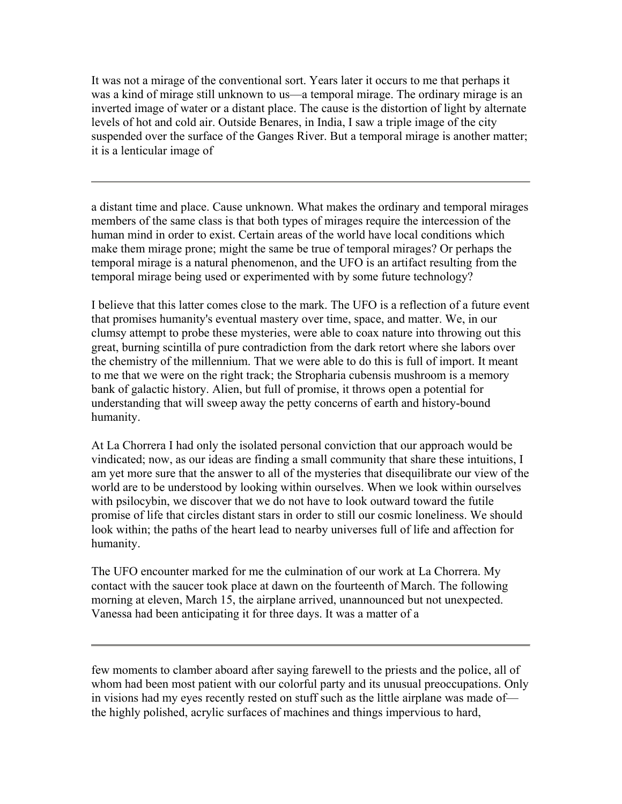It was not a mirage of the conventional sort. Years later it occurs to me that perhaps it was a kind of mirage still unknown to us—a temporal mirage. The ordinary mirage is an inverted image of water or a distant place. The cause is the distortion of light by alternate levels of hot and cold air. Outside Benares, in India, I saw a triple image of the city suspended over the surface of the Ganges River. But a temporal mirage is another matter; it is a lenticular image of

a distant time and place. Cause unknown. What makes the ordinary and temporal mirages members of the same class is that both types of mirages require the intercession of the human mind in order to exist. Certain areas of the world have local conditions which make them mirage prone; might the same be true of temporal mirages? Or perhaps the temporal mirage is a natural phenomenon, and the UFO is an artifact resulting from the temporal mirage being used or experimented with by some future technology?

I believe that this latter comes close to the mark. The UFO is a reflection of a future event that promises humanity's eventual mastery over time, space, and matter. We, in our clumsy attempt to probe these mysteries, were able to coax nature into throwing out this great, burning scintilla of pure contradiction from the dark retort where she labors over the chemistry of the millennium. That we were able to do this is full of import. It meant to me that we were on the right track; the Stropharia cubensis mushroom is a memory bank of galactic history. Alien, but full of promise, it throws open a potential for understanding that will sweep away the petty concerns of earth and history-bound humanity.

At La Chorrera I had only the isolated personal conviction that our approach would be vindicated; now, as our ideas are finding a small community that share these intuitions, I am yet more sure that the answer to all of the mysteries that disequilibrate our view of the world are to be understood by looking within ourselves. When we look within ourselves with psilocybin, we discover that we do not have to look outward toward the futile promise of life that circles distant stars in order to still our cosmic loneliness. We should look within; the paths of the heart lead to nearby universes full of life and affection for humanity.

The UFO encounter marked for me the culmination of our work at La Chorrera. My contact with the saucer took place at dawn on the fourteenth of March. The following morning at eleven, March 15, the airplane arrived, unannounced but not unexpected. Vanessa had been anticipating it for three days. It was a matter of a

few moments to clamber aboard after saying farewell to the priests and the police, all of whom had been most patient with our colorful party and its unusual preoccupations. Only in visions had my eyes recently rested on stuff such as the little airplane was made of the highly polished, acrylic surfaces of machines and things impervious to hard,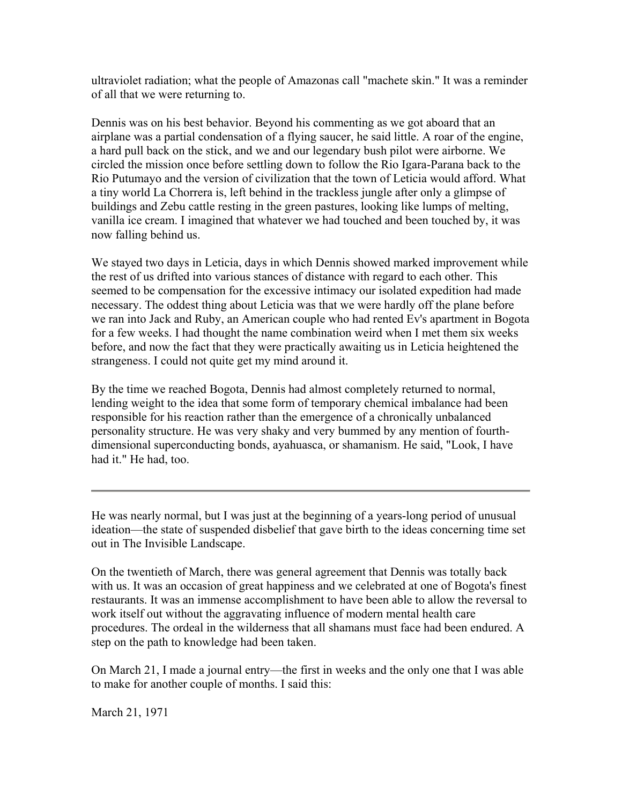ultraviolet radiation; what the people of Amazonas call "machete skin." It was a reminder of all that we were returning to.

Dennis was on his best behavior. Beyond his commenting as we got aboard that an airplane was a partial condensation of a flying saucer, he said little. A roar of the engine, a hard pull back on the stick, and we and our legendary bush pilot were airborne. We circled the mission once before settling down to follow the Rio Igara-Parana back to the Rio Putumayo and the version of civilization that the town of Leticia would afford. What a tiny world La Chorrera is, left behind in the trackless jungle after only a glimpse of buildings and Zebu cattle resting in the green pastures, looking like lumps of melting, vanilla ice cream. I imagined that whatever we had touched and been touched by, it was now falling behind us.

We stayed two days in Leticia, days in which Dennis showed marked improvement while the rest of us drifted into various stances of distance with regard to each other. This seemed to be compensation for the excessive intimacy our isolated expedition had made necessary. The oddest thing about Leticia was that we were hardly off the plane before we ran into Jack and Ruby, an American couple who had rented Ev's apartment in Bogota for a few weeks. I had thought the name combination weird when I met them six weeks before, and now the fact that they were practically awaiting us in Leticia heightened the strangeness. I could not quite get my mind around it.

By the time we reached Bogota, Dennis had almost completely returned to normal, lending weight to the idea that some form of temporary chemical imbalance had been responsible for his reaction rather than the emergence of a chronically unbalanced personality structure. He was very shaky and very bummed by any mention of fourthdimensional superconducting bonds, ayahuasca, or shamanism. He said, "Look, I have had it." He had, too.

He was nearly normal, but I was just at the beginning of a years-long period of unusual ideation—the state of suspended disbelief that gave birth to the ideas concerning time set out in The Invisible Landscape.

On the twentieth of March, there was general agreement that Dennis was totally back with us. It was an occasion of great happiness and we celebrated at one of Bogota's finest restaurants. It was an immense accomplishment to have been able to allow the reversal to work itself out without the aggravating influence of modern mental health care procedures. The ordeal in the wilderness that all shamans must face had been endured. A step on the path to knowledge had been taken.

On March 21, I made a journal entry—the first in weeks and the only one that I was able to make for another couple of months. I said this:

March 21, 1971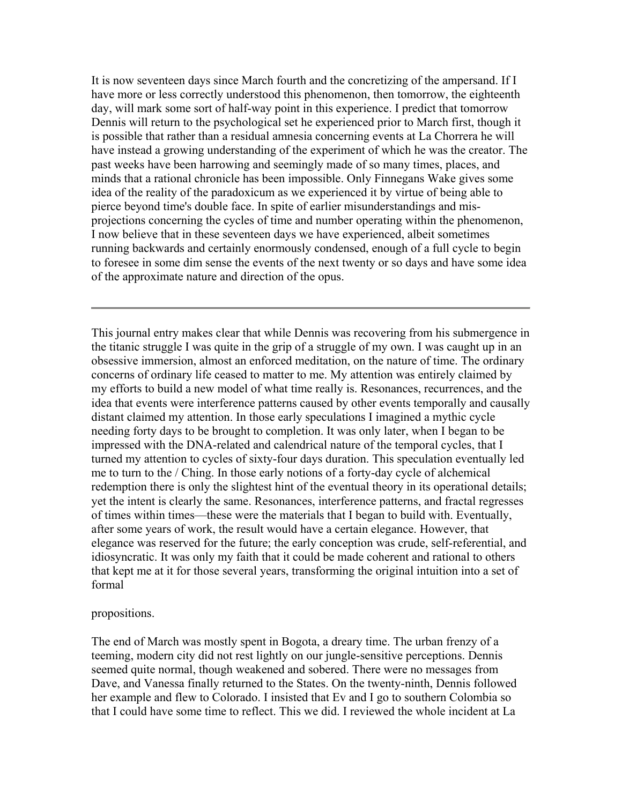It is now seventeen days since March fourth and the concretizing of the ampersand. If I have more or less correctly understood this phenomenon, then tomorrow, the eighteenth day, will mark some sort of half-way point in this experience. I predict that tomorrow Dennis will return to the psychological set he experienced prior to March first, though it is possible that rather than a residual amnesia concerning events at La Chorrera he will have instead a growing understanding of the experiment of which he was the creator. The past weeks have been harrowing and seemingly made of so many times, places, and minds that a rational chronicle has been impossible. Only Finnegans Wake gives some idea of the reality of the paradoxicum as we experienced it by virtue of being able to pierce beyond time's double face. In spite of earlier misunderstandings and misprojections concerning the cycles of time and number operating within the phenomenon, I now believe that in these seventeen days we have experienced, albeit sometimes running backwards and certainly enormously condensed, enough of a full cycle to begin to foresee in some dim sense the events of the next twenty or so days and have some idea of the approximate nature and direction of the opus.

This journal entry makes clear that while Dennis was recovering from his submergence in the titanic struggle I was quite in the grip of a struggle of my own. I was caught up in an obsessive immersion, almost an enforced meditation, on the nature of time. The ordinary concerns of ordinary life ceased to matter to me. My attention was entirely claimed by my efforts to build a new model of what time really is. Resonances, recurrences, and the idea that events were interference patterns caused by other events temporally and causally distant claimed my attention. In those early speculations I imagined a mythic cycle needing forty days to be brought to completion. It was only later, when I began to be impressed with the DNA-related and calendrical nature of the temporal cycles, that I turned my attention to cycles of sixty-four days duration. This speculation eventually led me to turn to the / Ching. In those early notions of a forty-day cycle of alchemical redemption there is only the slightest hint of the eventual theory in its operational details; yet the intent is clearly the same. Resonances, interference patterns, and fractal regresses of times within times—these were the materials that I began to build with. Eventually, after some years of work, the result would have a certain elegance. However, that elegance was reserved for the future; the early conception was crude, self-referential, and idiosyncratic. It was only my faith that it could be made coherent and rational to others that kept me at it for those several years, transforming the original intuition into a set of formal

#### propositions.

The end of March was mostly spent in Bogota, a dreary time. The urban frenzy of a teeming, modern city did not rest lightly on our jungle-sensitive perceptions. Dennis seemed quite normal, though weakened and sobered. There were no messages from Dave, and Vanessa finally returned to the States. On the twenty-ninth, Dennis followed her example and flew to Colorado. I insisted that Ev and I go to southern Colombia so that I could have some time to reflect. This we did. I reviewed the whole incident at La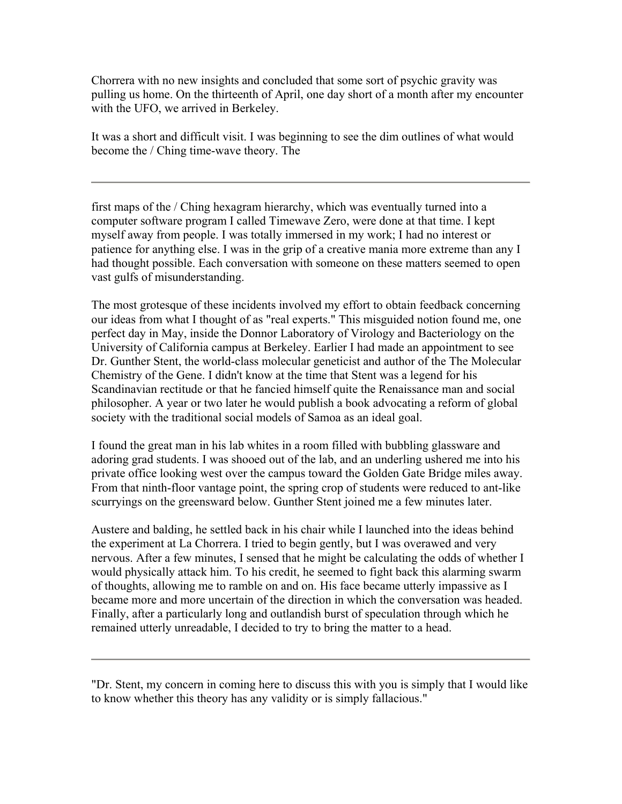Chorrera with no new insights and concluded that some sort of psychic gravity was pulling us home. On the thirteenth of April, one day short of a month after my encounter with the UFO, we arrived in Berkeley.

It was a short and difficult visit. I was beginning to see the dim outlines of what would become the / Ching time-wave theory. The

first maps of the / Ching hexagram hierarchy, which was eventually turned into a computer software program I called Timewave Zero, were done at that time. I kept myself away from people. I was totally immersed in my work; I had no interest or patience for anything else. I was in the grip of a creative mania more extreme than any I had thought possible. Each conversation with someone on these matters seemed to open vast gulfs of misunderstanding.

The most grotesque of these incidents involved my effort to obtain feedback concerning our ideas from what I thought of as "real experts." This misguided notion found me, one perfect day in May, inside the Donnor Laboratory of Virology and Bacteriology on the University of California campus at Berkeley. Earlier I had made an appointment to see Dr. Gunther Stent, the world-class molecular geneticist and author of the The Molecular Chemistry of the Gene. I didn't know at the time that Stent was a legend for his Scandinavian rectitude or that he fancied himself quite the Renaissance man and social philosopher. A year or two later he would publish a book advocating a reform of global society with the traditional social models of Samoa as an ideal goal.

I found the great man in his lab whites in a room filled with bubbling glassware and adoring grad students. I was shooed out of the lab, and an underling ushered me into his private office looking west over the campus toward the Golden Gate Bridge miles away. From that ninth-floor vantage point, the spring crop of students were reduced to ant-like scurryings on the greensward below. Gunther Stent joined me a few minutes later.

Austere and balding, he settled back in his chair while I launched into the ideas behind the experiment at La Chorrera. I tried to begin gently, but I was overawed and very nervous. After a few minutes, I sensed that he might be calculating the odds of whether I would physically attack him. To his credit, he seemed to fight back this alarming swarm of thoughts, allowing me to ramble on and on. His face became utterly impassive as I became more and more uncertain of the direction in which the conversation was headed. Finally, after a particularly long and outlandish burst of speculation through which he remained utterly unreadable, I decided to try to bring the matter to a head.

<sup>&</sup>quot;Dr. Stent, my concern in coming here to discuss this with you is simply that I would like to know whether this theory has any validity or is simply fallacious."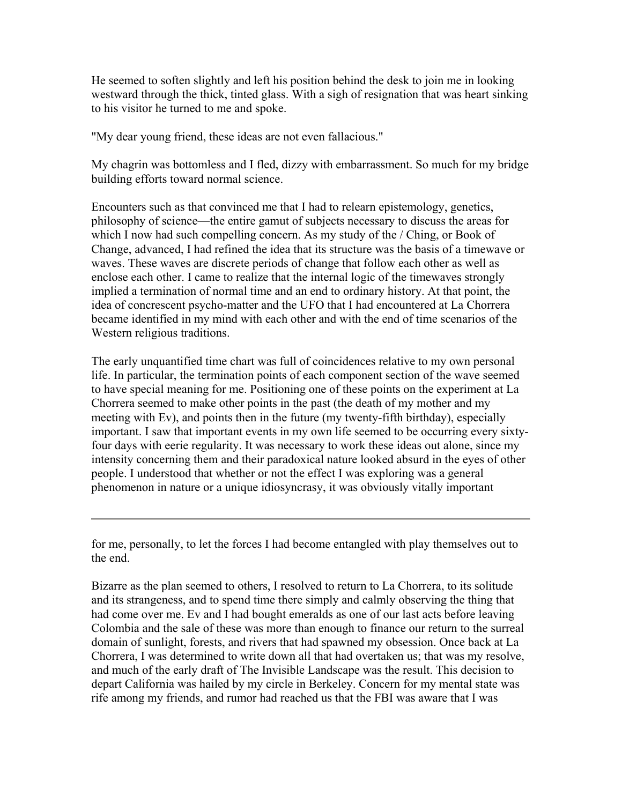He seemed to soften slightly and left his position behind the desk to join me in looking westward through the thick, tinted glass. With a sigh of resignation that was heart sinking to his visitor he turned to me and spoke.

"My dear young friend, these ideas are not even fallacious."

My chagrin was bottomless and I fled, dizzy with embarrassment. So much for my bridge building efforts toward normal science.

Encounters such as that convinced me that I had to relearn epistemology, genetics, philosophy of science—the entire gamut of subjects necessary to discuss the areas for which I now had such compelling concern. As my study of the / Ching, or Book of Change, advanced, I had refined the idea that its structure was the basis of a timewave or waves. These waves are discrete periods of change that follow each other as well as enclose each other. I came to realize that the internal logic of the timewaves strongly implied a termination of normal time and an end to ordinary history. At that point, the idea of concrescent psycho-matter and the UFO that I had encountered at La Chorrera became identified in my mind with each other and with the end of time scenarios of the Western religious traditions.

The early unquantified time chart was full of coincidences relative to my own personal life. In particular, the termination points of each component section of the wave seemed to have special meaning for me. Positioning one of these points on the experiment at La Chorrera seemed to make other points in the past (the death of my mother and my meeting with Ev), and points then in the future (my twenty-fifth birthday), especially important. I saw that important events in my own life seemed to be occurring every sixtyfour days with eerie regularity. It was necessary to work these ideas out alone, since my intensity concerning them and their paradoxical nature looked absurd in the eyes of other people. I understood that whether or not the effect I was exploring was a general phenomenon in nature or a unique idiosyncrasy, it was obviously vitally important

for me, personally, to let the forces I had become entangled with play themselves out to the end.

Bizarre as the plan seemed to others, I resolved to return to La Chorrera, to its solitude and its strangeness, and to spend time there simply and calmly observing the thing that had come over me. Ev and I had bought emeralds as one of our last acts before leaving Colombia and the sale of these was more than enough to finance our return to the surreal domain of sunlight, forests, and rivers that had spawned my obsession. Once back at La Chorrera, I was determined to write down all that had overtaken us; that was my resolve, and much of the early draft of The Invisible Landscape was the result. This decision to depart California was hailed by my circle in Berkeley. Concern for my mental state was rife among my friends, and rumor had reached us that the FBI was aware that I was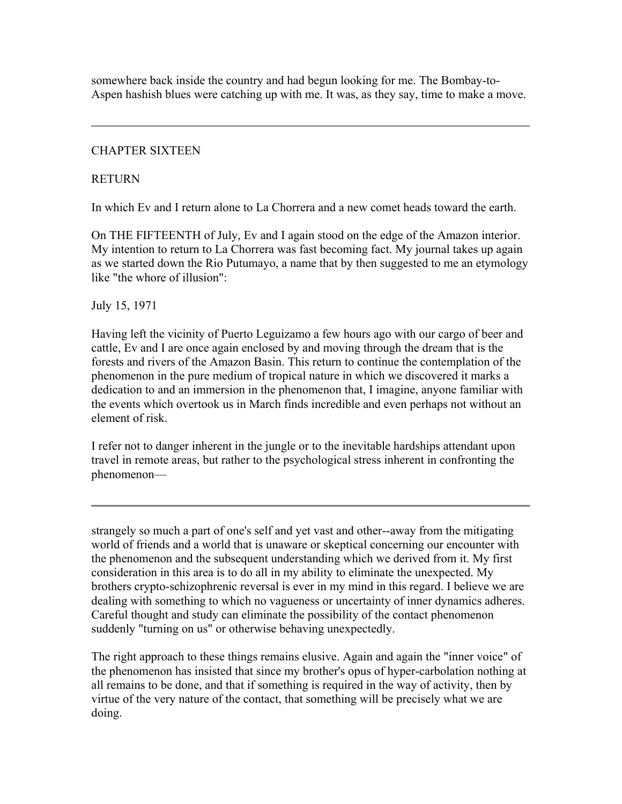somewhere back inside the country and had begun looking for me. The Bombay-to-Aspen hashish blues were catching up with me. It was, as they say, time to make a move.

# CHAPTER SIXTEEN

# **RETURN**

In which Ev and I return alone to La Chorrera and a new comet heads toward the earth.

On THE FIFTEENTH of July, Ev and I again stood on the edge of the Amazon interior. My intention to return to La Chorrera was fast becoming fact. My journal takes up again as we started down the Rio Putumayo, a name that by then suggested to me an etymology like "the whore of illusion":

July 15, 1971

Having left the vicinity of Puerto Leguizamo a few hours ago with our cargo of beer and cattle, Ev and I are once again enclosed by and moving through the dream that is the forests and rivers of the Amazon Basin. This return to continue the contemplation of the phenomenon in the pure medium of tropical nature in which we discovered it marks a dedication to and an immersion in the phenomenon that, I imagine, anyone familiar with the events which overtook us in March finds incredible and even perhaps not without an element of risk.

I refer not to danger inherent in the jungle or to the inevitable hardships attendant upon travel in remote areas, but rather to the psychological stress inherent in confronting the phenomenon—

strangely so much a part of one's self and yet vast and other--away from the mitigating world of friends and a world that is unaware or skeptical concerning our encounter with the phenomenon and the subsequent understanding which we derived from it. My first consideration in this area is to do all in my ability to eliminate the unexpected. My brothers crypto-schizophrenic reversal is ever in my mind in this regard. I believe we are dealing with something to which no vagueness or uncertainty of inner dynamics adheres. Careful thought and study can eliminate the possibility of the contact phenomenon suddenly "turning on us" or otherwise behaving unexpectedly.

The right approach to these things remains elusive. Again and again the "inner voice" of the phenomenon has insisted that since my brother's opus of hyper-carbolation nothing at all remains to be done, and that if something is required in the way of activity, then by virtue of the very nature of the contact, that something will be precisely what we are doing.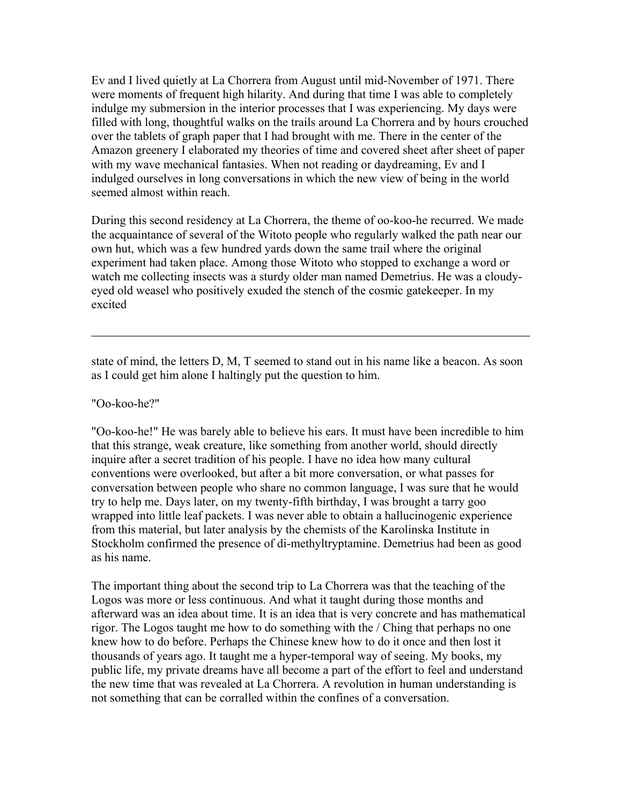Ev and I lived quietly at La Chorrera from August until mid-November of 1971. There were moments of frequent high hilarity. And during that time I was able to completely indulge my submersion in the interior processes that I was experiencing. My days were filled with long, thoughtful walks on the trails around La Chorrera and by hours crouched over the tablets of graph paper that I had brought with me. There in the center of the Amazon greenery I elaborated my theories of time and covered sheet after sheet of paper with my wave mechanical fantasies. When not reading or daydreaming, Ev and I indulged ourselves in long conversations in which the new view of being in the world seemed almost within reach.

During this second residency at La Chorrera, the theme of oo-koo-he recurred. We made the acquaintance of several of the Witoto people who regularly walked the path near our own hut, which was a few hundred yards down the same trail where the original experiment had taken place. Among those Witoto who stopped to exchange a word or watch me collecting insects was a sturdy older man named Demetrius. He was a cloudyeyed old weasel who positively exuded the stench of the cosmic gatekeeper. In my excited

state of mind, the letters D, M, T seemed to stand out in his name like a beacon. As soon as I could get him alone I haltingly put the question to him.

"Oo-koo-he?"

"Oo-koo-he!" He was barely able to believe his ears. It must have been incredible to him that this strange, weak creature, like something from another world, should directly inquire after a secret tradition of his people. I have no idea how many cultural conventions were overlooked, but after a bit more conversation, or what passes for conversation between people who share no common language, I was sure that he would try to help me. Days later, on my twenty-fifth birthday, I was brought a tarry goo wrapped into little leaf packets. I was never able to obtain a hallucinogenic experience from this material, but later analysis by the chemists of the Karolinska Institute in Stockholm confirmed the presence of di-methyltryptamine. Demetrius had been as good as his name.

The important thing about the second trip to La Chorrera was that the teaching of the Logos was more or less continuous. And what it taught during those months and afterward was an idea about time. It is an idea that is very concrete and has mathematical rigor. The Logos taught me how to do something with the / Ching that perhaps no one knew how to do before. Perhaps the Chinese knew how to do it once and then lost it thousands of years ago. It taught me a hyper-temporal way of seeing. My books, my public life, my private dreams have all become a part of the effort to feel and understand the new time that was revealed at La Chorrera. A revolution in human understanding is not something that can be corralled within the confines of a conversation.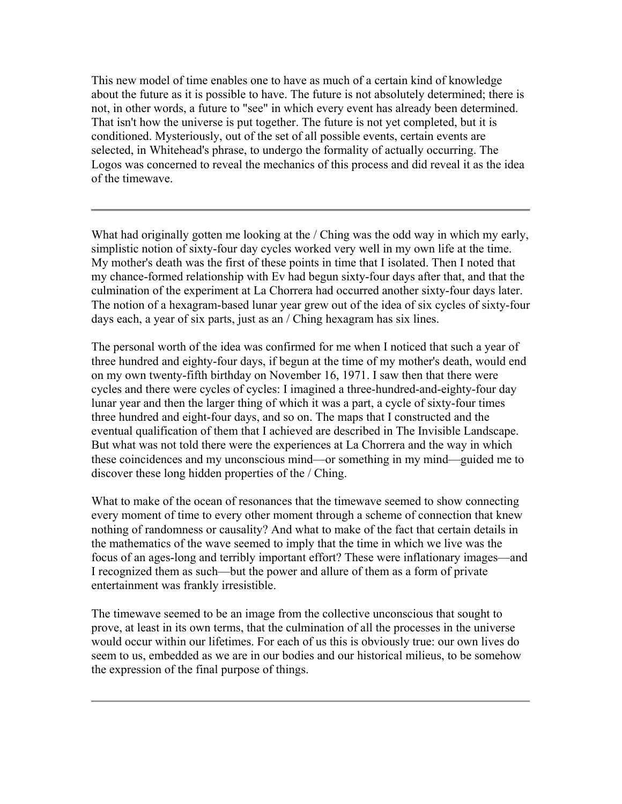This new model of time enables one to have as much of a certain kind of knowledge about the future as it is possible to have. The future is not absolutely determined; there is not, in other words, a future to "see" in which every event has already been determined. That isn't how the universe is put together. The future is not yet completed, but it is conditioned. Mysteriously, out of the set of all possible events, certain events are selected, in Whitehead's phrase, to undergo the formality of actually occurring. The Logos was concerned to reveal the mechanics of this process and did reveal it as the idea of the timewave.

What had originally gotten me looking at the / Ching was the odd way in which my early, simplistic notion of sixty-four day cycles worked very well in my own life at the time. My mother's death was the first of these points in time that I isolated. Then I noted that my chance-formed relationship with Ev had begun sixty-four days after that, and that the culmination of the experiment at La Chorrera had occurred another sixty-four days later. The notion of a hexagram-based lunar year grew out of the idea of six cycles of sixty-four days each, a year of six parts, just as an / Ching hexagram has six lines.

The personal worth of the idea was confirmed for me when I noticed that such a year of three hundred and eighty-four days, if begun at the time of my mother's death, would end on my own twenty-fifth birthday on November 16, 1971. I saw then that there were cycles and there were cycles of cycles: I imagined a three-hundred-and-eighty-four day lunar year and then the larger thing of which it was a part, a cycle of sixty-four times three hundred and eight-four days, and so on. The maps that I constructed and the eventual qualification of them that I achieved are described in The Invisible Landscape. But what was not told there were the experiences at La Chorrera and the way in which these coincidences and my unconscious mind—or something in my mind—guided me to discover these long hidden properties of the / Ching.

What to make of the ocean of resonances that the timewave seemed to show connecting every moment of time to every other moment through a scheme of connection that knew nothing of randomness or causality? And what to make of the fact that certain details in the mathematics of the wave seemed to imply that the time in which we live was the focus of an ages-long and terribly important effort? These were inflationary images—and I recognized them as such—but the power and allure of them as a form of private entertainment was frankly irresistible.

The timewave seemed to be an image from the collective unconscious that sought to prove, at least in its own terms, that the culmination of all the processes in the universe would occur within our lifetimes. For each of us this is obviously true: our own lives do seem to us, embedded as we are in our bodies and our historical milieus, to be somehow the expression of the final purpose of things.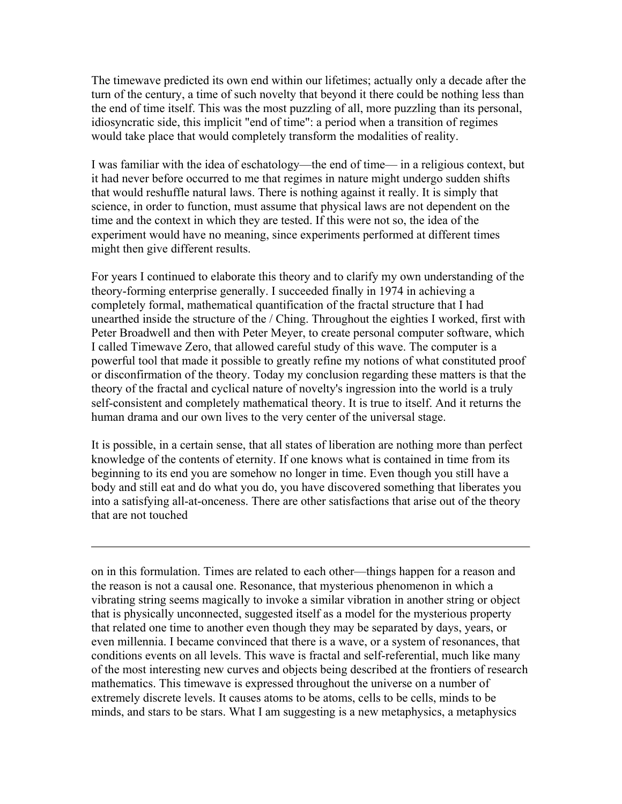The timewave predicted its own end within our lifetimes; actually only a decade after the turn of the century, a time of such novelty that beyond it there could be nothing less than the end of time itself. This was the most puzzling of all, more puzzling than its personal, idiosyncratic side, this implicit "end of time": a period when a transition of regimes would take place that would completely transform the modalities of reality.

I was familiar with the idea of eschatology—the end of time— in a religious context, but it had never before occurred to me that regimes in nature might undergo sudden shifts that would reshuffle natural laws. There is nothing against it really. It is simply that science, in order to function, must assume that physical laws are not dependent on the time and the context in which they are tested. If this were not so, the idea of the experiment would have no meaning, since experiments performed at different times might then give different results.

For years I continued to elaborate this theory and to clarify my own understanding of the theory-forming enterprise generally. I succeeded finally in 1974 in achieving a completely formal, mathematical quantification of the fractal structure that I had unearthed inside the structure of the / Ching. Throughout the eighties I worked, first with Peter Broadwell and then with Peter Meyer, to create personal computer software, which I called Timewave Zero, that allowed careful study of this wave. The computer is a powerful tool that made it possible to greatly refine my notions of what constituted proof or disconfirmation of the theory. Today my conclusion regarding these matters is that the theory of the fractal and cyclical nature of novelty's ingression into the world is a truly self-consistent and completely mathematical theory. It is true to itself. And it returns the human drama and our own lives to the very center of the universal stage.

It is possible, in a certain sense, that all states of liberation are nothing more than perfect knowledge of the contents of eternity. If one knows what is contained in time from its beginning to its end you are somehow no longer in time. Even though you still have a body and still eat and do what you do, you have discovered something that liberates you into a satisfying all-at-onceness. There are other satisfactions that arise out of the theory that are not touched

on in this formulation. Times are related to each other—things happen for a reason and the reason is not a causal one. Resonance, that mysterious phenomenon in which a vibrating string seems magically to invoke a similar vibration in another string or object that is physically unconnected, suggested itself as a model for the mysterious property that related one time to another even though they may be separated by days, years, or even millennia. I became convinced that there is a wave, or a system of resonances, that conditions events on all levels. This wave is fractal and self-referential, much like many of the most interesting new curves and objects being described at the frontiers of research mathematics. This timewave is expressed throughout the universe on a number of extremely discrete levels. It causes atoms to be atoms, cells to be cells, minds to be minds, and stars to be stars. What I am suggesting is a new metaphysics, a metaphysics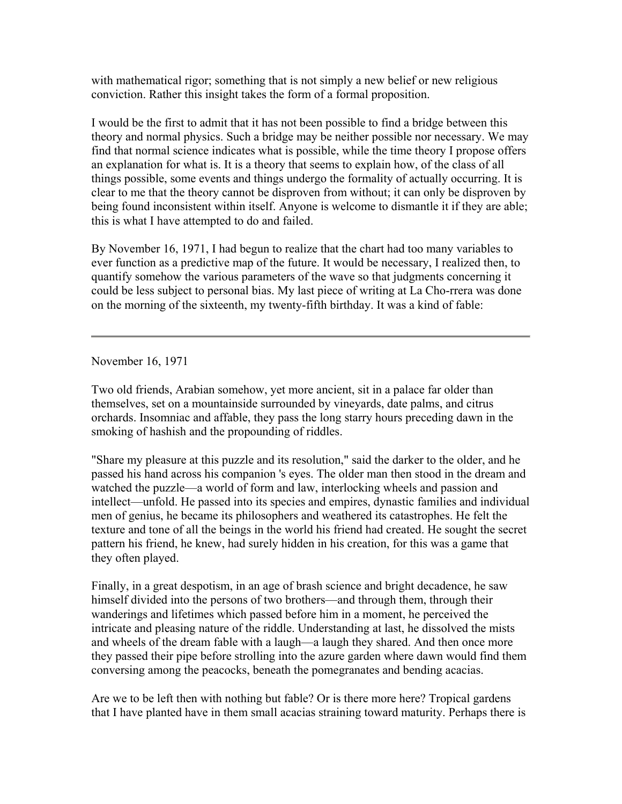with mathematical rigor; something that is not simply a new belief or new religious conviction. Rather this insight takes the form of a formal proposition.

I would be the first to admit that it has not been possible to find a bridge between this theory and normal physics. Such a bridge may be neither possible nor necessary. We may find that normal science indicates what is possible, while the time theory I propose offers an explanation for what is. It is a theory that seems to explain how, of the class of all things possible, some events and things undergo the formality of actually occurring. It is clear to me that the theory cannot be disproven from without; it can only be disproven by being found inconsistent within itself. Anyone is welcome to dismantle it if they are able; this is what I have attempted to do and failed.

By November 16, 1971, I had begun to realize that the chart had too many variables to ever function as a predictive map of the future. It would be necessary, I realized then, to quantify somehow the various parameters of the wave so that judgments concerning it could be less subject to personal bias. My last piece of writing at La Cho-rrera was done on the morning of the sixteenth, my twenty-fifth birthday. It was a kind of fable:

November 16, 1971

Two old friends, Arabian somehow, yet more ancient, sit in a palace far older than themselves, set on a mountainside surrounded by vineyards, date palms, and citrus orchards. Insomniac and affable, they pass the long starry hours preceding dawn in the smoking of hashish and the propounding of riddles.

"Share my pleasure at this puzzle and its resolution," said the darker to the older, and he passed his hand across his companion 's eyes. The older man then stood in the dream and watched the puzzle—a world of form and law, interlocking wheels and passion and intellect—unfold. He passed into its species and empires, dynastic families and individual men of genius, he became its philosophers and weathered its catastrophes. He felt the texture and tone of all the beings in the world his friend had created. He sought the secret pattern his friend, he knew, had surely hidden in his creation, for this was a game that they often played.

Finally, in a great despotism, in an age of brash science and bright decadence, he saw himself divided into the persons of two brothers—and through them, through their wanderings and lifetimes which passed before him in a moment, he perceived the intricate and pleasing nature of the riddle. Understanding at last, he dissolved the mists and wheels of the dream fable with a laugh—a laugh they shared. And then once more they passed their pipe before strolling into the azure garden where dawn would find them conversing among the peacocks, beneath the pomegranates and bending acacias.

Are we to be left then with nothing but fable? Or is there more here? Tropical gardens that I have planted have in them small acacias straining toward maturity. Perhaps there is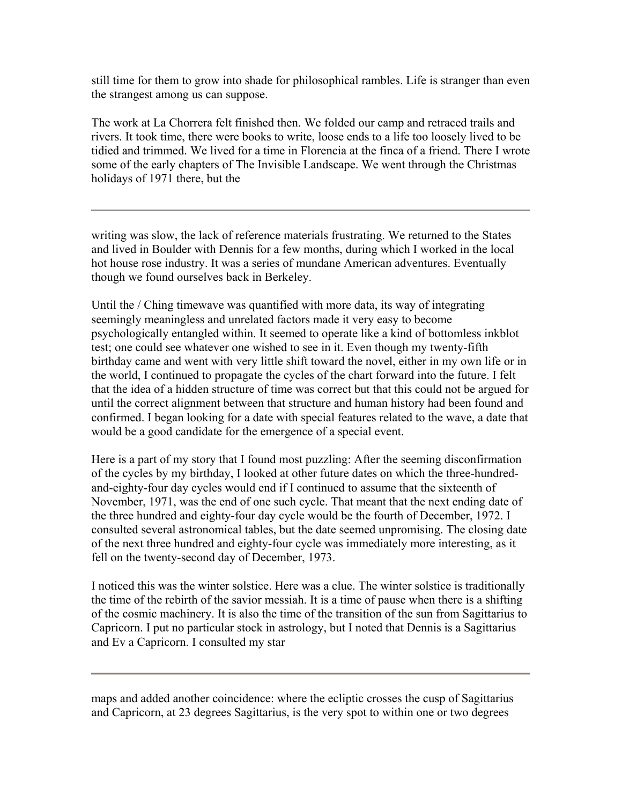still time for them to grow into shade for philosophical rambles. Life is stranger than even the strangest among us can suppose.

The work at La Chorrera felt finished then. We folded our camp and retraced trails and rivers. It took time, there were books to write, loose ends to a life too loosely lived to be tidied and trimmed. We lived for a time in Florencia at the finca of a friend. There I wrote some of the early chapters of The Invisible Landscape. We went through the Christmas holidays of 1971 there, but the

writing was slow, the lack of reference materials frustrating. We returned to the States and lived in Boulder with Dennis for a few months, during which I worked in the local hot house rose industry. It was a series of mundane American adventures. Eventually though we found ourselves back in Berkeley.

Until the / Ching timewave was quantified with more data, its way of integrating seemingly meaningless and unrelated factors made it very easy to become psychologically entangled within. It seemed to operate like a kind of bottomless inkblot test; one could see whatever one wished to see in it. Even though my twenty-fifth birthday came and went with very little shift toward the novel, either in my own life or in the world, I continued to propagate the cycles of the chart forward into the future. I felt that the idea of a hidden structure of time was correct but that this could not be argued for until the correct alignment between that structure and human history had been found and confirmed. I began looking for a date with special features related to the wave, a date that would be a good candidate for the emergence of a special event.

Here is a part of my story that I found most puzzling: After the seeming disconfirmation of the cycles by my birthday, I looked at other future dates on which the three-hundredand-eighty-four day cycles would end if I continued to assume that the sixteenth of November, 1971, was the end of one such cycle. That meant that the next ending date of the three hundred and eighty-four day cycle would be the fourth of December, 1972. I consulted several astronomical tables, but the date seemed unpromising. The closing date of the next three hundred and eighty-four cycle was immediately more interesting, as it fell on the twenty-second day of December, 1973.

I noticed this was the winter solstice. Here was a clue. The winter solstice is traditionally the time of the rebirth of the savior messiah. It is a time of pause when there is a shifting of the cosmic machinery. It is also the time of the transition of the sun from Sagittarius to Capricorn. I put no particular stock in astrology, but I noted that Dennis is a Sagittarius and Ev a Capricorn. I consulted my star

maps and added another coincidence: where the ecliptic crosses the cusp of Sagittarius and Capricorn, at 23 degrees Sagittarius, is the very spot to within one or two degrees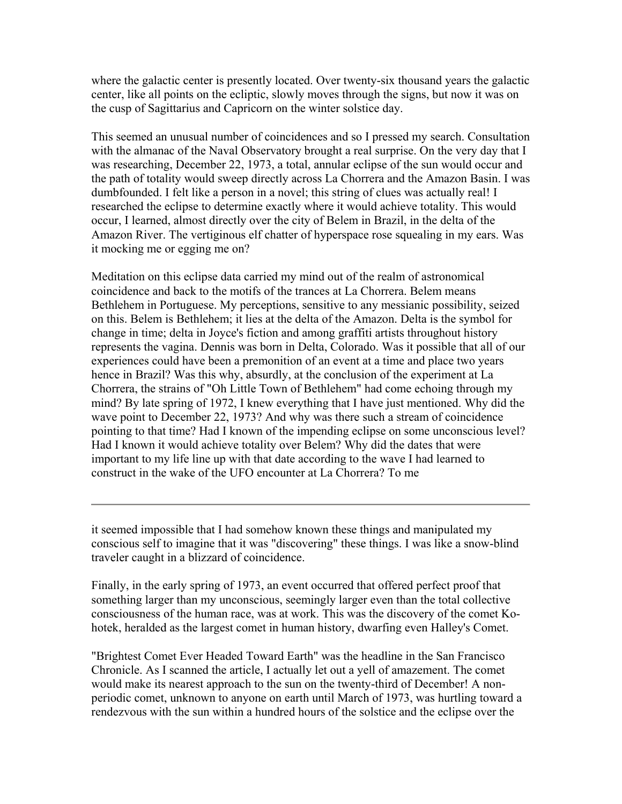where the galactic center is presently located. Over twenty-six thousand years the galactic center, like all points on the ecliptic, slowly moves through the signs, but now it was on the cusp of Sagittarius and Capricorn on the winter solstice day.

This seemed an unusual number of coincidences and so I pressed my search. Consultation with the almanac of the Naval Observatory brought a real surprise. On the very day that I was researching, December 22, 1973, a total, annular eclipse of the sun would occur and the path of totality would sweep directly across La Chorrera and the Amazon Basin. I was dumbfounded. I felt like a person in a novel; this string of clues was actually real! I researched the eclipse to determine exactly where it would achieve totality. This would occur, I learned, almost directly over the city of Belem in Brazil, in the delta of the Amazon River. The vertiginous elf chatter of hyperspace rose squealing in my ears. Was it mocking me or egging me on?

Meditation on this eclipse data carried my mind out of the realm of astronomical coincidence and back to the motifs of the trances at La Chorrera. Belem means Bethlehem in Portuguese. My perceptions, sensitive to any messianic possibility, seized on this. Belem is Bethlehem; it lies at the delta of the Amazon. Delta is the symbol for change in time; delta in Joyce's fiction and among graffiti artists throughout history represents the vagina. Dennis was born in Delta, Colorado. Was it possible that all of our experiences could have been a premonition of an event at a time and place two years hence in Brazil? Was this why, absurdly, at the conclusion of the experiment at La Chorrera, the strains of "Oh Little Town of Bethlehem" had come echoing through my mind? By late spring of 1972, I knew everything that I have just mentioned. Why did the wave point to December 22, 1973? And why was there such a stream of coincidence pointing to that time? Had I known of the impending eclipse on some unconscious level? Had I known it would achieve totality over Belem? Why did the dates that were important to my life line up with that date according to the wave I had learned to construct in the wake of the UFO encounter at La Chorrera? To me

it seemed impossible that I had somehow known these things and manipulated my conscious self to imagine that it was "discovering" these things. I was like a snow-blind traveler caught in a blizzard of coincidence.

Finally, in the early spring of 1973, an event occurred that offered perfect proof that something larger than my unconscious, seemingly larger even than the total collective consciousness of the human race, was at work. This was the discovery of the comet Kohotek, heralded as the largest comet in human history, dwarfing even Halley's Comet.

"Brightest Comet Ever Headed Toward Earth" was the headline in the San Francisco Chronicle. As I scanned the article, I actually let out a yell of amazement. The comet would make its nearest approach to the sun on the twenty-third of December! A nonperiodic comet, unknown to anyone on earth until March of 1973, was hurtling toward a rendezvous with the sun within a hundred hours of the solstice and the eclipse over the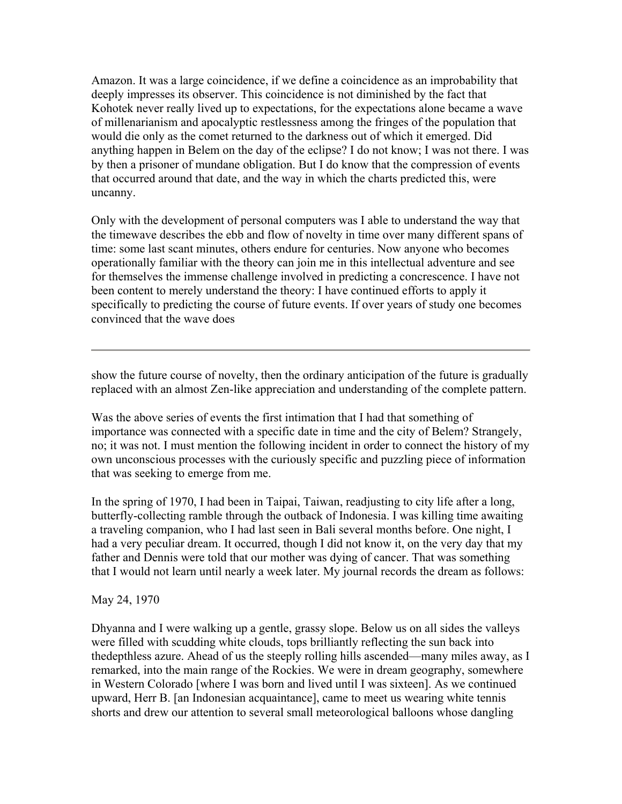Amazon. It was a large coincidence, if we define a coincidence as an improbability that deeply impresses its observer. This coincidence is not diminished by the fact that Kohotek never really lived up to expectations, for the expectations alone became a wave of millenarianism and apocalyptic restlessness among the fringes of the population that would die only as the comet returned to the darkness out of which it emerged. Did anything happen in Belem on the day of the eclipse? I do not know; I was not there. I was by then a prisoner of mundane obligation. But I do know that the compression of events that occurred around that date, and the way in which the charts predicted this, were uncanny.

Only with the development of personal computers was I able to understand the way that the timewave describes the ebb and flow of novelty in time over many different spans of time: some last scant minutes, others endure for centuries. Now anyone who becomes operationally familiar with the theory can join me in this intellectual adventure and see for themselves the immense challenge involved in predicting a concrescence. I have not been content to merely understand the theory: I have continued efforts to apply it specifically to predicting the course of future events. If over years of study one becomes convinced that the wave does

show the future course of novelty, then the ordinary anticipation of the future is gradually replaced with an almost Zen-like appreciation and understanding of the complete pattern.

Was the above series of events the first intimation that I had that something of importance was connected with a specific date in time and the city of Belem? Strangely, no; it was not. I must mention the following incident in order to connect the history of my own unconscious processes with the curiously specific and puzzling piece of information that was seeking to emerge from me.

In the spring of 1970, I had been in Taipai, Taiwan, readjusting to city life after a long, butterfly-collecting ramble through the outback of Indonesia. I was killing time awaiting a traveling companion, who I had last seen in Bali several months before. One night, I had a very peculiar dream. It occurred, though I did not know it, on the very day that my father and Dennis were told that our mother was dying of cancer. That was something that I would not learn until nearly a week later. My journal records the dream as follows:

May 24, 1970

Dhyanna and I were walking up a gentle, grassy slope. Below us on all sides the valleys were filled with scudding white clouds, tops brilliantly reflecting the sun back into thedepthless azure. Ahead of us the steeply rolling hills ascended—many miles away, as I remarked, into the main range of the Rockies. We were in dream geography, somewhere in Western Colorado [where I was born and lived until I was sixteen]. As we continued upward, Herr B. [an Indonesian acquaintance], came to meet us wearing white tennis shorts and drew our attention to several small meteorological balloons whose dangling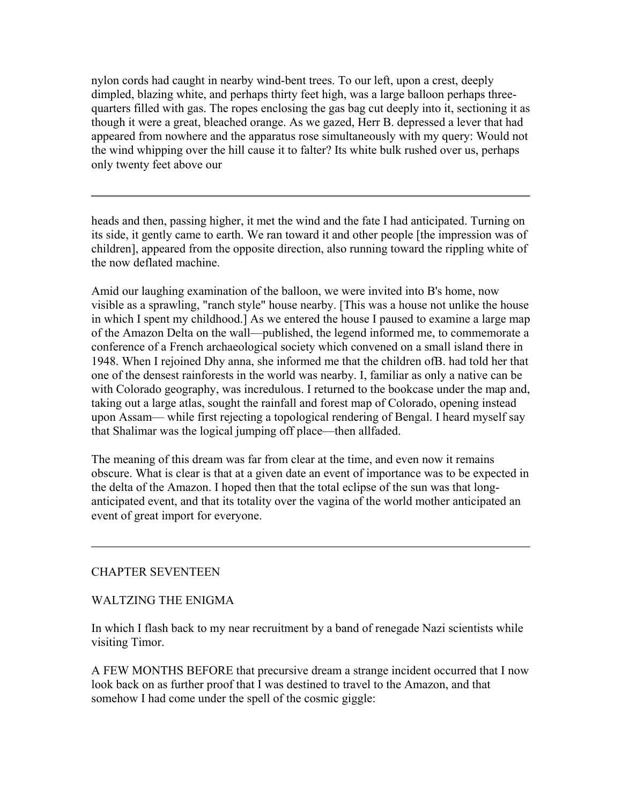nylon cords had caught in nearby wind-bent trees. To our left, upon a crest, deeply dimpled, blazing white, and perhaps thirty feet high, was a large balloon perhaps threequarters filled with gas. The ropes enclosing the gas bag cut deeply into it, sectioning it as though it were a great, bleached orange. As we gazed, Herr B. depressed a lever that had appeared from nowhere and the apparatus rose simultaneously with my query: Would not the wind whipping over the hill cause it to falter? Its white bulk rushed over us, perhaps only twenty feet above our

heads and then, passing higher, it met the wind and the fate I had anticipated. Turning on its side, it gently came to earth. We ran toward it and other people [the impression was of children], appeared from the opposite direction, also running toward the rippling white of the now deflated machine.

Amid our laughing examination of the balloon, we were invited into B's home, now visible as a sprawling, "ranch style" house nearby. [This was a house not unlike the house in which I spent my childhood.] As we entered the house I paused to examine a large map of the Amazon Delta on the wall—published, the legend informed me, to commemorate a conference of a French archaeological society which convened on a small island there in 1948. When I rejoined Dhy anna, she informed me that the children ofB. had told her that one of the densest rainforests in the world was nearby. I, familiar as only a native can be with Colorado geography, was incredulous. I returned to the bookcase under the map and, taking out a large atlas, sought the rainfall and forest map of Colorado, opening instead upon Assam— while first rejecting a topological rendering of Bengal. I heard myself say that Shalimar was the logical jumping off place—then allfaded.

The meaning of this dream was far from clear at the time, and even now it remains obscure. What is clear is that at a given date an event of importance was to be expected in the delta of the Amazon. I hoped then that the total eclipse of the sun was that longanticipated event, and that its totality over the vagina of the world mother anticipated an event of great import for everyone.

#### CHAPTER SEVENTEEN

### WALTZING THE ENIGMA

In which I flash back to my near recruitment by a band of renegade Nazi scientists while visiting Timor.

A FEW MONTHS BEFORE that precursive dream a strange incident occurred that I now look back on as further proof that I was destined to travel to the Amazon, and that somehow I had come under the spell of the cosmic giggle: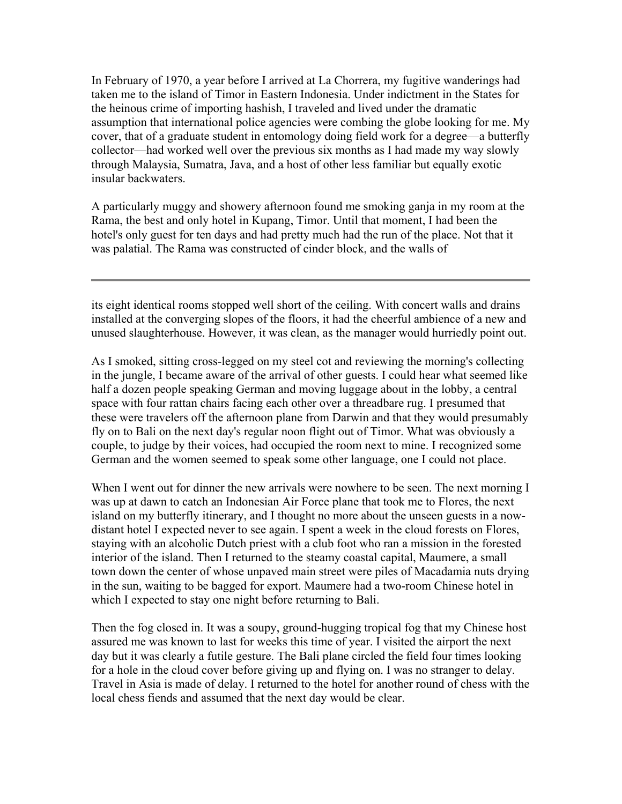In February of 1970, a year before I arrived at La Chorrera, my fugitive wanderings had taken me to the island of Timor in Eastern Indonesia. Under indictment in the States for the heinous crime of importing hashish, I traveled and lived under the dramatic assumption that international police agencies were combing the globe looking for me. My cover, that of a graduate student in entomology doing field work for a degree—a butterfly collector—had worked well over the previous six months as I had made my way slowly through Malaysia, Sumatra, Java, and a host of other less familiar but equally exotic insular backwaters.

A particularly muggy and showery afternoon found me smoking ganja in my room at the Rama, the best and only hotel in Kupang, Timor. Until that moment, I had been the hotel's only guest for ten days and had pretty much had the run of the place. Not that it was palatial. The Rama was constructed of cinder block, and the walls of

its eight identical rooms stopped well short of the ceiling. With concert walls and drains installed at the converging slopes of the floors, it had the cheerful ambience of a new and unused slaughterhouse. However, it was clean, as the manager would hurriedly point out.

As I smoked, sitting cross-legged on my steel cot and reviewing the morning's collecting in the jungle, I became aware of the arrival of other guests. I could hear what seemed like half a dozen people speaking German and moving luggage about in the lobby, a central space with four rattan chairs facing each other over a threadbare rug. I presumed that these were travelers off the afternoon plane from Darwin and that they would presumably fly on to Bali on the next day's regular noon flight out of Timor. What was obviously a couple, to judge by their voices, had occupied the room next to mine. I recognized some German and the women seemed to speak some other language, one I could not place.

When I went out for dinner the new arrivals were nowhere to be seen. The next morning I was up at dawn to catch an Indonesian Air Force plane that took me to Flores, the next island on my butterfly itinerary, and I thought no more about the unseen guests in a nowdistant hotel I expected never to see again. I spent a week in the cloud forests on Flores, staying with an alcoholic Dutch priest with a club foot who ran a mission in the forested interior of the island. Then I returned to the steamy coastal capital, Maumere, a small town down the center of whose unpaved main street were piles of Macadamia nuts drying in the sun, waiting to be bagged for export. Maumere had a two-room Chinese hotel in which I expected to stay one night before returning to Bali.

Then the fog closed in. It was a soupy, ground-hugging tropical fog that my Chinese host assured me was known to last for weeks this time of year. I visited the airport the next day but it was clearly a futile gesture. The Bali plane circled the field four times looking for a hole in the cloud cover before giving up and flying on. I was no stranger to delay. Travel in Asia is made of delay. I returned to the hotel for another round of chess with the local chess fiends and assumed that the next day would be clear.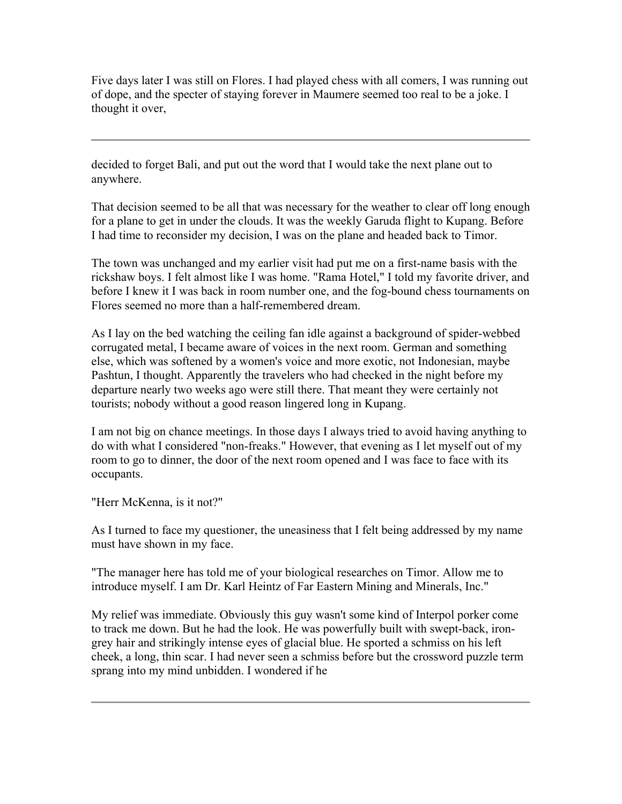Five days later I was still on Flores. I had played chess with all comers, I was running out of dope, and the specter of staying forever in Maumere seemed too real to be a joke. I thought it over,

decided to forget Bali, and put out the word that I would take the next plane out to anywhere.

That decision seemed to be all that was necessary for the weather to clear off long enough for a plane to get in under the clouds. It was the weekly Garuda flight to Kupang. Before I had time to reconsider my decision, I was on the plane and headed back to Timor.

The town was unchanged and my earlier visit had put me on a first-name basis with the rickshaw boys. I felt almost like I was home. "Rama Hotel," I told my favorite driver, and before I knew it I was back in room number one, and the fog-bound chess tournaments on Flores seemed no more than a half-remembered dream.

As I lay on the bed watching the ceiling fan idle against a background of spider-webbed corrugated metal, I became aware of voices in the next room. German and something else, which was softened by a women's voice and more exotic, not Indonesian, maybe Pashtun, I thought. Apparently the travelers who had checked in the night before my departure nearly two weeks ago were still there. That meant they were certainly not tourists; nobody without a good reason lingered long in Kupang.

I am not big on chance meetings. In those days I always tried to avoid having anything to do with what I considered "non-freaks." However, that evening as I let myself out of my room to go to dinner, the door of the next room opened and I was face to face with its occupants.

"Herr McKenna, is it not?"

As I turned to face my questioner, the uneasiness that I felt being addressed by my name must have shown in my face.

"The manager here has told me of your biological researches on Timor. Allow me to introduce myself. I am Dr. Karl Heintz of Far Eastern Mining and Minerals, Inc."

My relief was immediate. Obviously this guy wasn't some kind of Interpol porker come to track me down. But he had the look. He was powerfully built with swept-back, irongrey hair and strikingly intense eyes of glacial blue. He sported a schmiss on his left cheek, a long, thin scar. I had never seen a schmiss before but the crossword puzzle term sprang into my mind unbidden. I wondered if he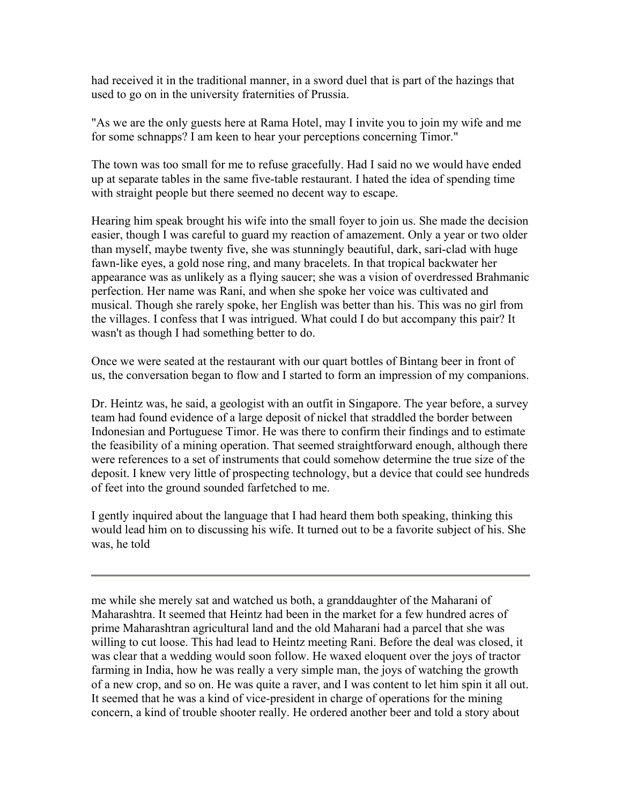had received it in the traditional manner, in a sword duel that is part of the hazings that used to go on in the university fraternities of Prussia.

"As we are the only guests here at Rama Hotel, may I invite you to join my wife and me for some schnapps? I am keen to hear your perceptions concerning Timor."

The town was too small for me to refuse gracefully. Had I said no we would have ended up at separate tables in the same five-table restaurant. I hated the idea of spending time with straight people but there seemed no decent way to escape.

Hearing him speak brought his wife into the small foyer to join us. She made the decision easier, though I was careful to guard my reaction of amazement. Only a year or two older than myself, maybe twenty five, she was stunningly beautiful, dark, sari-clad with huge fawn-like eyes, a gold nose ring, and many bracelets. In that tropical backwater her appearance was as unlikely as a flying saucer; she was a vision of overdressed Brahmanic perfection. Her name was Rani, and when she spoke her voice was cultivated and musical. Though she rarely spoke, her English was better than his. This was no girl from the villages. I confess that I was intrigued. What could I do but accompany this pair? It wasn't as though I had something better to do.

Once we were seated at the restaurant with our quart bottles of Bintang beer in front of us, the conversation began to flow and I started to form an impression of my companions.

Dr. Heintz was, he said, a geologist with an outfit in Singapore. The year before, a survey team had found evidence of a large deposit of nickel that straddled the border between Indonesian and Portuguese Timor. He was there to confirm their findings and to estimate the feasibility of a mining operation. That seemed straightforward enough, although there were references to a set of instruments that could somehow determine the true size of the deposit. I knew very little of prospecting technology, but a device that could see hundreds of feet into the ground sounded farfetched to me.

I gently inquired about the language that I had heard them both speaking, thinking this would lead him on to discussing his wife. It turned out to be a favorite subject of his. She was, he told

me while she merely sat and watched us both, a granddaughter of the Maharani of Maharashtra. It seemed that Heintz had been in the market for a few hundred acres of prime Maharashtran agricultural land and the old Maharani had a parcel that she was willing to cut loose. This had lead to Heintz meeting Rani. Before the deal was closed, it was clear that a wedding would soon follow. He waxed eloquent over the joys of tractor farming in India, how he was really a very simple man, the joys of watching the growth of a new crop, and so on. He was quite a raver, and I was content to let him spin it all out. It seemed that he was a kind of vice-president in charge of operations for the mining concern, a kind of trouble shooter really. He ordered another beer and told a story about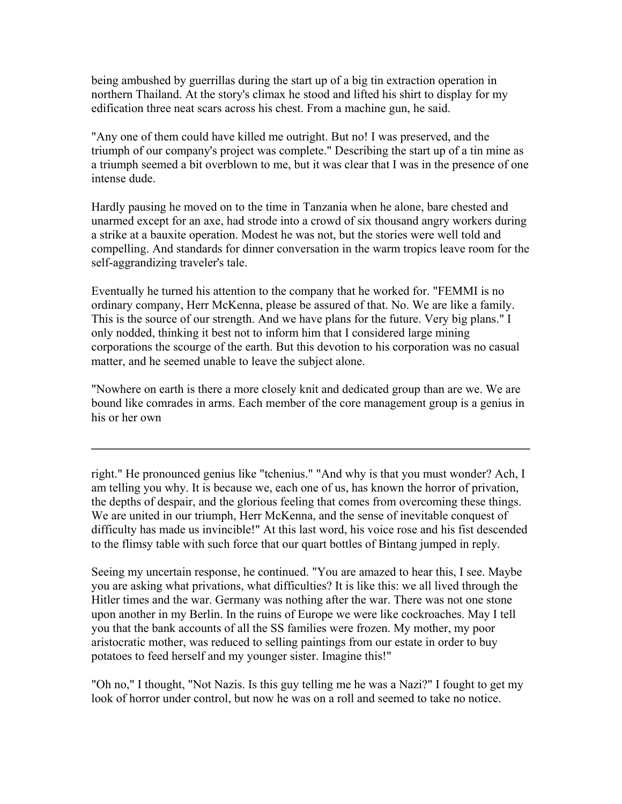being ambushed by guerrillas during the start up of a big tin extraction operation in northern Thailand. At the story's climax he stood and lifted his shirt to display for my edification three neat scars across his chest. From a machine gun, he said.

"Any one of them could have killed me outright. But no! I was preserved, and the triumph of our company's project was complete." Describing the start up of a tin mine as a triumph seemed a bit overblown to me, but it was clear that I was in the presence of one intense dude.

Hardly pausing he moved on to the time in Tanzania when he alone, bare chested and unarmed except for an axe, had strode into a crowd of six thousand angry workers during a strike at a bauxite operation. Modest he was not, but the stories were well told and compelling. And standards for dinner conversation in the warm tropics leave room for the self-aggrandizing traveler's tale.

Eventually he turned his attention to the company that he worked for. "FEMMI is no ordinary company, Herr McKenna, please be assured of that. No. We are like a family. This is the source of our strength. And we have plans for the future. Very big plans." I only nodded, thinking it best not to inform him that I considered large mining corporations the scourge of the earth. But this devotion to his corporation was no casual matter, and he seemed unable to leave the subject alone.

"Nowhere on earth is there a more closely knit and dedicated group than are we. We are bound like comrades in arms. Each member of the core management group is a genius in his or her own

right." He pronounced genius like "tchenius." "And why is that you must wonder? Ach, I am telling you why. It is because we, each one of us, has known the horror of privation, the depths of despair, and the glorious feeling that comes from overcoming these things. We are united in our triumph, Herr McKenna, and the sense of inevitable conquest of difficulty has made us invincible!" At this last word, his voice rose and his fist descended to the flimsy table with such force that our quart bottles of Bintang jumped in reply.

Seeing my uncertain response, he continued. "You are amazed to hear this, I see. Maybe you are asking what privations, what difficulties? It is like this: we all lived through the Hitler times and the war. Germany was nothing after the war. There was not one stone upon another in my Berlin. In the ruins of Europe we were like cockroaches. May I tell you that the bank accounts of all the SS families were frozen. My mother, my poor aristocratic mother, was reduced to selling paintings from our estate in order to buy potatoes to feed herself and my younger sister. Imagine this!"

"Oh no," I thought, "Not Nazis. Is this guy telling me he was a Nazi?" I fought to get my look of horror under control, but now he was on a roll and seemed to take no notice.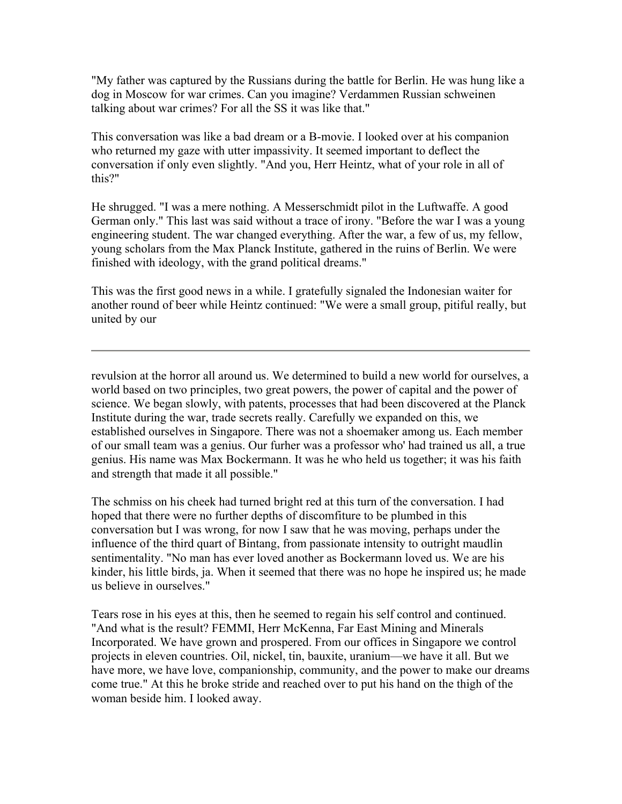"My father was captured by the Russians during the battle for Berlin. He was hung like a dog in Moscow for war crimes. Can you imagine? Verdammen Russian schweinen talking about war crimes? For all the SS it was like that."

This conversation was like a bad dream or a B-movie. I looked over at his companion who returned my gaze with utter impassivity. It seemed important to deflect the conversation if only even slightly. "And you, Herr Heintz, what of your role in all of this?"

He shrugged. "I was a mere nothing. A Messerschmidt pilot in the Luftwaffe. A good German only." This last was said without a trace of irony. "Before the war I was a young engineering student. The war changed everything. After the war, a few of us, my fellow, young scholars from the Max Planck Institute, gathered in the ruins of Berlin. We were finished with ideology, with the grand political dreams."

This was the first good news in a while. I gratefully signaled the Indonesian waiter for another round of beer while Heintz continued: "We were a small group, pitiful really, but united by our

revulsion at the horror all around us. We determined to build a new world for ourselves, a world based on two principles, two great powers, the power of capital and the power of science. We began slowly, with patents, processes that had been discovered at the Planck Institute during the war, trade secrets really. Carefully we expanded on this, we established ourselves in Singapore. There was not a shoemaker among us. Each member of our small team was a genius. Our furher was a professor who' had trained us all, a true genius. His name was Max Bockermann. It was he who held us together; it was his faith and strength that made it all possible."

The schmiss on his cheek had turned bright red at this turn of the conversation. I had hoped that there were no further depths of discomfiture to be plumbed in this conversation but I was wrong, for now I saw that he was moving, perhaps under the influence of the third quart of Bintang, from passionate intensity to outright maudlin sentimentality. "No man has ever loved another as Bockermann loved us. We are his kinder, his little birds, ja. When it seemed that there was no hope he inspired us; he made us believe in ourselves."

Tears rose in his eyes at this, then he seemed to regain his self control and continued. "And what is the result? FEMMI, Herr McKenna, Far East Mining and Minerals Incorporated. We have grown and prospered. From our offices in Singapore we control projects in eleven countries. Oil, nickel, tin, bauxite, uranium—we have it all. But we have more, we have love, companionship, community, and the power to make our dreams come true." At this he broke stride and reached over to put his hand on the thigh of the woman beside him. I looked away.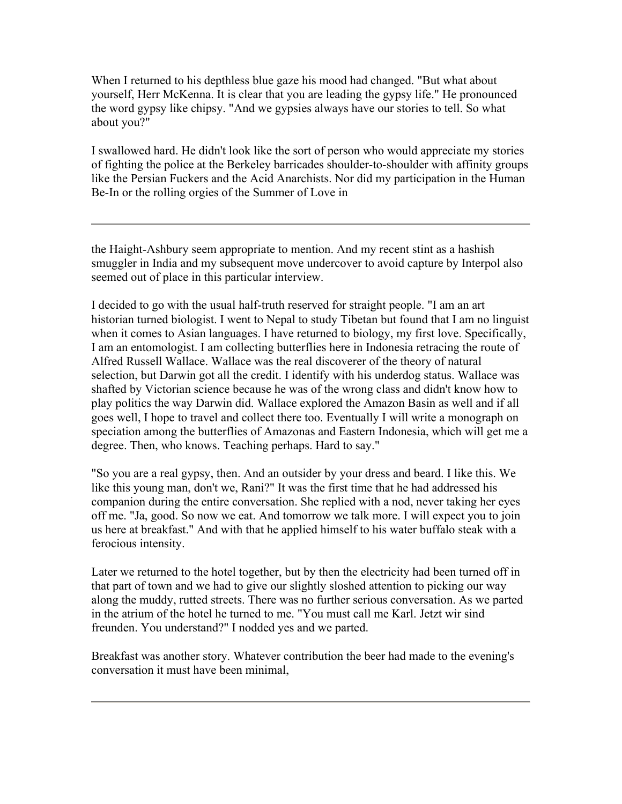When I returned to his depthless blue gaze his mood had changed. "But what about yourself, Herr McKenna. It is clear that you are leading the gypsy life." He pronounced the word gypsy like chipsy. "And we gypsies always have our stories to tell. So what about you?"

I swallowed hard. He didn't look like the sort of person who would appreciate my stories of fighting the police at the Berkeley barricades shoulder-to-shoulder with affinity groups like the Persian Fuckers and the Acid Anarchists. Nor did my participation in the Human Be-In or the rolling orgies of the Summer of Love in

the Haight-Ashbury seem appropriate to mention. And my recent stint as a hashish smuggler in India and my subsequent move undercover to avoid capture by Interpol also seemed out of place in this particular interview.

I decided to go with the usual half-truth reserved for straight people. "I am an art historian turned biologist. I went to Nepal to study Tibetan but found that I am no linguist when it comes to Asian languages. I have returned to biology, my first love. Specifically, I am an entomologist. I am collecting butterflies here in Indonesia retracing the route of Alfred Russell Wallace. Wallace was the real discoverer of the theory of natural selection, but Darwin got all the credit. I identify with his underdog status. Wallace was shafted by Victorian science because he was of the wrong class and didn't know how to play politics the way Darwin did. Wallace explored the Amazon Basin as well and if all goes well, I hope to travel and collect there too. Eventually I will write a monograph on speciation among the butterflies of Amazonas and Eastern Indonesia, which will get me a degree. Then, who knows. Teaching perhaps. Hard to say."

"So you are a real gypsy, then. And an outsider by your dress and beard. I like this. We like this young man, don't we, Rani?" It was the first time that he had addressed his companion during the entire conversation. She replied with a nod, never taking her eyes off me. "Ja, good. So now we eat. And tomorrow we talk more. I will expect you to join us here at breakfast." And with that he applied himself to his water buffalo steak with a ferocious intensity.

Later we returned to the hotel together, but by then the electricity had been turned off in that part of town and we had to give our slightly sloshed attention to picking our way along the muddy, rutted streets. There was no further serious conversation. As we parted in the atrium of the hotel he turned to me. "You must call me Karl. Jetzt wir sind freunden. You understand?" I nodded yes and we parted.

Breakfast was another story. Whatever contribution the beer had made to the evening's conversation it must have been minimal,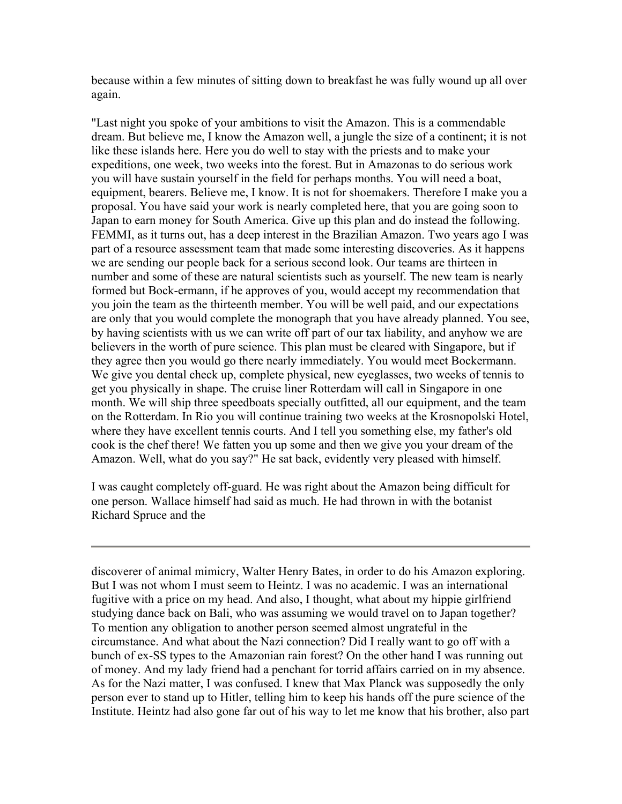because within a few minutes of sitting down to breakfast he was fully wound up all over again.

"Last night you spoke of your ambitions to visit the Amazon. This is a commendable dream. But believe me, I know the Amazon well, a jungle the size of a continent; it is not like these islands here. Here you do well to stay with the priests and to make your expeditions, one week, two weeks into the forest. But in Amazonas to do serious work you will have sustain yourself in the field for perhaps months. You will need a boat, equipment, bearers. Believe me, I know. It is not for shoemakers. Therefore I make you a proposal. You have said your work is nearly completed here, that you are going soon to Japan to earn money for South America. Give up this plan and do instead the following. FEMMI, as it turns out, has a deep interest in the Brazilian Amazon. Two years ago I was part of a resource assessment team that made some interesting discoveries. As it happens we are sending our people back for a serious second look. Our teams are thirteen in number and some of these are natural scientists such as yourself. The new team is nearly formed but Bock-ermann, if he approves of you, would accept my recommendation that you join the team as the thirteenth member. You will be well paid, and our expectations are only that you would complete the monograph that you have already planned. You see, by having scientists with us we can write off part of our tax liability, and anyhow we are believers in the worth of pure science. This plan must be cleared with Singapore, but if they agree then you would go there nearly immediately. You would meet Bockermann. We give you dental check up, complete physical, new eyeglasses, two weeks of tennis to get you physically in shape. The cruise liner Rotterdam will call in Singapore in one month. We will ship three speedboats specially outfitted, all our equipment, and the team on the Rotterdam. In Rio you will continue training two weeks at the Krosnopolski Hotel, where they have excellent tennis courts. And I tell you something else, my father's old cook is the chef there! We fatten you up some and then we give you your dream of the Amazon. Well, what do you say?" He sat back, evidently very pleased with himself.

I was caught completely off-guard. He was right about the Amazon being difficult for one person. Wallace himself had said as much. He had thrown in with the botanist Richard Spruce and the

discoverer of animal mimicry, Walter Henry Bates, in order to do his Amazon exploring. But I was not whom I must seem to Heintz. I was no academic. I was an international fugitive with a price on my head. And also, I thought, what about my hippie girlfriend studying dance back on Bali, who was assuming we would travel on to Japan together? To mention any obligation to another person seemed almost ungrateful in the circumstance. And what about the Nazi connection? Did I really want to go off with a bunch of ex-SS types to the Amazonian rain forest? On the other hand I was running out of money. And my lady friend had a penchant for torrid affairs carried on in my absence. As for the Nazi matter, I was confused. I knew that Max Planck was supposedly the only person ever to stand up to Hitler, telling him to keep his hands off the pure science of the Institute. Heintz had also gone far out of his way to let me know that his brother, also part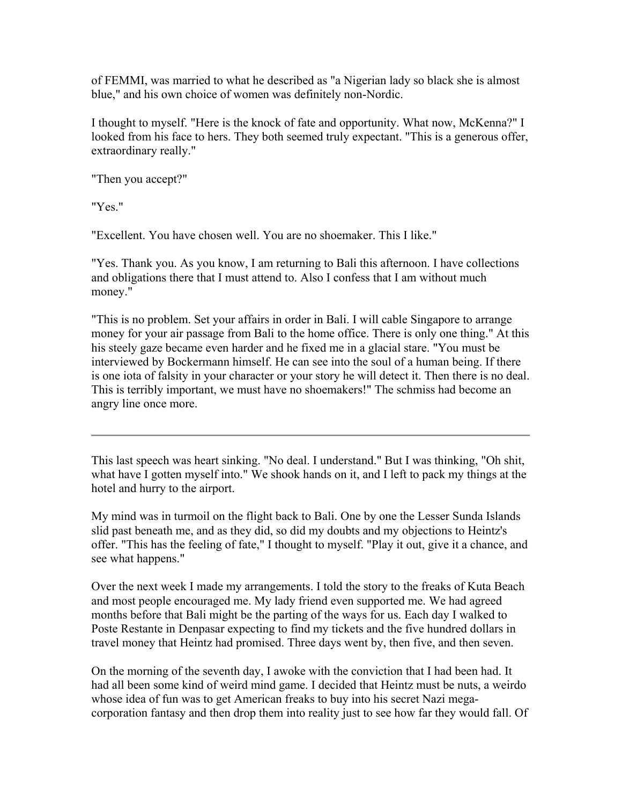of FEMMI, was married to what he described as "a Nigerian lady so black she is almost blue," and his own choice of women was definitely non-Nordic.

I thought to myself. "Here is the knock of fate and opportunity. What now, McKenna?" I looked from his face to hers. They both seemed truly expectant. "This is a generous offer, extraordinary really."

"Then you accept?"

"Yes."

"Excellent. You have chosen well. You are no shoemaker. This I like."

"Yes. Thank you. As you know, I am returning to Bali this afternoon. I have collections and obligations there that I must attend to. Also I confess that I am without much money."

"This is no problem. Set your affairs in order in Bali. I will cable Singapore to arrange money for your air passage from Bali to the home office. There is only one thing." At this his steely gaze became even harder and he fixed me in a glacial stare. "You must be interviewed by Bockermann himself. He can see into the soul of a human being. If there is one iota of falsity in your character or your story he will detect it. Then there is no deal. This is terribly important, we must have no shoemakers!" The schmiss had become an angry line once more.

This last speech was heart sinking. "No deal. I understand." But I was thinking, "Oh shit, what have I gotten myself into." We shook hands on it, and I left to pack my things at the hotel and hurry to the airport.

My mind was in turmoil on the flight back to Bali. One by one the Lesser Sunda Islands slid past beneath me, and as they did, so did my doubts and my objections to Heintz's offer. "This has the feeling of fate," I thought to myself. "Play it out, give it a chance, and see what happens."

Over the next week I made my arrangements. I told the story to the freaks of Kuta Beach and most people encouraged me. My lady friend even supported me. We had agreed months before that Bali might be the parting of the ways for us. Each day I walked to Poste Restante in Denpasar expecting to find my tickets and the five hundred dollars in travel money that Heintz had promised. Three days went by, then five, and then seven.

On the morning of the seventh day, I awoke with the conviction that I had been had. It had all been some kind of weird mind game. I decided that Heintz must be nuts, a weirdo whose idea of fun was to get American freaks to buy into his secret Nazi megacorporation fantasy and then drop them into reality just to see how far they would fall. Of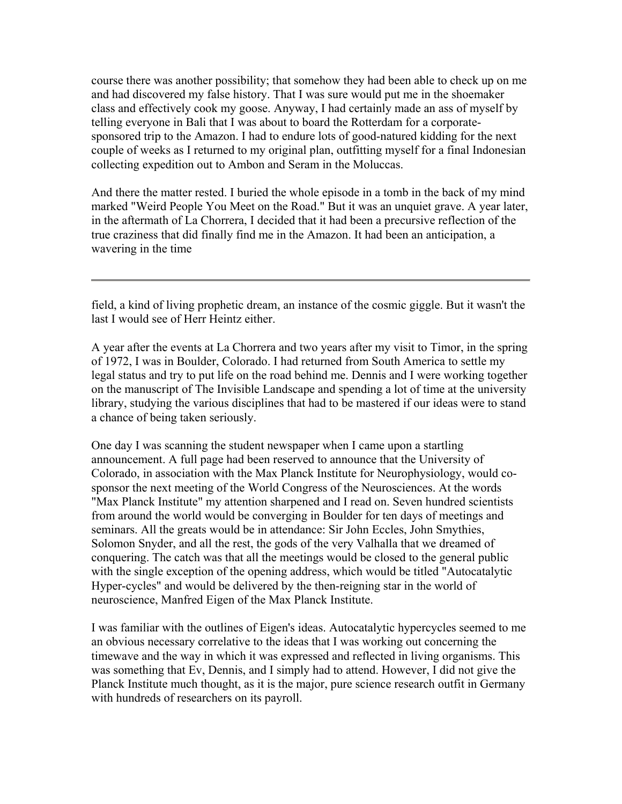course there was another possibility; that somehow they had been able to check up on me and had discovered my false history. That I was sure would put me in the shoemaker class and effectively cook my goose. Anyway, I had certainly made an ass of myself by telling everyone in Bali that I was about to board the Rotterdam for a corporatesponsored trip to the Amazon. I had to endure lots of good-natured kidding for the next couple of weeks as I returned to my original plan, outfitting myself for a final Indonesian collecting expedition out to Ambon and Seram in the Moluccas.

And there the matter rested. I buried the whole episode in a tomb in the back of my mind marked "Weird People You Meet on the Road." But it was an unquiet grave. A year later, in the aftermath of La Chorrera, I decided that it had been a precursive reflection of the true craziness that did finally find me in the Amazon. It had been an anticipation, a wavering in the time

field, a kind of living prophetic dream, an instance of the cosmic giggle. But it wasn't the last I would see of Herr Heintz either.

A year after the events at La Chorrera and two years after my visit to Timor, in the spring of 1972, I was in Boulder, Colorado. I had returned from South America to settle my legal status and try to put life on the road behind me. Dennis and I were working together on the manuscript of The Invisible Landscape and spending a lot of time at the university library, studying the various disciplines that had to be mastered if our ideas were to stand a chance of being taken seriously.

One day I was scanning the student newspaper when I came upon a startling announcement. A full page had been reserved to announce that the University of Colorado, in association with the Max Planck Institute for Neurophysiology, would cosponsor the next meeting of the World Congress of the Neurosciences. At the words "Max Planck Institute" my attention sharpened and I read on. Seven hundred scientists from around the world would be converging in Boulder for ten days of meetings and seminars. All the greats would be in attendance: Sir John Eccles, John Smythies, Solomon Snyder, and all the rest, the gods of the very Valhalla that we dreamed of conquering. The catch was that all the meetings would be closed to the general public with the single exception of the opening address, which would be titled "Autocatalytic Hyper-cycles" and would be delivered by the then-reigning star in the world of neuroscience, Manfred Eigen of the Max Planck Institute.

I was familiar with the outlines of Eigen's ideas. Autocatalytic hypercycles seemed to me an obvious necessary correlative to the ideas that I was working out concerning the timewave and the way in which it was expressed and reflected in living organisms. This was something that Ev, Dennis, and I simply had to attend. However, I did not give the Planck Institute much thought, as it is the major, pure science research outfit in Germany with hundreds of researchers on its payroll.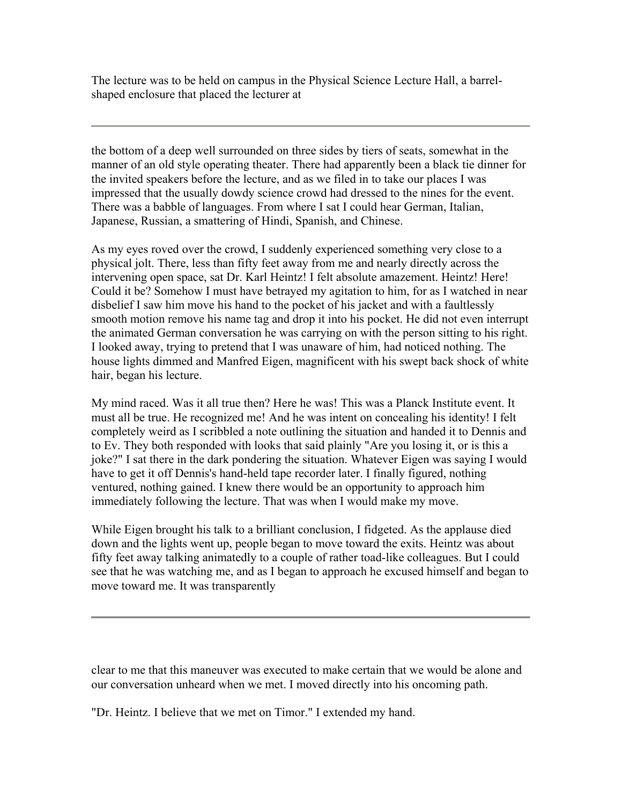The lecture was to be held on campus in the Physical Science Lecture Hall, a barrelshaped enclosure that placed the lecturer at

the bottom of a deep well surrounded on three sides by tiers of seats, somewhat in the manner of an old style operating theater. There had apparently been a black tie dinner for the invited speakers before the lecture, and as we filed in to take our places I was impressed that the usually dowdy science crowd had dressed to the nines for the event. There was a babble of languages. From where I sat I could hear German, Italian, Japanese, Russian, a smattering of Hindi, Spanish, and Chinese.

As my eyes roved over the crowd, I suddenly experienced something very close to a physical jolt. There, less than fifty feet away from me and nearly directly across the intervening open space, sat Dr. Karl Heintz! I felt absolute amazement. Heintz! Here! Could it be? Somehow I must have betrayed my agitation to him, for as I watched in near disbelief I saw him move his hand to the pocket of his jacket and with a faultlessly smooth motion remove his name tag and drop it into his pocket. He did not even interrupt the animated German conversation he was carrying on with the person sitting to his right. I looked away, trying to pretend that I was unaware of him, had noticed nothing. The house lights dimmed and Manfred Eigen, magnificent with his swept back shock of white hair, began his lecture.

My mind raced. Was it all true then? Here he was! This was a Planck Institute event. It must all be true. He recognized me! And he was intent on concealing his identity! I felt completely weird as I scribbled a note outlining the situation and handed it to Dennis and to Ev. They both responded with looks that said plainly "Are you losing it, or is this a joke?" I sat there in the dark pondering the situation. Whatever Eigen was saying I would have to get it off Dennis's hand-held tape recorder later. I finally figured, nothing ventured, nothing gained. I knew there would be an opportunity to approach him immediately following the lecture. That was when I would make my move.

While Eigen brought his talk to a brilliant conclusion, I fidgeted. As the applause died down and the lights went up, people began to move toward the exits. Heintz was about fifty feet away talking animatedly to a couple of rather toad-like colleagues. But I could see that he was watching me, and as I began to approach he excused himself and began to move toward me. It was transparently

clear to me that this maneuver was executed to make certain that we would be alone and our conversation unheard when we met. I moved directly into his oncoming path.

"Dr. Heintz. I believe that we met on Timor." I extended my hand.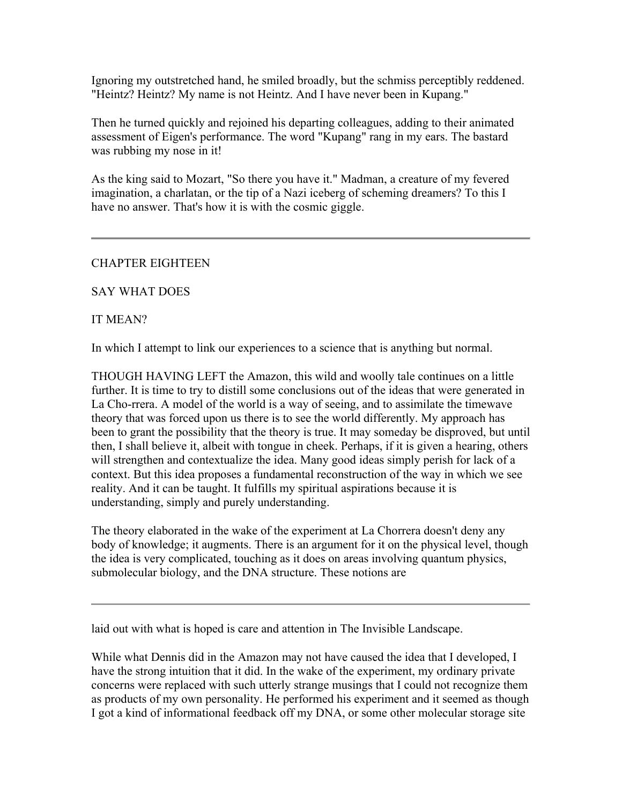Ignoring my outstretched hand, he smiled broadly, but the schmiss perceptibly reddened. "Heintz? Heintz? My name is not Heintz. And I have never been in Kupang."

Then he turned quickly and rejoined his departing colleagues, adding to their animated assessment of Eigen's performance. The word "Kupang" rang in my ears. The bastard was rubbing my nose in it!

As the king said to Mozart, "So there you have it." Madman, a creature of my fevered imagination, a charlatan, or the tip of a Nazi iceberg of scheming dreamers? To this I have no answer. That's how it is with the cosmic giggle.

# CHAPTER EIGHTEEN

# SAY WHAT DOES

## IT MEAN?

In which I attempt to link our experiences to a science that is anything but normal.

THOUGH HAVING LEFT the Amazon, this wild and woolly tale continues on a little further. It is time to try to distill some conclusions out of the ideas that were generated in La Cho-rrera. A model of the world is a way of seeing, and to assimilate the timewave theory that was forced upon us there is to see the world differently. My approach has been to grant the possibility that the theory is true. It may someday be disproved, but until then, I shall believe it, albeit with tongue in cheek. Perhaps, if it is given a hearing, others will strengthen and contextualize the idea. Many good ideas simply perish for lack of a context. But this idea proposes a fundamental reconstruction of the way in which we see reality. And it can be taught. It fulfills my spiritual aspirations because it is understanding, simply and purely understanding.

The theory elaborated in the wake of the experiment at La Chorrera doesn't deny any body of knowledge; it augments. There is an argument for it on the physical level, though the idea is very complicated, touching as it does on areas involving quantum physics, submolecular biology, and the DNA structure. These notions are

laid out with what is hoped is care and attention in The Invisible Landscape.

While what Dennis did in the Amazon may not have caused the idea that I developed, I have the strong intuition that it did. In the wake of the experiment, my ordinary private concerns were replaced with such utterly strange musings that I could not recognize them as products of my own personality. He performed his experiment and it seemed as though I got a kind of informational feedback off my DNA, or some other molecular storage site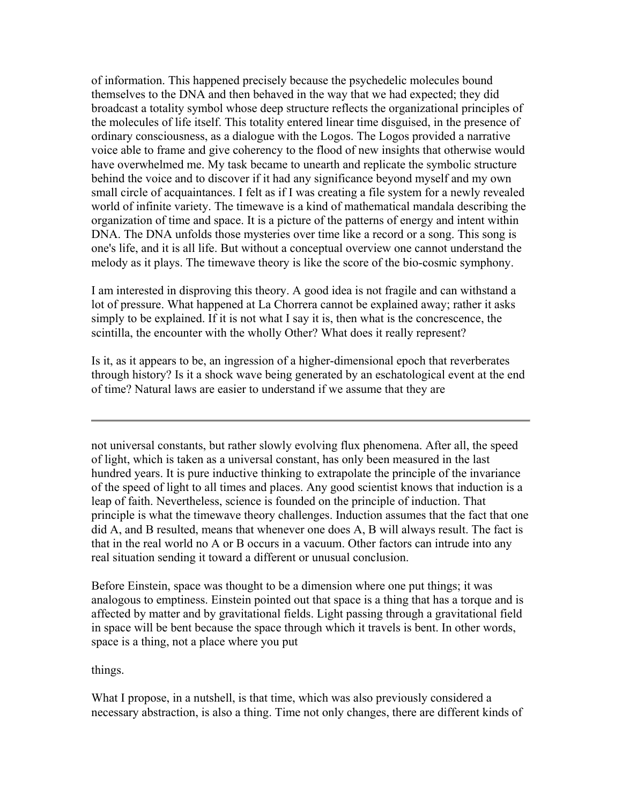of information. This happened precisely because the psychedelic molecules bound themselves to the DNA and then behaved in the way that we had expected; they did broadcast a totality symbol whose deep structure reflects the organizational principles of the molecules of life itself. This totality entered linear time disguised, in the presence of ordinary consciousness, as a dialogue with the Logos. The Logos provided a narrative voice able to frame and give coherency to the flood of new insights that otherwise would have overwhelmed me. My task became to unearth and replicate the symbolic structure behind the voice and to discover if it had any significance beyond myself and my own small circle of acquaintances. I felt as if I was creating a file system for a newly revealed world of infinite variety. The timewave is a kind of mathematical mandala describing the organization of time and space. It is a picture of the patterns of energy and intent within DNA. The DNA unfolds those mysteries over time like a record or a song. This song is one's life, and it is all life. But without a conceptual overview one cannot understand the melody as it plays. The timewave theory is like the score of the bio-cosmic symphony.

I am interested in disproving this theory. A good idea is not fragile and can withstand a lot of pressure. What happened at La Chorrera cannot be explained away; rather it asks simply to be explained. If it is not what I say it is, then what is the concrescence, the scintilla, the encounter with the wholly Other? What does it really represent?

Is it, as it appears to be, an ingression of a higher-dimensional epoch that reverberates through history? Is it a shock wave being generated by an eschatological event at the end of time? Natural laws are easier to understand if we assume that they are

not universal constants, but rather slowly evolving flux phenomena. After all, the speed of light, which is taken as a universal constant, has only been measured in the last hundred years. It is pure inductive thinking to extrapolate the principle of the invariance of the speed of light to all times and places. Any good scientist knows that induction is a leap of faith. Nevertheless, science is founded on the principle of induction. That principle is what the timewave theory challenges. Induction assumes that the fact that one did A, and B resulted, means that whenever one does A, B will always result. The fact is that in the real world no A or B occurs in a vacuum. Other factors can intrude into any real situation sending it toward a different or unusual conclusion.

Before Einstein, space was thought to be a dimension where one put things; it was analogous to emptiness. Einstein pointed out that space is a thing that has a torque and is affected by matter and by gravitational fields. Light passing through a gravitational field in space will be bent because the space through which it travels is bent. In other words, space is a thing, not a place where you put

things.

What I propose, in a nutshell, is that time, which was also previously considered a necessary abstraction, is also a thing. Time not only changes, there are different kinds of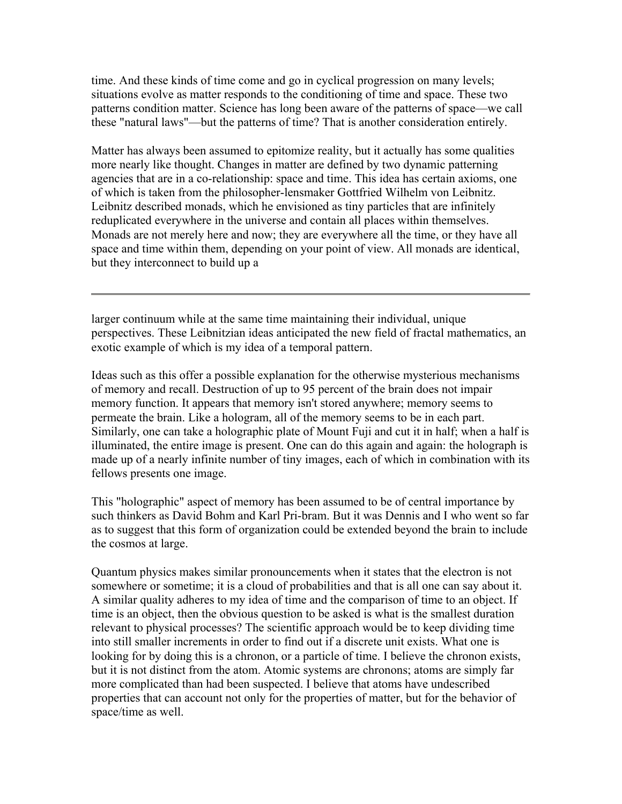time. And these kinds of time come and go in cyclical progression on many levels; situations evolve as matter responds to the conditioning of time and space. These two patterns condition matter. Science has long been aware of the patterns of space—we call these "natural laws"—but the patterns of time? That is another consideration entirely.

Matter has always been assumed to epitomize reality, but it actually has some qualities more nearly like thought. Changes in matter are defined by two dynamic patterning agencies that are in a co-relationship: space and time. This idea has certain axioms, one of which is taken from the philosopher-lensmaker Gottfried Wilhelm von Leibnitz. Leibnitz described monads, which he envisioned as tiny particles that are infinitely reduplicated everywhere in the universe and contain all places within themselves. Monads are not merely here and now; they are everywhere all the time, or they have all space and time within them, depending on your point of view. All monads are identical, but they interconnect to build up a

larger continuum while at the same time maintaining their individual, unique perspectives. These Leibnitzian ideas anticipated the new field of fractal mathematics, an exotic example of which is my idea of a temporal pattern.

Ideas such as this offer a possible explanation for the otherwise mysterious mechanisms of memory and recall. Destruction of up to 95 percent of the brain does not impair memory function. It appears that memory isn't stored anywhere; memory seems to permeate the brain. Like a hologram, all of the memory seems to be in each part. Similarly, one can take a holographic plate of Mount Fuji and cut it in half; when a half is illuminated, the entire image is present. One can do this again and again: the holograph is made up of a nearly infinite number of tiny images, each of which in combination with its fellows presents one image.

This "holographic" aspect of memory has been assumed to be of central importance by such thinkers as David Bohm and Karl Pri-bram. But it was Dennis and I who went so far as to suggest that this form of organization could be extended beyond the brain to include the cosmos at large.

Quantum physics makes similar pronouncements when it states that the electron is not somewhere or sometime; it is a cloud of probabilities and that is all one can say about it. A similar quality adheres to my idea of time and the comparison of time to an object. If time is an object, then the obvious question to be asked is what is the smallest duration relevant to physical processes? The scientific approach would be to keep dividing time into still smaller increments in order to find out if a discrete unit exists. What one is looking for by doing this is a chronon, or a particle of time. I believe the chronon exists, but it is not distinct from the atom. Atomic systems are chronons; atoms are simply far more complicated than had been suspected. I believe that atoms have undescribed properties that can account not only for the properties of matter, but for the behavior of space/time as well.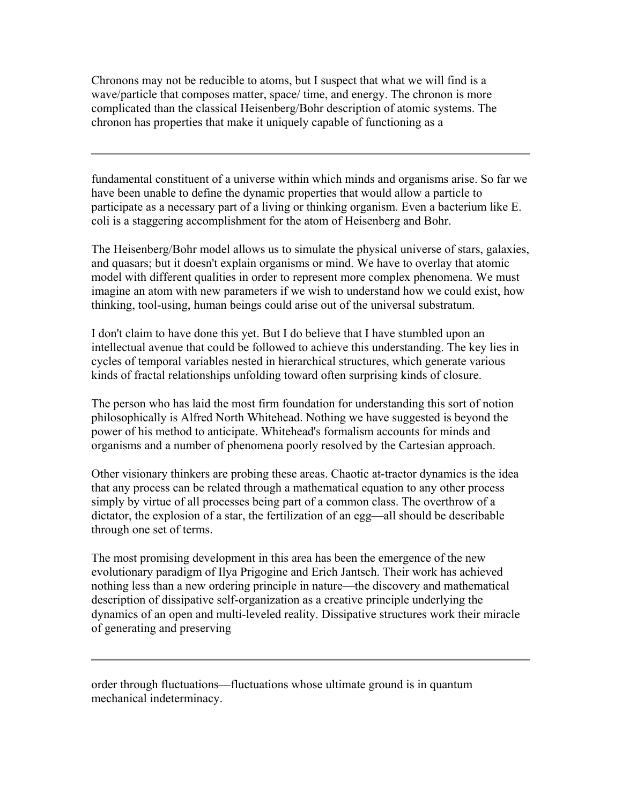Chronons may not be reducible to atoms, but I suspect that what we will find is a wave/particle that composes matter, space/ time, and energy. The chronon is more complicated than the classical Heisenberg/Bohr description of atomic systems. The chronon has properties that make it uniquely capable of functioning as a

fundamental constituent of a universe within which minds and organisms arise. So far we have been unable to define the dynamic properties that would allow a particle to participate as a necessary part of a living or thinking organism. Even a bacterium like E. coli is a staggering accomplishment for the atom of Heisenberg and Bohr.

The Heisenberg/Bohr model allows us to simulate the physical universe of stars, galaxies, and quasars; but it doesn't explain organisms or mind. We have to overlay that atomic model with different qualities in order to represent more complex phenomena. We must imagine an atom with new parameters if we wish to understand how we could exist, how thinking, tool-using, human beings could arise out of the universal substratum.

I don't claim to have done this yet. But I do believe that I have stumbled upon an intellectual avenue that could be followed to achieve this understanding. The key lies in cycles of temporal variables nested in hierarchical structures, which generate various kinds of fractal relationships unfolding toward often surprising kinds of closure.

The person who has laid the most firm foundation for understanding this sort of notion philosophically is Alfred North Whitehead. Nothing we have suggested is beyond the power of his method to anticipate. Whitehead's formalism accounts for minds and organisms and a number of phenomena poorly resolved by the Cartesian approach.

Other visionary thinkers are probing these areas. Chaotic at-tractor dynamics is the idea that any process can be related through a mathematical equation to any other process simply by virtue of all processes being part of a common class. The overthrow of a dictator, the explosion of a star, the fertilization of an egg—all should be describable through one set of terms.

The most promising development in this area has been the emergence of the new evolutionary paradigm of Ilya Prigogine and Erich Jantsch. Their work has achieved nothing less than a new ordering principle in nature—the discovery and mathematical description of dissipative self-organization as a creative principle underlying the dynamics of an open and multi-leveled reality. Dissipative structures work their miracle of generating and preserving

order through fluctuations—fluctuations whose ultimate ground is in quantum mechanical indeterminacy.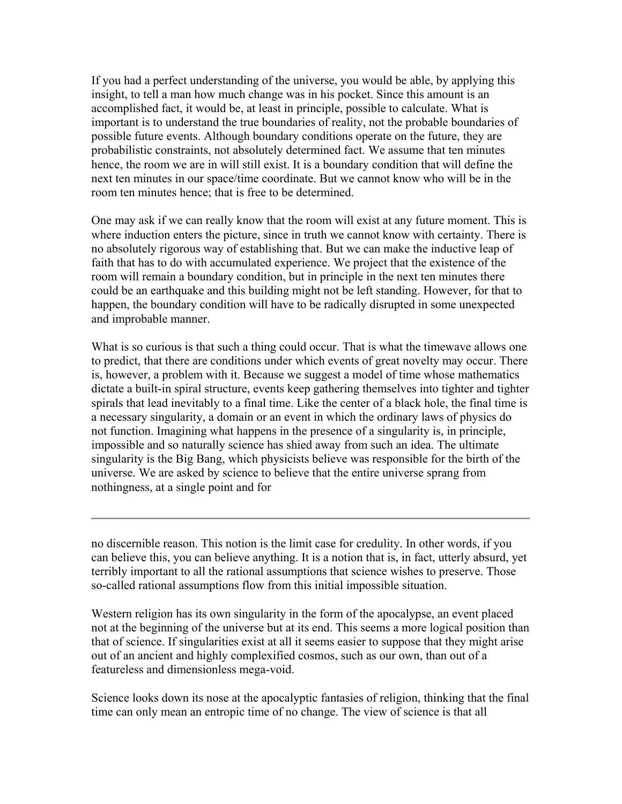If you had a perfect understanding of the universe, you would be able, by applying this insight, to tell a man how much change was in his pocket. Since this amount is an accomplished fact, it would be, at least in principle, possible to calculate. What is important is to understand the true boundaries of reality, not the probable boundaries of possible future events. Although boundary conditions operate on the future, they are probabilistic constraints, not absolutely determined fact. We assume that ten minutes hence, the room we are in will still exist. It is a boundary condition that will define the next ten minutes in our space/time coordinate. But we cannot know who will be in the room ten minutes hence; that is free to be determined.

One may ask if we can really know that the room will exist at any future moment. This is where induction enters the picture, since in truth we cannot know with certainty. There is no absolutely rigorous way of establishing that. But we can make the inductive leap of faith that has to do with accumulated experience. We project that the existence of the room will remain a boundary condition, but in principle in the next ten minutes there could be an earthquake and this building might not be left standing. However, for that to happen, the boundary condition will have to be radically disrupted in some unexpected and improbable manner.

What is so curious is that such a thing could occur. That is what the timewave allows one to predict, that there are conditions under which events of great novelty may occur. There is, however, a problem with it. Because we suggest a model of time whose mathematics dictate a built-in spiral structure, events keep gathering themselves into tighter and tighter spirals that lead inevitably to a final time. Like the center of a black hole, the final time is a necessary singularity, a domain or an event in which the ordinary laws of physics do not function. Imagining what happens in the presence of a singularity is, in principle, impossible and so naturally science has shied away from such an idea. The ultimate singularity is the Big Bang, which physicists believe was responsible for the birth of the universe. We are asked by science to believe that the entire universe sprang from nothingness, at a single point and for

no discernible reason. This notion is the limit case for credulity. In other words, if you can believe this, you can believe anything. It is a notion that is, in fact, utterly absurd, yet terribly important to all the rational assumptions that science wishes to preserve. Those so-called rational assumptions flow from this initial impossible situation.

Western religion has its own singularity in the form of the apocalypse, an event placed not at the beginning of the universe but at its end. This seems a more logical position than that of science. If singularities exist at all it seems easier to suppose that they might arise out of an ancient and highly complexified cosmos, such as our own, than out of a featureless and dimensionless mega-void.

Science looks down its nose at the apocalyptic fantasies of religion, thinking that the final time can only mean an entropic time of no change. The view of science is that all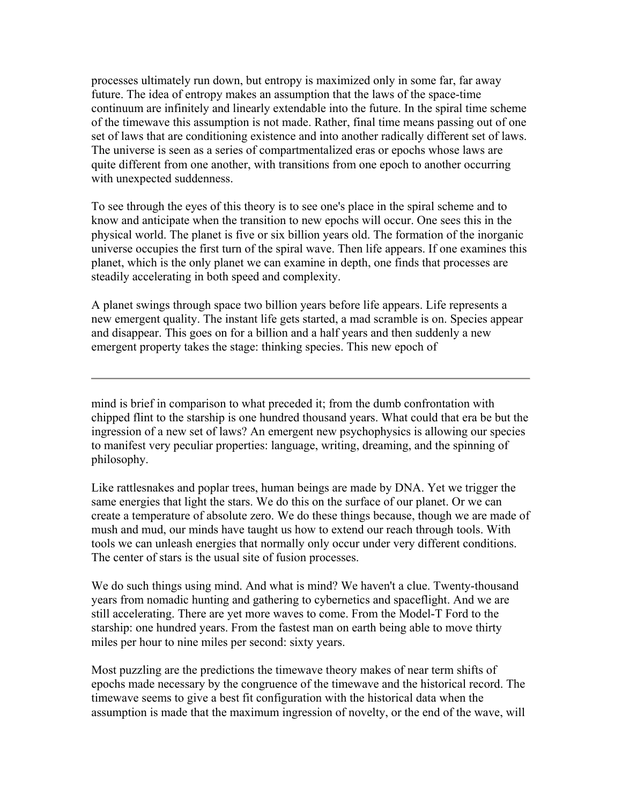processes ultimately run down, but entropy is maximized only in some far, far away future. The idea of entropy makes an assumption that the laws of the space-time continuum are infinitely and linearly extendable into the future. In the spiral time scheme of the timewave this assumption is not made. Rather, final time means passing out of one set of laws that are conditioning existence and into another radically different set of laws. The universe is seen as a series of compartmentalized eras or epochs whose laws are quite different from one another, with transitions from one epoch to another occurring with unexpected suddenness.

To see through the eyes of this theory is to see one's place in the spiral scheme and to know and anticipate when the transition to new epochs will occur. One sees this in the physical world. The planet is five or six billion years old. The formation of the inorganic universe occupies the first turn of the spiral wave. Then life appears. If one examines this planet, which is the only planet we can examine in depth, one finds that processes are steadily accelerating in both speed and complexity.

A planet swings through space two billion years before life appears. Life represents a new emergent quality. The instant life gets started, a mad scramble is on. Species appear and disappear. This goes on for a billion and a half years and then suddenly a new emergent property takes the stage: thinking species. This new epoch of

mind is brief in comparison to what preceded it; from the dumb confrontation with chipped flint to the starship is one hundred thousand years. What could that era be but the ingression of a new set of laws? An emergent new psychophysics is allowing our species to manifest very peculiar properties: language, writing, dreaming, and the spinning of philosophy.

Like rattlesnakes and poplar trees, human beings are made by DNA. Yet we trigger the same energies that light the stars. We do this on the surface of our planet. Or we can create a temperature of absolute zero. We do these things because, though we are made of mush and mud, our minds have taught us how to extend our reach through tools. With tools we can unleash energies that normally only occur under very different conditions. The center of stars is the usual site of fusion processes.

We do such things using mind. And what is mind? We haven't a clue. Twenty-thousand years from nomadic hunting and gathering to cybernetics and spaceflight. And we are still accelerating. There are yet more waves to come. From the Model-T Ford to the starship: one hundred years. From the fastest man on earth being able to move thirty miles per hour to nine miles per second: sixty years.

Most puzzling are the predictions the timewave theory makes of near term shifts of epochs made necessary by the congruence of the timewave and the historical record. The timewave seems to give a best fit configuration with the historical data when the assumption is made that the maximum ingression of novelty, or the end of the wave, will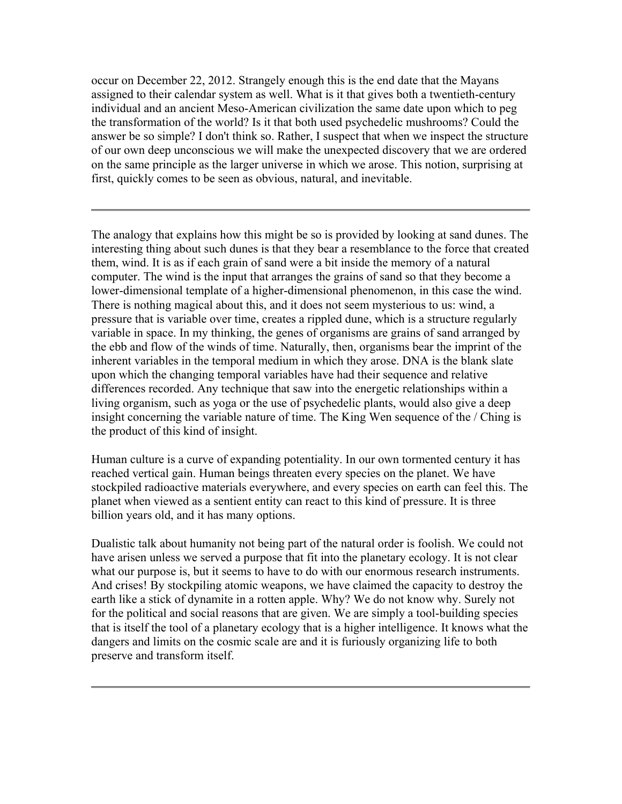occur on December 22, 2012. Strangely enough this is the end date that the Mayans assigned to their calendar system as well. What is it that gives both a twentieth-century individual and an ancient Meso-American civilization the same date upon which to peg the transformation of the world? Is it that both used psychedelic mushrooms? Could the answer be so simple? I don't think so. Rather, I suspect that when we inspect the structure of our own deep unconscious we will make the unexpected discovery that we are ordered on the same principle as the larger universe in which we arose. This notion, surprising at first, quickly comes to be seen as obvious, natural, and inevitable.

The analogy that explains how this might be so is provided by looking at sand dunes. The interesting thing about such dunes is that they bear a resemblance to the force that created them, wind. It is as if each grain of sand were a bit inside the memory of a natural computer. The wind is the input that arranges the grains of sand so that they become a lower-dimensional template of a higher-dimensional phenomenon, in this case the wind. There is nothing magical about this, and it does not seem mysterious to us: wind, a pressure that is variable over time, creates a rippled dune, which is a structure regularly variable in space. In my thinking, the genes of organisms are grains of sand arranged by the ebb and flow of the winds of time. Naturally, then, organisms bear the imprint of the inherent variables in the temporal medium in which they arose. DNA is the blank slate upon which the changing temporal variables have had their sequence and relative differences recorded. Any technique that saw into the energetic relationships within a living organism, such as yoga or the use of psychedelic plants, would also give a deep insight concerning the variable nature of time. The King Wen sequence of the / Ching is the product of this kind of insight.

Human culture is a curve of expanding potentiality. In our own tormented century it has reached vertical gain. Human beings threaten every species on the planet. We have stockpiled radioactive materials everywhere, and every species on earth can feel this. The planet when viewed as a sentient entity can react to this kind of pressure. It is three billion years old, and it has many options.

Dualistic talk about humanity not being part of the natural order is foolish. We could not have arisen unless we served a purpose that fit into the planetary ecology. It is not clear what our purpose is, but it seems to have to do with our enormous research instruments. And crises! By stockpiling atomic weapons, we have claimed the capacity to destroy the earth like a stick of dynamite in a rotten apple. Why? We do not know why. Surely not for the political and social reasons that are given. We are simply a tool-building species that is itself the tool of a planetary ecology that is a higher intelligence. It knows what the dangers and limits on the cosmic scale are and it is furiously organizing life to both preserve and transform itself.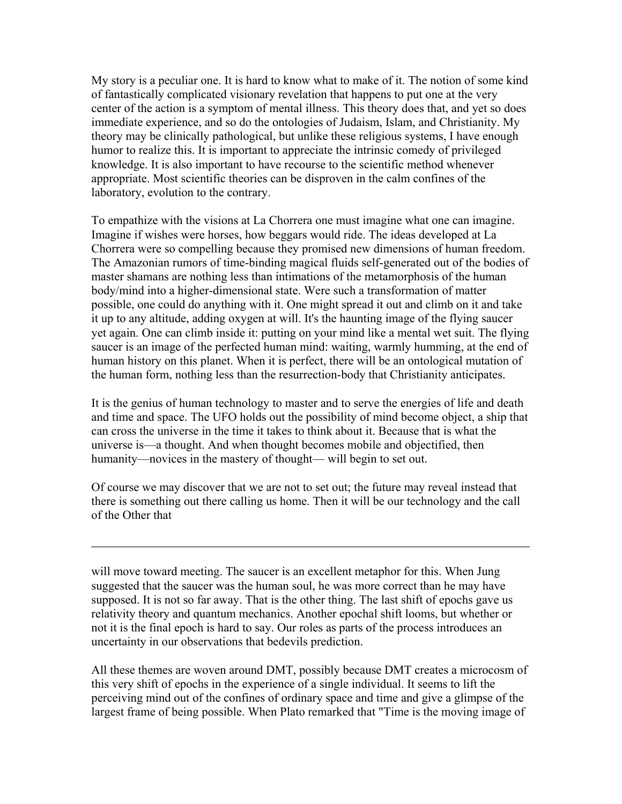My story is a peculiar one. It is hard to know what to make of it. The notion of some kind of fantastically complicated visionary revelation that happens to put one at the very center of the action is a symptom of mental illness. This theory does that, and yet so does immediate experience, and so do the ontologies of Judaism, Islam, and Christianity. My theory may be clinically pathological, but unlike these religious systems, I have enough humor to realize this. It is important to appreciate the intrinsic comedy of privileged knowledge. It is also important to have recourse to the scientific method whenever appropriate. Most scientific theories can be disproven in the calm confines of the laboratory, evolution to the contrary.

To empathize with the visions at La Chorrera one must imagine what one can imagine. Imagine if wishes were horses, how beggars would ride. The ideas developed at La Chorrera were so compelling because they promised new dimensions of human freedom. The Amazonian rumors of time-binding magical fluids self-generated out of the bodies of master shamans are nothing less than intimations of the metamorphosis of the human body/mind into a higher-dimensional state. Were such a transformation of matter possible, one could do anything with it. One might spread it out and climb on it and take it up to any altitude, adding oxygen at will. It's the haunting image of the flying saucer yet again. One can climb inside it: putting on your mind like a mental wet suit. The flying saucer is an image of the perfected human mind: waiting, warmly humming, at the end of human history on this planet. When it is perfect, there will be an ontological mutation of the human form, nothing less than the resurrection-body that Christianity anticipates.

It is the genius of human technology to master and to serve the energies of life and death and time and space. The UFO holds out the possibility of mind become object, a ship that can cross the universe in the time it takes to think about it. Because that is what the universe is—a thought. And when thought becomes mobile and objectified, then humanity—novices in the mastery of thought— will begin to set out.

Of course we may discover that we are not to set out; the future may reveal instead that there is something out there calling us home. Then it will be our technology and the call of the Other that

will move toward meeting. The saucer is an excellent metaphor for this. When Jung suggested that the saucer was the human soul, he was more correct than he may have supposed. It is not so far away. That is the other thing. The last shift of epochs gave us relativity theory and quantum mechanics. Another epochal shift looms, but whether or not it is the final epoch is hard to say. Our roles as parts of the process introduces an uncertainty in our observations that bedevils prediction.

All these themes are woven around DMT, possibly because DMT creates a microcosm of this very shift of epochs in the experience of a single individual. It seems to lift the perceiving mind out of the confines of ordinary space and time and give a glimpse of the largest frame of being possible. When Plato remarked that "Time is the moving image of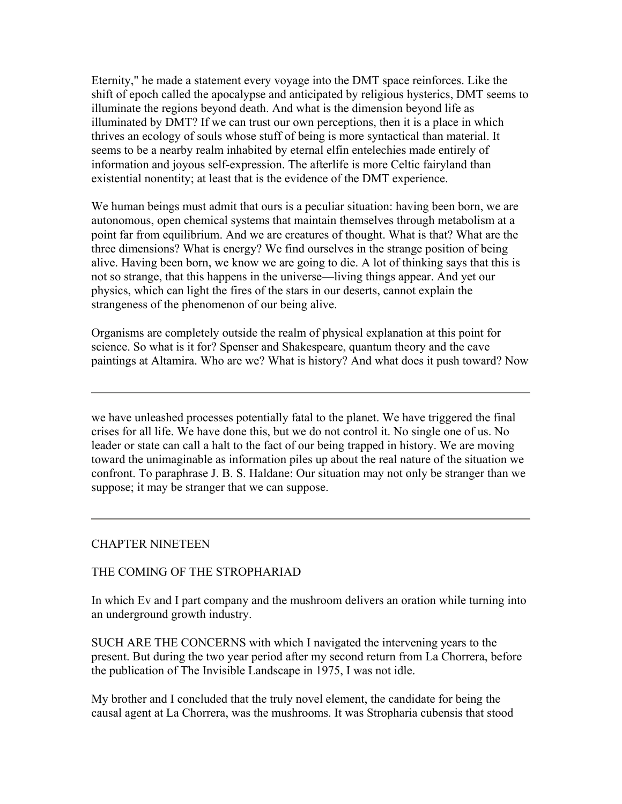Eternity," he made a statement every voyage into the DMT space reinforces. Like the shift of epoch called the apocalypse and anticipated by religious hysterics, DMT seems to illuminate the regions beyond death. And what is the dimension beyond life as illuminated by DMT? If we can trust our own perceptions, then it is a place in which thrives an ecology of souls whose stuff of being is more syntactical than material. It seems to be a nearby realm inhabited by eternal elfin entelechies made entirely of information and joyous self-expression. The afterlife is more Celtic fairyland than existential nonentity; at least that is the evidence of the DMT experience.

We human beings must admit that ours is a peculiar situation: having been born, we are autonomous, open chemical systems that maintain themselves through metabolism at a point far from equilibrium. And we are creatures of thought. What is that? What are the three dimensions? What is energy? We find ourselves in the strange position of being alive. Having been born, we know we are going to die. A lot of thinking says that this is not so strange, that this happens in the universe—living things appear. And yet our physics, which can light the fires of the stars in our deserts, cannot explain the strangeness of the phenomenon of our being alive.

Organisms are completely outside the realm of physical explanation at this point for science. So what is it for? Spenser and Shakespeare, quantum theory and the cave paintings at Altamira. Who are we? What is history? And what does it push toward? Now

we have unleashed processes potentially fatal to the planet. We have triggered the final crises for all life. We have done this, but we do not control it. No single one of us. No leader or state can call a halt to the fact of our being trapped in history. We are moving toward the unimaginable as information piles up about the real nature of the situation we confront. To paraphrase J. B. S. Haldane: Our situation may not only be stranger than we suppose; it may be stranger that we can suppose.

### CHAPTER NINETEEN

## THE COMING OF THE STROPHARIAD

In which Ev and I part company and the mushroom delivers an oration while turning into an underground growth industry.

SUCH ARE THE CONCERNS with which I navigated the intervening years to the present. But during the two year period after my second return from La Chorrera, before the publication of The Invisible Landscape in 1975, I was not idle.

My brother and I concluded that the truly novel element, the candidate for being the causal agent at La Chorrera, was the mushrooms. It was Stropharia cubensis that stood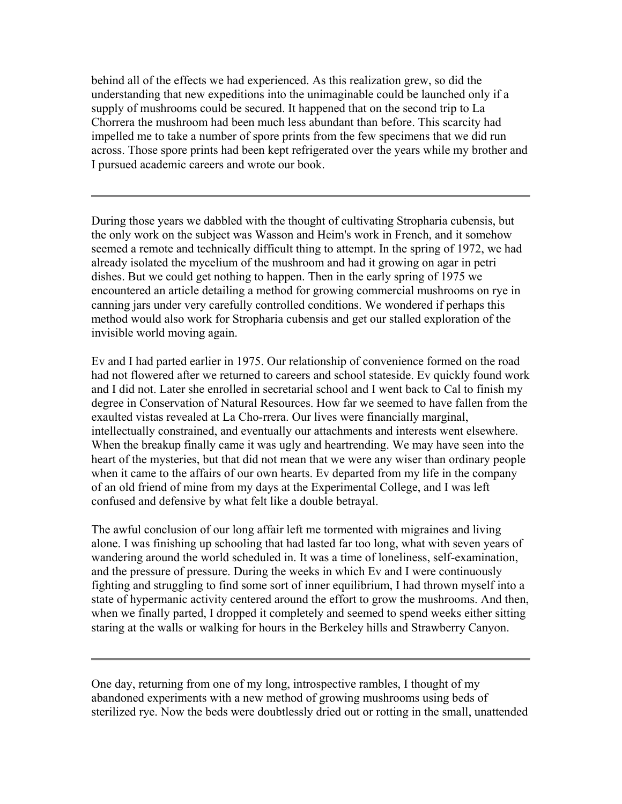behind all of the effects we had experienced. As this realization grew, so did the understanding that new expeditions into the unimaginable could be launched only if a supply of mushrooms could be secured. It happened that on the second trip to La Chorrera the mushroom had been much less abundant than before. This scarcity had impelled me to take a number of spore prints from the few specimens that we did run across. Those spore prints had been kept refrigerated over the years while my brother and I pursued academic careers and wrote our book.

During those years we dabbled with the thought of cultivating Stropharia cubensis, but the only work on the subject was Wasson and Heim's work in French, and it somehow seemed a remote and technically difficult thing to attempt. In the spring of 1972, we had already isolated the mycelium of the mushroom and had it growing on agar in petri dishes. But we could get nothing to happen. Then in the early spring of 1975 we encountered an article detailing a method for growing commercial mushrooms on rye in canning jars under very carefully controlled conditions. We wondered if perhaps this method would also work for Stropharia cubensis and get our stalled exploration of the invisible world moving again.

Ev and I had parted earlier in 1975. Our relationship of convenience formed on the road had not flowered after we returned to careers and school stateside. Ev quickly found work and I did not. Later she enrolled in secretarial school and I went back to Cal to finish my degree in Conservation of Natural Resources. How far we seemed to have fallen from the exaulted vistas revealed at La Cho-rrera. Our lives were financially marginal, intellectually constrained, and eventually our attachments and interests went elsewhere. When the breakup finally came it was ugly and heartrending. We may have seen into the heart of the mysteries, but that did not mean that we were any wiser than ordinary people when it came to the affairs of our own hearts. Ev departed from my life in the company of an old friend of mine from my days at the Experimental College, and I was left confused and defensive by what felt like a double betrayal.

The awful conclusion of our long affair left me tormented with migraines and living alone. I was finishing up schooling that had lasted far too long, what with seven years of wandering around the world scheduled in. It was a time of loneliness, self-examination, and the pressure of pressure. During the weeks in which Ev and I were continuously fighting and struggling to find some sort of inner equilibrium, I had thrown myself into a state of hypermanic activity centered around the effort to grow the mushrooms. And then, when we finally parted, I dropped it completely and seemed to spend weeks either sitting staring at the walls or walking for hours in the Berkeley hills and Strawberry Canyon.

One day, returning from one of my long, introspective rambles, I thought of my abandoned experiments with a new method of growing mushrooms using beds of sterilized rye. Now the beds were doubtlessly dried out or rotting in the small, unattended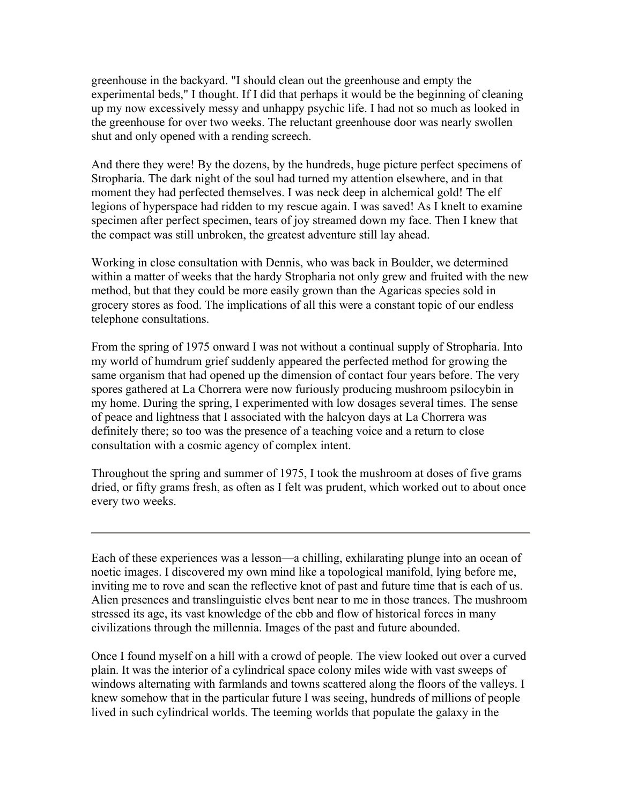greenhouse in the backyard. "I should clean out the greenhouse and empty the experimental beds," I thought. If I did that perhaps it would be the beginning of cleaning up my now excessively messy and unhappy psychic life. I had not so much as looked in the greenhouse for over two weeks. The reluctant greenhouse door was nearly swollen shut and only opened with a rending screech.

And there they were! By the dozens, by the hundreds, huge picture perfect specimens of Stropharia. The dark night of the soul had turned my attention elsewhere, and in that moment they had perfected themselves. I was neck deep in alchemical gold! The elf legions of hyperspace had ridden to my rescue again. I was saved! As I knelt to examine specimen after perfect specimen, tears of joy streamed down my face. Then I knew that the compact was still unbroken, the greatest adventure still lay ahead.

Working in close consultation with Dennis, who was back in Boulder, we determined within a matter of weeks that the hardy Stropharia not only grew and fruited with the new method, but that they could be more easily grown than the Agaricas species sold in grocery stores as food. The implications of all this were a constant topic of our endless telephone consultations.

From the spring of 1975 onward I was not without a continual supply of Stropharia. Into my world of humdrum grief suddenly appeared the perfected method for growing the same organism that had opened up the dimension of contact four years before. The very spores gathered at La Chorrera were now furiously producing mushroom psilocybin in my home. During the spring, I experimented with low dosages several times. The sense of peace and lightness that I associated with the halcyon days at La Chorrera was definitely there; so too was the presence of a teaching voice and a return to close consultation with a cosmic agency of complex intent.

Throughout the spring and summer of 1975, I took the mushroom at doses of five grams dried, or fifty grams fresh, as often as I felt was prudent, which worked out to about once every two weeks.

Each of these experiences was a lesson—a chilling, exhilarating plunge into an ocean of noetic images. I discovered my own mind like a topological manifold, lying before me, inviting me to rove and scan the reflective knot of past and future time that is each of us. Alien presences and translinguistic elves bent near to me in those trances. The mushroom stressed its age, its vast knowledge of the ebb and flow of historical forces in many civilizations through the millennia. Images of the past and future abounded.

Once I found myself on a hill with a crowd of people. The view looked out over a curved plain. It was the interior of a cylindrical space colony miles wide with vast sweeps of windows alternating with farmlands and towns scattered along the floors of the valleys. I knew somehow that in the particular future I was seeing, hundreds of millions of people lived in such cylindrical worlds. The teeming worlds that populate the galaxy in the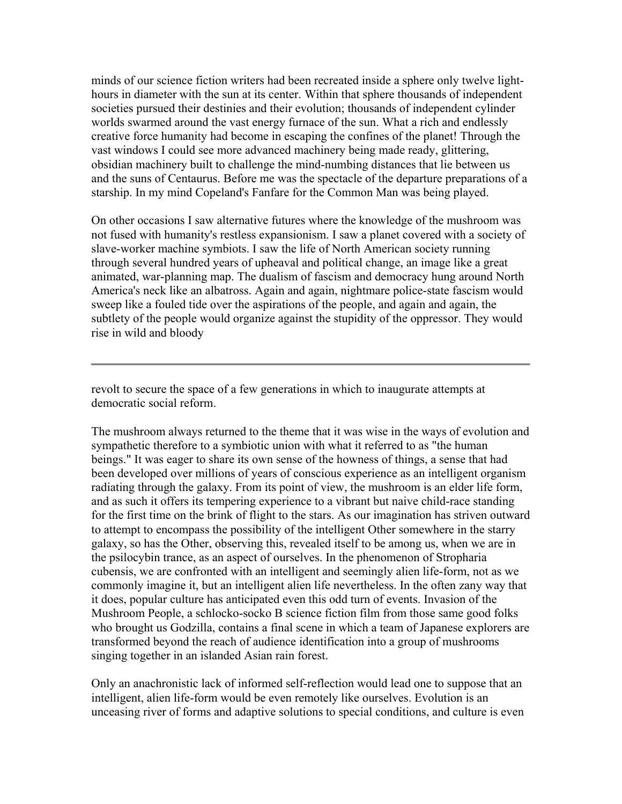minds of our science fiction writers had been recreated inside a sphere only twelve lighthours in diameter with the sun at its center. Within that sphere thousands of independent societies pursued their destinies and their evolution; thousands of independent cylinder worlds swarmed around the vast energy furnace of the sun. What a rich and endlessly creative force humanity had become in escaping the confines of the planet! Through the vast windows I could see more advanced machinery being made ready, glittering, obsidian machinery built to challenge the mind-numbing distances that lie between us and the suns of Centaurus. Before me was the spectacle of the departure preparations of a starship. In my mind Copeland's Fanfare for the Common Man was being played.

On other occasions I saw alternative futures where the knowledge of the mushroom was not fused with humanity's restless expansionism. I saw a planet covered with a society of slave-worker machine symbiots. I saw the life of North American society running through several hundred years of upheaval and political change, an image like a great animated, war-planning map. The dualism of fascism and democracy hung around North America's neck like an albatross. Again and again, nightmare police-state fascism would sweep like a fouled tide over the aspirations of the people, and again and again, the subtlety of the people would organize against the stupidity of the oppressor. They would rise in wild and bloody

revolt to secure the space of a few generations in which to inaugurate attempts at democratic social reform.

The mushroom always returned to the theme that it was wise in the ways of evolution and sympathetic therefore to a symbiotic union with what it referred to as "the human beings." It was eager to share its own sense of the howness of things, a sense that had been developed over millions of years of conscious experience as an intelligent organism radiating through the galaxy. From its point of view, the mushroom is an elder life form, and as such it offers its tempering experience to a vibrant but naive child-race standing for the first time on the brink of flight to the stars. As our imagination has striven outward to attempt to encompass the possibility of the intelligent Other somewhere in the starry galaxy, so has the Other, observing this, revealed itself to be among us, when we are in the psilocybin trance, as an aspect of ourselves. In the phenomenon of Stropharia cubensis, we are confronted with an intelligent and seemingly alien life-form, not as we commonly imagine it, but an intelligent alien life nevertheless. In the often zany way that it does, popular culture has anticipated even this odd turn of events. Invasion of the Mushroom People, a schlocko-socko B science fiction film from those same good folks who brought us Godzilla, contains a final scene in which a team of Japanese explorers are transformed beyond the reach of audience identification into a group of mushrooms singing together in an islanded Asian rain forest.

Only an anachronistic lack of informed self-reflection would lead one to suppose that an intelligent, alien life-form would be even remotely like ourselves. Evolution is an unceasing river of forms and adaptive solutions to special conditions, and culture is even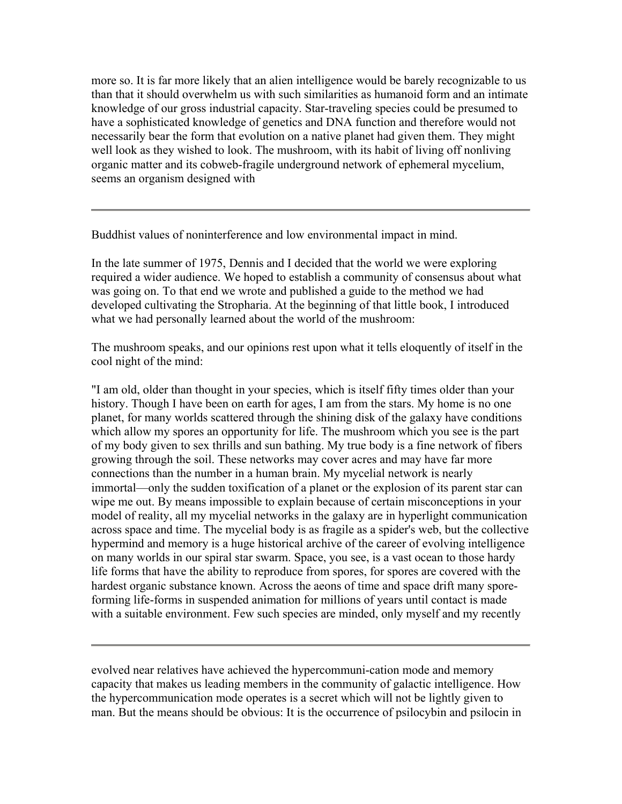more so. It is far more likely that an alien intelligence would be barely recognizable to us than that it should overwhelm us with such similarities as humanoid form and an intimate knowledge of our gross industrial capacity. Star-traveling species could be presumed to have a sophisticated knowledge of genetics and DNA function and therefore would not necessarily bear the form that evolution on a native planet had given them. They might well look as they wished to look. The mushroom, with its habit of living off nonliving organic matter and its cobweb-fragile underground network of ephemeral mycelium, seems an organism designed with

Buddhist values of noninterference and low environmental impact in mind.

In the late summer of 1975, Dennis and I decided that the world we were exploring required a wider audience. We hoped to establish a community of consensus about what was going on. To that end we wrote and published a guide to the method we had developed cultivating the Stropharia. At the beginning of that little book, I introduced what we had personally learned about the world of the mushroom:

The mushroom speaks, and our opinions rest upon what it tells eloquently of itself in the cool night of the mind:

"I am old, older than thought in your species, which is itself fifty times older than your history. Though I have been on earth for ages, I am from the stars. My home is no one planet, for many worlds scattered through the shining disk of the galaxy have conditions which allow my spores an opportunity for life. The mushroom which you see is the part of my body given to sex thrills and sun bathing. My true body is a fine network of fibers growing through the soil. These networks may cover acres and may have far more connections than the number in a human brain. My mycelial network is nearly immortal—only the sudden toxification of a planet or the explosion of its parent star can wipe me out. By means impossible to explain because of certain misconceptions in your model of reality, all my mycelial networks in the galaxy are in hyperlight communication across space and time. The mycelial body is as fragile as a spider's web, but the collective hypermind and memory is a huge historical archive of the career of evolving intelligence on many worlds in our spiral star swarm. Space, you see, is a vast ocean to those hardy life forms that have the ability to reproduce from spores, for spores are covered with the hardest organic substance known. Across the aeons of time and space drift many sporeforming life-forms in suspended animation for millions of years until contact is made with a suitable environment. Few such species are minded, only myself and my recently

evolved near relatives have achieved the hypercommuni-cation mode and memory capacity that makes us leading members in the community of galactic intelligence. How the hypercommunication mode operates is a secret which will not be lightly given to man. But the means should be obvious: It is the occurrence of psilocybin and psilocin in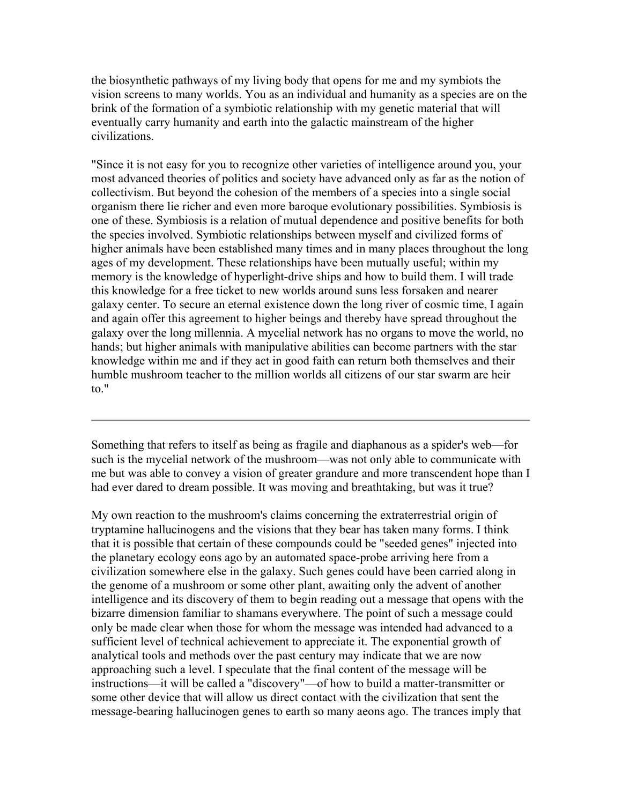the biosynthetic pathways of my living body that opens for me and my symbiots the vision screens to many worlds. You as an individual and humanity as a species are on the brink of the formation of a symbiotic relationship with my genetic material that will eventually carry humanity and earth into the galactic mainstream of the higher civilizations.

"Since it is not easy for you to recognize other varieties of intelligence around you, your most advanced theories of politics and society have advanced only as far as the notion of collectivism. But beyond the cohesion of the members of a species into a single social organism there lie richer and even more baroque evolutionary possibilities. Symbiosis is one of these. Symbiosis is a relation of mutual dependence and positive benefits for both the species involved. Symbiotic relationships between myself and civilized forms of higher animals have been established many times and in many places throughout the long ages of my development. These relationships have been mutually useful; within my memory is the knowledge of hyperlight-drive ships and how to build them. I will trade this knowledge for a free ticket to new worlds around suns less forsaken and nearer galaxy center. To secure an eternal existence down the long river of cosmic time, I again and again offer this agreement to higher beings and thereby have spread throughout the galaxy over the long millennia. A mycelial network has no organs to move the world, no hands; but higher animals with manipulative abilities can become partners with the star knowledge within me and if they act in good faith can return both themselves and their humble mushroom teacher to the million worlds all citizens of our star swarm are heir to."

Something that refers to itself as being as fragile and diaphanous as a spider's web—for such is the mycelial network of the mushroom—was not only able to communicate with me but was able to convey a vision of greater grandure and more transcendent hope than I had ever dared to dream possible. It was moving and breathtaking, but was it true?

My own reaction to the mushroom's claims concerning the extraterrestrial origin of tryptamine hallucinogens and the visions that they bear has taken many forms. I think that it is possible that certain of these compounds could be "seeded genes" injected into the planetary ecology eons ago by an automated space-probe arriving here from a civilization somewhere else in the galaxy. Such genes could have been carried along in the genome of a mushroom or some other plant, awaiting only the advent of another intelligence and its discovery of them to begin reading out a message that opens with the bizarre dimension familiar to shamans everywhere. The point of such a message could only be made clear when those for whom the message was intended had advanced to a sufficient level of technical achievement to appreciate it. The exponential growth of analytical tools and methods over the past century may indicate that we are now approaching such a level. I speculate that the final content of the message will be instructions—it will be called a "discovery"—of how to build a matter-transmitter or some other device that will allow us direct contact with the civilization that sent the message-bearing hallucinogen genes to earth so many aeons ago. The trances imply that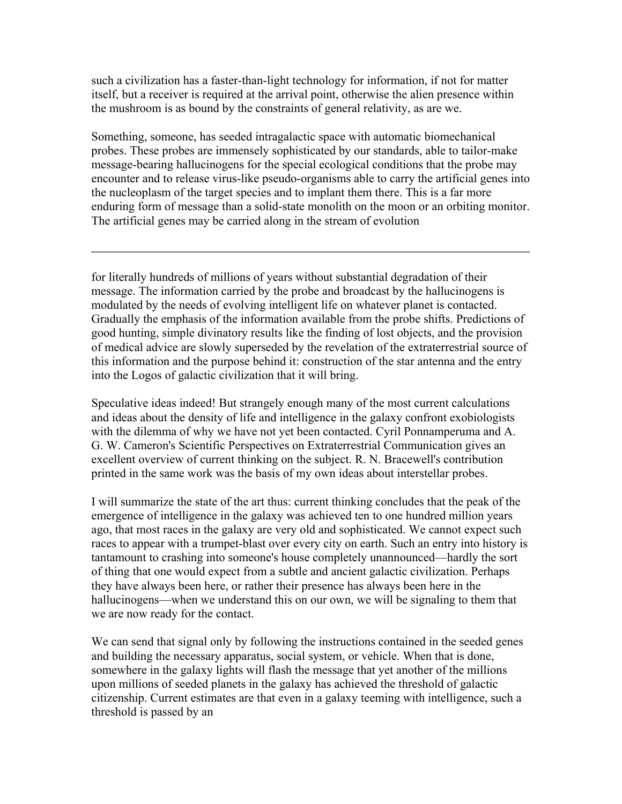such a civilization has a faster-than-light technology for information, if not for matter itself, but a receiver is required at the arrival point, otherwise the alien presence within the mushroom is as bound by the constraints of general relativity, as are we.

Something, someone, has seeded intragalactic space with automatic biomechanical probes. These probes are immensely sophisticated by our standards, able to tailor-make message-bearing hallucinogens for the special ecological conditions that the probe may encounter and to release virus-like pseudo-organisms able to carry the artificial genes into the nucleoplasm of the target species and to implant them there. This is a far more enduring form of message than a solid-state monolith on the moon or an orbiting monitor. The artificial genes may be carried along in the stream of evolution

for literally hundreds of millions of years without substantial degradation of their message. The information carried by the probe and broadcast by the hallucinogens is modulated by the needs of evolving intelligent life on whatever planet is contacted. Gradually the emphasis of the information available from the probe shifts. Predictions of good hunting, simple divinatory results like the finding of lost objects, and the provision of medical advice are slowly superseded by the revelation of the extraterrestrial source of this information and the purpose behind it: construction of the star antenna and the entry into the Logos of galactic civilization that it will bring.

Speculative ideas indeed! But strangely enough many of the most current calculations and ideas about the density of life and intelligence in the galaxy confront exobiologists with the dilemma of why we have not yet been contacted. Cyril Ponnamperuma and A. G. W. Cameron's Scientific Perspectives on Extraterrestrial Communication gives an excellent overview of current thinking on the subject. R. N. Bracewell's contribution printed in the same work was the basis of my own ideas about interstellar probes.

I will summarize the state of the art thus: current thinking concludes that the peak of the emergence of intelligence in the galaxy was achieved ten to one hundred million years ago, that most races in the galaxy are very old and sophisticated. We cannot expect such races to appear with a trumpet-blast over every city on earth. Such an entry into history is tantamount to crashing into someone's house completely unannounced—hardly the sort of thing that one would expect from a subtle and ancient galactic civilization. Perhaps they have always been here, or rather their presence has always been here in the hallucinogens—when we understand this on our own, we will be signaling to them that we are now ready for the contact.

We can send that signal only by following the instructions contained in the seeded genes and building the necessary apparatus, social system, or vehicle. When that is done, somewhere in the galaxy lights will flash the message that yet another of the millions upon millions of seeded planets in the galaxy has achieved the threshold of galactic citizenship. Current estimates are that even in a galaxy teeming with intelligence, such a threshold is passed by an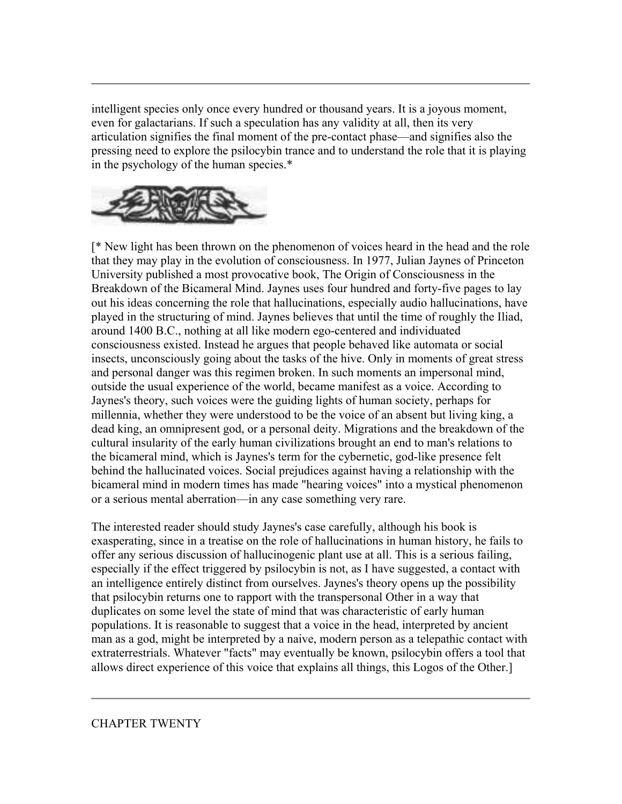intelligent species only once every hundred or thousand years. It is a joyous moment, even for galactarians. If such a speculation has any validity at all, then its very articulation signifies the final moment of the pre-contact phase—and signifies also the pressing need to explore the psilocybin trance and to understand the role that it is playing in the psychology of the human species.\*



[\* New light has been thrown on the phenomenon of voices heard in the head and the role that they may play in the evolution of consciousness. In 1977, Julian Jaynes of Princeton University published a most provocative book, The Origin of Consciousness in the Breakdown of the Bicameral Mind. Jaynes uses four hundred and forty-five pages to lay out his ideas concerning the role that hallucinations, especially audio hallucinations, have played in the structuring of mind. Jaynes believes that until the time of roughly the Iliad, around 1400 B.C., nothing at all like modern ego-centered and individuated consciousness existed. Instead he argues that people behaved like automata or social insects, unconsciously going about the tasks of the hive. Only in moments of great stress and personal danger was this regimen broken. In such moments an impersonal mind, outside the usual experience of the world, became manifest as a voice. According to Jaynes's theory, such voices were the guiding lights of human society, perhaps for millennia, whether they were understood to be the voice of an absent but living king, a dead king, an omnipresent god, or a personal deity. Migrations and the breakdown of the cultural insularity of the early human civilizations brought an end to man's relations to the bicameral mind, which is Jaynes's term for the cybernetic, god-like presence felt behind the hallucinated voices. Social prejudices against having a relationship with the bicameral mind in modern times has made "hearing voices" into a mystical phenomenon or a serious mental aberration—in any case something very rare.

The interested reader should study Jaynes's case carefully, although his book is exasperating, since in a treatise on the role of hallucinations in human history, he fails to offer any serious discussion of hallucinogenic plant use at all. This is a serious failing, especially if the effect triggered by psilocybin is not, as I have suggested, a contact with an intelligence entirely distinct from ourselves. Jaynes's theory opens up the possibility that psilocybin returns one to rapport with the transpersonal Other in a way that duplicates on some level the state of mind that was characteristic of early human populations. It is reasonable to suggest that a voice in the head, interpreted by ancient man as a god, might be interpreted by a naive, modern person as a telepathic contact with extraterrestrials. Whatever "facts" may eventually be known, psilocybin offers a tool that allows direct experience of this voice that explains all things, this Logos of the Other.]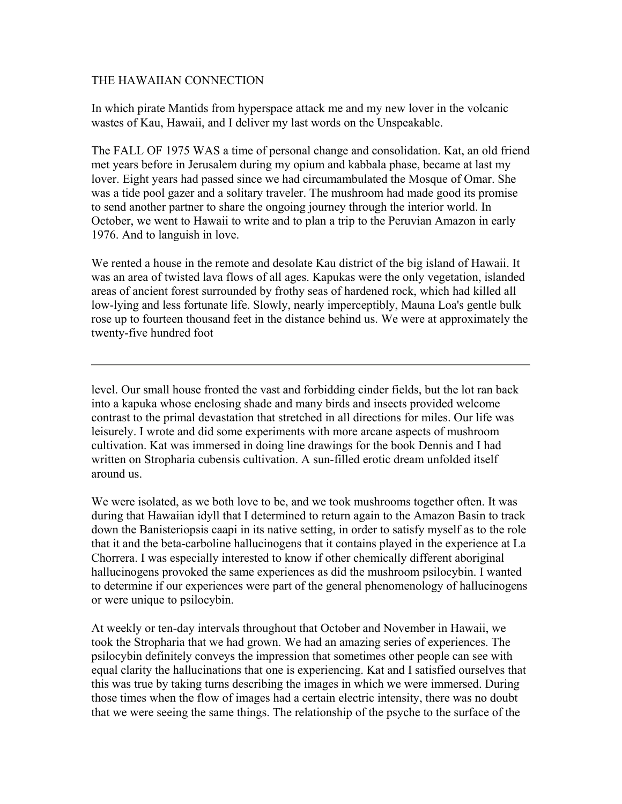## THE HAWAIIAN CONNECTION

In which pirate Mantids from hyperspace attack me and my new lover in the volcanic wastes of Kau, Hawaii, and I deliver my last words on the Unspeakable.

The FALL OF 1975 WAS a time of personal change and consolidation. Kat, an old friend met years before in Jerusalem during my opium and kabbala phase, became at last my lover. Eight years had passed since we had circumambulated the Mosque of Omar. She was a tide pool gazer and a solitary traveler. The mushroom had made good its promise to send another partner to share the ongoing journey through the interior world. In October, we went to Hawaii to write and to plan a trip to the Peruvian Amazon in early 1976. And to languish in love.

We rented a house in the remote and desolate Kau district of the big island of Hawaii. It was an area of twisted lava flows of all ages. Kapukas were the only vegetation, islanded areas of ancient forest surrounded by frothy seas of hardened rock, which had killed all low-lying and less fortunate life. Slowly, nearly imperceptibly, Mauna Loa's gentle bulk rose up to fourteen thousand feet in the distance behind us. We were at approximately the twenty-five hundred foot

level. Our small house fronted the vast and forbidding cinder fields, but the lot ran back into a kapuka whose enclosing shade and many birds and insects provided welcome contrast to the primal devastation that stretched in all directions for miles. Our life was leisurely. I wrote and did some experiments with more arcane aspects of mushroom cultivation. Kat was immersed in doing line drawings for the book Dennis and I had written on Stropharia cubensis cultivation. A sun-filled erotic dream unfolded itself around us.

We were isolated, as we both love to be, and we took mushrooms together often. It was during that Hawaiian idyll that I determined to return again to the Amazon Basin to track down the Banisteriopsis caapi in its native setting, in order to satisfy myself as to the role that it and the beta-carboline hallucinogens that it contains played in the experience at La Chorrera. I was especially interested to know if other chemically different aboriginal hallucinogens provoked the same experiences as did the mushroom psilocybin. I wanted to determine if our experiences were part of the general phenomenology of hallucinogens or were unique to psilocybin.

At weekly or ten-day intervals throughout that October and November in Hawaii, we took the Stropharia that we had grown. We had an amazing series of experiences. The psilocybin definitely conveys the impression that sometimes other people can see with equal clarity the hallucinations that one is experiencing. Kat and I satisfied ourselves that this was true by taking turns describing the images in which we were immersed. During those times when the flow of images had a certain electric intensity, there was no doubt that we were seeing the same things. The relationship of the psyche to the surface of the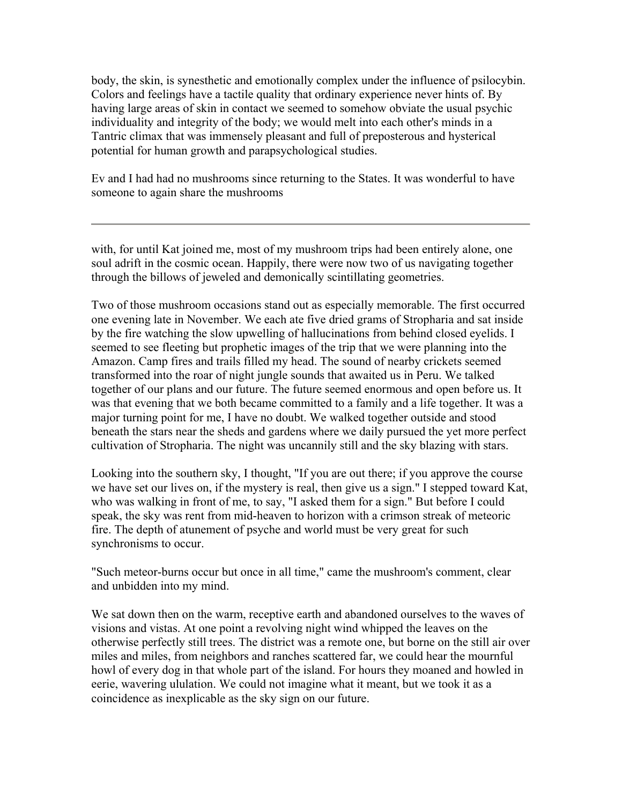body, the skin, is synesthetic and emotionally complex under the influence of psilocybin. Colors and feelings have a tactile quality that ordinary experience never hints of. By having large areas of skin in contact we seemed to somehow obviate the usual psychic individuality and integrity of the body; we would melt into each other's minds in a Tantric climax that was immensely pleasant and full of preposterous and hysterical potential for human growth and parapsychological studies.

Ev and I had had no mushrooms since returning to the States. It was wonderful to have someone to again share the mushrooms

with, for until Kat joined me, most of my mushroom trips had been entirely alone, one soul adrift in the cosmic ocean. Happily, there were now two of us navigating together through the billows of jeweled and demonically scintillating geometries.

Two of those mushroom occasions stand out as especially memorable. The first occurred one evening late in November. We each ate five dried grams of Stropharia and sat inside by the fire watching the slow upwelling of hallucinations from behind closed eyelids. I seemed to see fleeting but prophetic images of the trip that we were planning into the Amazon. Camp fires and trails filled my head. The sound of nearby crickets seemed transformed into the roar of night jungle sounds that awaited us in Peru. We talked together of our plans and our future. The future seemed enormous and open before us. It was that evening that we both became committed to a family and a life together. It was a major turning point for me, I have no doubt. We walked together outside and stood beneath the stars near the sheds and gardens where we daily pursued the yet more perfect cultivation of Stropharia. The night was uncannily still and the sky blazing with stars.

Looking into the southern sky, I thought, "If you are out there; if you approve the course we have set our lives on, if the mystery is real, then give us a sign." I stepped toward Kat, who was walking in front of me, to say, "I asked them for a sign." But before I could speak, the sky was rent from mid-heaven to horizon with a crimson streak of meteoric fire. The depth of atunement of psyche and world must be very great for such synchronisms to occur.

"Such meteor-burns occur but once in all time," came the mushroom's comment, clear and unbidden into my mind.

We sat down then on the warm, receptive earth and abandoned ourselves to the waves of visions and vistas. At one point a revolving night wind whipped the leaves on the otherwise perfectly still trees. The district was a remote one, but borne on the still air over miles and miles, from neighbors and ranches scattered far, we could hear the mournful howl of every dog in that whole part of the island. For hours they moaned and howled in eerie, wavering ululation. We could not imagine what it meant, but we took it as a coincidence as inexplicable as the sky sign on our future.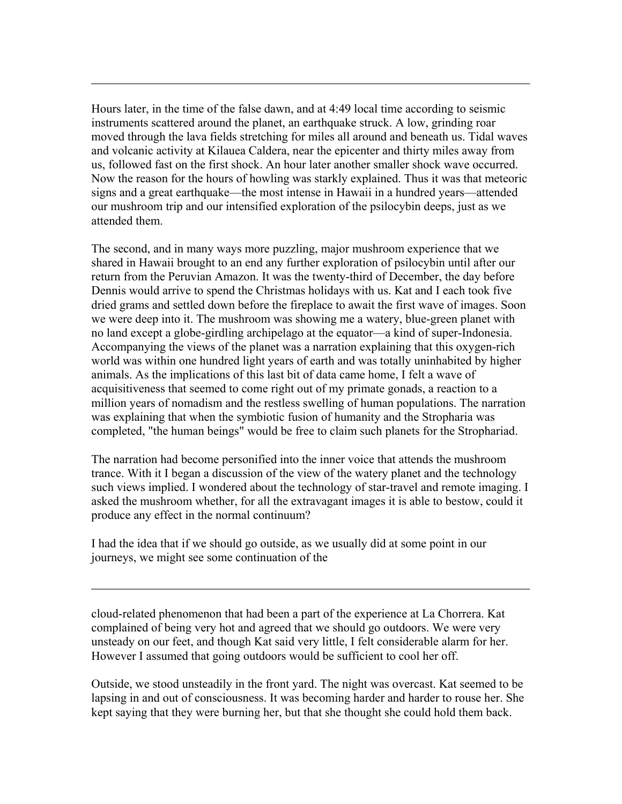Hours later, in the time of the false dawn, and at 4:49 local time according to seismic instruments scattered around the planet, an earthquake struck. A low, grinding roar moved through the lava fields stretching for miles all around and beneath us. Tidal waves and volcanic activity at Kilauea Caldera, near the epicenter and thirty miles away from us, followed fast on the first shock. An hour later another smaller shock wave occurred. Now the reason for the hours of howling was starkly explained. Thus it was that meteoric signs and a great earthquake—the most intense in Hawaii in a hundred years—attended our mushroom trip and our intensified exploration of the psilocybin deeps, just as we attended them.

The second, and in many ways more puzzling, major mushroom experience that we shared in Hawaii brought to an end any further exploration of psilocybin until after our return from the Peruvian Amazon. It was the twenty-third of December, the day before Dennis would arrive to spend the Christmas holidays with us. Kat and I each took five dried grams and settled down before the fireplace to await the first wave of images. Soon we were deep into it. The mushroom was showing me a watery, blue-green planet with no land except a globe-girdling archipelago at the equator—a kind of super-Indonesia. Accompanying the views of the planet was a narration explaining that this oxygen-rich world was within one hundred light years of earth and was totally uninhabited by higher animals. As the implications of this last bit of data came home, I felt a wave of acquisitiveness that seemed to come right out of my primate gonads, a reaction to a million years of nomadism and the restless swelling of human populations. The narration was explaining that when the symbiotic fusion of humanity and the Stropharia was completed, "the human beings" would be free to claim such planets for the Strophariad.

The narration had become personified into the inner voice that attends the mushroom trance. With it I began a discussion of the view of the watery planet and the technology such views implied. I wondered about the technology of star-travel and remote imaging. I asked the mushroom whether, for all the extravagant images it is able to bestow, could it produce any effect in the normal continuum?

I had the idea that if we should go outside, as we usually did at some point in our journeys, we might see some continuation of the

cloud-related phenomenon that had been a part of the experience at La Chorrera. Kat complained of being very hot and agreed that we should go outdoors. We were very unsteady on our feet, and though Kat said very little, I felt considerable alarm for her. However I assumed that going outdoors would be sufficient to cool her off.

Outside, we stood unsteadily in the front yard. The night was overcast. Kat seemed to be lapsing in and out of consciousness. It was becoming harder and harder to rouse her. She kept saying that they were burning her, but that she thought she could hold them back.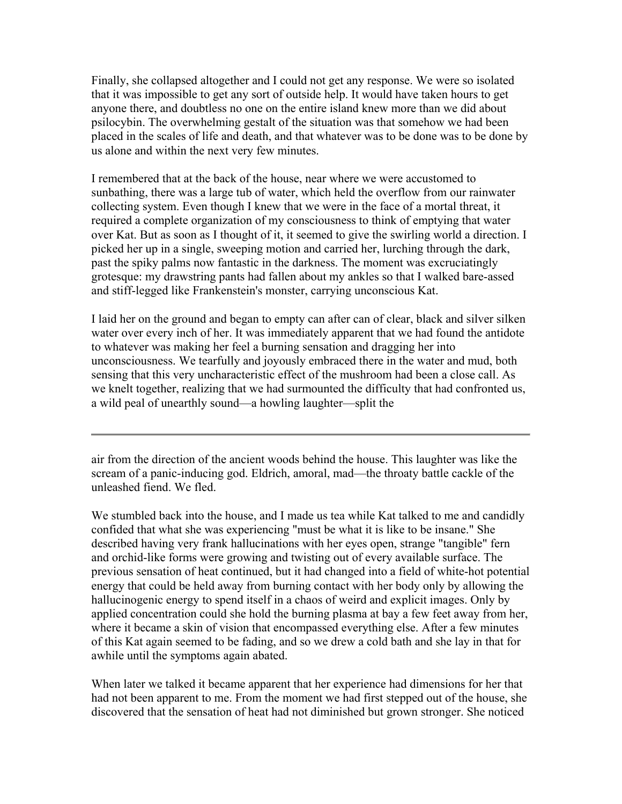Finally, she collapsed altogether and I could not get any response. We were so isolated that it was impossible to get any sort of outside help. It would have taken hours to get anyone there, and doubtless no one on the entire island knew more than we did about psilocybin. The overwhelming gestalt of the situation was that somehow we had been placed in the scales of life and death, and that whatever was to be done was to be done by us alone and within the next very few minutes.

I remembered that at the back of the house, near where we were accustomed to sunbathing, there was a large tub of water, which held the overflow from our rainwater collecting system. Even though I knew that we were in the face of a mortal threat, it required a complete organization of my consciousness to think of emptying that water over Kat. But as soon as I thought of it, it seemed to give the swirling world a direction. I picked her up in a single, sweeping motion and carried her, lurching through the dark, past the spiky palms now fantastic in the darkness. The moment was excruciatingly grotesque: my drawstring pants had fallen about my ankles so that I walked bare-assed and stiff-legged like Frankenstein's monster, carrying unconscious Kat.

I laid her on the ground and began to empty can after can of clear, black and silver silken water over every inch of her. It was immediately apparent that we had found the antidote to whatever was making her feel a burning sensation and dragging her into unconsciousness. We tearfully and joyously embraced there in the water and mud, both sensing that this very uncharacteristic effect of the mushroom had been a close call. As we knelt together, realizing that we had surmounted the difficulty that had confronted us, a wild peal of unearthly sound—a howling laughter—split the

air from the direction of the ancient woods behind the house. This laughter was like the scream of a panic-inducing god. Eldrich, amoral, mad—the throaty battle cackle of the unleashed fiend. We fled.

We stumbled back into the house, and I made us tea while Kat talked to me and candidly confided that what she was experiencing "must be what it is like to be insane." She described having very frank hallucinations with her eyes open, strange "tangible" fern and orchid-like forms were growing and twisting out of every available surface. The previous sensation of heat continued, but it had changed into a field of white-hot potential energy that could be held away from burning contact with her body only by allowing the hallucinogenic energy to spend itself in a chaos of weird and explicit images. Only by applied concentration could she hold the burning plasma at bay a few feet away from her, where it became a skin of vision that encompassed everything else. After a few minutes of this Kat again seemed to be fading, and so we drew a cold bath and she lay in that for awhile until the symptoms again abated.

When later we talked it became apparent that her experience had dimensions for her that had not been apparent to me. From the moment we had first stepped out of the house, she discovered that the sensation of heat had not diminished but grown stronger. She noticed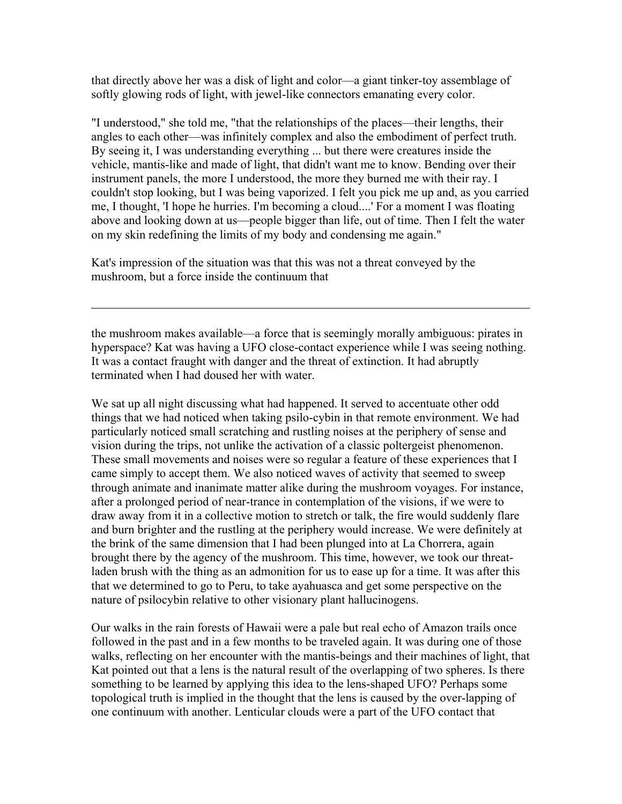that directly above her was a disk of light and color—a giant tinker-toy assemblage of softly glowing rods of light, with jewel-like connectors emanating every color.

"I understood," she told me, "that the relationships of the places—their lengths, their angles to each other—was infinitely complex and also the embodiment of perfect truth. By seeing it, I was understanding everything ... but there were creatures inside the vehicle, mantis-like and made of light, that didn't want me to know. Bending over their instrument panels, the more I understood, the more they burned me with their ray. I couldn't stop looking, but I was being vaporized. I felt you pick me up and, as you carried me, I thought, 'I hope he hurries. I'm becoming a cloud....' For a moment I was floating above and looking down at us—people bigger than life, out of time. Then I felt the water on my skin redefining the limits of my body and condensing me again."

Kat's impression of the situation was that this was not a threat conveyed by the mushroom, but a force inside the continuum that

the mushroom makes available—a force that is seemingly morally ambiguous: pirates in hyperspace? Kat was having a UFO close-contact experience while I was seeing nothing. It was a contact fraught with danger and the threat of extinction. It had abruptly terminated when I had doused her with water.

We sat up all night discussing what had happened. It served to accentuate other odd things that we had noticed when taking psilo-cybin in that remote environment. We had particularly noticed small scratching and rustling noises at the periphery of sense and vision during the trips, not unlike the activation of a classic poltergeist phenomenon. These small movements and noises were so regular a feature of these experiences that I came simply to accept them. We also noticed waves of activity that seemed to sweep through animate and inanimate matter alike during the mushroom voyages. For instance, after a prolonged period of near-trance in contemplation of the visions, if we were to draw away from it in a collective motion to stretch or talk, the fire would suddenly flare and burn brighter and the rustling at the periphery would increase. We were definitely at the brink of the same dimension that I had been plunged into at La Chorrera, again brought there by the agency of the mushroom. This time, however, we took our threatladen brush with the thing as an admonition for us to ease up for a time. It was after this that we determined to go to Peru, to take ayahuasca and get some perspective on the nature of psilocybin relative to other visionary plant hallucinogens.

Our walks in the rain forests of Hawaii were a pale but real echo of Amazon trails once followed in the past and in a few months to be traveled again. It was during one of those walks, reflecting on her encounter with the mantis-beings and their machines of light, that Kat pointed out that a lens is the natural result of the overlapping of two spheres. Is there something to be learned by applying this idea to the lens-shaped UFO? Perhaps some topological truth is implied in the thought that the lens is caused by the over-lapping of one continuum with another. Lenticular clouds were a part of the UFO contact that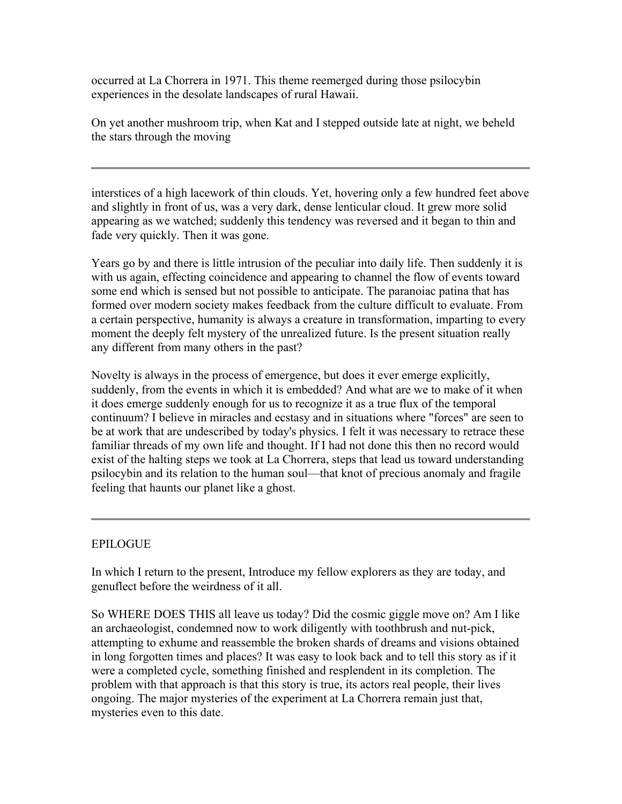occurred at La Chorrera in 1971. This theme reemerged during those psilocybin experiences in the desolate landscapes of rural Hawaii.

On yet another mushroom trip, when Kat and I stepped outside late at night, we beheld the stars through the moving

interstices of a high lacework of thin clouds. Yet, hovering only a few hundred feet above and slightly in front of us, was a very dark, dense lenticular cloud. It grew more solid appearing as we watched; suddenly this tendency was reversed and it began to thin and fade very quickly. Then it was gone.

Years go by and there is little intrusion of the peculiar into daily life. Then suddenly it is with us again, effecting coincidence and appearing to channel the flow of events toward some end which is sensed but not possible to anticipate. The paranoiac patina that has formed over modern society makes feedback from the culture difficult to evaluate. From a certain perspective, humanity is always a creature in transformation, imparting to every moment the deeply felt mystery of the unrealized future. Is the present situation really any different from many others in the past?

Novelty is always in the process of emergence, but does it ever emerge explicitly, suddenly, from the events in which it is embedded? And what are we to make of it when it does emerge suddenly enough for us to recognize it as a true flux of the temporal continuum? I believe in miracles and ecstasy and in situations where "forces" are seen to be at work that are undescribed by today's physics. I felt it was necessary to retrace these familiar threads of my own life and thought. If I had not done this then no record would exist of the halting steps we took at La Chorrera, steps that lead us toward understanding psilocybin and its relation to the human soul—that knot of precious anomaly and fragile feeling that haunts our planet like a ghost.

# EPILOGUE

In which I return to the present, Introduce my fellow explorers as they are today, and genuflect before the weirdness of it all.

So WHERE DOES THIS all leave us today? Did the cosmic giggle move on? Am I like an archaeologist, condemned now to work diligently with toothbrush and nut-pick, attempting to exhume and reassemble the broken shards of dreams and visions obtained in long forgotten times and places? It was easy to look back and to tell this story as if it were a completed cycle, something finished and resplendent in its completion. The problem with that approach is that this story is true, its actors real people, their lives ongoing. The major mysteries of the experiment at La Chorrera remain just that, mysteries even to this date.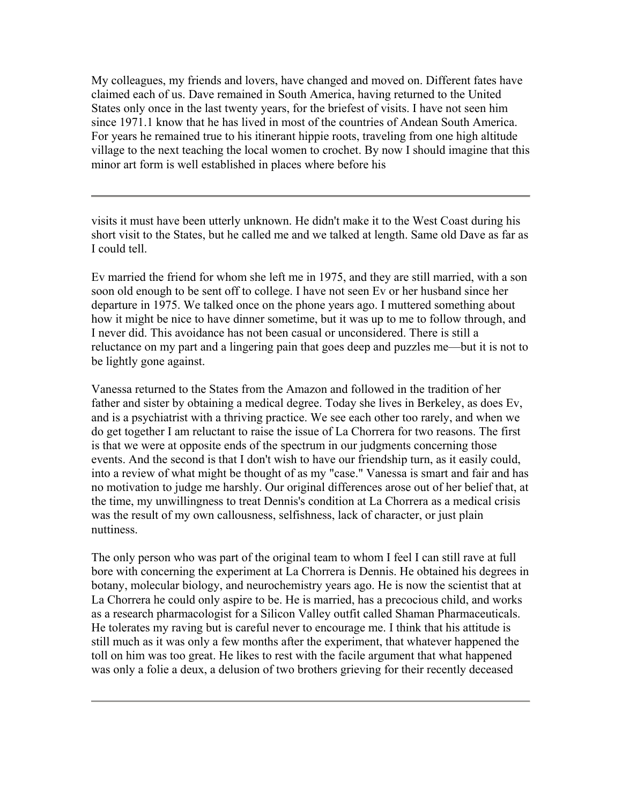My colleagues, my friends and lovers, have changed and moved on. Different fates have claimed each of us. Dave remained in South America, having returned to the United States only once in the last twenty years, for the briefest of visits. I have not seen him since 1971.1 know that he has lived in most of the countries of Andean South America. For years he remained true to his itinerant hippie roots, traveling from one high altitude village to the next teaching the local women to crochet. By now I should imagine that this minor art form is well established in places where before his

visits it must have been utterly unknown. He didn't make it to the West Coast during his short visit to the States, but he called me and we talked at length. Same old Dave as far as I could tell.

Ev married the friend for whom she left me in 1975, and they are still married, with a son soon old enough to be sent off to college. I have not seen Ev or her husband since her departure in 1975. We talked once on the phone years ago. I muttered something about how it might be nice to have dinner sometime, but it was up to me to follow through, and I never did. This avoidance has not been casual or unconsidered. There is still a reluctance on my part and a lingering pain that goes deep and puzzles me—but it is not to be lightly gone against.

Vanessa returned to the States from the Amazon and followed in the tradition of her father and sister by obtaining a medical degree. Today she lives in Berkeley, as does Ev, and is a psychiatrist with a thriving practice. We see each other too rarely, and when we do get together I am reluctant to raise the issue of La Chorrera for two reasons. The first is that we were at opposite ends of the spectrum in our judgments concerning those events. And the second is that I don't wish to have our friendship turn, as it easily could, into a review of what might be thought of as my "case." Vanessa is smart and fair and has no motivation to judge me harshly. Our original differences arose out of her belief that, at the time, my unwillingness to treat Dennis's condition at La Chorrera as a medical crisis was the result of my own callousness, selfishness, lack of character, or just plain nuttiness.

The only person who was part of the original team to whom I feel I can still rave at full bore with concerning the experiment at La Chorrera is Dennis. He obtained his degrees in botany, molecular biology, and neurochemistry years ago. He is now the scientist that at La Chorrera he could only aspire to be. He is married, has a precocious child, and works as a research pharmacologist for a Silicon Valley outfit called Shaman Pharmaceuticals. He tolerates my raving but is careful never to encourage me. I think that his attitude is still much as it was only a few months after the experiment, that whatever happened the toll on him was too great. He likes to rest with the facile argument that what happened was only a folie a deux, a delusion of two brothers grieving for their recently deceased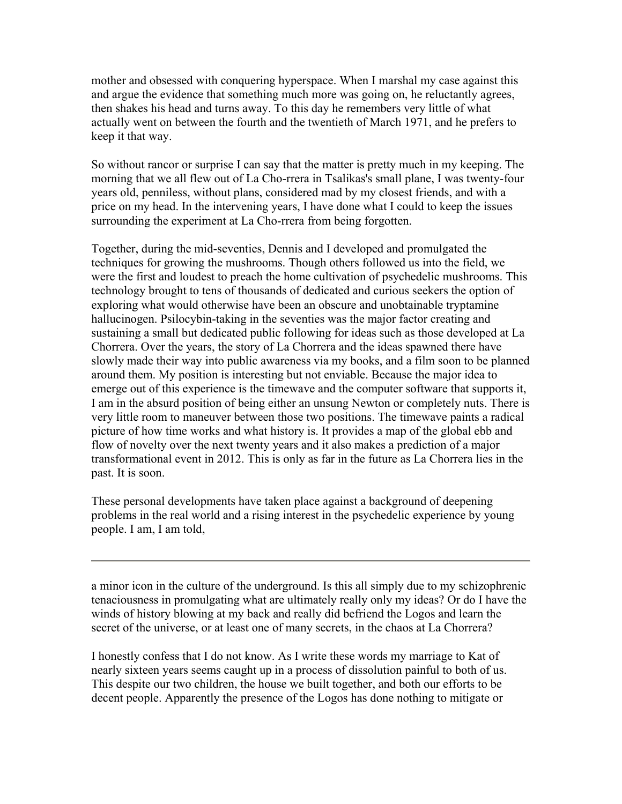mother and obsessed with conquering hyperspace. When I marshal my case against this and argue the evidence that something much more was going on, he reluctantly agrees, then shakes his head and turns away. To this day he remembers very little of what actually went on between the fourth and the twentieth of March 1971, and he prefers to keep it that way.

So without rancor or surprise I can say that the matter is pretty much in my keeping. The morning that we all flew out of La Cho-rrera in Tsalikas's small plane, I was twenty-four years old, penniless, without plans, considered mad by my closest friends, and with a price on my head. In the intervening years, I have done what I could to keep the issues surrounding the experiment at La Cho-rrera from being forgotten.

Together, during the mid-seventies, Dennis and I developed and promulgated the techniques for growing the mushrooms. Though others followed us into the field, we were the first and loudest to preach the home cultivation of psychedelic mushrooms. This technology brought to tens of thousands of dedicated and curious seekers the option of exploring what would otherwise have been an obscure and unobtainable tryptamine hallucinogen. Psilocybin-taking in the seventies was the major factor creating and sustaining a small but dedicated public following for ideas such as those developed at La Chorrera. Over the years, the story of La Chorrera and the ideas spawned there have slowly made their way into public awareness via my books, and a film soon to be planned around them. My position is interesting but not enviable. Because the major idea to emerge out of this experience is the timewave and the computer software that supports it, I am in the absurd position of being either an unsung Newton or completely nuts. There is very little room to maneuver between those two positions. The timewave paints a radical picture of how time works and what history is. It provides a map of the global ebb and flow of novelty over the next twenty years and it also makes a prediction of a major transformational event in 2012. This is only as far in the future as La Chorrera lies in the past. It is soon.

These personal developments have taken place against a background of deepening problems in the real world and a rising interest in the psychedelic experience by young people. I am, I am told,

a minor icon in the culture of the underground. Is this all simply due to my schizophrenic tenaciousness in promulgating what are ultimately really only my ideas? Or do I have the winds of history blowing at my back and really did befriend the Logos and learn the secret of the universe, or at least one of many secrets, in the chaos at La Chorrera?

I honestly confess that I do not know. As I write these words my marriage to Kat of nearly sixteen years seems caught up in a process of dissolution painful to both of us. This despite our two children, the house we built together, and both our efforts to be decent people. Apparently the presence of the Logos has done nothing to mitigate or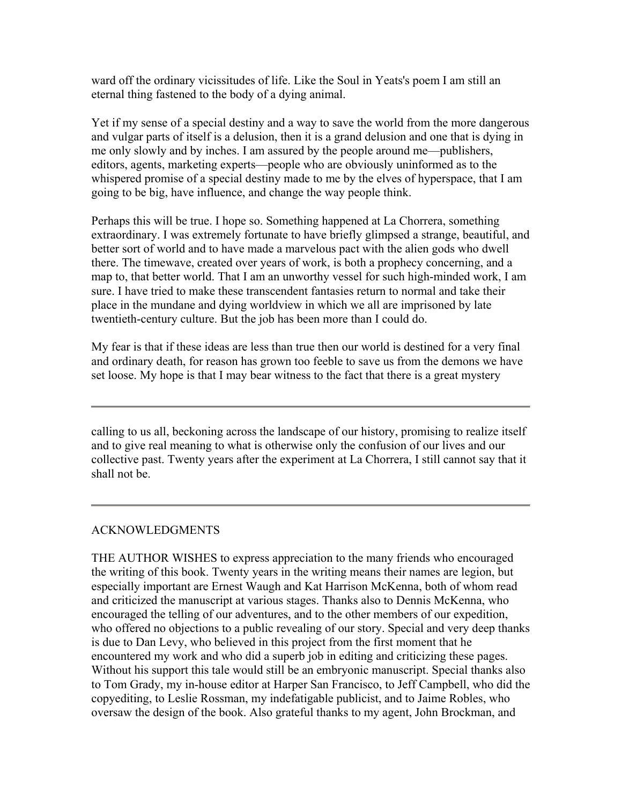ward off the ordinary vicissitudes of life. Like the Soul in Yeats's poem I am still an eternal thing fastened to the body of a dying animal.

Yet if my sense of a special destiny and a way to save the world from the more dangerous and vulgar parts of itself is a delusion, then it is a grand delusion and one that is dying in me only slowly and by inches. I am assured by the people around me—publishers, editors, agents, marketing experts—people who are obviously uninformed as to the whispered promise of a special destiny made to me by the elves of hyperspace, that I am going to be big, have influence, and change the way people think.

Perhaps this will be true. I hope so. Something happened at La Chorrera, something extraordinary. I was extremely fortunate to have briefly glimpsed a strange, beautiful, and better sort of world and to have made a marvelous pact with the alien gods who dwell there. The timewave, created over years of work, is both a prophecy concerning, and a map to, that better world. That I am an unworthy vessel for such high-minded work, I am sure. I have tried to make these transcendent fantasies return to normal and take their place in the mundane and dying worldview in which we all are imprisoned by late twentieth-century culture. But the job has been more than I could do.

My fear is that if these ideas are less than true then our world is destined for a very final and ordinary death, for reason has grown too feeble to save us from the demons we have set loose. My hope is that I may bear witness to the fact that there is a great mystery

calling to us all, beckoning across the landscape of our history, promising to realize itself and to give real meaning to what is otherwise only the confusion of our lives and our collective past. Twenty years after the experiment at La Chorrera, I still cannot say that it shall not be.

### ACKNOWLEDGMENTS

THE AUTHOR WISHES to express appreciation to the many friends who encouraged the writing of this book. Twenty years in the writing means their names are legion, but especially important are Ernest Waugh and Kat Harrison McKenna, both of whom read and criticized the manuscript at various stages. Thanks also to Dennis McKenna, who encouraged the telling of our adventures, and to the other members of our expedition, who offered no objections to a public revealing of our story. Special and very deep thanks is due to Dan Levy, who believed in this project from the first moment that he encountered my work and who did a superb job in editing and criticizing these pages. Without his support this tale would still be an embryonic manuscript. Special thanks also to Tom Grady, my in-house editor at Harper San Francisco, to Jeff Campbell, who did the copyediting, to Leslie Rossman, my indefatigable publicist, and to Jaime Robles, who oversaw the design of the book. Also grateful thanks to my agent, John Brockman, and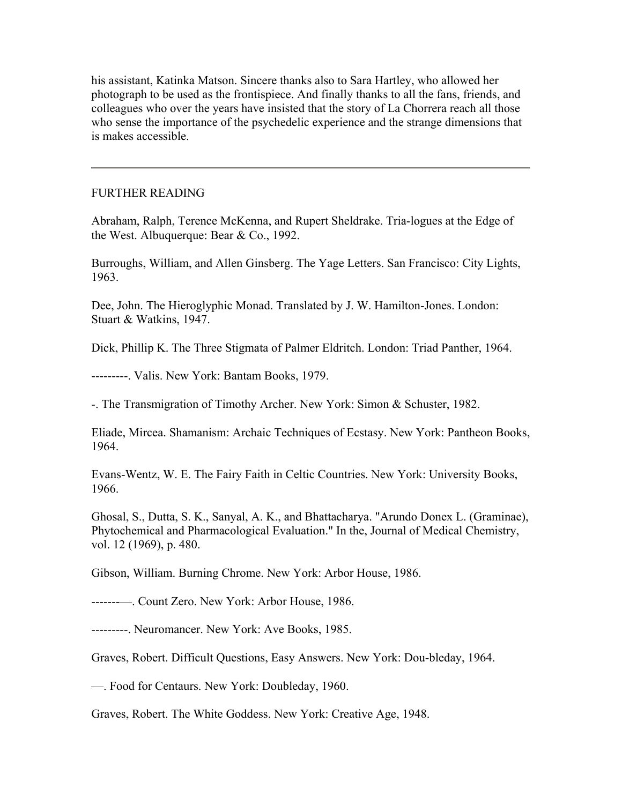his assistant, Katinka Matson. Sincere thanks also to Sara Hartley, who allowed her photograph to be used as the frontispiece. And finally thanks to all the fans, friends, and colleagues who over the years have insisted that the story of La Chorrera reach all those who sense the importance of the psychedelic experience and the strange dimensions that is makes accessible.

#### FURTHER READING

Abraham, Ralph, Terence McKenna, and Rupert Sheldrake. Tria-logues at the Edge of the West. Albuquerque: Bear & Co., 1992.

Burroughs, William, and Allen Ginsberg. The Yage Letters. San Francisco: City Lights, 1963.

Dee, John. The Hieroglyphic Monad. Translated by J. W. Hamilton-Jones. London: Stuart & Watkins, 1947.

Dick, Phillip K. The Three Stigmata of Palmer Eldritch. London: Triad Panther, 1964.

---------. Valis. New York: Bantam Books, 1979.

-. The Transmigration of Timothy Archer. New York: Simon & Schuster, 1982.

Eliade, Mircea. Shamanism: Archaic Techniques of Ecstasy. New York: Pantheon Books, 1964.

Evans-Wentz, W. E. The Fairy Faith in Celtic Countries. New York: University Books, 1966.

Ghosal, S., Dutta, S. K., Sanyal, A. K., and Bhattacharya. "Arundo Donex L. (Graminae), Phytochemical and Pharmacological Evaluation." In the, Journal of Medical Chemistry, vol. 12 (1969), p. 480.

Gibson, William. Burning Chrome. New York: Arbor House, 1986.

-------—. Count Zero. New York: Arbor House, 1986.

---------. Neuromancer. New York: Ave Books, 1985.

Graves, Robert. Difficult Questions, Easy Answers. New York: Dou-bleday, 1964.

—. Food for Centaurs. New York: Doubleday, 1960.

Graves, Robert. The White Goddess. New York: Creative Age, 1948.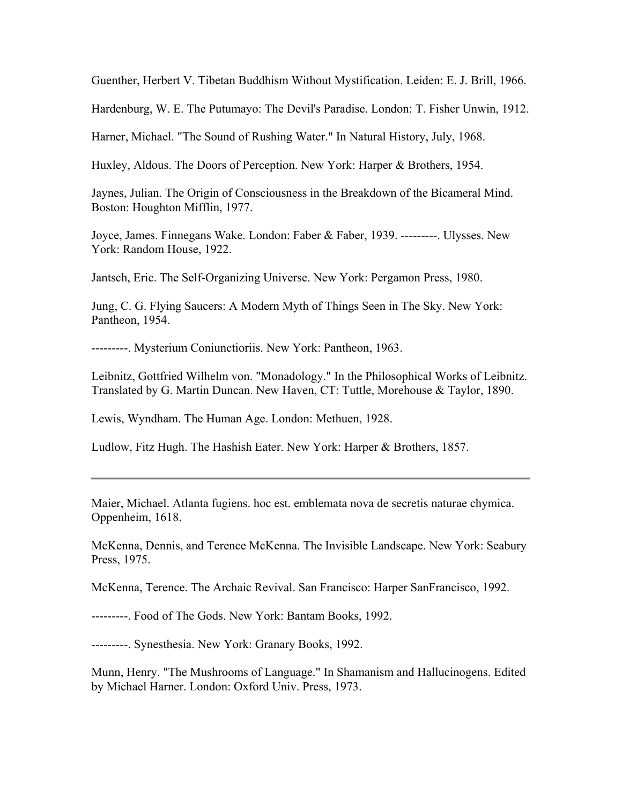Guenther, Herbert V. Tibetan Buddhism Without Mystification. Leiden: E. J. Brill, 1966.

Hardenburg, W. E. The Putumayo: The Devil's Paradise. London: T. Fisher Unwin, 1912.

Harner, Michael. "The Sound of Rushing Water." In Natural History, July, 1968.

Huxley, Aldous. The Doors of Perception. New York: Harper & Brothers, 1954.

Jaynes, Julian. The Origin of Consciousness in the Breakdown of the Bicameral Mind. Boston: Houghton Mifflin, 1977.

Joyce, James. Finnegans Wake. London: Faber & Faber, 1939. ---------. Ulysses. New York: Random House, 1922.

Jantsch, Eric. The Self-Organizing Universe. New York: Pergamon Press, 1980.

Jung, C. G. Flying Saucers: A Modern Myth of Things Seen in The Sky. New York: Pantheon, 1954.

---------. Mysterium Coniunctioriis. New York: Pantheon, 1963.

Leibnitz, Gottfried Wilhelm von. "Monadology." In the Philosophical Works of Leibnitz. Translated by G. Martin Duncan. New Haven, CT: Tuttle, Morehouse & Taylor, 1890.

Lewis, Wyndham. The Human Age. London: Methuen, 1928.

Ludlow, Fitz Hugh. The Hashish Eater. New York: Harper & Brothers, 1857.

Maier, Michael. Atlanta fugiens. hoc est. emblemata nova de secretis naturae chymica. Oppenheim, 1618.

McKenna, Dennis, and Terence McKenna. The Invisible Landscape. New York: Seabury Press, 1975.

McKenna, Terence. The Archaic Revival. San Francisco: Harper SanFrancisco, 1992.

---------. Food of The Gods. New York: Bantam Books, 1992.

---------. Synesthesia. New York: Granary Books, 1992.

Munn, Henry. "The Mushrooms of Language." In Shamanism and Hallucinogens. Edited by Michael Harner. London: Oxford Univ. Press, 1973.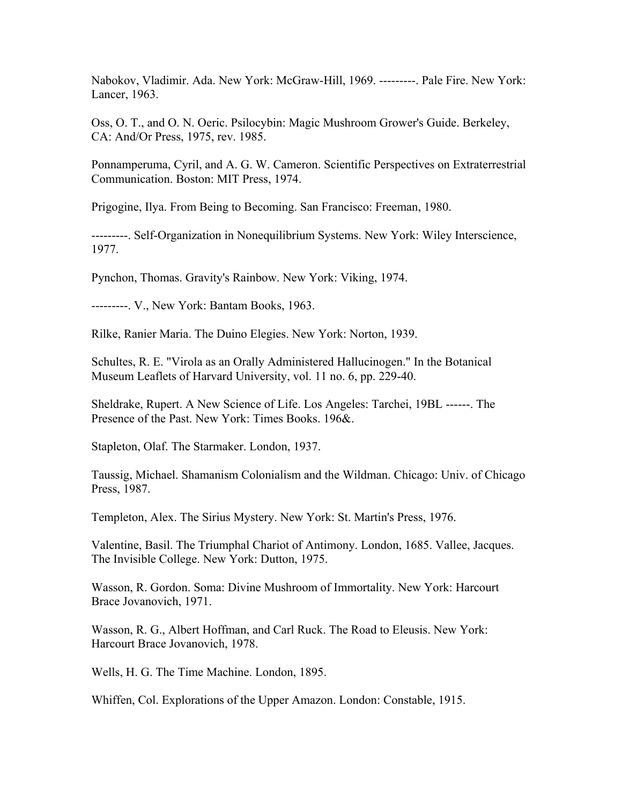Nabokov, Vladimir. Ada. New York: McGraw-Hill, 1969. ---------. Pale Fire. New York: Lancer, 1963.

Oss, O. T., and O. N. Oeric. Psilocybin: Magic Mushroom Grower's Guide. Berkeley, CA: And/Or Press, 1975, rev. 1985.

Ponnamperuma, Cyril, and A. G. W. Cameron. Scientific Perspectives on Extraterrestrial Communication. Boston: MIT Press, 1974.

Prigogine, Ilya. From Being to Becoming. San Francisco: Freeman, 1980.

---------. Self-Organization in Nonequilibrium Systems. New York: Wiley Interscience, 1977.

Pynchon, Thomas. Gravity's Rainbow. New York: Viking, 1974.

---------. V., New York: Bantam Books, 1963.

Rilke, Ranier Maria. The Duino Elegies. New York: Norton, 1939.

Schultes, R. E. "Virola as an Orally Administered Hallucinogen." In the Botanical Museum Leaflets of Harvard University, vol. 11 no. 6, pp. 229-40.

Sheldrake, Rupert. A New Science of Life. Los Angeles: Tarchei, 19BL ------. The Presence of the Past. New York: Times Books. 196&.

Stapleton, Olaf. The Starmaker. London, 1937.

Taussig, Michael. Shamanism Colonialism and the Wildman. Chicago: Univ. of Chicago Press, 1987.

Templeton, Alex. The Sirius Mystery. New York: St. Martin's Press, 1976.

Valentine, Basil. The Triumphal Chariot of Antimony. London, 1685. Vallee, Jacques. The Invisible College. New York: Dutton, 1975.

Wasson, R. Gordon. Soma: Divine Mushroom of Immortality. New York: Harcourt Brace Jovanovich, 1971.

Wasson, R. G., Albert Hoffman, and Carl Ruck. The Road to Eleusis. New York: Harcourt Brace Jovanovich, 1978.

Wells, H. G. The Time Machine. London, 1895.

Whiffen, Col. Explorations of the Upper Amazon. London: Constable, 1915.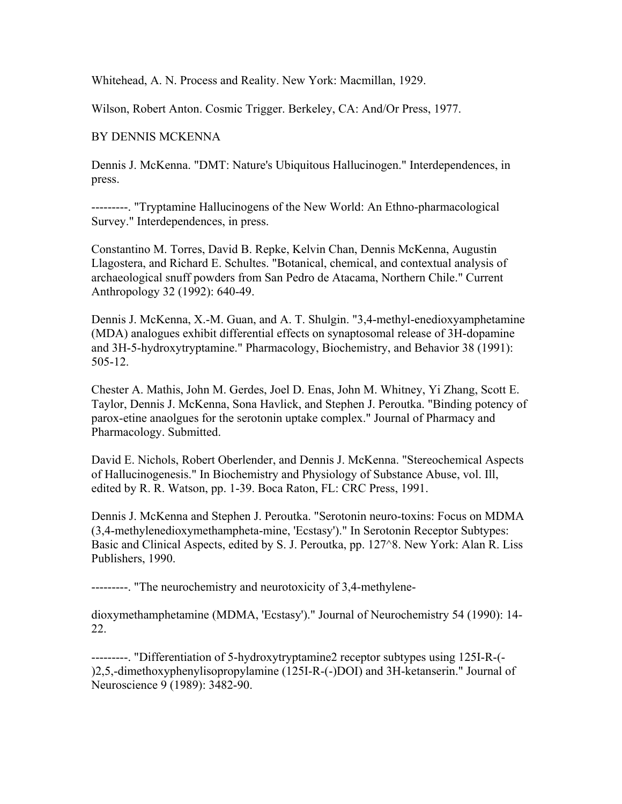Whitehead, A. N. Process and Reality. New York: Macmillan, 1929.

Wilson, Robert Anton. Cosmic Trigger. Berkeley, CA: And/Or Press, 1977.

#### BY DENNIS MCKENNA

Dennis J. McKenna. "DMT: Nature's Ubiquitous Hallucinogen." Interdependences, in press.

---------. "Tryptamine Hallucinogens of the New World: An Ethno-pharmacological Survey." Interdependences, in press.

Constantino M. Torres, David B. Repke, Kelvin Chan, Dennis McKenna, Augustin Llagostera, and Richard E. Schultes. "Botanical, chemical, and contextual analysis of archaeological snuff powders from San Pedro de Atacama, Northern Chile." Current Anthropology 32 (1992): 640-49.

Dennis J. McKenna, X.-M. Guan, and A. T. Shulgin. "3,4-methyl-enedioxyamphetamine (MDA) analogues exhibit differential effects on synaptosomal release of 3H-dopamine and 3H-5-hydroxytryptamine." Pharmacology, Biochemistry, and Behavior 38 (1991): 505-12.

Chester A. Mathis, John M. Gerdes, Joel D. Enas, John M. Whitney, Yi Zhang, Scott E. Taylor, Dennis J. McKenna, Sona Havlick, and Stephen J. Peroutka. "Binding potency of parox-etine anaolgues for the serotonin uptake complex." Journal of Pharmacy and Pharmacology. Submitted.

David E. Nichols, Robert Oberlender, and Dennis J. McKenna. "Stereochemical Aspects of Hallucinogenesis." In Biochemistry and Physiology of Substance Abuse, vol. Ill, edited by R. R. Watson, pp. 1-39. Boca Raton, FL: CRC Press, 1991.

Dennis J. McKenna and Stephen J. Peroutka. "Serotonin neuro-toxins: Focus on MDMA (3,4-methylenedioxymethampheta-mine, 'Ecstasy')." In Serotonin Receptor Subtypes: Basic and Clinical Aspects, edited by S. J. Peroutka, pp. 127^8. New York: Alan R. Liss Publishers, 1990.

---------. "The neurochemistry and neurotoxicity of 3,4-methylene-

dioxymethamphetamine (MDMA, 'Ecstasy')." Journal of Neurochemistry 54 (1990): 14- 22.

---------. "Differentiation of 5-hydroxytryptamine2 receptor subtypes using 125I-R-(- )2,5,-dimethoxyphenylisopropylamine (125I-R-(-)DOI) and 3H-ketanserin." Journal of Neuroscience 9 (1989): 3482-90.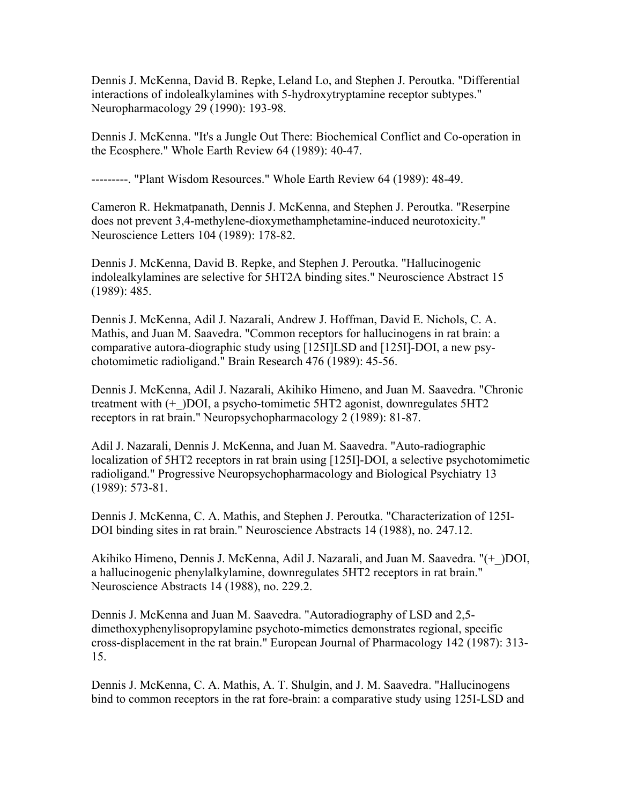Dennis J. McKenna, David B. Repke, Leland Lo, and Stephen J. Peroutka. "Differential interactions of indolealkylamines with 5-hydroxytryptamine receptor subtypes." Neuropharmacology 29 (1990): 193-98.

Dennis J. McKenna. "It's a Jungle Out There: Biochemical Conflict and Co-operation in the Ecosphere." Whole Earth Review 64 (1989): 40-47.

---------. "Plant Wisdom Resources." Whole Earth Review 64 (1989): 48-49.

Cameron R. Hekmatpanath, Dennis J. McKenna, and Stephen J. Peroutka. "Reserpine does not prevent 3,4-methylene-dioxymethamphetamine-induced neurotoxicity." Neuroscience Letters 104 (1989): 178-82.

Dennis J. McKenna, David B. Repke, and Stephen J. Peroutka. "Hallucinogenic indolealkylamines are selective for 5HT2A binding sites." Neuroscience Abstract 15 (1989): 485.

Dennis J. McKenna, Adil J. Nazarali, Andrew J. Hoffman, David E. Nichols, C. A. Mathis, and Juan M. Saavedra. "Common receptors for hallucinogens in rat brain: a comparative autora-diographic study using [125I]LSD and [125I]-DOI, a new psychotomimetic radioligand." Brain Research 476 (1989): 45-56.

Dennis J. McKenna, Adil J. Nazarali, Akihiko Himeno, and Juan M. Saavedra. "Chronic treatment with  $(+)$  DOI, a psycho-tomimetic 5HT2 agonist, downregulates 5HT2 receptors in rat brain." Neuropsychopharmacology 2 (1989): 81-87.

Adil J. Nazarali, Dennis J. McKenna, and Juan M. Saavedra. "Auto-radiographic localization of 5HT2 receptors in rat brain using [125I]-DOI, a selective psychotomimetic radioligand." Progressive Neuropsychopharmacology and Biological Psychiatry 13 (1989): 573-81.

Dennis J. McKenna, C. A. Mathis, and Stephen J. Peroutka. "Characterization of 125I-DOI binding sites in rat brain." Neuroscience Abstracts 14 (1988), no. 247.12.

Akihiko Himeno, Dennis J. McKenna, Adil J. Nazarali, and Juan M. Saavedra. "(+\_)DOI, a hallucinogenic phenylalkylamine, downregulates 5HT2 receptors in rat brain." Neuroscience Abstracts 14 (1988), no. 229.2.

Dennis J. McKenna and Juan M. Saavedra. "Autoradiography of LSD and 2,5 dimethoxyphenylisopropylamine psychoto-mimetics demonstrates regional, specific cross-displacement in the rat brain." European Journal of Pharmacology 142 (1987): 313- 15.

Dennis J. McKenna, C. A. Mathis, A. T. Shulgin, and J. M. Saavedra. "Hallucinogens bind to common receptors in the rat fore-brain: a comparative study using 125I-LSD and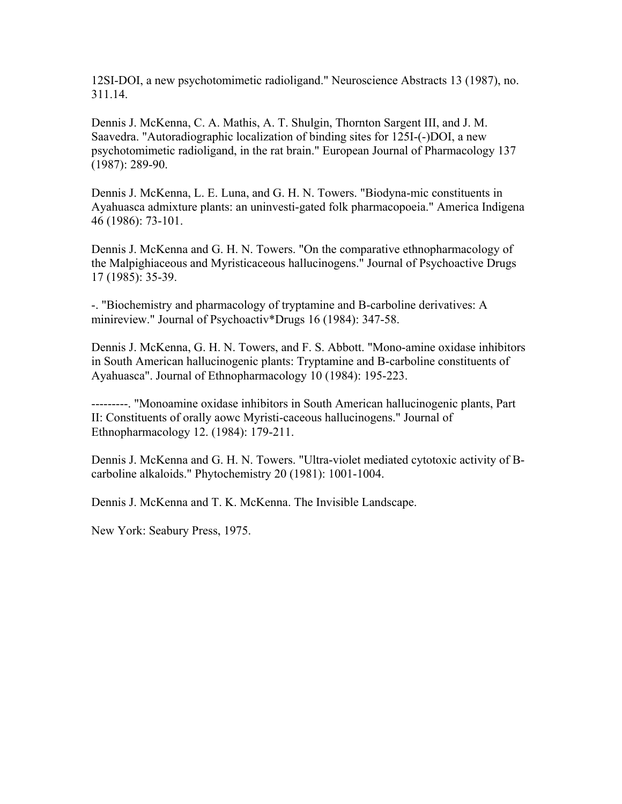12SI-DOI, a new psychotomimetic radioligand." Neuroscience Abstracts 13 (1987), no. 311.14.

Dennis J. McKenna, C. A. Mathis, A. T. Shulgin, Thornton Sargent III, and J. M. Saavedra. "Autoradiographic localization of binding sites for 125I-(-)DOI, a new psychotomimetic radioligand, in the rat brain." European Journal of Pharmacology 137 (1987): 289-90.

Dennis J. McKenna, L. E. Luna, and G. H. N. Towers. "Biodyna-mic constituents in Ayahuasca admixture plants: an uninvesti-gated folk pharmacopoeia." America Indigena 46 (1986): 73-101.

Dennis J. McKenna and G. H. N. Towers. "On the comparative ethnopharmacology of the Malpighiaceous and Myristicaceous hallucinogens." Journal of Psychoactive Drugs 17 (1985): 35-39.

-. "Biochemistry and pharmacology of tryptamine and B-carboline derivatives: A minireview." Journal of Psychoactiv\*Drugs 16 (1984): 347-58.

Dennis J. McKenna, G. H. N. Towers, and F. S. Abbott. "Mono-amine oxidase inhibitors in South American hallucinogenic plants: Tryptamine and B-carboline constituents of Ayahuasca". Journal of Ethnopharmacology 10 (1984): 195-223.

---------. "Monoamine oxidase inhibitors in South American hallucinogenic plants, Part II: Constituents of orally aowc Myristi-caceous hallucinogens." Journal of Ethnopharmacology 12. (1984): 179-211.

Dennis J. McKenna and G. H. N. Towers. "Ultra-violet mediated cytotoxic activity of Bcarboline alkaloids." Phytochemistry 20 (1981): 1001-1004.

Dennis J. McKenna and T. K. McKenna. The Invisible Landscape.

New York: Seabury Press, 1975.